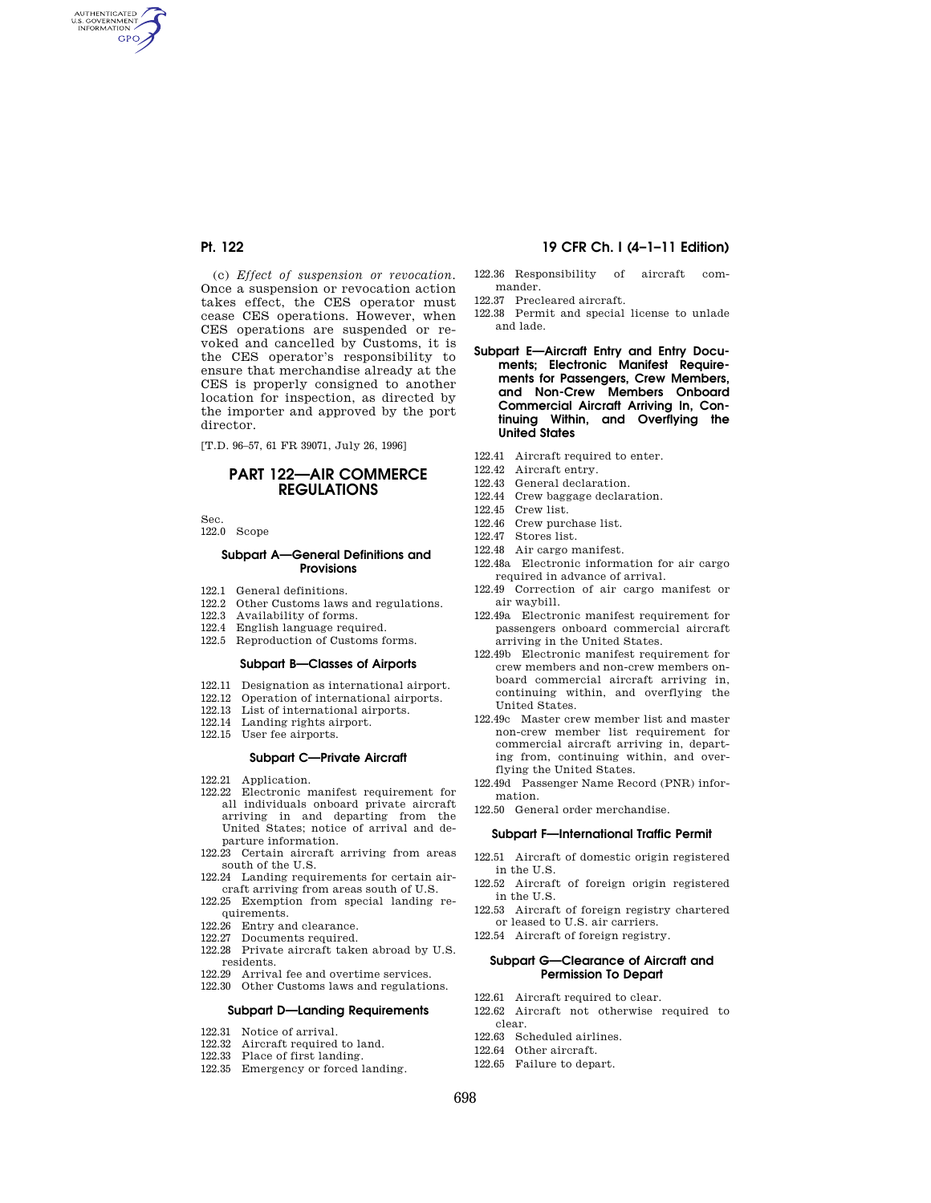AUTHENTICATED<br>U.S. GOVERNMENT<br>INFORMATION **GPO** 

> (c) *Effect of suspension or revocation.*  Once a suspension or revocation action takes effect, the CES operator must cease CES operations. However, when CES operations are suspended or revoked and cancelled by Customs, it is the CES operator's responsibility to ensure that merchandise already at the CES is properly consigned to another location for inspection, as directed by the importer and approved by the port director.

[T.D. 96-57, 61 FR 39071, July 26, 1996]

## **PART 122—AIR COMMERCE REGULATIONS**

Sec.

122.0 Scope

#### **Subpart A—General Definitions and Provisions**

- 122.1 General definitions.
- 122.2 Other Customs laws and regulations.
- 122.3 Availability of forms.
- 122.4 English language required.
- 122.5 Reproduction of Customs forms.

#### **Subpart B—Classes of Airports**

- 122.11 Designation as international airport.
- 122.12 Operation of international airports.
- 122.13 List of international airports.
- 122.14 Landing rights airport.
- 122.15 User fee airports.

#### **Subpart C—Private Aircraft**

- 122.21 Application.
- 122.22 Electronic manifest requirement for all individuals onboard private aircraft arriving in and departing from the United States; notice of arrival and departure information.
- 122.23 Certain aircraft arriving from areas south of the U.S.
- 122.24 Landing requirements for certain aircraft arriving from areas south of U.S.
- 122.25 Exemption from special landing requirements.
- 122.26 Entry and clearance.
- 122.27 Documents required.
- 122.28 Private aircraft taken abroad by U.S. residents.
- 122.29 Arrival fee and overtime services.
- 122.30 Other Customs laws and regulations.

## **Subpart D—Landing Requirements**

- 122.31 Notice of arrival.
- 122.32 Aircraft required to land.
- 122.33 Place of first landing.
- 122.35 Emergency or forced landing.

## **Pt. 122 19 CFR Ch. I (4–1–11 Edition)**

- 122.36 Responsibility of aircraft commander.
- 122.37 Precleared aircraft.
- 122.38 Permit and special license to unlade and lade.
- **Subpart E—Aircraft Entry and Entry Documents; Electronic Manifest Requirements for Passengers, Crew Members, and Non-Crew Members Onboard Commercial Aircraft Arriving In, Continuing Within, and Overflying the United States**
- 122.41 Aircraft required to enter.
- 122.42 Aircraft entry.
- 122.43 General declaration.
- 122.44 Crew baggage declaration.
- 122.45 Crew list.
- 122.46 Crew purchase list.
- 122.47 Stores list.
- 122.48 Air cargo manifest.
- 122.48a Electronic information for air cargo required in advance of arrival.
- 122.49 Correction of air cargo manifest or air waybill.
- 122.49a Electronic manifest requirement for passengers onboard commercial aircraft arriving in the United States.
- 122.49b Electronic manifest requirement for crew members and non-crew members onboard commercial aircraft arriving in, continuing within, and overflying the United States.
- 122.49c Master crew member list and master non-crew member list requirement for commercial aircraft arriving in, departing from, continuing within, and overflying the United States.
- 122.49d Passenger Name Record (PNR) information.
- 122.50 General order merchandise.

#### **Subpart F—International Traffic Permit**

- 122.51 Aircraft of domestic origin registered in the U.S.
- 122.52 Aircraft of foreign origin registered in the U.S.
- 122.53 Aircraft of foreign registry chartered or leased to U.S. air carriers.
- 122.54 Aircraft of foreign registry.

#### **Subpart G—Clearance of Aircraft and Permission To Depart**

- 122.61 Aircraft required to clear.
- 122.62 Aircraft not otherwise required to clear.
- 122.63 Scheduled airlines.
- 122.64 Other aircraft.
- 122.65 Failure to depart.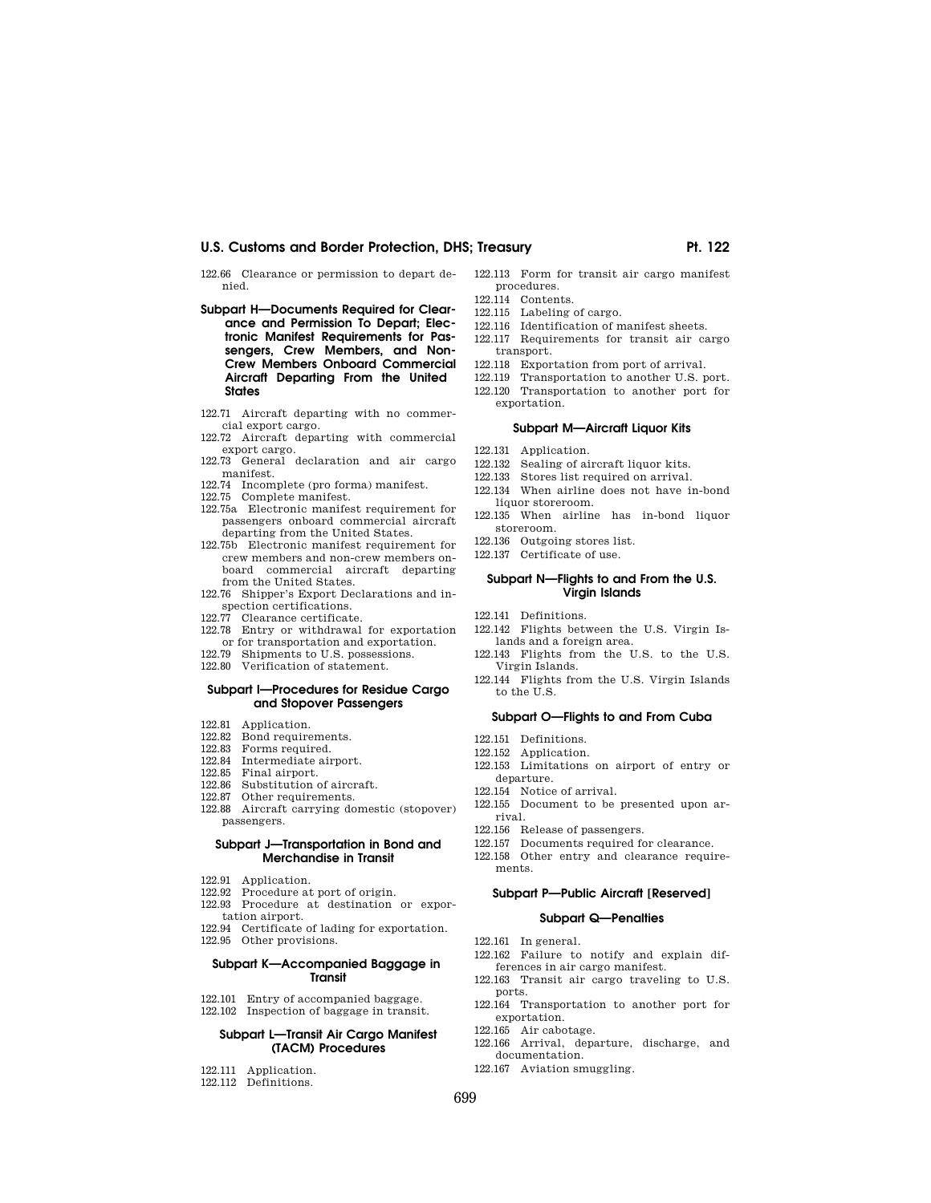## U.S. Customs and Border Protection, DHS; Treasury **Primition and Australian Pt. 122**

122.66 Clearance or permission to depart denied.

- **Subpart H—Documents Required for Clearance and Permission To Depart; Electronic Manifest Requirements for Passengers, Crew Members, and Non-Crew Members Onboard Commercial Aircraft Departing From the United States**
- 122.71 Aircraft departing with no commercial export cargo.
- 122.72 Aircraft departing with commercial export cargo.
- 122.73 General declaration and air cargo manifest.
- 122.74 Incomplete (pro forma) manifest.
- 122.75 Complete manifest.
- 122.75a Electronic manifest requirement for passengers onboard commercial aircraft departing from the United States.
- 122.75b Electronic manifest requirement for crew members and non-crew members onboard commercial aircraft departing from the United States.
- 122.76 Shipper's Export Declarations and inspection certifications.
- 122.77 Clearance certificate.
- 122.78 Entry or withdrawal for exportation or for transportation and exportation.
- 122.79 Shipments to U.S. possessions.
- 122.80 Verification of statement.

#### **Subpart I—Procedures for Residue Cargo and Stopover Passengers**

- 122.81 Application.
- 122.82 Bond requirements.
- 122.83 Forms required.
- 122.84 Intermediate airport.
- 122.85 Final airport.
- 122.86 Substitution of aircraft.
- 122.87 Other requirements.
- 122.88 Aircraft carrying domestic (stopover) passengers.

#### **Subpart J—Transportation in Bond and Merchandise in Transit**

- 122.91 Application.
- 
- 122.92 Procedure at port of origin. 122.93 Procedure at destination or expor-
- tation airport.
- 122.94 Certificate of lading for exportation.
- 122.95 Other provisions.

#### **Subpart K—Accompanied Baggage in Transit**

122.101 Entry of accompanied baggage. 122.102 Inspection of baggage in transit.

## **Subpart L—Transit Air Cargo Manifest (TACM) Procedures**

- 122.111 Application.
- 122.112 Definitions.
- 122.113 Form for transit air cargo manifest procedures.
- 122.114 Contents.
- 122.115 Labeling of cargo.
- 122.116 Identification of manifest sheets. 122.117 Requirements for transit air cargo
- transport. 122.118 Exportation from port of arrival.
- 122.119 Transportation to another U.S. port.
- 122.120 Transportation to another port for exportation.

### **Subpart M—Aircraft Liquor Kits**

- 122.131 Application.
- 122.132 Sealing of aircraft liquor kits.
- 122.133 Stores list required on arrival.
- 122.134 When airline does not have in-bond liquor storeroom.
- 122.135 When airline has in-bond liquor storeroom.
- 122.136 Outgoing stores list.
- 122.137 Certificate of use.

#### **Subpart N—Flights to and From the U.S. Virgin Islands**

- 122.141 Definitions.
- 122.142 Flights between the U.S. Virgin Islands and a foreign area.
- 122.143 Flights from the U.S. to the U.S. Virgin Islands.
- 122.144 Flights from the U.S. Virgin Islands to the U.S.

### **Subpart O—Flights to and From Cuba**

- 122.151 Definitions.
- 122.152 Application.
- 122.153 Limitations on airport of entry or departure.
- 122.154 Notice of arrival.
- 122.155 Document to be presented upon arrival.
- 122.156 Release of passengers.
- 122.157 Documents required for clearance.
- 122.158 Other entry and clearance requirements.

### **Subpart P—Public Aircraft [Reserved]**

#### **Subpart Q—Penalties**

- 122.161 In general.
- 122.162 Failure to notify and explain differences in air cargo manifest.
- 122.163 Transit air cargo traveling to U.S. ports.
- 122.164 Transportation to another port for exportation.
- 122.165 Air cabotage.
- 122.166 Arrival, departure, discharge, and documentation.
- 122.167 Aviation smuggling.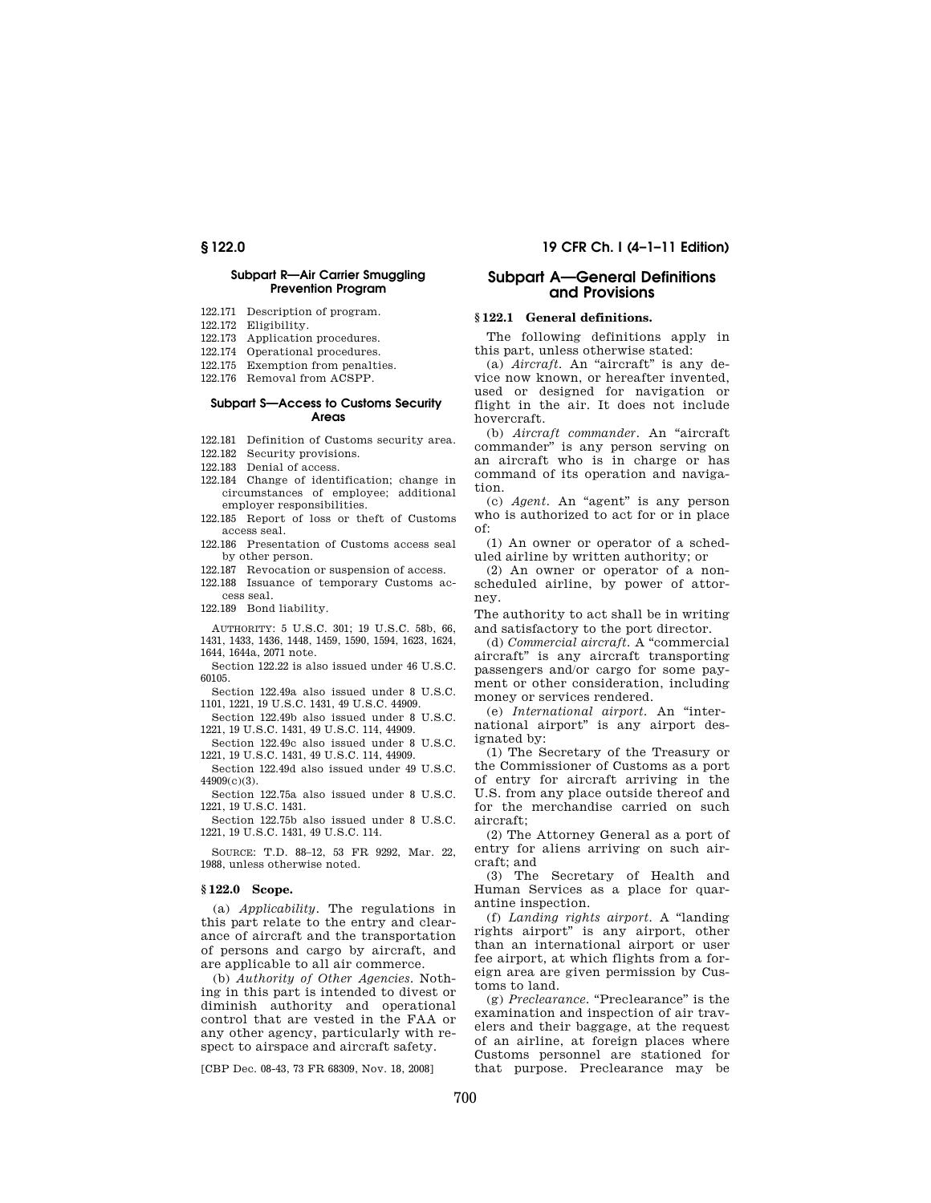#### **Subpart R—Air Carrier Smuggling Prevention Program**

- 122.171 Description of program.
- 122.172 Eligibility.
- 122.173 Application procedures.
- 122.174 Operational procedures.
- 122.175 Exemption from penalties.
- 122.176 Removal from ACSPP.

#### **Subpart S—Access to Customs Security Areas**

122.181 Definition of Customs security area.

122.182 Security provisions.

- 122.183 Denial of access.
- 122.184 Change of identification; change in circumstances of employee; additional employer responsibilities.
- 122.185 Report of loss or theft of Customs access seal.
- 122.186 Presentation of Customs access seal by other person.
- 122.187 Revocation or suspension of access.
- 122.188 Issuance of temporary Customs access seal.
- 122.189 Bond liability.

AUTHORITY: 5 U.S.C. 301; 19 U.S.C. 58b, 66, 1431, 1433, 1436, 1448, 1459, 1590, 1594, 1623, 1624, 1644, 1644a, 2071 note.

Section 122.22 is also issued under 46 U.S.C. 60105.

Section 122.49a also issued under 8 U.S.C. 1101, 1221, 19 U.S.C. 1431, 49 U.S.C. 44909.

Section 122.49b also issued under 8 U.S.C. 1221, 19 U.S.C. 1431, 49 U.S.C. 114, 44909.

Section 122.49c also issued under 8 U.S.C. 1221, 19 U.S.C. 1431, 49 U.S.C. 114, 44909.

Section 122.49d also issued under 49 U.S.C. 44909(c)(3).

Section 122.75a also issued under 8 U.S.C. 1221, 19 U.S.C. 1431.

Section 122.75b also issued under 8 U.S.C. 1221, 19 U.S.C. 1431, 49 U.S.C. 114.

SOURCE: T.D. 88–12, 53 FR 9292, Mar. 22, 1988, unless otherwise noted.

#### **§ 122.0 Scope.**

(a) *Applicability.* The regulations in this part relate to the entry and clearance of aircraft and the transportation of persons and cargo by aircraft, and are applicable to all air commerce.

(b) *Authority of Other Agencies.* Nothing in this part is intended to divest or diminish authority and operational control that are vested in the FAA or any other agency, particularly with respect to airspace and aircraft safety.

[CBP Dec. 08-43, 73 FR 68309, Nov. 18, 2008]

## **§ 122.0 19 CFR Ch. I (4–1–11 Edition)**

## **Subpart A—General Definitions and Provisions**

## **§ 122.1 General definitions.**

The following definitions apply in this part, unless otherwise stated:

(a) *Aircraft*. An "aircraft" is any device now known, or hereafter invented, used or designed for navigation or flight in the air. It does not include hovercraft.

(b) *Aircraft commander.* An ''aircraft commander'' is any person serving on an aircraft who is in charge or has command of its operation and navigation.

(c) *Agent.* An ''agent'' is any person who is authorized to act for or in place of:

(1) An owner or operator of a scheduled airline by written authority; or

(2) An owner or operator of a nonscheduled airline, by power of attorney.

The authority to act shall be in writing and satisfactory to the port director.

(d) *Commercial aircraft.* A ''commercial aircraft'' is any aircraft transporting passengers and/or cargo for some payment or other consideration, including money or services rendered.

(e) *International airport.* An ''international airport'' is any airport designated by:

(1) The Secretary of the Treasury or the Commissioner of Customs as a port of entry for aircraft arriving in the U.S. from any place outside thereof and for the merchandise carried on such aircraft;

(2) The Attorney General as a port of entry for aliens arriving on such aircraft; and

(3) The Secretary of Health and Human Services as a place for quarantine inspection.

(f) *Landing rights airport.* A ''landing rights airport'' is any airport, other than an international airport or user fee airport, at which flights from a foreign area are given permission by Customs to land.

(g) *Preclearance*. "Preclearance" is the examination and inspection of air travelers and their baggage, at the request of an airline, at foreign places where Customs personnel are stationed for that purpose. Preclearance may be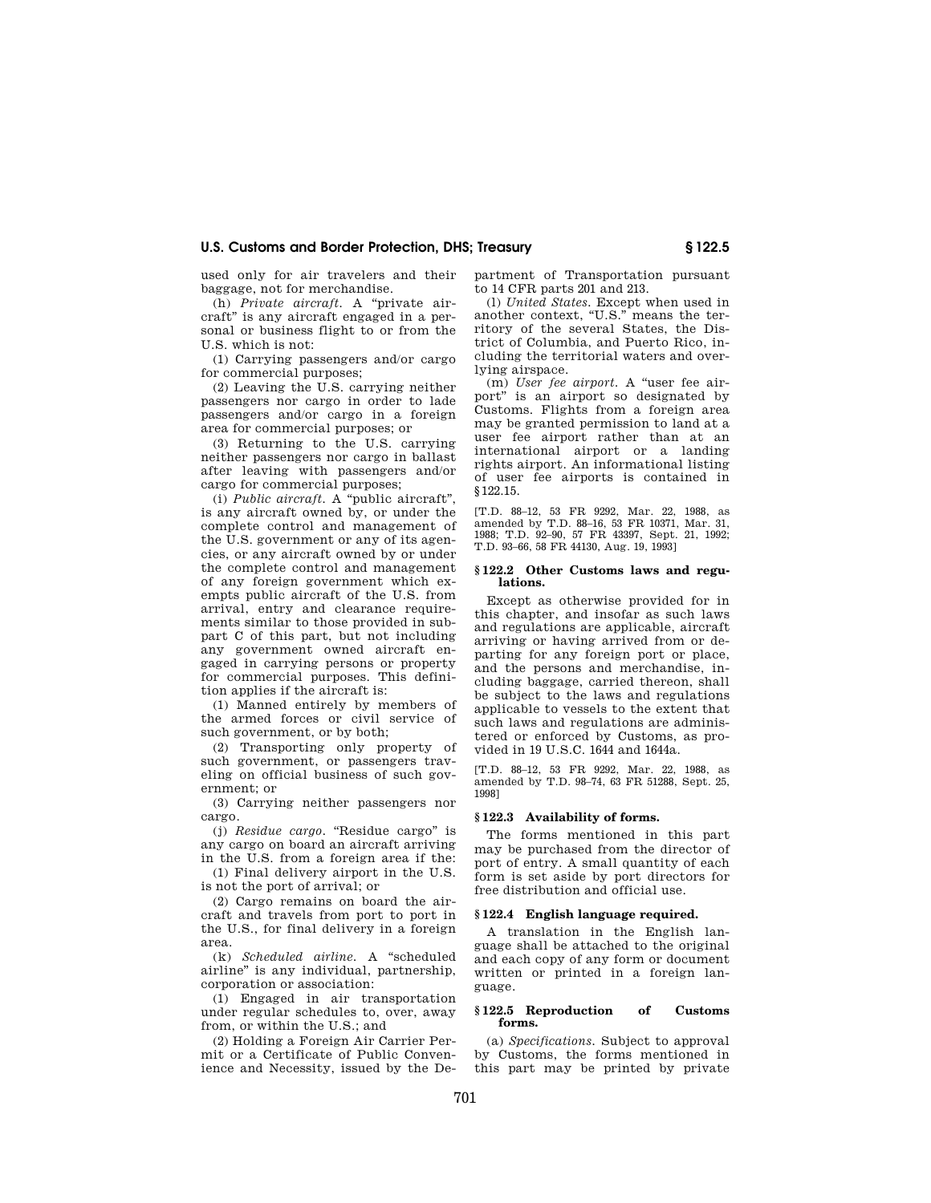used only for air travelers and their baggage, not for merchandise.

(h) *Private aircraft.* A ''private aircraft'' is any aircraft engaged in a personal or business flight to or from the U.S. which is not:

(1) Carrying passengers and/or cargo for commercial purposes;

(2) Leaving the U.S. carrying neither passengers nor cargo in order to lade passengers and/or cargo in a foreign area for commercial purposes; or

(3) Returning to the U.S. carrying neither passengers nor cargo in ballast after leaving with passengers and/or cargo for commercial purposes;

(i) *Public aircraft.* A ''public aircraft'', is any aircraft owned by, or under the complete control and management of the U.S. government or any of its agencies, or any aircraft owned by or under the complete control and management of any foreign government which exempts public aircraft of the U.S. from arrival, entry and clearance requirements similar to those provided in subpart C of this part, but not including any government owned aircraft engaged in carrying persons or property for commercial purposes. This definition applies if the aircraft is:

(1) Manned entirely by members of the armed forces or civil service of such government, or by both;

(2) Transporting only property of such government, or passengers traveling on official business of such government; or

(3) Carrying neither passengers nor cargo.

(i) *Residue cargo.* "Residue cargo" is any cargo on board an aircraft arriving in the U.S. from a foreign area if the:

(1) Final delivery airport in the U.S. is not the port of arrival; or

(2) Cargo remains on board the aircraft and travels from port to port in the U.S., for final delivery in a foreign area.

(k) *Scheduled airline.* A ''scheduled airline'' is any individual, partnership, corporation or association:

(1) Engaged in air transportation under regular schedules to, over, away from, or within the U.S.; and

(2) Holding a Foreign Air Carrier Permit or a Certificate of Public Convenience and Necessity, issued by the Department of Transportation pursuant to 14 CFR parts 201 and 213.

(l) *United States.* Except when used in another context, "U.S." means the territory of the several States, the District of Columbia, and Puerto Rico, including the territorial waters and overlying airspace.

(m) *User fee airport.* A ''user fee airport'' is an airport so designated by Customs. Flights from a foreign area may be granted permission to land at a user fee airport rather than at an international airport or a landing rights airport. An informational listing of user fee airports is contained in §122.15.

[T.D. 88–12, 53 FR 9292, Mar. 22, 1988, as amended by T.D. 88–16, 53 FR 10371, Mar. 31, 1988; T.D. 92–90, 57 FR 43397, Sept. 21, 1992; T.D. 93–66, 58 FR 44130, Aug. 19, 1993]

#### **§ 122.2 Other Customs laws and regulations.**

Except as otherwise provided for in this chapter, and insofar as such laws and regulations are applicable, aircraft arriving or having arrived from or departing for any foreign port or place, and the persons and merchandise, including baggage, carried thereon, shall be subject to the laws and regulations applicable to vessels to the extent that such laws and regulations are administered or enforced by Customs, as provided in 19 U.S.C. 1644 and 1644a.

[T.D. 88–12, 53 FR 9292, Mar. 22, 1988, as amended by T.D. 98–74, 63 FR 51288, Sept. 25, 1998]

## **§ 122.3 Availability of forms.**

The forms mentioned in this part may be purchased from the director of port of entry. A small quantity of each form is set aside by port directors for free distribution and official use.

#### **§ 122.4 English language required.**

A translation in the English language shall be attached to the original and each copy of any form or document written or printed in a foreign language.

#### **§ 122.5 Reproduction of Customs forms.**

(a) *Specifications.* Subject to approval by Customs, the forms mentioned in this part may be printed by private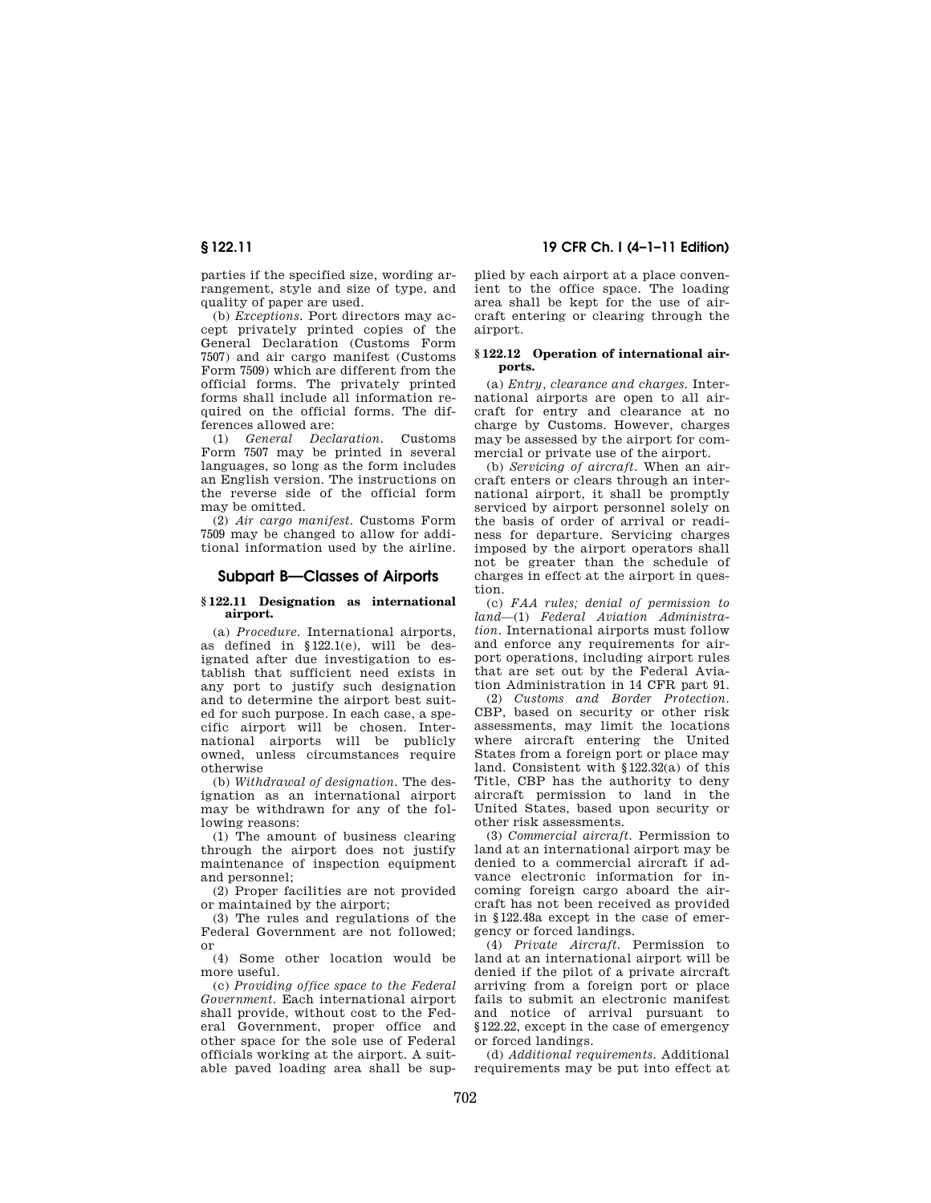parties if the specified size, wording arrangement, style and size of type, and quality of paper are used.

(b) *Exceptions.* Port directors may accept privately printed copies of the General Declaration (Customs Form 7507) and air cargo manifest (Customs Form 7509) which are different from the official forms. The privately printed forms shall include all information required on the official forms. The differences allowed are:

(1) *General Declaration.* Customs Form 7507 may be printed in several languages, so long as the form includes an English version. The instructions on the reverse side of the official form may be omitted.

(2) *Air cargo manifest.* Customs Form 7509 may be changed to allow for additional information used by the airline.

### **Subpart B—Classes of Airports**

#### **§ 122.11 Designation as international airport.**

(a) *Procedure.* International airports, as defined in §122.1(e), will be designated after due investigation to establish that sufficient need exists in any port to justify such designation and to determine the airport best suited for such purpose. In each case, a specific airport will be chosen. International airports will be publicly owned, unless circumstances require otherwise

(b) *Withdrawal of designation.* The designation as an international airport may be withdrawn for any of the following reasons:

(1) The amount of business clearing through the airport does not justify maintenance of inspection equipment and personnel;

(2) Proper facilities are not provided or maintained by the airport;

(3) The rules and regulations of the Federal Government are not followed; or

(4) Some other location would be more useful.

(c) *Providing office space to the Federal Government.* Each international airport shall provide, without cost to the Federal Government, proper office and other space for the sole use of Federal officials working at the airport. A suitable paved loading area shall be sup-

## **§ 122.11 19 CFR Ch. I (4–1–11 Edition)**

plied by each airport at a place convenient to the office space. The loading area shall be kept for the use of aircraft entering or clearing through the airport.

#### **§ 122.12 Operation of international airports.**

(a) *Entry, clearance and charges.* International airports are open to all aircraft for entry and clearance at no charge by Customs. However, charges may be assessed by the airport for commercial or private use of the airport.

(b) *Servicing of aircraft.* When an aircraft enters or clears through an international airport, it shall be promptly serviced by airport personnel solely on the basis of order of arrival or readiness for departure. Servicing charges imposed by the airport operators shall not be greater than the schedule of charges in effect at the airport in question.

(c) *FAA rules; denial of permission to land*—(1) *Federal Aviation Administration.* International airports must follow and enforce any requirements for airport operations, including airport rules that are set out by the Federal Aviation Administration in 14 CFR part 91.

(2) *Customs and Border Protection.*  CBP, based on security or other risk assessments, may limit the locations where aircraft entering the United States from a foreign port or place may land. Consistent with §122.32(a) of this Title, CBP has the authority to deny aircraft permission to land in the United States, based upon security or other risk assessments.

(3) *Commercial aircraft.* Permission to land at an international airport may be denied to a commercial aircraft if advance electronic information for incoming foreign cargo aboard the aircraft has not been received as provided in §122.48a except in the case of emergency or forced landings.

(4) *Private Aircraft.* Permission to land at an international airport will be denied if the pilot of a private aircraft arriving from a foreign port or place fails to submit an electronic manifest and notice of arrival pursuant to §122.22, except in the case of emergency or forced landings.

(d) *Additional requirements.* Additional requirements may be put into effect at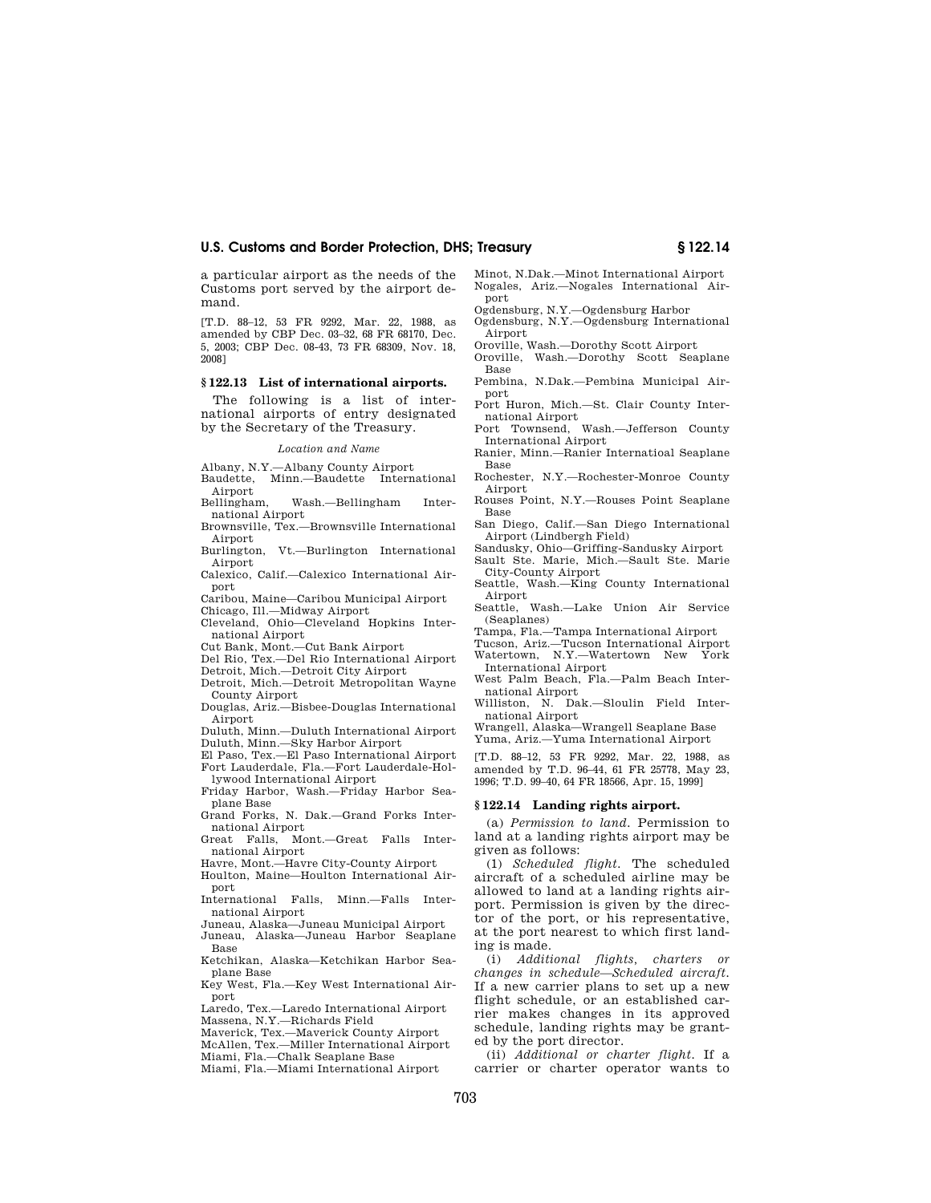a particular airport as the needs of the Customs port served by the airport demand.

[T.D. 88–12, 53 FR 9292, Mar. 22, 1988, as amended by CBP Dec. 03–32, 68 FR 68170, Dec. 5, 2003; CBP Dec. 08-43, 73 FR 68309, Nov. 18, 2008]

#### **§ 122.13 List of international airports.**

The following is a list of international airports of entry designated by the Secretary of the Treasury.

#### *Location and Name*

Albany, N.Y.—Albany County Airport

Baudette, Minn.—Baudette International Airport

Bellingham, Wash.—Bellingham International Airport

Brownsville, Tex.—Brownsville International Airport

Burlington, Vt.—Burlington International Airport

Calexico, Calif.—Calexico International Airport

Caribou, Maine—Caribou Municipal Airport

Chicago, Ill.—Midway Airport

Cleveland, Ohio—Cleveland Hopkins International Airport

Cut Bank, Mont.—Cut Bank Airport

Del Rio, Tex.—Del Rio International Airport Detroit, Mich.—Detroit City Airport Detroit, Mich.—Detroit Metropolitan Wayne

County Airport Douglas, Ariz.—Bisbee-Douglas International

Airport

Duluth, Minn.—Duluth International Airport Duluth, Minn.—Sky Harbor Airport

El Paso, Tex.—El Paso International Airport Fort Lauderdale, Fla.—Fort Lauderdale-Hol-

lywood International Airport

Friday Harbor, Wash.—Friday Harbor Seaplane Base

Grand Forks, N. Dak.—Grand Forks International Airport

Great Falls, Mont.—Great Falls International Airport

Havre, Mont.—Havre City-County Airport

Houlton, Maine—Houlton International Airport

International Falls, Minn.—Falls International Airport

Juneau, Alaska—Juneau Municipal Airport Juneau, Alaska—Juneau Harbor Seaplane Base

Ketchikan, Alaska—Ketchikan Harbor Seaplane Base

Key West, Fla.—Key West International Airport

Laredo, Tex.—Laredo International Airport

Massena, N.Y.—Richards Field Maverick, Tex.—Maverick County Airport

McAllen, Tex.—Miller International Airport

Miami, Fla.—Chalk Seaplane Base

Miami, Fla.—Miami International Airport

Minot, N.Dak.—Minot International Airport Nogales, Ariz.—Nogales International Airport

Ogdensburg, N.Y.—Ogdensburg Harbor

- Ogdensburg, N.Y.—Ogdensburg International Airport
- Oroville, Wash.—Dorothy Scott Airport Oroville, Wash.—Dorothy Scott Seaplane Base
- Pembina, N.Dak.—Pembina Municipal Airport
- Port Huron, Mich.—St. Clair County International Airport

Port Townsend, Wash.—Jefferson County International Airport

Ranier, Minn.—Ranier Internatioal Seaplane Base

Rochester, N.Y.—Rochester-Monroe County Airport

Rouses Point, N.Y.—Rouses Point Seaplane Base

San Diego, Calif.—San Diego International Airport (Lindbergh Field)

Sandusky, Ohio—Griffing-Sandusky Airport Sault Ste. Marie, Mich.—Sault Ste. Marie City-County Airport

Seattle, Wash.—King County International Airport

Seattle, Wash.—Lake Union Air Service (Seaplanes)

Tampa, Fla.—Tampa International Airport

Tucson, Ariz.—Tucson International Airport

Watertown, N.Y.—Watertown New York International Airport

West Palm Beach, Fla.—Palm Beach International Airport

Williston, N. Dak.—Sloulin Field International Airport

Wrangell, Alaska—Wrangell Seaplane Base Yuma, Ariz.—Yuma International Airport

[T.D. 88–12, 53 FR 9292, Mar. 22, 1988, as amended by T.D. 96–44, 61 FR 25778, May 23, 1996; T.D. 99–40, 64 FR 18566, Apr. 15, 1999]

#### **§ 122.14 Landing rights airport.**

(a) *Permission to land.* Permission to land at a landing rights airport may be given as follows:

(1) *Scheduled flight.* The scheduled aircraft of a scheduled airline may be allowed to land at a landing rights airport. Permission is given by the director of the port, or his representative, at the port nearest to which first landing is made.

(i) *Additional flights, charters or changes in schedule—Scheduled aircraft.*  If a new carrier plans to set up a new flight schedule, or an established carrier makes changes in its approved schedule, landing rights may be granted by the port director.

(ii) *Additional or charter flight.* If a carrier or charter operator wants to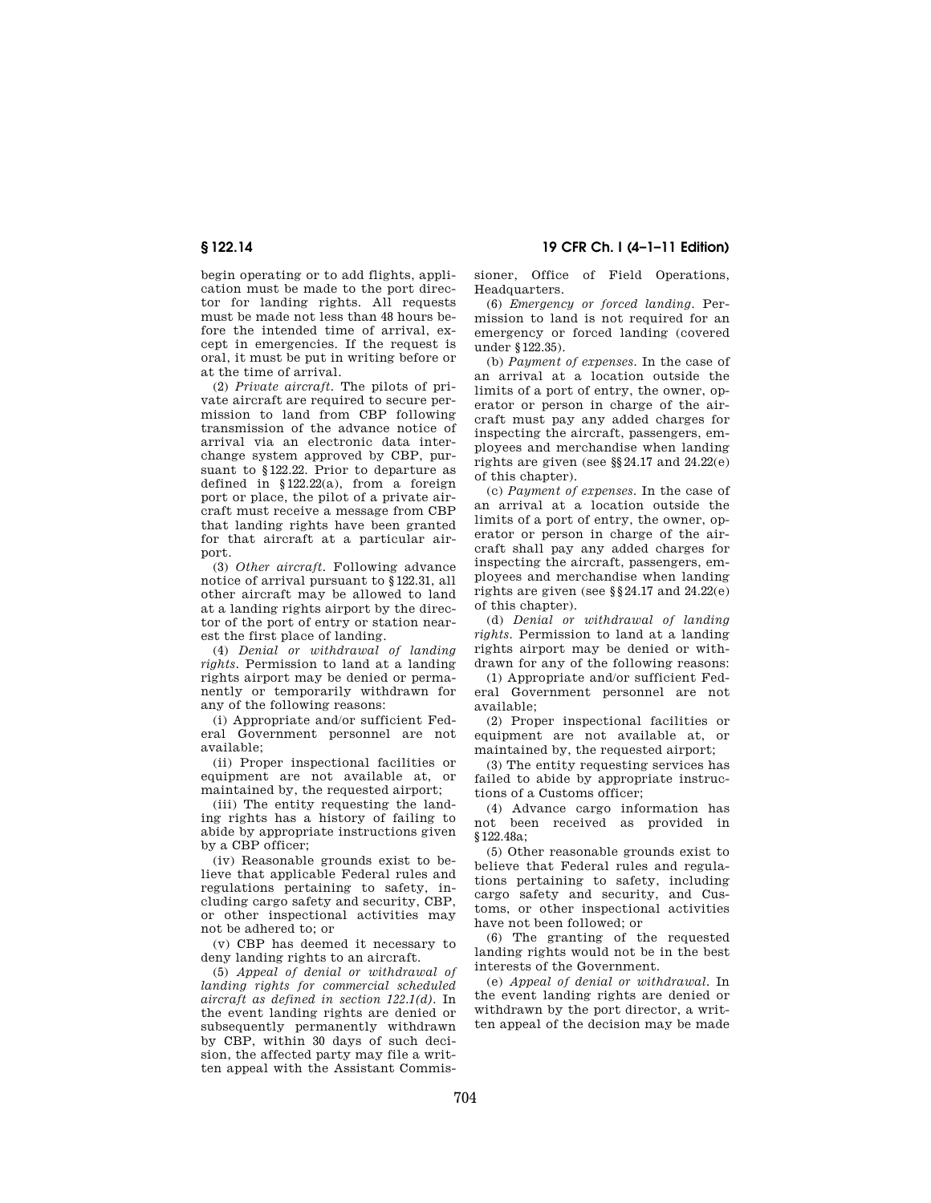begin operating or to add flights, application must be made to the port director for landing rights. All requests must be made not less than 48 hours before the intended time of arrival, except in emergencies. If the request is oral, it must be put in writing before or at the time of arrival.

(2) *Private aircraft.* The pilots of private aircraft are required to secure permission to land from CBP following transmission of the advance notice of arrival via an electronic data interchange system approved by CBP, pursuant to §122.22. Prior to departure as defined in §122.22(a), from a foreign port or place, the pilot of a private aircraft must receive a message from CBP that landing rights have been granted for that aircraft at a particular airport.

(3) *Other aircraft.* Following advance notice of arrival pursuant to §122.31, all other aircraft may be allowed to land at a landing rights airport by the director of the port of entry or station nearest the first place of landing.

(4) *Denial or withdrawal of landing rights.* Permission to land at a landing rights airport may be denied or permanently or temporarily withdrawn for any of the following reasons:

(i) Appropriate and/or sufficient Federal Government personnel are not available;

(ii) Proper inspectional facilities or equipment are not available at, or maintained by, the requested airport;

(iii) The entity requesting the landing rights has a history of failing to abide by appropriate instructions given by a CBP officer;

(iv) Reasonable grounds exist to believe that applicable Federal rules and regulations pertaining to safety, including cargo safety and security, CBP, or other inspectional activities may not be adhered to; or

(v) CBP has deemed it necessary to deny landing rights to an aircraft.

(5) *Appeal of denial or withdrawal of landing rights for commercial scheduled aircraft as defined in section 122.1(d).* In the event landing rights are denied or subsequently permanently withdrawn by CBP, within 30 days of such decision, the affected party may file a written appeal with the Assistant Commis-

**§ 122.14 19 CFR Ch. I (4–1–11 Edition)** 

sioner, Office of Field Operations, Headquarters.

(6) *Emergency or forced landing.* Permission to land is not required for an emergency or forced landing (covered under §122.35).

(b) *Payment of expenses.* In the case of an arrival at a location outside the limits of a port of entry, the owner, operator or person in charge of the aircraft must pay any added charges for inspecting the aircraft, passengers, employees and merchandise when landing rights are given (see §§24.17 and 24.22(e) of this chapter).

(c) *Payment of expenses.* In the case of an arrival at a location outside the limits of a port of entry, the owner, operator or person in charge of the aircraft shall pay any added charges for inspecting the aircraft, passengers, employees and merchandise when landing rights are given (see §§24.17 and 24.22(e) of this chapter).

(d) *Denial or withdrawal of landing rights.* Permission to land at a landing rights airport may be denied or withdrawn for any of the following reasons:

(1) Appropriate and/or sufficient Federal Government personnel are not available;

(2) Proper inspectional facilities or equipment are not available at, or maintained by, the requested airport;

(3) The entity requesting services has failed to abide by appropriate instructions of a Customs officer;

(4) Advance cargo information has not been received as provided in §122.48a;

(5) Other reasonable grounds exist to believe that Federal rules and regulations pertaining to safety, including cargo safety and security, and Customs, or other inspectional activities have not been followed; or

(6) The granting of the requested landing rights would not be in the best interests of the Government.

(e) *Appeal of denial or withdrawal.* In the event landing rights are denied or withdrawn by the port director, a written appeal of the decision may be made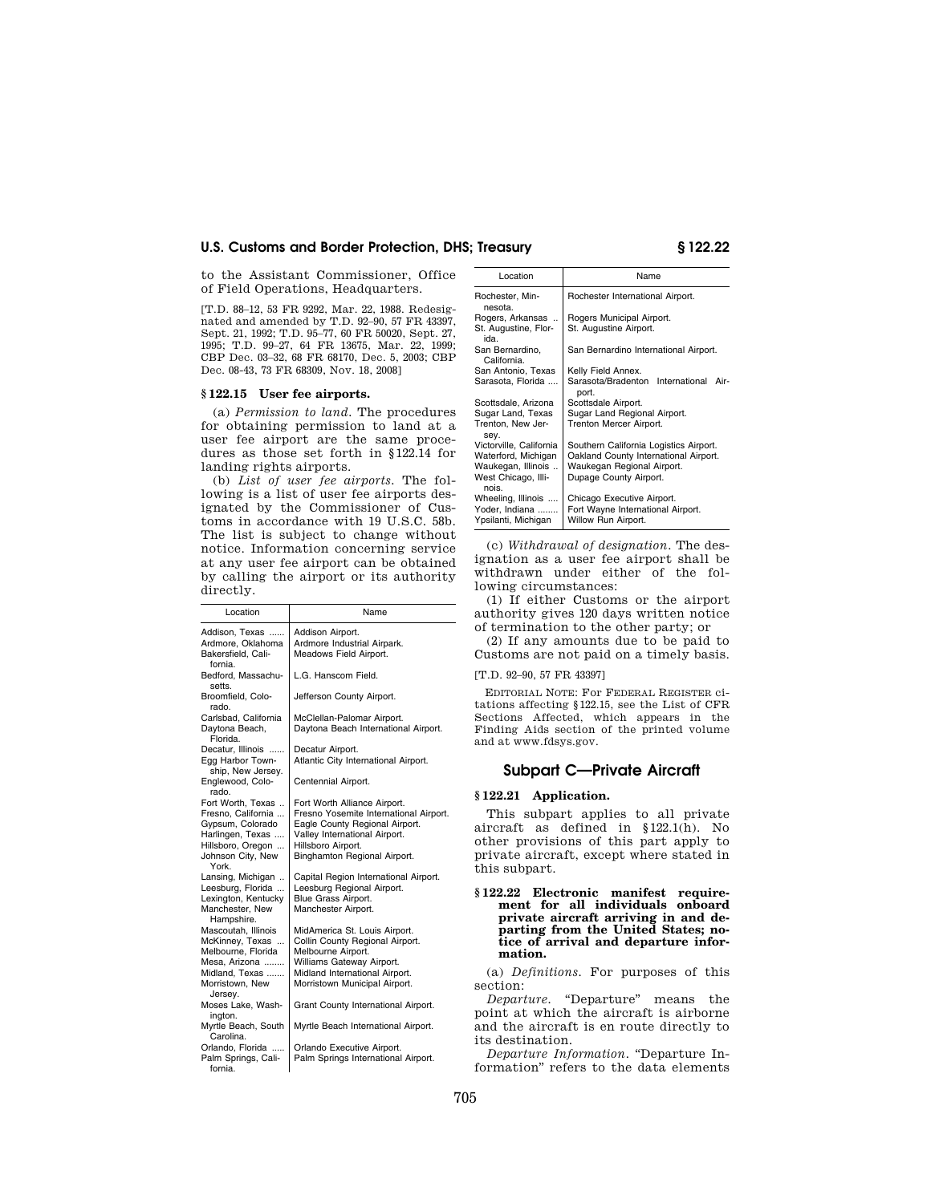to the Assistant Commissioner, Office of Field Operations, Headquarters.

[T.D. 88–12, 53 FR 9292, Mar. 22, 1988. Redesignated and amended by T.D. 92–90, 57 FR 43397, Sept. 21, 1992; T.D. 95–77, 60 FR 50020, Sept. 27, 1995; T.D. 99–27, 64 FR 13675, Mar. 22, 1999; CBP Dec. 03–32, 68 FR 68170, Dec. 5, 2003; CBP Dec. 08-43, 73 FR 68309, Nov. 18, 2008]

#### **§ 122.15 User fee airports.**

(a) *Permission to land.* The procedures for obtaining permission to land at a user fee airport are the same procedures as those set forth in §122.14 for landing rights airports.

(b) *List of user fee airports.* The following is a list of user fee airports designated by the Commissioner of Customs in accordance with 19 U.S.C. 58b. The list is subject to change without notice. Information concerning service at any user fee airport can be obtained by calling the airport or its authority directly.

| Location                                                                                                                           | Name                                                                                                                                                                                            |  |  |  |  |
|------------------------------------------------------------------------------------------------------------------------------------|-------------------------------------------------------------------------------------------------------------------------------------------------------------------------------------------------|--|--|--|--|
| Addison. Texas<br>Ardmore, Oklahoma<br>Bakersfield, Cali-                                                                          | Addison Airport.<br>Ardmore Industrial Airpark.<br>Meadows Field Airport.                                                                                                                       |  |  |  |  |
| fornia.<br>Bedford, Massachu-<br>setts.                                                                                            | L.G. Hanscom Field.                                                                                                                                                                             |  |  |  |  |
| Broomfield, Colo-<br>rado.                                                                                                         | Jefferson County Airport.                                                                                                                                                                       |  |  |  |  |
| Carlsbad, California<br>Daytona Beach,<br>Florida.                                                                                 | McClellan-Palomar Airport.<br>Daytona Beach International Airport.                                                                                                                              |  |  |  |  |
| Decatur, Illinois<br>Egg Harbor Town-<br>ship, New Jersey.                                                                         | Decatur Airport.<br>Atlantic City International Airport.                                                                                                                                        |  |  |  |  |
| Englewood, Colo-<br>rado.                                                                                                          | Centennial Airport.                                                                                                                                                                             |  |  |  |  |
| Fort Worth, Texas<br>Fresno, California<br>Gypsum, Colorado<br>Harlingen, Texas<br>Hillsboro, Oregon<br>Johnson City, New<br>York. | Fort Worth Alliance Airport.<br>Fresno Yosemite International Airport.<br>Eagle County Regional Airport.<br>Valley International Airport.<br>Hillsboro Airport.<br>Binghamton Regional Airport. |  |  |  |  |
| Lansing, Michigan<br>Leesburg, Florida<br>Lexington, Kentucky<br>Manchester, New<br>Hampshire.                                     | Capital Region International Airport.<br>Leesburg Regional Airport.<br>Blue Grass Airport.<br>Manchester Airport.                                                                               |  |  |  |  |
| Mascoutah, Illinois<br>McKinney, Texas<br>Melbourne, Florida<br>Mesa, Arizona<br>Midland, Texas<br>Morristown, New<br>Jersey.      | MidAmerica St. Louis Airport.<br>Collin County Regional Airport.<br>Melbourne Airport.<br>Williams Gateway Airport.<br>Midland International Airport.<br>Morristown Municipal Airport.          |  |  |  |  |
| Moses Lake, Wash-<br>ington.<br>Myrtle Beach, South<br>Carolina.                                                                   | Grant County International Airport.<br>Myrtle Beach International Airport.                                                                                                                      |  |  |  |  |
| Orlando, Florida<br>Palm Springs, Cali-<br>fornia.                                                                                 | Orlando Executive Airport.<br>Palm Springs International Airport.                                                                                                                               |  |  |  |  |

| Location                                                                                             | Name                                                                                                                                    |  |  |  |  |
|------------------------------------------------------------------------------------------------------|-----------------------------------------------------------------------------------------------------------------------------------------|--|--|--|--|
| Rochester, Min-<br>nesota.                                                                           | Rochester International Airport.                                                                                                        |  |  |  |  |
| Rogers, Arkansas<br>St. Augustine, Flor-<br>ida.                                                     | Rogers Municipal Airport.<br>St. Augustine Airport.                                                                                     |  |  |  |  |
| San Bernardino.<br>California.                                                                       | San Bernardino International Airport.                                                                                                   |  |  |  |  |
| San Antonio, Texas                                                                                   | Kelly Field Annex.                                                                                                                      |  |  |  |  |
| Sarasota, Florida                                                                                    | Sarasota/Bradenton International<br>Air-<br>port.                                                                                       |  |  |  |  |
| Scottsdale, Arizona                                                                                  | Scottsdale Airport.                                                                                                                     |  |  |  |  |
| Sugar Land, Texas<br>Trenton, New Jer-<br>sey.                                                       | Sugar Land Regional Airport.<br>Trenton Mercer Airport.                                                                                 |  |  |  |  |
| Victorville, California<br>Waterford, Michigan<br>Waukegan, Illinois<br>West Chicago, Illi-<br>nois. | Southern California Logistics Airport.<br>Oakland County International Airport.<br>Waukegan Regional Airport.<br>Dupage County Airport. |  |  |  |  |
| Wheeling, Illinois<br>Yoder, Indiana<br>Ypsilanti, Michigan                                          | Chicago Executive Airport.<br>Fort Wayne International Airport.<br>Willow Run Airport.                                                  |  |  |  |  |
|                                                                                                      |                                                                                                                                         |  |  |  |  |

(c) *Withdrawal of designation.* The designation as a user fee airport shall be withdrawn under either of the following circumstances:

(1) If either Customs or the airport authority gives 120 days written notice of termination to the other party; or

(2) If any amounts due to be paid to Customs are not paid on a timely basis.

[T.D. 92–90, 57 FR 43397]

EDITORIAL NOTE: For FEDERAL REGISTER citations affecting §122.15, see the List of CFR Sections Affected, which appears in the Finding Aids section of the printed volume and at www.fdsys.gov.

## **Subpart C—Private Aircraft**

### **§ 122.21 Application.**

This subpart applies to all private aircraft as defined in §122.1(h). No other provisions of this part apply to private aircraft, except where stated in this subpart.

#### **§ 122.22 Electronic manifest requirement for all individuals onboard private aircraft arriving in and departing from the United States; notice of arrival and departure information.**

(a) *Definitions.* For purposes of this section:

*Departure.* "Departure" means the point at which the aircraft is airborne and the aircraft is en route directly to its destination.

*Departure Information.* ''Departure Information'' refers to the data elements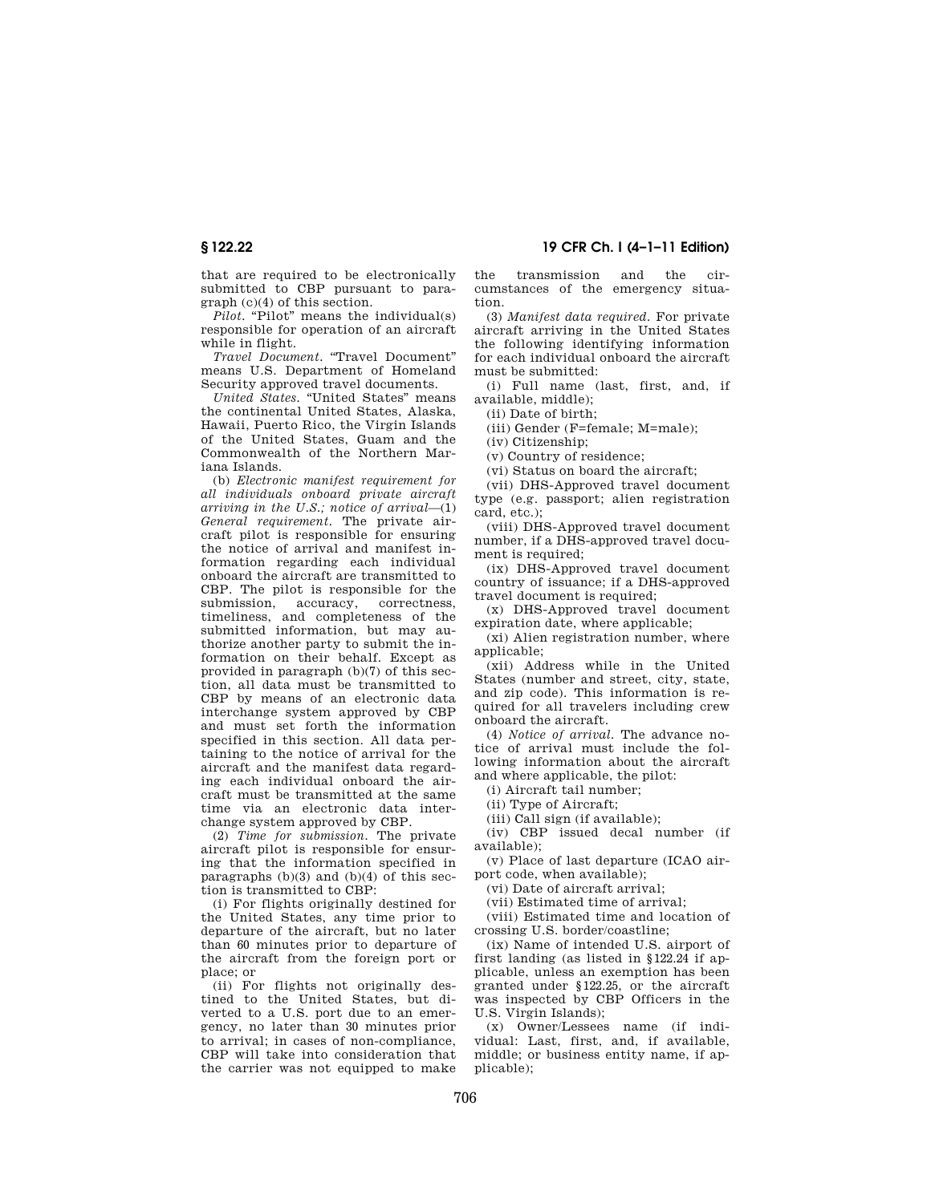that are required to be electronically submitted to CBP pursuant to paragraph (c)(4) of this section.

*Pilot.* "Pilot" means the individual(s) responsible for operation of an aircraft while in flight.

*Travel Document.* ''Travel Document'' means U.S. Department of Homeland Security approved travel documents.

*United States.* "United States" means the continental United States, Alaska, Hawaii, Puerto Rico, the Virgin Islands of the United States, Guam and the Commonwealth of the Northern Mariana Islands.

(b) *Electronic manifest requirement for all individuals onboard private aircraft arriving in the U.S.; notice of arrival*—(1) *General requirement.* The private aircraft pilot is responsible for ensuring the notice of arrival and manifest information regarding each individual onboard the aircraft are transmitted to CBP. The pilot is responsible for the submission, accuracy, correctness, timeliness, and completeness of the submitted information, but may authorize another party to submit the information on their behalf. Except as provided in paragraph (b)(7) of this section, all data must be transmitted to CBP by means of an electronic data interchange system approved by CBP and must set forth the information specified in this section. All data pertaining to the notice of arrival for the aircraft and the manifest data regarding each individual onboard the aircraft must be transmitted at the same time via an electronic data interchange system approved by CBP.

(2) *Time for submission.* The private aircraft pilot is responsible for ensuring that the information specified in paragraphs (b)(3) and (b)(4) of this section is transmitted to CBP:

(i) For flights originally destined for the United States, any time prior to departure of the aircraft, but no later than 60 minutes prior to departure of the aircraft from the foreign port or place; or

(ii) For flights not originally destined to the United States, but diverted to a U.S. port due to an emergency, no later than 30 minutes prior to arrival; in cases of non-compliance, CBP will take into consideration that the carrier was not equipped to make the transmission and the circumstances of the emergency situation.

(3) *Manifest data required.* For private aircraft arriving in the United States the following identifying information for each individual onboard the aircraft must be submitted:

(i) Full name (last, first, and, if available, middle);

(ii) Date of birth;

(iii) Gender (F=female; M=male);

(iv) Citizenship;

(v) Country of residence;

(vi) Status on board the aircraft;

(vii) DHS-Approved travel document type (e.g. passport; alien registration card, etc.);

(viii) DHS-Approved travel document number, if a DHS-approved travel document is required;

(ix) DHS-Approved travel document country of issuance; if a DHS-approved travel document is required;

(x) DHS-Approved travel document expiration date, where applicable;

(xi) Alien registration number, where applicable;

(xii) Address while in the United States (number and street, city, state, and zip code). This information is required for all travelers including crew onboard the aircraft.

(4) *Notice of arrival.* The advance notice of arrival must include the following information about the aircraft and where applicable, the pilot:

(i) Aircraft tail number;

(ii) Type of Aircraft;

(iii) Call sign (if available);

(iv) CBP issued decal number (if available);

(v) Place of last departure (ICAO airport code, when available);

(vi) Date of aircraft arrival;

(vii) Estimated time of arrival;

(viii) Estimated time and location of crossing U.S. border/coastline;

(ix) Name of intended U.S. airport of first landing (as listed in §122.24 if applicable, unless an exemption has been granted under §122.25, or the aircraft was inspected by CBP Officers in the U.S. Virgin Islands);

(x) Owner/Lessees name (if individual: Last, first, and, if available, middle; or business entity name, if applicable);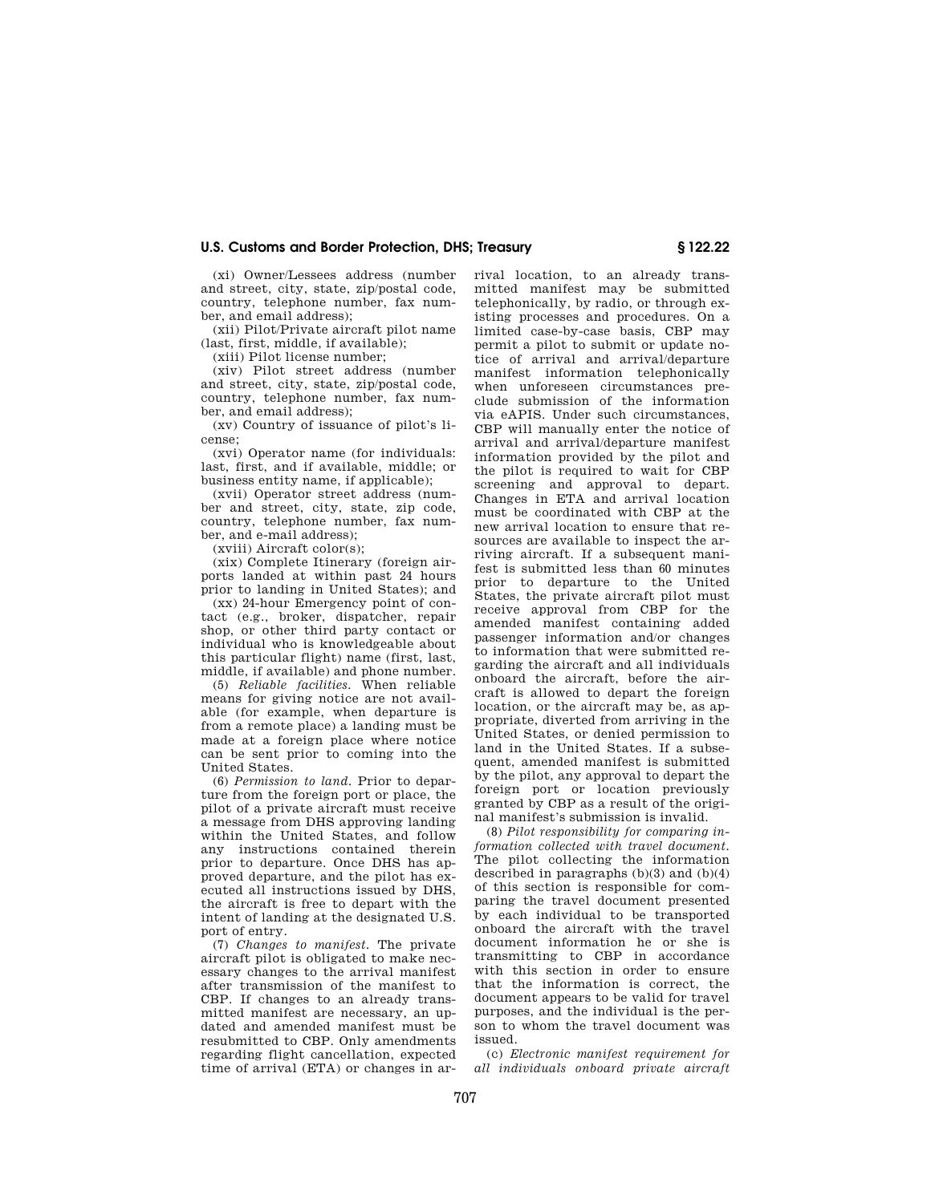(xi) Owner/Lessees address (number and street, city, state, zip/postal code, country, telephone number, fax number, and email address);

(xii) Pilot/Private aircraft pilot name (last, first, middle, if available);

(xiii) Pilot license number;

(xiv) Pilot street address (number and street, city, state, zip/postal code, country, telephone number, fax number, and email address);

(xv) Country of issuance of pilot's license;

(xvi) Operator name (for individuals: last, first, and if available, middle; or business entity name, if applicable);

(xvii) Operator street address (number and street, city, state, zip code, country, telephone number, fax number, and e-mail address);

(xviii) Aircraft color(s);

(xix) Complete Itinerary (foreign airports landed at within past 24 hours prior to landing in United States); and

(xx) 24-hour Emergency point of contact (e.g., broker, dispatcher, repair shop, or other third party contact or individual who is knowledgeable about this particular flight) name (first, last, middle, if available) and phone number.

(5) *Reliable facilities.* When reliable means for giving notice are not available (for example, when departure is from a remote place) a landing must be made at a foreign place where notice can be sent prior to coming into the United States.

(6) *Permission to land.* Prior to departure from the foreign port or place, the pilot of a private aircraft must receive a message from DHS approving landing within the United States, and follow any instructions contained therein prior to departure. Once DHS has approved departure, and the pilot has executed all instructions issued by DHS, the aircraft is free to depart with the intent of landing at the designated U.S. port of entry.

(7) *Changes to manifest.* The private aircraft pilot is obligated to make necessary changes to the arrival manifest after transmission of the manifest to CBP. If changes to an already transmitted manifest are necessary, an updated and amended manifest must be resubmitted to CBP. Only amendments regarding flight cancellation, expected time of arrival (ETA) or changes in arrival location, to an already transmitted manifest may be submitted telephonically, by radio, or through existing processes and procedures. On a limited case-by-case basis, CBP may permit a pilot to submit or update notice of arrival and arrival/departure manifest information telephonically when unforeseen circumstances preclude submission of the information via eAPIS. Under such circumstances, CBP will manually enter the notice of arrival and arrival/departure manifest information provided by the pilot and the pilot is required to wait for CBP screening and approval to depart. Changes in ETA and arrival location must be coordinated with CBP at the new arrival location to ensure that resources are available to inspect the arriving aircraft. If a subsequent manifest is submitted less than 60 minutes prior to departure to the United States, the private aircraft pilot must receive approval from CBP for the amended manifest containing added passenger information and/or changes to information that were submitted regarding the aircraft and all individuals onboard the aircraft, before the aircraft is allowed to depart the foreign location, or the aircraft may be, as appropriate, diverted from arriving in the United States, or denied permission to land in the United States. If a subsequent, amended manifest is submitted by the pilot, any approval to depart the foreign port or location previously granted by CBP as a result of the original manifest's submission is invalid.

(8) *Pilot responsibility for comparing information collected with travel document.*  The pilot collecting the information described in paragraphs  $(b)(3)$  and  $(b)(4)$ of this section is responsible for comparing the travel document presented by each individual to be transported onboard the aircraft with the travel document information he or she is transmitting to CBP in accordance with this section in order to ensure that the information is correct, the document appears to be valid for travel purposes, and the individual is the person to whom the travel document was issued.

(c) *Electronic manifest requirement for all individuals onboard private aircraft*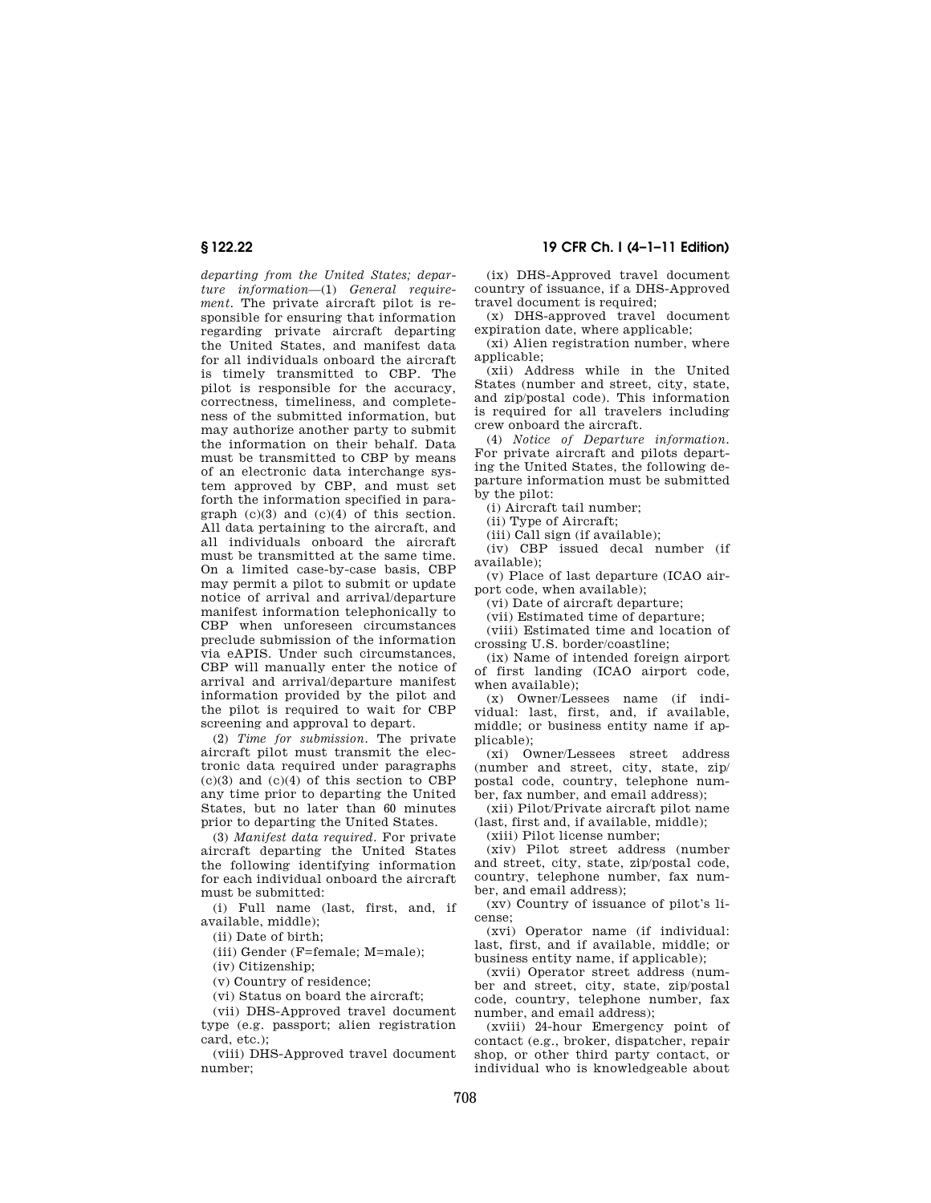*departing from the United States; departure information*—(1) *General requirement.* The private aircraft pilot is responsible for ensuring that information regarding private aircraft departing the United States, and manifest data for all individuals onboard the aircraft is timely transmitted to CBP. The pilot is responsible for the accuracy, correctness, timeliness, and completeness of the submitted information, but may authorize another party to submit the information on their behalf. Data must be transmitted to CBP by means of an electronic data interchange system approved by CBP, and must set forth the information specified in paragraph  $(c)(3)$  and  $(c)(4)$  of this section. All data pertaining to the aircraft, and all individuals onboard the aircraft must be transmitted at the same time. On a limited case-by-case basis, CBP may permit a pilot to submit or update notice of arrival and arrival/departure manifest information telephonically to CBP when unforeseen circumstances preclude submission of the information via eAPIS. Under such circumstances, CBP will manually enter the notice of arrival and arrival/departure manifest information provided by the pilot and the pilot is required to wait for CBP screening and approval to depart.

(2) *Time for submission.* The private aircraft pilot must transmit the electronic data required under paragraphs  $(c)(3)$  and  $(c)(4)$  of this section to CBP any time prior to departing the United States, but no later than 60 minutes prior to departing the United States.

(3) *Manifest data required.* For private aircraft departing the United States the following identifying information for each individual onboard the aircraft must be submitted:

(i) Full name (last, first, and, if available, middle);

(ii) Date of birth;

(iii) Gender (F=female; M=male);

(iv) Citizenship;

(v) Country of residence;

(vi) Status on board the aircraft;

(vii) DHS-Approved travel document type (e.g. passport; alien registration card, etc.);

(viii) DHS-Approved travel document number;

## **§ 122.22 19 CFR Ch. I (4–1–11 Edition)**

(ix) DHS-Approved travel document country of issuance, if a DHS-Approved travel document is required;

(x) DHS-approved travel document expiration date, where applicable;

(xi) Alien registration number, where applicable;

(xii) Address while in the United States (number and street, city, state, and zip/postal code). This information is required for all travelers including crew onboard the aircraft.

(4) *Notice of Departure information.*  For private aircraft and pilots departing the United States, the following departure information must be submitted by the pilot:

(i) Aircraft tail number;

(ii) Type of Aircraft;

(iii) Call sign (if available);

(iv) CBP issued decal number (if available);

(v) Place of last departure (ICAO airport code, when available);

(vi) Date of aircraft departure;

(vii) Estimated time of departure;

(viii) Estimated time and location of crossing U.S. border/coastline;

(ix) Name of intended foreign airport of first landing (ICAO airport code, when available);

(x) Owner/Lessees name (if individual: last, first, and, if available, middle; or business entity name if applicable);

(xi) Owner/Lessees street address (number and street, city, state, zip/ postal code, country, telephone number, fax number, and email address);

(xii) Pilot/Private aircraft pilot name (last, first and, if available, middle);

(xiii) Pilot license number;

(xiv) Pilot street address (number and street, city, state, zip/postal code, country, telephone number, fax number, and email address);

(xv) Country of issuance of pilot's license;

(xvi) Operator name (if individual: last, first, and if available, middle; or business entity name, if applicable);

(xvii) Operator street address (number and street, city, state, zip/postal code, country, telephone number, fax number, and email address);

(xviii) 24-hour Emergency point of contact (e.g., broker, dispatcher, repair shop, or other third party contact, or individual who is knowledgeable about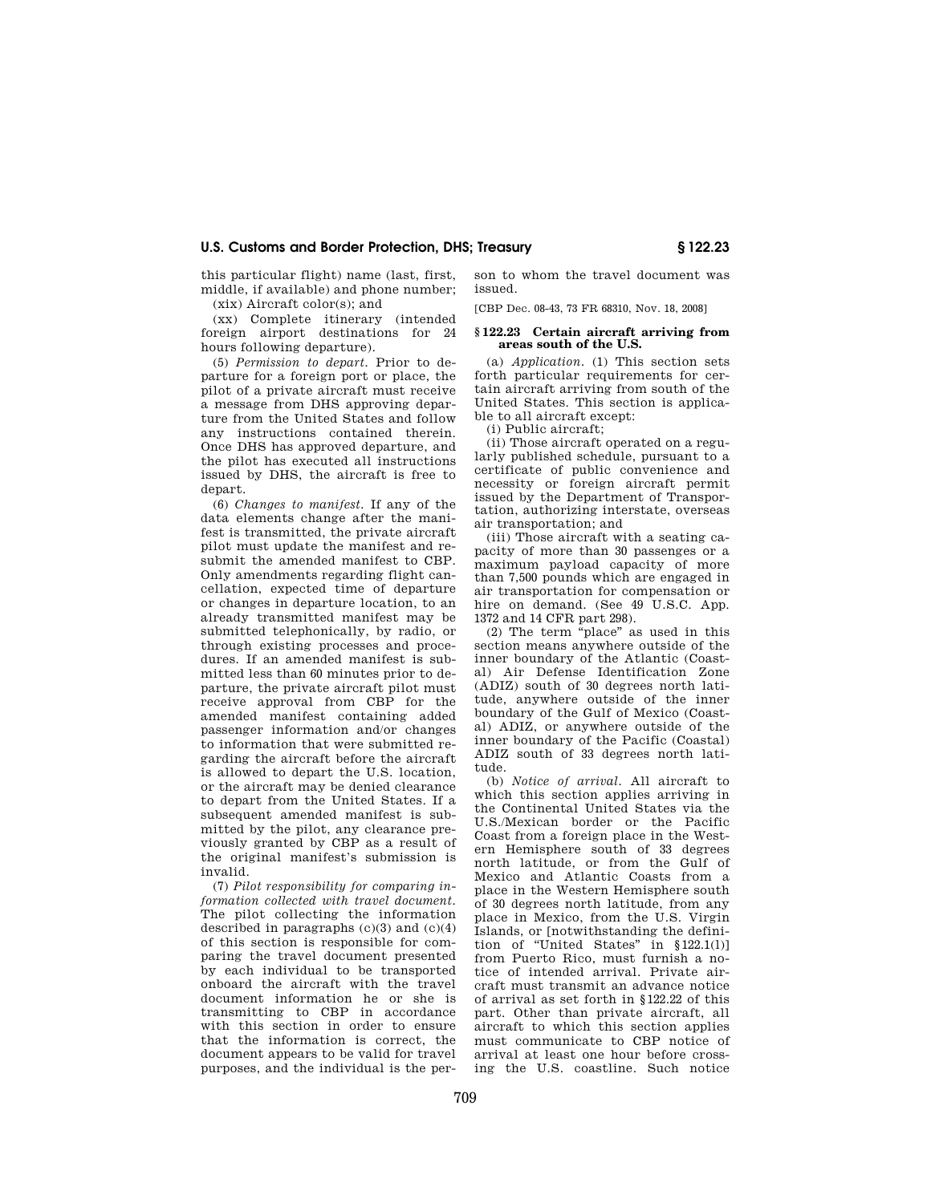this particular flight) name (last, first, middle, if available) and phone number; (xix) Aircraft color(s); and

(xx) Complete itinerary (intended foreign airport destinations for 24 hours following departure).

(5) *Permission to depart.* Prior to departure for a foreign port or place, the pilot of a private aircraft must receive a message from DHS approving departure from the United States and follow any instructions contained therein. Once DHS has approved departure, and the pilot has executed all instructions issued by DHS, the aircraft is free to depart.

(6) *Changes to manifest.* If any of the data elements change after the manifest is transmitted, the private aircraft pilot must update the manifest and resubmit the amended manifest to CBP. Only amendments regarding flight cancellation, expected time of departure or changes in departure location, to an already transmitted manifest may be submitted telephonically, by radio, or through existing processes and procedures. If an amended manifest is submitted less than 60 minutes prior to departure, the private aircraft pilot must receive approval from CBP for the amended manifest containing added passenger information and/or changes to information that were submitted regarding the aircraft before the aircraft is allowed to depart the U.S. location, or the aircraft may be denied clearance to depart from the United States. If a subsequent amended manifest is submitted by the pilot, any clearance previously granted by CBP as a result of the original manifest's submission is invalid.

(7) *Pilot responsibility for comparing information collected with travel document.*  The pilot collecting the information described in paragraphs  $(c)(3)$  and  $(c)(4)$ of this section is responsible for comparing the travel document presented by each individual to be transported onboard the aircraft with the travel document information he or she is transmitting to CBP in accordance with this section in order to ensure that the information is correct, the document appears to be valid for travel purposes, and the individual is the person to whom the travel document was issued.

[CBP Dec. 08-43, 73 FR 68310, Nov. 18, 2008]

#### **§ 122.23 Certain aircraft arriving from areas south of the U.S.**

(a) *Application.* (1) This section sets forth particular requirements for certain aircraft arriving from south of the United States. This section is applicable to all aircraft except:

(i) Public aircraft;

(ii) Those aircraft operated on a regularly published schedule, pursuant to a certificate of public convenience and necessity or foreign aircraft permit issued by the Department of Transportation, authorizing interstate, overseas air transportation; and

(iii) Those aircraft with a seating capacity of more than 30 passenges or a maximum payload capacity of more than 7,500 pounds which are engaged in air transportation for compensation or hire on demand. (See 49 U.S.C. App. 1372 and 14 CFR part 298).

 $(2)$  The term "place" as used in this section means anywhere outside of the inner boundary of the Atlantic (Coastal) Air Defense Identification Zone (ADIZ) south of 30 degrees north latitude, anywhere outside of the inner boundary of the Gulf of Mexico (Coastal) ADIZ, or anywhere outside of the inner boundary of the Pacific (Coastal) ADIZ south of 33 degrees north latitude.

(b) *Notice of arrival.* All aircraft to which this section applies arriving in the Continental United States via the U.S./Mexican border or the Pacific Coast from a foreign place in the Western Hemisphere south of 33 degrees north latitude, or from the Gulf of Mexico and Atlantic Coasts from a place in the Western Hemisphere south of 30 degrees north latitude, from any place in Mexico, from the U.S. Virgin Islands, or [notwithstanding the definition of "United States" in  $$122.1(1)]$ from Puerto Rico, must furnish a notice of intended arrival. Private aircraft must transmit an advance notice of arrival as set forth in §122.22 of this part. Other than private aircraft, all aircraft to which this section applies must communicate to CBP notice of arrival at least one hour before crossing the U.S. coastline. Such notice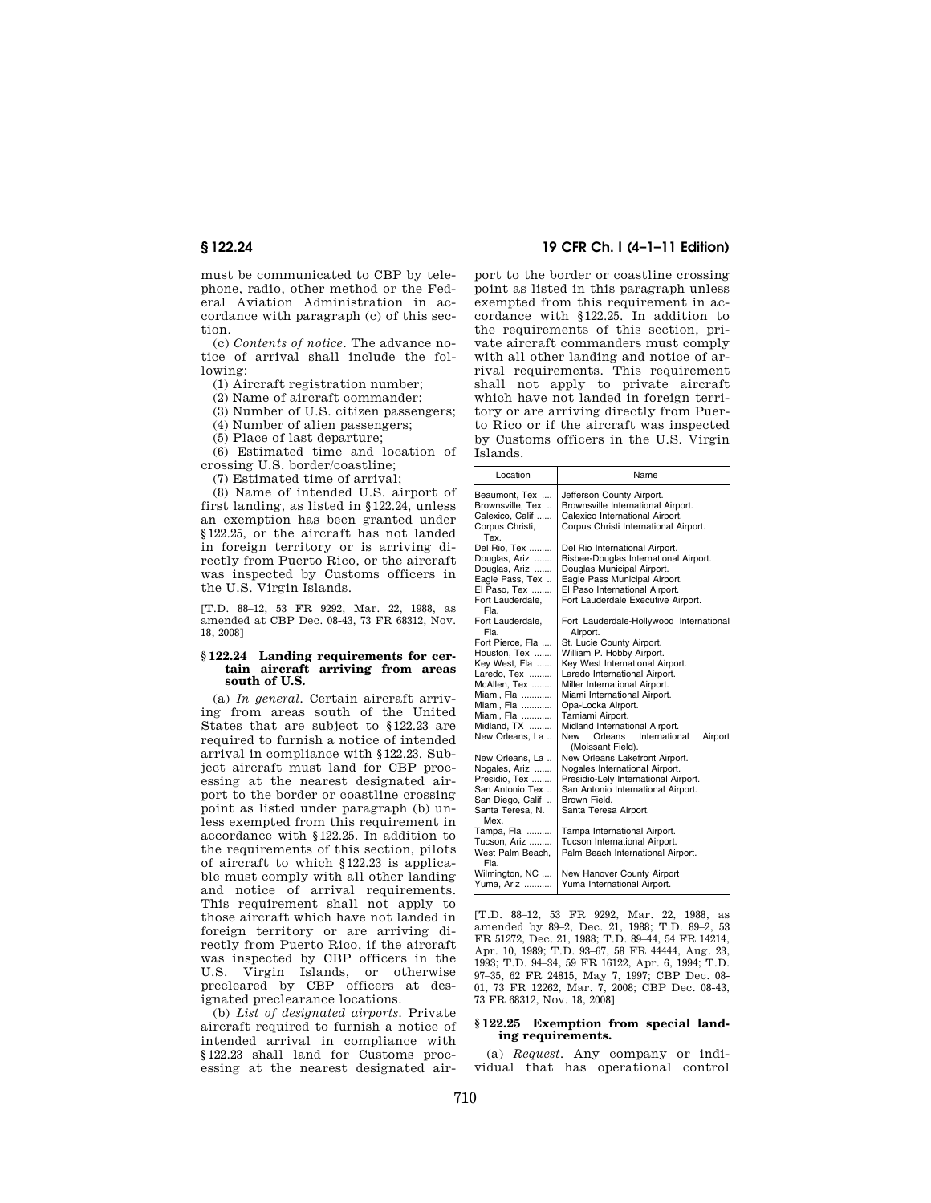must be communicated to CBP by telephone, radio, other method or the Federal Aviation Administration in accordance with paragraph (c) of this section.

(c) *Contents of notice.* The advance notice of arrival shall include the following:

(1) Aircraft registration number;

(2) Name of aircraft commander;

(3) Number of U.S. citizen passengers;

(4) Number of alien passengers;

(5) Place of last departure;

(6) Estimated time and location of crossing U.S. border/coastline;

(7) Estimated time of arrival;

(8) Name of intended U.S. airport of first landing, as listed in §122.24, unless an exemption has been granted under §122.25, or the aircraft has not landed in foreign territory or is arriving directly from Puerto Rico, or the aircraft was inspected by Customs officers in the U.S. Virgin Islands.

[T.D. 88–12, 53 FR 9292, Mar. 22, 1988, as amended at CBP Dec. 08-43, 73 FR 68312, Nov. 18, 2008]

#### **§ 122.24 Landing requirements for certain aircraft arriving from areas south of U.S.**

(a) *In general.* Certain aircraft arriving from areas south of the United States that are subject to §122.23 are required to furnish a notice of intended arrival in compliance with §122.23. Subject aircraft must land for CBP processing at the nearest designated airport to the border or coastline crossing point as listed under paragraph (b) unless exempted from this requirement in accordance with §122.25. In addition to the requirements of this section, pilots of aircraft to which §122.23 is applicable must comply with all other landing and notice of arrival requirements. This requirement shall not apply to those aircraft which have not landed in foreign territory or are arriving directly from Puerto Rico, if the aircraft was inspected by CBP officers in the U.S. Virgin Islands, or otherwise precleared by CBP officers at designated preclearance locations.

(b) *List of designated airports.* Private aircraft required to furnish a notice of intended arrival in compliance with §122.23 shall land for Customs processing at the nearest designated air-

## **§ 122.24 19 CFR Ch. I (4–1–11 Edition)**

port to the border or coastline crossing point as listed in this paragraph unless exempted from this requirement in accordance with §122.25. In addition to the requirements of this section, private aircraft commanders must comply with all other landing and notice of arrival requirements. This requirement shall not apply to private aircraft which have not landed in foreign territory or are arriving directly from Puerto Rico or if the aircraft was inspected by Customs officers in the U.S. Virgin Islands.

| Location                                                                                                                                                     | Name                                                                                                                                                                                                                                                                                                                                       |  |  |  |
|--------------------------------------------------------------------------------------------------------------------------------------------------------------|--------------------------------------------------------------------------------------------------------------------------------------------------------------------------------------------------------------------------------------------------------------------------------------------------------------------------------------------|--|--|--|
| Beaumont, Tex<br>Brownsville, Tex<br>Calexico, Calif<br>Corpus Christi,<br>Tex.                                                                              | Jefferson County Airport.<br>Brownsville International Airport.<br>Calexico International Airport.<br>Corpus Christi International Airport.                                                                                                                                                                                                |  |  |  |
| Del Rio, Tex<br>Douglas, Ariz<br>Douglas, Ariz<br>Eagle Pass, Tex<br>El Paso, Tex<br>Fort Lauderdale.<br>Fla.                                                | Del Rio International Airport.<br>Bisbee-Douglas International Airport.<br>Douglas Municipal Airport.<br>Eagle Pass Municipal Airport.<br>El Paso International Airport.<br>Fort Lauderdale Executive Airport.                                                                                                                             |  |  |  |
| Fort Lauderdale,<br>Fla.                                                                                                                                     | Fort Lauderdale-Hollywood International<br>Airport.                                                                                                                                                                                                                                                                                        |  |  |  |
| Fort Pierce, Fla<br>Houston, Tex<br>Key West, Fla<br>Laredo, Tex<br>McAllen, Tex<br>Miami, Fla<br>Miami, Fla<br>Miami, Fla<br>Midland, TX<br>New Orleans, La | St. Lucie County Airport.<br>William P. Hobby Airport.<br>Key West International Airport.<br>Laredo International Airport.<br>Miller International Airport.<br>Miami International Airport.<br>Opa-Locka Airport.<br>Tamiami Airport.<br>Midland International Airport.<br>Orleans<br>International<br>New<br>Airport<br>(Moissant Field). |  |  |  |
| New Orleans, La<br>Nogales, Ariz<br>Presidio, Tex<br>San Antonio Tex<br>San Diego, Calif<br>Santa Teresa, N.<br>Mex.                                         | New Orleans Lakefront Airport.<br>Nogales International Airport.<br>Presidio-Lely International Airport.<br>San Antonio International Airport.<br>Brown Field.<br>Santa Teresa Airport.                                                                                                                                                    |  |  |  |
| Tampa, Fla<br>Tucson. Ariz<br>West Palm Beach.<br>Fla.                                                                                                       | Tampa International Airport.<br>Tucson International Airport.<br>Palm Beach International Airport.                                                                                                                                                                                                                                         |  |  |  |
| Wilmington, NC<br>Yuma, Ariz                                                                                                                                 | New Hanover County Airport<br>Yuma International Airport.                                                                                                                                                                                                                                                                                  |  |  |  |

[T.D. 88–12, 53 FR 9292, Mar. 22, 1988, as amended by 89–2, Dec. 21, 1988; T.D. 89–2, 53 FR 51272, Dec. 21, 1988; T.D. 89–44, 54 FR 14214, Apr. 10, 1989; T.D. 93–67, 58 FR 44444, Aug. 23, 1993; T.D. 94–34, 59 FR 16122, Apr. 6, 1994; T.D. 97–35, 62 FR 24815, May 7, 1997; CBP Dec. 08- 01, 73 FR 12262, Mar. 7, 2008; CBP Dec. 08-43, 73 FR 68312, Nov. 18, 2008]

#### **§ 122.25 Exemption from special landing requirements.**

(a) *Request.* Any company or individual that has operational control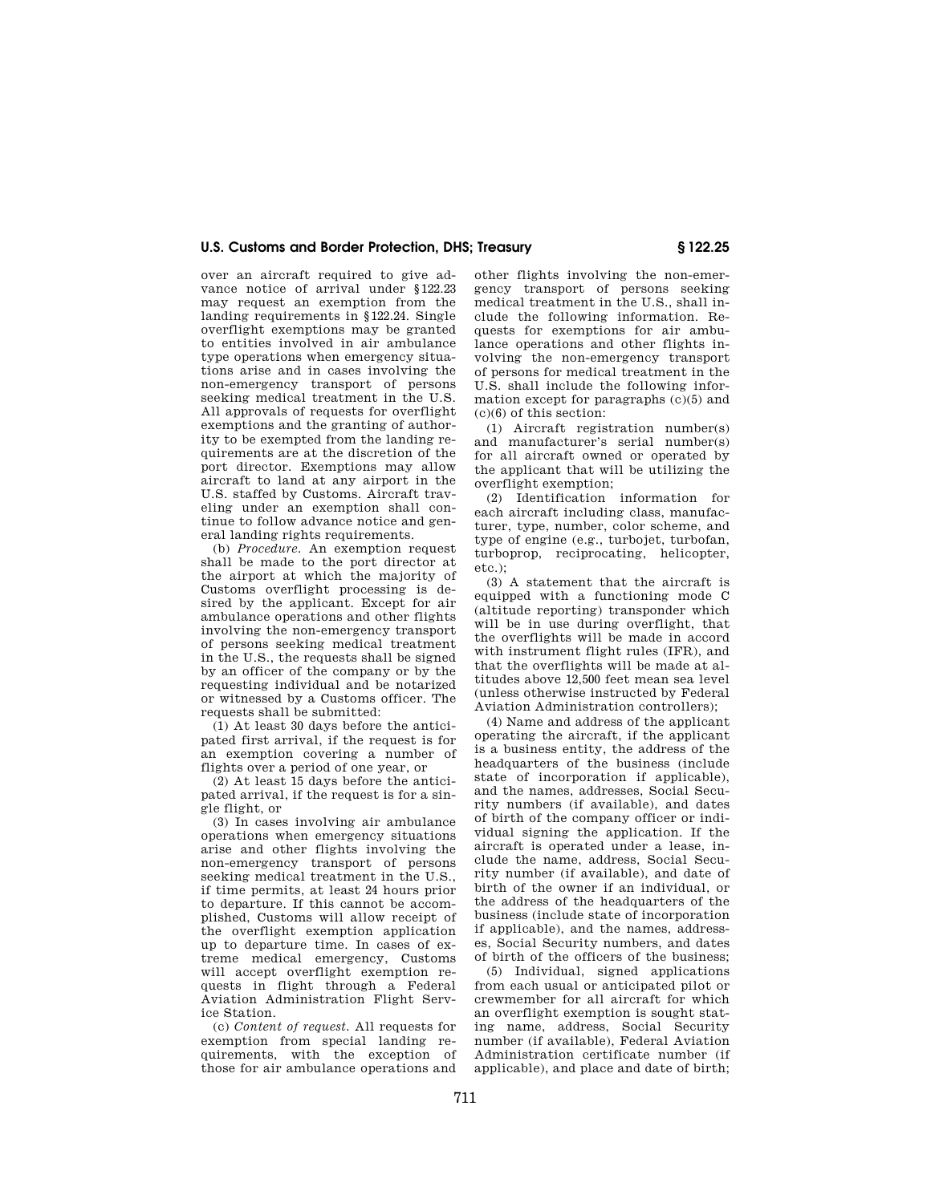over an aircraft required to give advance notice of arrival under §122.23 may request an exemption from the landing requirements in §122.24. Single overflight exemptions may be granted to entities involved in air ambulance type operations when emergency situations arise and in cases involving the non-emergency transport of persons seeking medical treatment in the U.S. All approvals of requests for overflight exemptions and the granting of authority to be exempted from the landing requirements are at the discretion of the port director. Exemptions may allow aircraft to land at any airport in the U.S. staffed by Customs. Aircraft traveling under an exemption shall continue to follow advance notice and general landing rights requirements.

(b) *Procedure.* An exemption request shall be made to the port director at the airport at which the majority of Customs overflight processing is desired by the applicant. Except for air ambulance operations and other flights involving the non-emergency transport of persons seeking medical treatment in the U.S., the requests shall be signed by an officer of the company or by the requesting individual and be notarized or witnessed by a Customs officer. The requests shall be submitted:

(1) At least 30 days before the anticipated first arrival, if the request is for an exemption covering a number of flights over a period of one year, or

(2) At least 15 days before the anticipated arrival, if the request is for a single flight, or

(3) In cases involving air ambulance operations when emergency situations arise and other flights involving the non-emergency transport of persons seeking medical treatment in the U.S., if time permits, at least 24 hours prior to departure. If this cannot be accomplished, Customs will allow receipt of the overflight exemption application up to departure time. In cases of extreme medical emergency, Customs will accept overflight exemption requests in flight through a Federal Aviation Administration Flight Service Station.

(c) *Content of request.* All requests for exemption from special landing requirements, with the exception of those for air ambulance operations and

other flights involving the non-emergency transport of persons seeking medical treatment in the U.S., shall include the following information. Requests for exemptions for air ambulance operations and other flights involving the non-emergency transport of persons for medical treatment in the U.S. shall include the following information except for paragraphs (c)(5) and (c)(6) of this section:

(1) Aircraft registration number(s) and manufacturer's serial number(s) for all aircraft owned or operated by the applicant that will be utilizing the overflight exemption;

(2) Identification information for each aircraft including class, manufacturer, type, number, color scheme, and type of engine (e.g., turbojet, turbofan, turboprop, reciprocating, helicopter, etc.);

(3) A statement that the aircraft is equipped with a functioning mode C (altitude reporting) transponder which will be in use during overflight, that the overflights will be made in accord with instrument flight rules (IFR), and that the overflights will be made at altitudes above 12,500 feet mean sea level (unless otherwise instructed by Federal Aviation Administration controllers);

(4) Name and address of the applicant operating the aircraft, if the applicant is a business entity, the address of the headquarters of the business (include state of incorporation if applicable), and the names, addresses, Social Security numbers (if available), and dates of birth of the company officer or individual signing the application. If the aircraft is operated under a lease, include the name, address, Social Security number (if available), and date of birth of the owner if an individual, or the address of the headquarters of the business (include state of incorporation if applicable), and the names, addresses, Social Security numbers, and dates of birth of the officers of the business;

(5) Individual, signed applications from each usual or anticipated pilot or crewmember for all aircraft for which an overflight exemption is sought stating name, address, Social Security number (if available), Federal Aviation Administration certificate number (if applicable), and place and date of birth;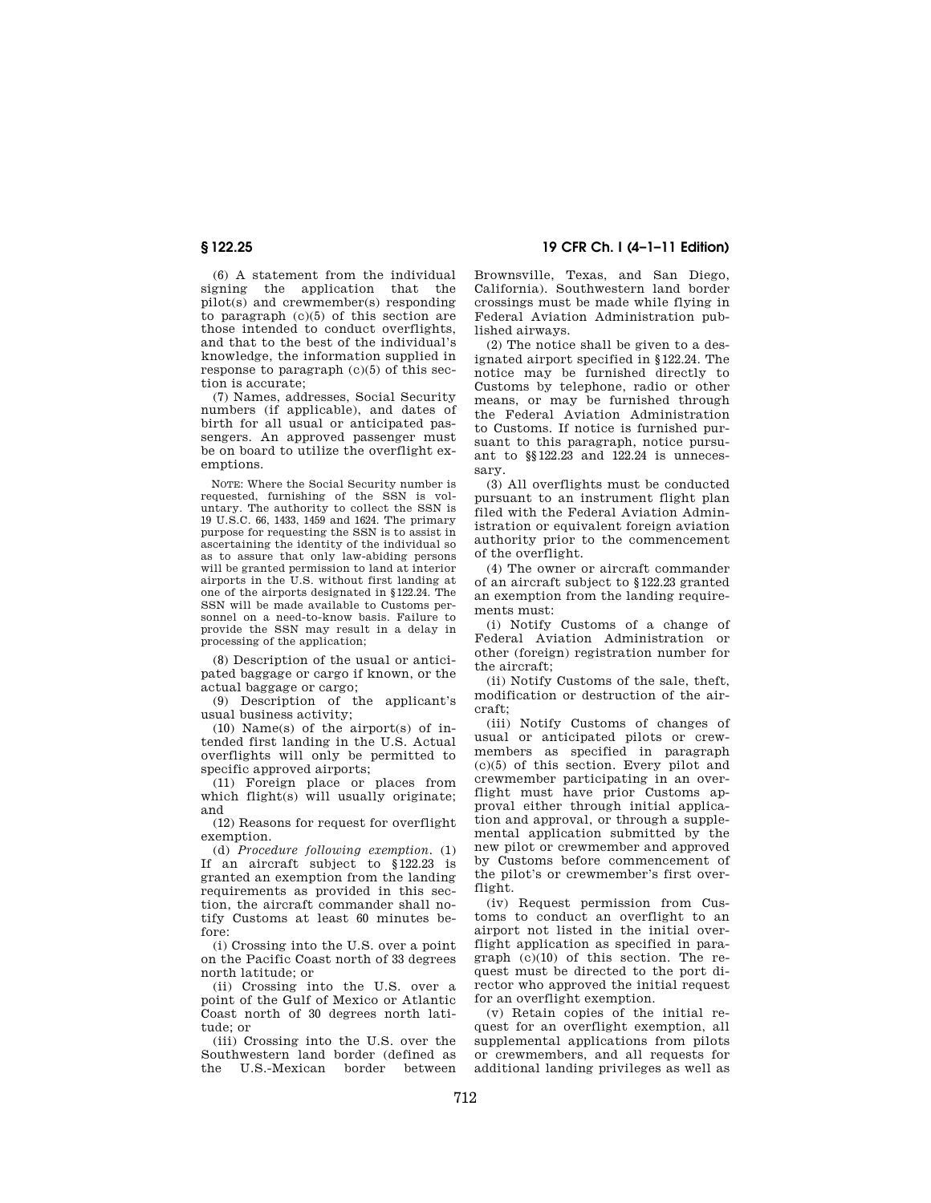(6) A statement from the individual signing the application that the pilot(s) and crewmember(s) responding to paragraph (c)(5) of this section are those intended to conduct overflights, and that to the best of the individual's knowledge, the information supplied in response to paragraph (c)(5) of this section is accurate;

(7) Names, addresses, Social Security numbers (if applicable), and dates of birth for all usual or anticipated passengers. An approved passenger must be on board to utilize the overflight exemptions.

NOTE: Where the Social Security number is requested, furnishing of the SSN is voluntary. The authority to collect the SSN is 19 U.S.C. 66, 1433, 1459 and 1624. The primary purpose for requesting the SSN is to assist in ascertaining the identity of the individual so as to assure that only law-abiding persons will be granted permission to land at interior airports in the U.S. without first landing at one of the airports designated in §122.24. The SSN will be made available to Customs personnel on a need-to-know basis. Failure to provide the SSN may result in a delay in processing of the application;

(8) Description of the usual or anticipated baggage or cargo if known, or the actual baggage or cargo;

(9) Description of the applicant's usual business activity;

(10) Name(s) of the airport(s) of intended first landing in the U.S. Actual overflights will only be permitted to specific approved airports;

(11) Foreign place or places from which flight(s) will usually originate; and

(12) Reasons for request for overflight exemption.

(d) *Procedure following exemption.* (1) If an aircraft subject to §122.23 is granted an exemption from the landing requirements as provided in this section, the aircraft commander shall notify Customs at least 60 minutes before:

(i) Crossing into the U.S. over a point on the Pacific Coast north of 33 degrees north latitude; or

(ii) Crossing into the U.S. over a point of the Gulf of Mexico or Atlantic Coast north of 30 degrees north latitude; or

(iii) Crossing into the U.S. over the Southwestern land border (defined as U.S.-Mexican border

**§ 122.25 19 CFR Ch. I (4–1–11 Edition)** 

Brownsville, Texas, and San Diego, California). Southwestern land border crossings must be made while flying in Federal Aviation Administration published airways.

(2) The notice shall be given to a designated airport specified in §122.24. The notice may be furnished directly to Customs by telephone, radio or other means, or may be furnished through the Federal Aviation Administration to Customs. If notice is furnished pursuant to this paragraph, notice pursuant to §§122.23 and 122.24 is unnecessary.

(3) All overflights must be conducted pursuant to an instrument flight plan filed with the Federal Aviation Administration or equivalent foreign aviation authority prior to the commencement of the overflight.

(4) The owner or aircraft commander of an aircraft subject to §122.23 granted an exemption from the landing requirements must:

(i) Notify Customs of a change of Federal Aviation Administration or other (foreign) registration number for the aircraft;

(ii) Notify Customs of the sale, theft, modification or destruction of the aircraft;

(iii) Notify Customs of changes of usual or anticipated pilots or crewmembers as specified in paragraph (c)(5) of this section. Every pilot and crewmember participating in an overflight must have prior Customs approval either through initial application and approval, or through a supplemental application submitted by the new pilot or crewmember and approved by Customs before commencement of the pilot's or crewmember's first overflight.

(iv) Request permission from Customs to conduct an overflight to an airport not listed in the initial overflight application as specified in paragraph  $(c)(10)$  of this section. The request must be directed to the port director who approved the initial request for an overflight exemption.

(v) Retain copies of the initial request for an overflight exemption, all supplemental applications from pilots or crewmembers, and all requests for additional landing privileges as well as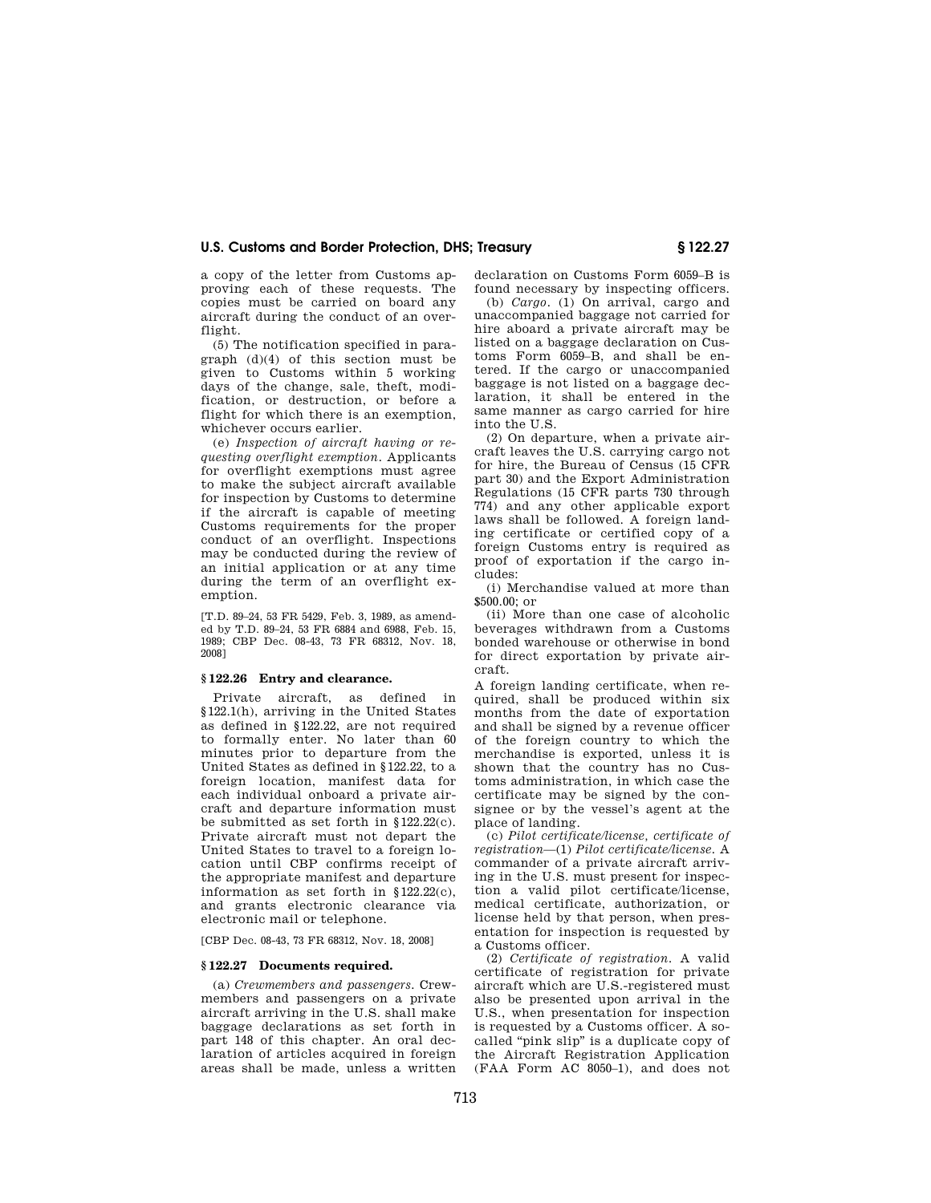a copy of the letter from Customs approving each of these requests. The copies must be carried on board any aircraft during the conduct of an overflight.

(5) The notification specified in paragraph (d)(4) of this section must be given to Customs within 5 working days of the change, sale, theft, modification, or destruction, or before a flight for which there is an exemption, whichever occurs earlier.

(e) *Inspection of aircraft having or requesting overflight exemption.* Applicants for overflight exemptions must agree to make the subject aircraft available for inspection by Customs to determine if the aircraft is capable of meeting Customs requirements for the proper conduct of an overflight. Inspections may be conducted during the review of an initial application or at any time during the term of an overflight exemption.

[T.D. 89–24, 53 FR 5429, Feb. 3, 1989, as amended by T.D. 89–24, 53 FR 6884 and 6988, Feb. 15, 1989; CBP Dec. 08-43, 73 FR 68312, Nov. 18, 2008]

### **§ 122.26 Entry and clearance.**

Private aircraft, as defined in §122.1(h), arriving in the United States as defined in §122.22, are not required to formally enter. No later than 60 minutes prior to departure from the United States as defined in §122.22, to a foreign location, manifest data for each individual onboard a private aircraft and departure information must be submitted as set forth in §122.22(c). Private aircraft must not depart the United States to travel to a foreign location until CBP confirms receipt of the appropriate manifest and departure information as set forth in §122.22(c), and grants electronic clearance via electronic mail or telephone.

[CBP Dec. 08-43, 73 FR 68312, Nov. 18, 2008]

#### **§ 122.27 Documents required.**

(a) *Crewmembers and passengers.* Crewmembers and passengers on a private aircraft arriving in the U.S. shall make baggage declarations as set forth in part 148 of this chapter. An oral declaration of articles acquired in foreign areas shall be made, unless a written

declaration on Customs Form 6059–B is found necessary by inspecting officers.

(b) *Cargo.* (1) On arrival, cargo and unaccompanied baggage not carried for hire aboard a private aircraft may be listed on a baggage declaration on Customs Form 6059–B, and shall be entered. If the cargo or unaccompanied baggage is not listed on a baggage declaration, it shall be entered in the same manner as cargo carried for hire into the U.S.

(2) On departure, when a private aircraft leaves the U.S. carrying cargo not for hire, the Bureau of Census (15 CFR part 30) and the Export Administration Regulations (15 CFR parts 730 through 774) and any other applicable export laws shall be followed. A foreign landing certificate or certified copy of a foreign Customs entry is required as proof of exportation if the cargo includes:

(i) Merchandise valued at more than \$500.00; or

(ii) More than one case of alcoholic beverages withdrawn from a Customs bonded warehouse or otherwise in bond for direct exportation by private aircraft.

A foreign landing certificate, when required, shall be produced within six months from the date of exportation and shall be signed by a revenue officer of the foreign country to which the merchandise is exported, unless it is shown that the country has no Customs administration, in which case the certificate may be signed by the consignee or by the vessel's agent at the place of landing.

(c) *Pilot certificate/license, certificate of registration*—(1) *Pilot certificate/license.* A commander of a private aircraft arriving in the U.S. must present for inspection a valid pilot certificate/license, medical certificate, authorization, or license held by that person, when presentation for inspection is requested by a Customs officer.

(2) *Certificate of registration.* A valid certificate of registration for private aircraft which are U.S.-registered must also be presented upon arrival in the U.S., when presentation for inspection is requested by a Customs officer. A socalled ''pink slip'' is a duplicate copy of the Aircraft Registration Application (FAA Form AC 8050–1), and does not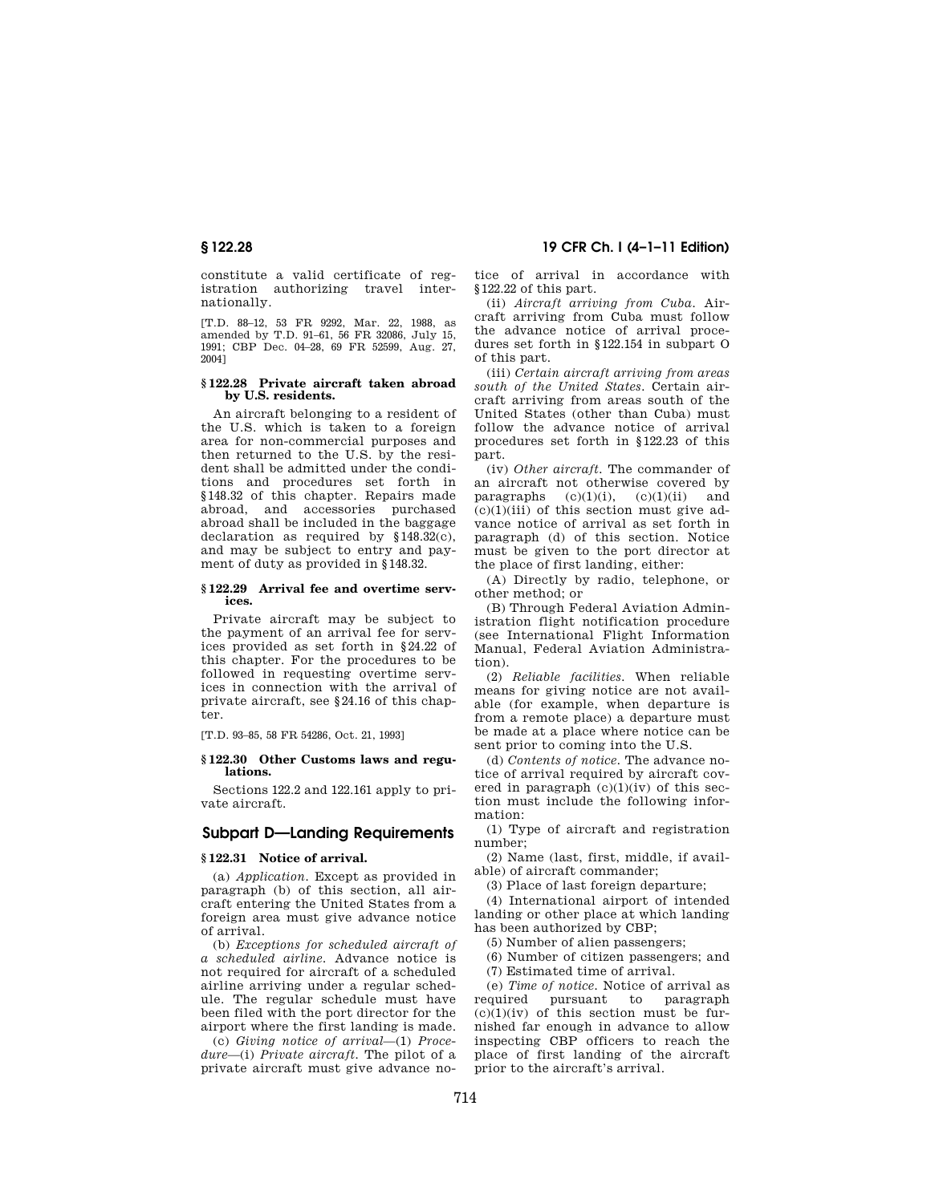constitute a valid certificate of registration authorizing travel internationally.

[T.D. 88–12, 53 FR 9292, Mar. 22, 1988, as amended by T.D. 91–61, 56 FR 32086, July 15, 1991; CBP Dec. 04–28, 69 FR 52599, Aug. 27, 2004]

#### **§ 122.28 Private aircraft taken abroad by U.S. residents.**

An aircraft belonging to a resident of the U.S. which is taken to a foreign area for non-commercial purposes and then returned to the U.S. by the resident shall be admitted under the conditions and procedures set forth in §148.32 of this chapter. Repairs made abroad, and accessories purchased abroad shall be included in the baggage declaration as required by §148.32(c), and may be subject to entry and payment of duty as provided in §148.32.

#### **§ 122.29 Arrival fee and overtime services.**

Private aircraft may be subject to the payment of an arrival fee for services provided as set forth in §24.22 of this chapter. For the procedures to be followed in requesting overtime services in connection with the arrival of private aircraft, see §24.16 of this chapter.

[T.D. 93–85, 58 FR 54286, Oct. 21, 1993]

#### **§ 122.30 Other Customs laws and regulations.**

Sections 122.2 and 122.161 apply to private aircraft.

## **Subpart D—Landing Requirements**

### **§ 122.31 Notice of arrival.**

(a) *Application.* Except as provided in paragraph (b) of this section, all aircraft entering the United States from a foreign area must give advance notice of arrival.

(b) *Exceptions for scheduled aircraft of a scheduled airline.* Advance notice is not required for aircraft of a scheduled airline arriving under a regular schedule. The regular schedule must have been filed with the port director for the airport where the first landing is made.

(c) *Giving notice of arrival*—(1) *Procedure*—(i) *Private aircraft.* The pilot of a private aircraft must give advance no-

**§ 122.28 19 CFR Ch. I (4–1–11 Edition)** 

tice of arrival in accordance with §122.22 of this part.

(ii) *Aircraft arriving from Cuba.* Aircraft arriving from Cuba must follow the advance notice of arrival procedures set forth in §122.154 in subpart O of this part.

(iii) *Certain aircraft arriving from areas south of the United States.* Certain aircraft arriving from areas south of the United States (other than Cuba) must follow the advance notice of arrival procedures set forth in §122.23 of this part.

(iv) *Other aircraft.* The commander of an aircraft not otherwise covered by paragraphs  $(c)(1)(i)$ ,  $(c)(1)(ii)$  and  $(c)(1)(iii)$  of this section must give advance notice of arrival as set forth in paragraph (d) of this section. Notice must be given to the port director at the place of first landing, either:

(A) Directly by radio, telephone, or other method; or

(B) Through Federal Aviation Administration flight notification procedure (see International Flight Information Manual, Federal Aviation Administration).

(2) *Reliable facilities.* When reliable means for giving notice are not available (for example, when departure is from a remote place) a departure must be made at a place where notice can be sent prior to coming into the U.S.

(d) *Contents of notice.* The advance notice of arrival required by aircraft covered in paragraph  $(c)(1)(iv)$  of this section must include the following information:

(1) Type of aircraft and registration number;

(2) Name (last, first, middle, if available) of aircraft commander;

(3) Place of last foreign departure;

(4) International airport of intended landing or other place at which landing has been authorized by CBP;

(5) Number of alien passengers;

(6) Number of citizen passengers; and

(7) Estimated time of arrival.

(e) *Time of notice.* Notice of arrival as required pursuant to  $(c)(1)(iv)$  of this section must be furnished far enough in advance to allow inspecting CBP officers to reach the place of first landing of the aircraft prior to the aircraft's arrival.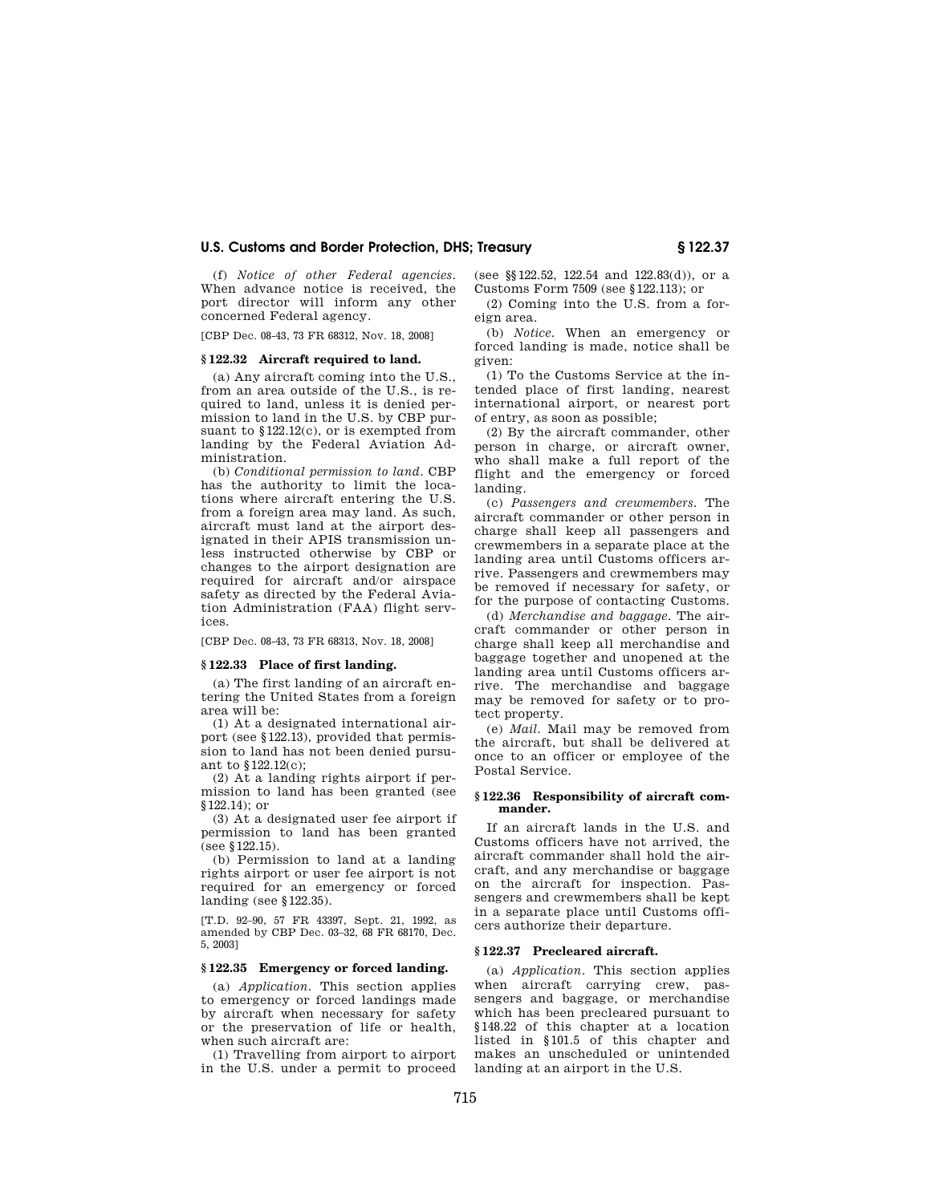(f) *Notice of other Federal agencies.*  When advance notice is received, the port director will inform any other concerned Federal agency.

[CBP Dec. 08-43, 73 FR 68312, Nov. 18, 2008]

#### **§ 122.32 Aircraft required to land.**

(a) Any aircraft coming into the U.S., from an area outside of the U.S., is required to land, unless it is denied permission to land in the U.S. by CBP pursuant to §122.12(c), or is exempted from landing by the Federal Aviation Administration.

(b) *Conditional permission to land.* CBP has the authority to limit the locations where aircraft entering the U.S. from a foreign area may land. As such, aircraft must land at the airport designated in their APIS transmission unless instructed otherwise by CBP or changes to the airport designation are required for aircraft and/or airspace safety as directed by the Federal Aviation Administration (FAA) flight services.

[CBP Dec. 08-43, 73 FR 68313, Nov. 18, 2008]

#### **§ 122.33 Place of first landing.**

(a) The first landing of an aircraft entering the United States from a foreign area will be:

(1) At a designated international airport (see §122.13), provided that permission to land has not been denied pursuant to §122.12(c);

(2) At a landing rights airport if permission to land has been granted (see §122.14); or

(3) At a designated user fee airport if permission to land has been granted (see §122.15).

(b) Permission to land at a landing rights airport or user fee airport is not required for an emergency or forced landing (see §122.35).

[T.D. 92–90, 57 FR 43397, Sept. 21, 1992, as amended by CBP Dec. 03–32, 68 FR 68170, Dec. 5, 2003]

## **§ 122.35 Emergency or forced landing.**

(a) *Application.* This section applies to emergency or forced landings made by aircraft when necessary for safety or the preservation of life or health, when such aircraft are:

(1) Travelling from airport to airport in the U.S. under a permit to proceed (see §§122.52, 122.54 and 122.83(d)), or a Customs Form 7509 (see §122.113); or

(2) Coming into the U.S. from a foreign area.

(b) *Notice.* When an emergency or forced landing is made, notice shall be given:

(1) To the Customs Service at the intended place of first landing, nearest international airport, or nearest port of entry, as soon as possible;

(2) By the aircraft commander, other person in charge, or aircraft owner, who shall make a full report of the flight and the emergency or forced landing.

(c) *Passengers and crewmembers.* The aircraft commander or other person in charge shall keep all passengers and crewmembers in a separate place at the landing area until Customs officers arrive. Passengers and crewmembers may be removed if necessary for safety, or for the purpose of contacting Customs.

(d) *Merchandise and baggage.* The aircraft commander or other person in charge shall keep all merchandise and baggage together and unopened at the landing area until Customs officers arrive. The merchandise and baggage may be removed for safety or to protect property.

(e) *Mail.* Mail may be removed from the aircraft, but shall be delivered at once to an officer or employee of the Postal Service.

#### **§ 122.36 Responsibility of aircraft commander.**

If an aircraft lands in the U.S. and Customs officers have not arrived, the aircraft commander shall hold the aircraft, and any merchandise or baggage on the aircraft for inspection. Passengers and crewmembers shall be kept in a separate place until Customs officers authorize their departure.

### **§ 122.37 Precleared aircraft.**

(a) *Application.* This section applies when aircraft carrying crew, passengers and baggage, or merchandise which has been precleared pursuant to §148.22 of this chapter at a location listed in §101.5 of this chapter and makes an unscheduled or unintended landing at an airport in the U.S.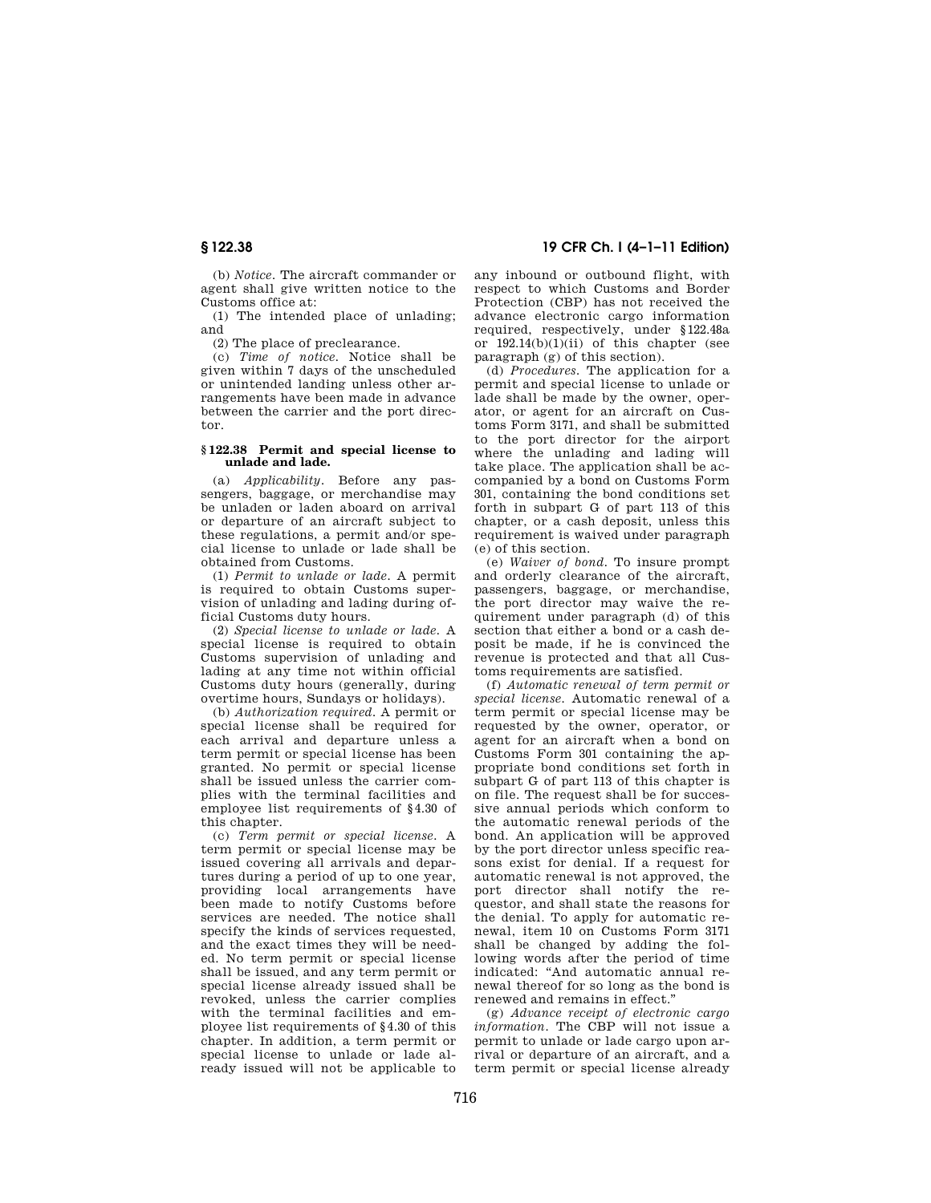(b) *Notice.* The aircraft commander or agent shall give written notice to the Customs office at:

(1) The intended place of unlading; and

(2) The place of preclearance.

(c) *Time of notice.* Notice shall be given within 7 days of the unscheduled or unintended landing unless other arrangements have been made in advance between the carrier and the port director.

#### **§ 122.38 Permit and special license to unlade and lade.**

(a) *Applicability.* Before any passengers, baggage, or merchandise may be unladen or laden aboard on arrival or departure of an aircraft subject to these regulations, a permit and/or special license to unlade or lade shall be obtained from Customs.

(1) *Permit to unlade or lade.* A permit is required to obtain Customs supervision of unlading and lading during official Customs duty hours.

(2) *Special license to unlade or lade.* A special license is required to obtain Customs supervision of unlading and lading at any time not within official Customs duty hours (generally, during overtime hours, Sundays or holidays).

(b) *Authorization required.* A permit or special license shall be required for each arrival and departure unless a term permit or special license has been granted. No permit or special license shall be issued unless the carrier complies with the terminal facilities and employee list requirements of §4.30 of this chapter.

(c) *Term permit or special license.* A term permit or special license may be issued covering all arrivals and departures during a period of up to one year, providing local arrangements have been made to notify Customs before services are needed. The notice shall specify the kinds of services requested. and the exact times they will be needed. No term permit or special license shall be issued, and any term permit or special license already issued shall be revoked, unless the carrier complies with the terminal facilities and employee list requirements of §4.30 of this chapter. In addition, a term permit or special license to unlade or lade already issued will not be applicable to

## **§ 122.38 19 CFR Ch. I (4–1–11 Edition)**

any inbound or outbound flight, with respect to which Customs and Border Protection (CBP) has not received the advance electronic cargo information required, respectively, under §122.48a or  $192.14(b)(1)(ii)$  of this chapter (see paragraph (g) of this section).

(d) *Procedures.* The application for a permit and special license to unlade or lade shall be made by the owner, operator, or agent for an aircraft on Customs Form 3171, and shall be submitted to the port director for the airport where the unlading and lading will take place. The application shall be accompanied by a bond on Customs Form 301, containing the bond conditions set forth in subpart G of part 113 of this chapter, or a cash deposit, unless this requirement is waived under paragraph (e) of this section.

(e) *Waiver of bond.* To insure prompt and orderly clearance of the aircraft, passengers, baggage, or merchandise, the port director may waive the requirement under paragraph (d) of this section that either a bond or a cash deposit be made, if he is convinced the revenue is protected and that all Customs requirements are satisfied.

(f) *Automatic renewal of term permit or special license.* Automatic renewal of a term permit or special license may be requested by the owner, operator, or agent for an aircraft when a bond on Customs Form 301 containing the appropriate bond conditions set forth in subpart G of part 113 of this chapter is on file. The request shall be for successive annual periods which conform to the automatic renewal periods of the bond. An application will be approved by the port director unless specific reasons exist for denial. If a request for automatic renewal is not approved, the port director shall notify the requestor, and shall state the reasons for the denial. To apply for automatic renewal, item 10 on Customs Form 3171 shall be changed by adding the following words after the period of time indicated: ''And automatic annual renewal thereof for so long as the bond is renewed and remains in effect.''

(g) *Advance receipt of electronic cargo information.* The CBP will not issue a permit to unlade or lade cargo upon arrival or departure of an aircraft, and a term permit or special license already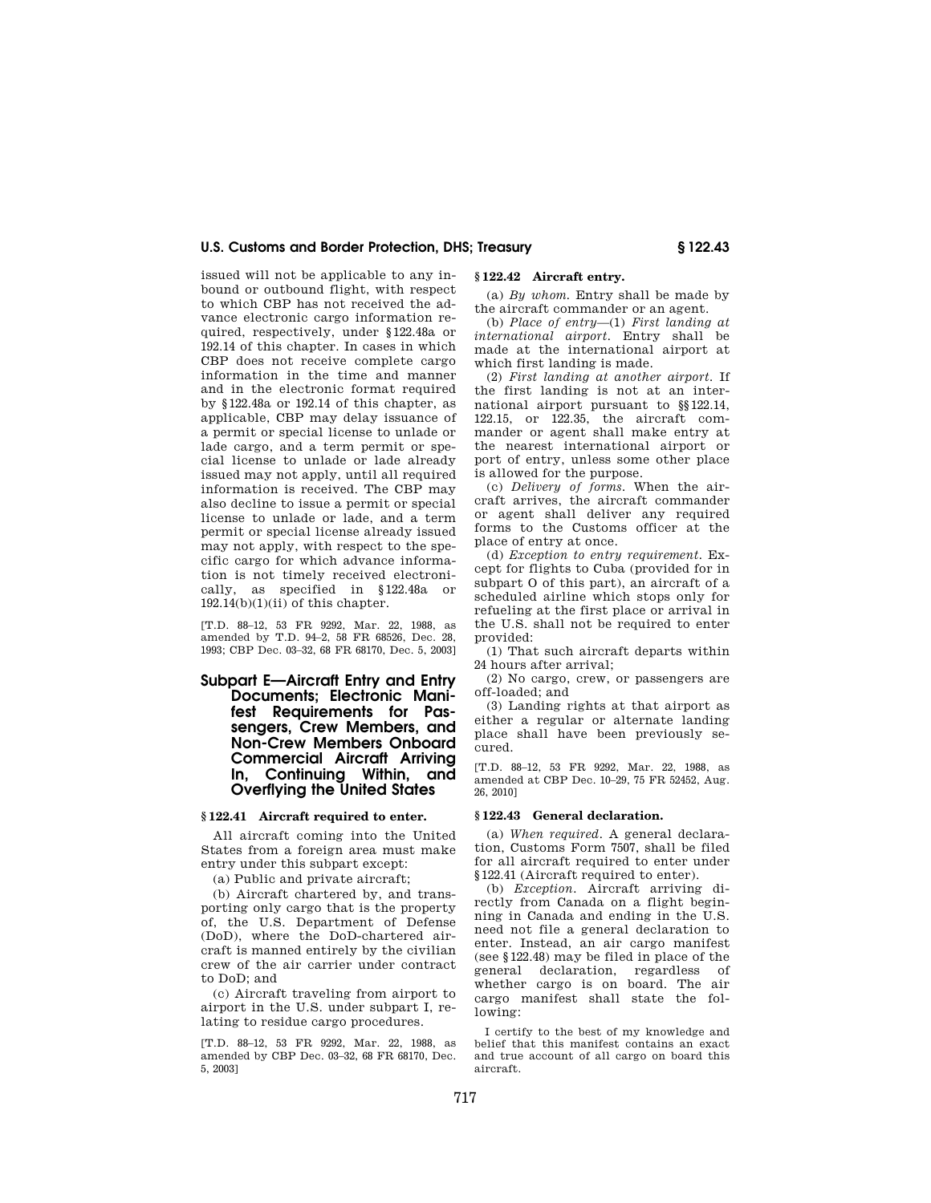issued will not be applicable to any inbound or outbound flight, with respect to which CBP has not received the advance electronic cargo information required, respectively, under §122.48a or 192.14 of this chapter. In cases in which CBP does not receive complete cargo information in the time and manner and in the electronic format required by §122.48a or 192.14 of this chapter, as applicable, CBP may delay issuance of a permit or special license to unlade or lade cargo, and a term permit or special license to unlade or lade already issued may not apply, until all required information is received. The CBP may also decline to issue a permit or special license to unlade or lade, and a term permit or special license already issued may not apply, with respect to the specific cargo for which advance information is not timely received electronically, as specified in §122.48a or  $192.14(b)(1)(ii)$  of this chapter.

[T.D. 88–12, 53 FR 9292, Mar. 22, 1988, as amended by T.D. 94–2, 58 FR 68526, Dec. 28, 1993; CBP Dec. 03–32, 68 FR 68170, Dec. 5, 2003]

## **Subpart E—Aircraft Entry and Entry Documents; Electronic Manifest Requirements for Passengers, Crew Members, and Non-Crew Members Onboard Commercial Aircraft Arriving In, Continuing Within, and Overflying the United States**

#### **§ 122.41 Aircraft required to enter.**

All aircraft coming into the United States from a foreign area must make entry under this subpart except:

(a) Public and private aircraft;

(b) Aircraft chartered by, and transporting only cargo that is the property of, the U.S. Department of Defense (DoD), where the DoD-chartered aircraft is manned entirely by the civilian crew of the air carrier under contract to DoD; and

(c) Aircraft traveling from airport to airport in the U.S. under subpart I, relating to residue cargo procedures.

[T.D. 88–12, 53 FR 9292, Mar. 22, 1988, as amended by CBP Dec. 03–32, 68 FR 68170, Dec. 5, 2003]

## **§ 122.42 Aircraft entry.**

(a) *By whom.* Entry shall be made by the aircraft commander or an agent.

(b) *Place of entry*—(1) *First landing at international airport.* Entry shall be made at the international airport at which first landing is made.

(2) *First landing at another airport.* If the first landing is not at an international airport pursuant to §§122.14, 122.15, or 122.35, the aircraft commander or agent shall make entry at the nearest international airport or port of entry, unless some other place is allowed for the purpose.

(c) *Delivery of forms.* When the aircraft arrives, the aircraft commander or agent shall deliver any required forms to the Customs officer at the place of entry at once.

(d) *Exception to entry requirement.* Except for flights to Cuba (provided for in subpart O of this part), an aircraft of a scheduled airline which stops only for refueling at the first place or arrival in the U.S. shall not be required to enter provided:

(1) That such aircraft departs within 24 hours after arrival;

(2) No cargo, crew, or passengers are off-loaded; and

(3) Landing rights at that airport as either a regular or alternate landing place shall have been previously secured.

[T.D. 88–12, 53 FR 9292, Mar. 22, 1988, as amended at CBP Dec. 10–29, 75 FR 52452, Aug. 26, 2010]

#### **§ 122.43 General declaration.**

(a) *When required.* A general declaration, Customs Form 7507, shall be filed for all aircraft required to enter under §122.41 (Aircraft required to enter).

(b) *Exception.* Aircraft arriving directly from Canada on a flight beginning in Canada and ending in the U.S. need not file a general declaration to enter. Instead, an air cargo manifest (see §122.48) may be filed in place of the general declaration, regardless of whether cargo is on board. The air cargo manifest shall state the following:

I certify to the best of my knowledge and belief that this manifest contains an exact and true account of all cargo on board this aircraft.

717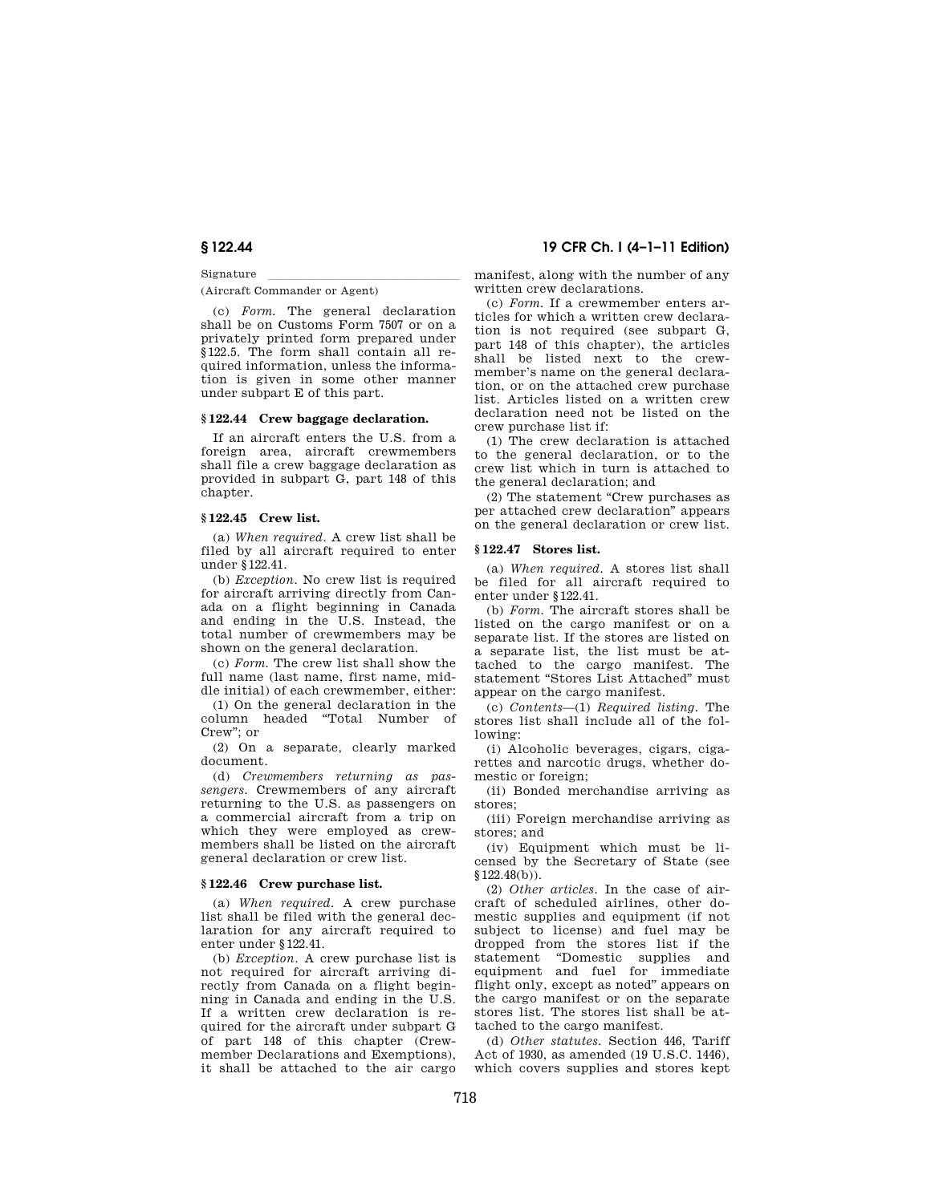Signature<br>(Aircraft Commander or Agent)

(c) *Form.* The general declaration shall be on Customs Form 7507 or on a privately printed form prepared under §122.5. The form shall contain all required information, unless the information is given in some other manner under subpart E of this part.

#### **§ 122.44 Crew baggage declaration.**

If an aircraft enters the U.S. from a foreign area, aircraft crewmembers shall file a crew baggage declaration as provided in subpart G, part 148 of this chapter.

### **§ 122.45 Crew list.**

(a) *When required.* A crew list shall be filed by all aircraft required to enter under §122.41.

(b) *Exception.* No crew list is required for aircraft arriving directly from Canada on a flight beginning in Canada and ending in the U.S. Instead, the total number of crewmembers may be shown on the general declaration.

(c) *Form.* The crew list shall show the full name (last name, first name, middle initial) of each crewmember, either:

(1) On the general declaration in the column headed ''Total Number of Crew''; or

(2) On a separate, clearly marked document.

(d) *Crewmembers returning as passengers.* Crewmembers of any aircraft returning to the U.S. as passengers on a commercial aircraft from a trip on which they were employed as crewmembers shall be listed on the aircraft general declaration or crew list.

### **§ 122.46 Crew purchase list.**

(a) *When required.* A crew purchase list shall be filed with the general declaration for any aircraft required to enter under §122.41.

(b) *Exception.* A crew purchase list is not required for aircraft arriving directly from Canada on a flight beginning in Canada and ending in the U.S. If a written crew declaration is required for the aircraft under subpart G of part 148 of this chapter (Crewmember Declarations and Exemptions), it shall be attached to the air cargo

**§ 122.44 19 CFR Ch. I (4–1–11 Edition)** 

manifest, along with the number of any written crew declarations.

(c) *Form.* If a crewmember enters articles for which a written crew declaration is not required (see subpart G, part 148 of this chapter), the articles shall be listed next to the crewmember's name on the general declaration, or on the attached crew purchase list. Articles listed on a written crew declaration need not be listed on the crew purchase list if:

(1) The crew declaration is attached to the general declaration, or to the crew list which in turn is attached to the general declaration; and

(2) The statement ''Crew purchases as per attached crew declaration'' appears on the general declaration or crew list.

### **§ 122.47 Stores list.**

(a) *When required.* A stores list shall be filed for all aircraft required to enter under §122.41.

(b) *Form.* The aircraft stores shall be listed on the cargo manifest or on a separate list. If the stores are listed on a separate list, the list must be attached to the cargo manifest. The statement "Stores List Attached" must appear on the cargo manifest.

(c) *Contents*—(1) *Required listing.* The stores list shall include all of the following:

(i) Alcoholic beverages, cigars, cigarettes and narcotic drugs, whether domestic or foreign;

(ii) Bonded merchandise arriving as stores;

(iii) Foreign merchandise arriving as stores; and

(iv) Equipment which must be licensed by the Secretary of State (see §122.48(b)).

(2) *Other articles.* In the case of aircraft of scheduled airlines, other domestic supplies and equipment (if not subject to license) and fuel may be dropped from the stores list if the statement ''Domestic supplies and equipment and fuel for immediate flight only, except as noted'' appears on the cargo manifest or on the separate stores list. The stores list shall be attached to the cargo manifest.

(d) *Other statutes.* Section 446, Tariff Act of 1930, as amended (19 U.S.C. 1446), which covers supplies and stores kept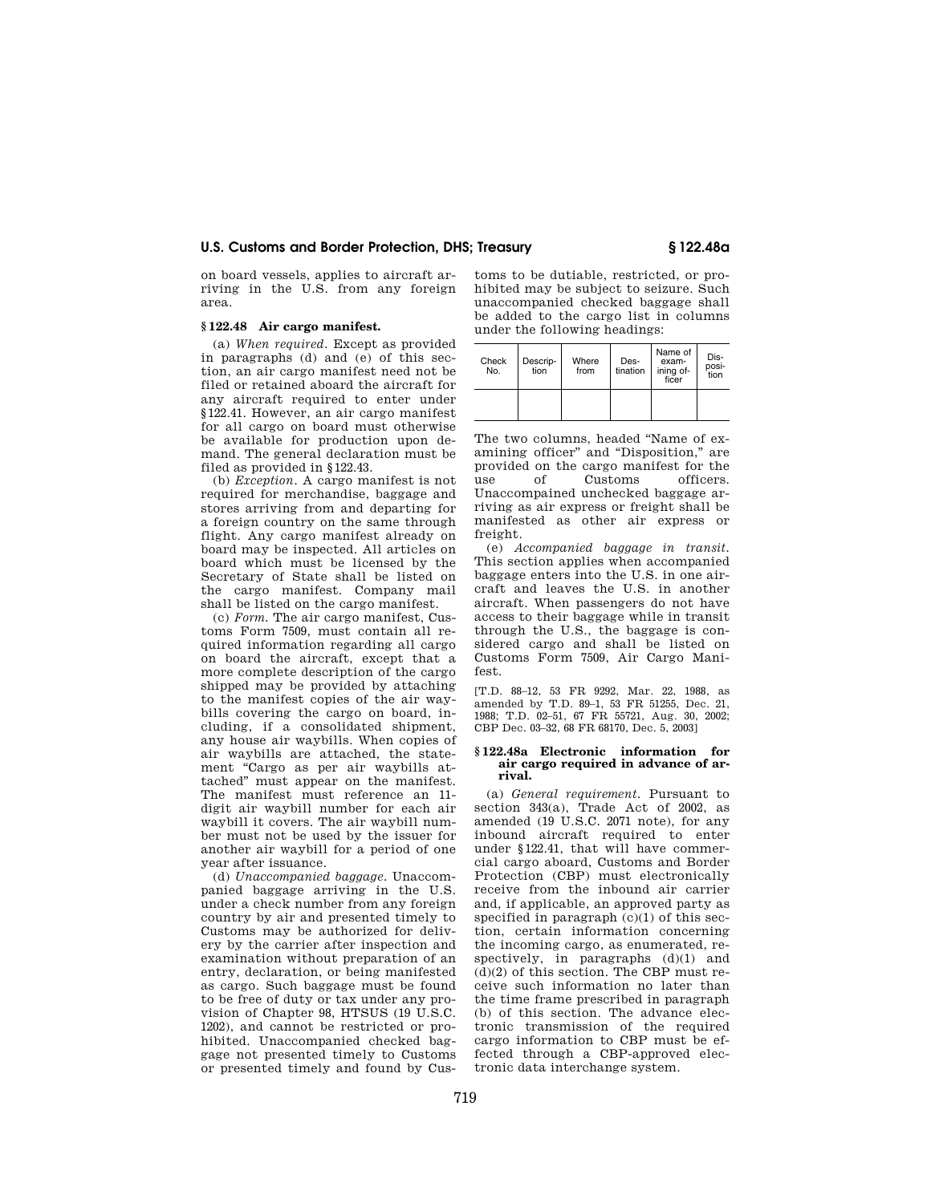on board vessels, applies to aircraft arriving in the U.S. from any foreign area.

## **§ 122.48 Air cargo manifest.**

(a) *When required.* Except as provided in paragraphs (d) and (e) of this section, an air cargo manifest need not be filed or retained aboard the aircraft for any aircraft required to enter under §122.41. However, an air cargo manifest for all cargo on board must otherwise be available for production upon demand. The general declaration must be filed as provided in §122.43.

(b) *Exception.* A cargo manifest is not required for merchandise, baggage and stores arriving from and departing for a foreign country on the same through flight. Any cargo manifest already on board may be inspected. All articles on board which must be licensed by the Secretary of State shall be listed on the cargo manifest. Company mail shall be listed on the cargo manifest.

(c) *Form.* The air cargo manifest, Customs Form 7509, must contain all required information regarding all cargo on board the aircraft, except that a more complete description of the cargo shipped may be provided by attaching to the manifest copies of the air waybills covering the cargo on board, including, if a consolidated shipment, any house air waybills. When copies of air waybills are attached, the statement "Cargo as per air waybills attached'' must appear on the manifest. The manifest must reference an 11 digit air waybill number for each air waybill it covers. The air waybill number must not be used by the issuer for another air waybill for a period of one year after issuance.

(d) *Unaccompanied baggage.* Unaccompanied baggage arriving in the U.S. under a check number from any foreign country by air and presented timely to Customs may be authorized for delivery by the carrier after inspection and examination without preparation of an entry, declaration, or being manifested as cargo. Such baggage must be found to be free of duty or tax under any provision of Chapter 98, HTSUS (19 U.S.C. 1202), and cannot be restricted or prohibited. Unaccompanied checked baggage not presented timely to Customs or presented timely and found by Cus-

toms to be dutiable, restricted, or prohibited may be subject to seizure. Such unaccompanied checked baggage shall be added to the cargo list in columns under the following headings:

| Check<br>No. | Descrip-<br>tion | Where<br>from | Des-<br>tination | Name of<br>exam-<br>ining of-<br>ficer | Dis-<br>posi-<br>tion |
|--------------|------------------|---------------|------------------|----------------------------------------|-----------------------|
|              |                  |               |                  |                                        |                       |

The two columns, headed ''Name of examining officer" and "Disposition," are provided on the cargo manifest for the use of Customs officers. Unaccompained unchecked baggage arriving as air express or freight shall be manifested as other air express or freight.

(e) *Accompanied baggage in transit.*  This section applies when accompanied baggage enters into the U.S. in one aircraft and leaves the U.S. in another aircraft. When passengers do not have access to their baggage while in transit through the U.S., the baggage is considered cargo and shall be listed on Customs Form 7509, Air Cargo Manifest.

[T.D. 88–12, 53 FR 9292, Mar. 22, 1988, as amended by T.D. 89–1, 53 FR 51255, Dec. 21, 1988; T.D. 02–51, 67 FR 55721, Aug. 30, 2002; CBP Dec. 03–32, 68 FR 68170, Dec. 5, 2003]

#### **§ 122.48a Electronic information for air cargo required in advance of arrival.**

(a) *General requirement.* Pursuant to section 343(a), Trade Act of 2002, as amended (19 U.S.C. 2071 note), for any inbound aircraft required to enter under §122.41, that will have commercial cargo aboard, Customs and Border Protection (CBP) must electronically receive from the inbound air carrier and, if applicable, an approved party as specified in paragraph  $(c)(1)$  of this section, certain information concerning the incoming cargo, as enumerated, respectively, in paragraphs  $(d)(1)$  and (d)(2) of this section. The CBP must receive such information no later than the time frame prescribed in paragraph (b) of this section. The advance electronic transmission of the required cargo information to CBP must be effected through a CBP-approved electronic data interchange system.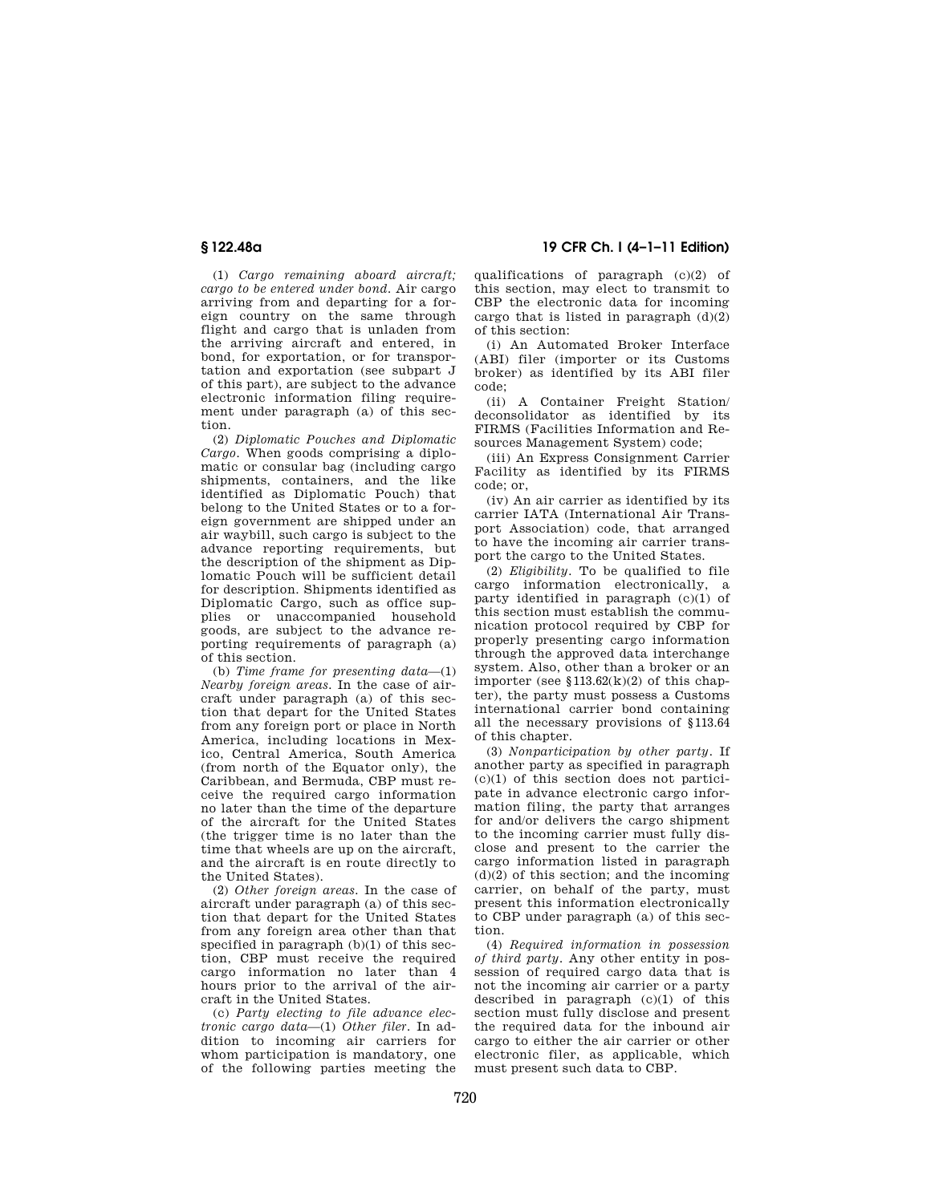**§ 122.48a 19 CFR Ch. I (4–1–11 Edition)** 

(1) *Cargo remaining aboard aircraft; cargo to be entered under bond.* Air cargo arriving from and departing for a foreign country on the same through flight and cargo that is unladen from the arriving aircraft and entered, in bond, for exportation, or for transportation and exportation (see subpart J of this part), are subject to the advance electronic information filing requirement under paragraph (a) of this section.

(2) *Diplomatic Pouches and Diplomatic Cargo.* When goods comprising a diplomatic or consular bag (including cargo shipments, containers, and the like identified as Diplomatic Pouch) that belong to the United States or to a foreign government are shipped under an air waybill, such cargo is subject to the advance reporting requirements, but the description of the shipment as Diplomatic Pouch will be sufficient detail for description. Shipments identified as Diplomatic Cargo, such as office supplies or unaccompanied household goods, are subject to the advance reporting requirements of paragraph (a) of this section.

(b) *Time frame for presenting data*—(1) *Nearby foreign areas.* In the case of aircraft under paragraph (a) of this section that depart for the United States from any foreign port or place in North America, including locations in Mexico, Central America, South America (from north of the Equator only), the Caribbean, and Bermuda, CBP must receive the required cargo information no later than the time of the departure of the aircraft for the United States (the trigger time is no later than the time that wheels are up on the aircraft, and the aircraft is en route directly to the United States).

(2) *Other foreign areas.* In the case of aircraft under paragraph (a) of this section that depart for the United States from any foreign area other than that specified in paragraph (b)(1) of this section, CBP must receive the required cargo information no later than 4 hours prior to the arrival of the aircraft in the United States.

(c) *Party electing to file advance electronic cargo data*—(1) *Other filer.* In addition to incoming air carriers for whom participation is mandatory, one of the following parties meeting the qualifications of paragraph (c)(2) of this section, may elect to transmit to CBP the electronic data for incoming cargo that is listed in paragraph  $(d)(2)$ of this section:

(i) An Automated Broker Interface (ABI) filer (importer or its Customs broker) as identified by its ABI filer code;

(ii) A Container Freight Station/ deconsolidator as identified by its FIRMS (Facilities Information and Resources Management System) code;

(iii) An Express Consignment Carrier Facility as identified by its FIRMS code; or,

(iv) An air carrier as identified by its carrier IATA (International Air Transport Association) code, that arranged to have the incoming air carrier transport the cargo to the United States.

(2) *Eligibility.* To be qualified to file cargo information electronically, a party identified in paragraph (c)(1) of this section must establish the communication protocol required by CBP for properly presenting cargo information through the approved data interchange system. Also, other than a broker or an importer (see  $$113.62(k)(2)$  of this chapter), the party must possess a Customs international carrier bond containing all the necessary provisions of §113.64 of this chapter.

(3) *Nonparticipation by other party.* If another party as specified in paragraph  $(c)(1)$  of this section does not participate in advance electronic cargo information filing, the party that arranges for and/or delivers the cargo shipment to the incoming carrier must fully disclose and present to the carrier the cargo information listed in paragraph  $(d)(2)$  of this section; and the incoming carrier, on behalf of the party, must present this information electronically to CBP under paragraph (a) of this section.

(4) *Required information in possession of third party.* Any other entity in possession of required cargo data that is not the incoming air carrier or a party described in paragraph  $(c)(1)$  of this section must fully disclose and present the required data for the inbound air cargo to either the air carrier or other electronic filer, as applicable, which must present such data to CBP.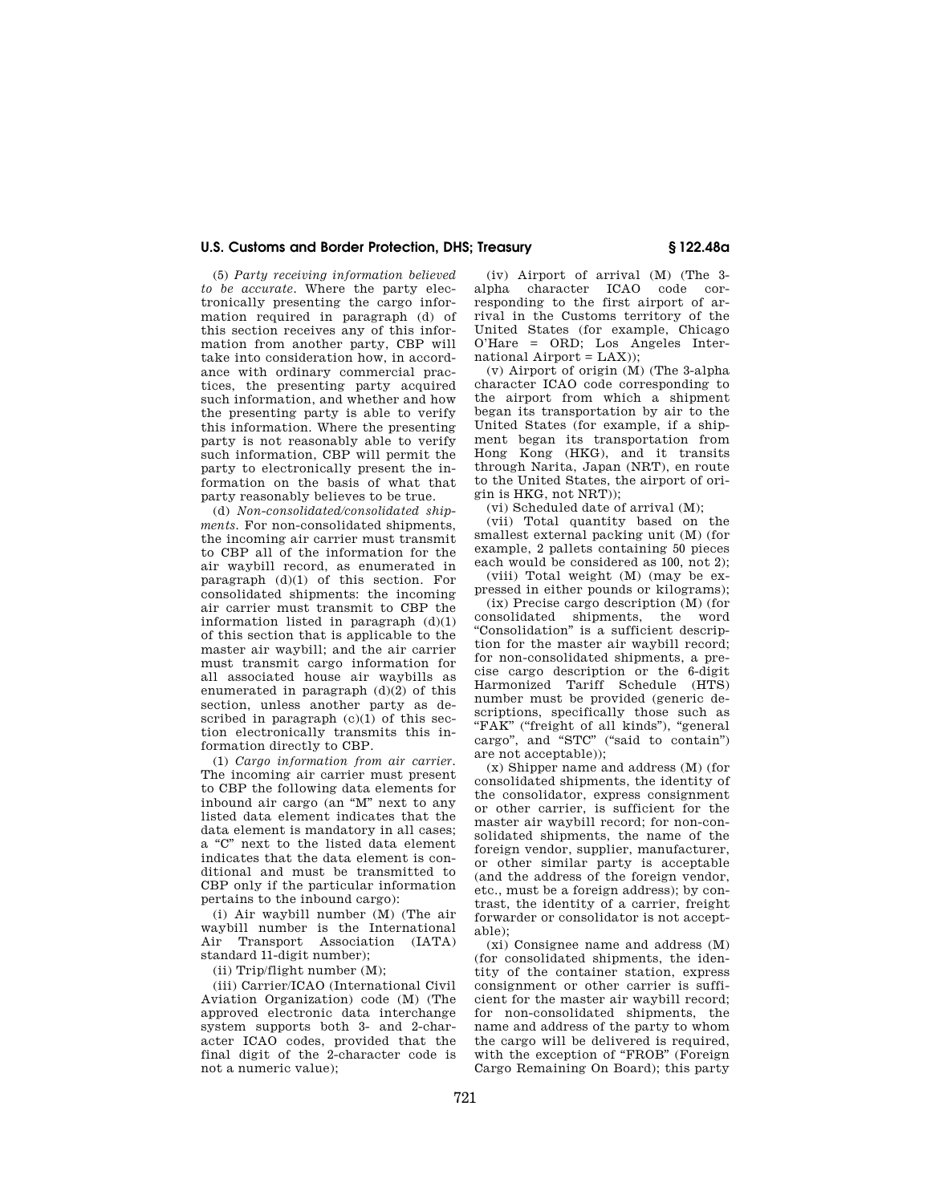(5) *Party receiving information believed to be accurate.* Where the party electronically presenting the cargo information required in paragraph (d) of this section receives any of this information from another party, CBP will take into consideration how, in accordance with ordinary commercial practices, the presenting party acquired such information, and whether and how the presenting party is able to verify this information. Where the presenting party is not reasonably able to verify such information, CBP will permit the party to electronically present the information on the basis of what that party reasonably believes to be true.

(d) *Non-consolidated/consolidated shipments.* For non-consolidated shipments, the incoming air carrier must transmit to CBP all of the information for the air waybill record, as enumerated in paragraph (d)(1) of this section. For consolidated shipments: the incoming air carrier must transmit to CBP the information listed in paragraph  $(d)(1)$ of this section that is applicable to the master air waybill; and the air carrier must transmit cargo information for all associated house air waybills as enumerated in paragraph (d)(2) of this section, unless another party as described in paragraph (c)(1) of this section electronically transmits this information directly to CBP.

(1) *Cargo information from air carrier.*  The incoming air carrier must present to CBP the following data elements for inbound air cargo (an ''M'' next to any listed data element indicates that the data element is mandatory in all cases; a ''C'' next to the listed data element indicates that the data element is conditional and must be transmitted to CBP only if the particular information pertains to the inbound cargo):

(i) Air waybill number (M) (The air waybill number is the International Air Transport Association (IATA) standard 11-digit number);

(ii) Trip/flight number (M);

(iii) Carrier/ICAO (International Civil Aviation Organization) code (M) (The approved electronic data interchange system supports both 3- and 2-character ICAO codes, provided that the final digit of the 2-character code is not a numeric value);

(iv) Airport of arrival (M) (The 3 alpha character ICAO code corresponding to the first airport of arrival in the Customs territory of the United States (for example, Chicago O'Hare = ORD; Los Angeles International  $Airport = LAX$ );

(v) Airport of origin (M) (The 3-alpha character ICAO code corresponding to the airport from which a shipment began its transportation by air to the United States (for example, if a shipment began its transportation from Hong Kong (HKG), and it transits through Narita, Japan (NRT), en route to the United States, the airport of origin is HKG, not NRT));

(vi) Scheduled date of arrival (M);

(vii) Total quantity based on the smallest external packing unit (M) (for example, 2 pallets containing 50 pieces each would be considered as 100, not 2);

(viii) Total weight (M) (may be expressed in either pounds or kilograms);

(ix) Precise cargo description (M) (for consolidated shipments, the word ''Consolidation'' is a sufficient description for the master air waybill record; for non-consolidated shipments, a precise cargo description or the 6-digit Harmonized Tariff Schedule (HTS) number must be provided (generic descriptions, specifically those such as "FAK" ("freight of all kinds"), "general cargo", and "STC" ("said to contain") are not acceptable));

(x) Shipper name and address (M) (for consolidated shipments, the identity of the consolidator, express consignment or other carrier, is sufficient for the master air waybill record; for non-consolidated shipments, the name of the foreign vendor, supplier, manufacturer, or other similar party is acceptable (and the address of the foreign vendor, etc., must be a foreign address); by contrast, the identity of a carrier, freight forwarder or consolidator is not acceptable);

(xi) Consignee name and address (M) (for consolidated shipments, the identity of the container station, express consignment or other carrier is sufficient for the master air waybill record; for non-consolidated shipments, the name and address of the party to whom the cargo will be delivered is required. with the exception of "FROB" (Foreign Cargo Remaining On Board); this party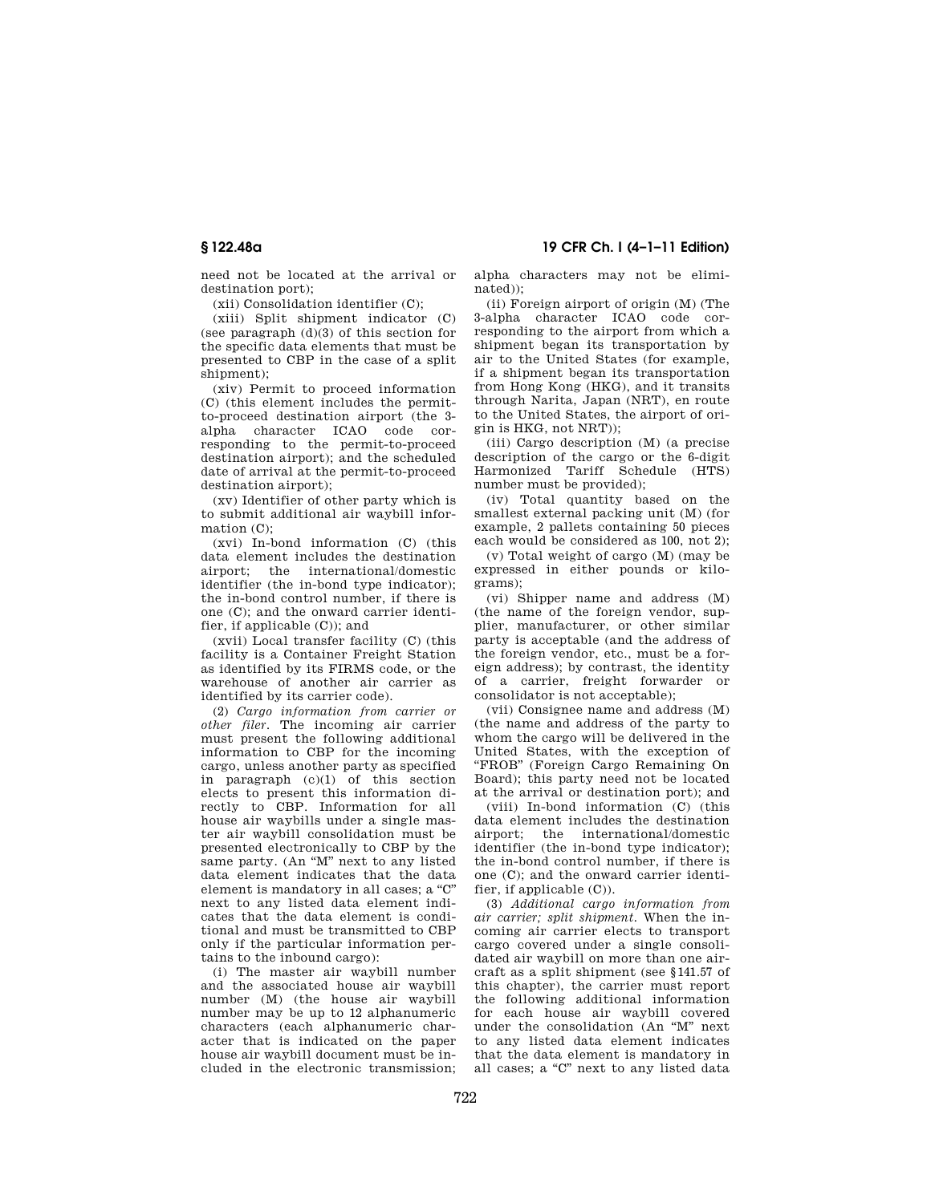**§ 122.48a 19 CFR Ch. I (4–1–11 Edition)** 

need not be located at the arrival or destination port);

(xii) Consolidation identifier (C);

(xiii) Split shipment indicator (C) (see paragraph (d)(3) of this section for the specific data elements that must be presented to CBP in the case of a split shipment);

(xiv) Permit to proceed information (C) (this element includes the permitto-proceed destination airport (the 3 alpha character ICAO code corresponding to the permit-to-proceed destination airport); and the scheduled date of arrival at the permit-to-proceed destination airport);

(xv) Identifier of other party which is to submit additional air waybill information (C):

(xvi) In-bond information (C) (this data element includes the destination airport; the international/domestic identifier (the in-bond type indicator); the in-bond control number, if there is one (C); and the onward carrier identifier, if applicable (C)); and

(xvii) Local transfer facility (C) (this facility is a Container Freight Station as identified by its FIRMS code, or the warehouse of another air carrier as identified by its carrier code).

(2) *Cargo information from carrier or other filer.* The incoming air carrier must present the following additional information to CBP for the incoming cargo, unless another party as specified in paragraph (c)(1) of this section elects to present this information directly to CBP. Information for all house air waybills under a single master air waybill consolidation must be presented electronically to CBP by the same party. (An "M" next to any listed data element indicates that the data element is mandatory in all cases; a "C" next to any listed data element indicates that the data element is conditional and must be transmitted to CBP only if the particular information pertains to the inbound cargo):

(i) The master air waybill number and the associated house air waybill number (M) (the house air waybill number may be up to 12 alphanumeric characters (each alphanumeric character that is indicated on the paper house air waybill document must be included in the electronic transmission;

alpha characters may not be eliminated));

(ii) Foreign airport of origin (M) (The 3-alpha character ICAO code corresponding to the airport from which a shipment began its transportation by air to the United States (for example, if a shipment began its transportation from Hong Kong (HKG), and it transits through Narita, Japan (NRT), en route to the United States, the airport of origin is HKG, not NRT));

(iii) Cargo description (M) (a precise description of the cargo or the 6-digit Harmonized Tariff Schedule (HTS) number must be provided);

(iv) Total quantity based on the smallest external packing unit (M) (for example, 2 pallets containing 50 pieces each would be considered as 100, not 2);

(v) Total weight of cargo (M) (may be expressed in either pounds or kilograms);

(vi) Shipper name and address (M) (the name of the foreign vendor, supplier, manufacturer, or other similar party is acceptable (and the address of the foreign vendor, etc., must be a foreign address); by contrast, the identity of a carrier, freight forwarder or consolidator is not acceptable);

(vii) Consignee name and address (M) (the name and address of the party to whom the cargo will be delivered in the United States, with the exception of ''FROB'' (Foreign Cargo Remaining On Board); this party need not be located at the arrival or destination port); and

(viii) In-bond information (C) (this data element includes the destination airport; the international/domestic identifier (the in-bond type indicator); the in-bond control number, if there is one (C); and the onward carrier identifier, if applicable (C)).

(3) *Additional cargo information from air carrier; split shipment.* When the incoming air carrier elects to transport cargo covered under a single consolidated air waybill on more than one aircraft as a split shipment (see §141.57 of this chapter), the carrier must report the following additional information for each house air waybill covered under the consolidation (An ''M'' next to any listed data element indicates that the data element is mandatory in all cases; a "C" next to any listed data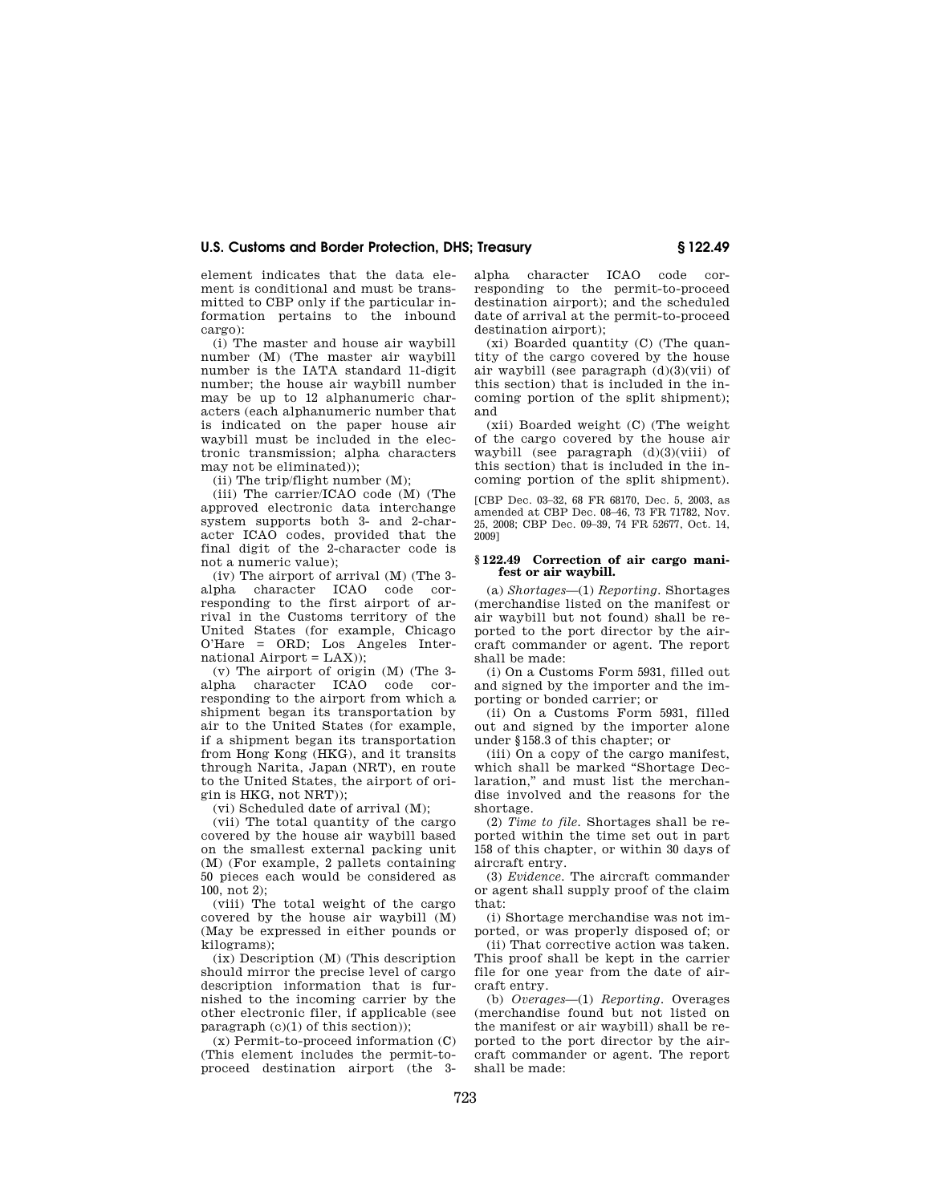element indicates that the data element is conditional and must be transmitted to CBP only if the particular information pertains to the inbound cargo):

(i) The master and house air waybill number (M) (The master air waybill number is the IATA standard 11-digit number; the house air waybill number may be up to 12 alphanumeric characters (each alphanumeric number that is indicated on the paper house air waybill must be included in the electronic transmission; alpha characters may not be eliminated));

(ii) The trip/flight number (M);

(iii) The carrier/ICAO code (M) (The approved electronic data interchange system supports both 3- and 2-character ICAO codes, provided that the final digit of the 2-character code is not a numeric value);

(iv) The airport of arrival (M) (The 3 alpha character ICAO code corresponding to the first airport of arrival in the Customs territory of the United States (for example, Chicago O'Hare = ORD; Los Angeles International  $Airport = LAX$ );

(v) The airport of origin (M) (The 3 alpha character ICAO code corresponding to the airport from which a shipment began its transportation by air to the United States (for example, if a shipment began its transportation from Hong Kong (HKG), and it transits through Narita, Japan (NRT), en route to the United States, the airport of origin is HKG, not NRT));

(vi) Scheduled date of arrival (M);

(vii) The total quantity of the cargo covered by the house air waybill based on the smallest external packing unit (M) (For example, 2 pallets containing 50 pieces each would be considered as 100, not  $2$ );

(viii) The total weight of the cargo covered by the house air waybill (M) (May be expressed in either pounds or kilograms);

(ix) Description (M) (This description should mirror the precise level of cargo description information that is furnished to the incoming carrier by the other electronic filer, if applicable (see paragraph  $(c)(1)$  of this section));

(x) Permit-to-proceed information (C) (This element includes the permit-toproceed destination airport (the 3alpha character ICAO code corresponding to the permit-to-proceed destination airport); and the scheduled date of arrival at the permit-to-proceed destination airport);

(xi) Boarded quantity (C) (The quantity of the cargo covered by the house air waybill (see paragraph (d)(3)(vii) of this section) that is included in the incoming portion of the split shipment); and

(xii) Boarded weight (C) (The weight of the cargo covered by the house air waybill (see paragraph (d)(3)(viii) of this section) that is included in the incoming portion of the split shipment).

[CBP Dec. 03–32, 68 FR 68170, Dec. 5, 2003, as amended at CBP Dec. 08–46, 73 FR 71782, Nov. 25, 2008; CBP Dec. 09–39, 74 FR 52677, Oct. 14, 2009]

#### **§ 122.49 Correction of air cargo manifest or air waybill.**

(a) *Shortages*—(1) *Reporting.* Shortages (merchandise listed on the manifest or air waybill but not found) shall be reported to the port director by the aircraft commander or agent. The report shall be made:

(i) On a Customs Form 5931, filled out and signed by the importer and the importing or bonded carrier; or

(ii) On a Customs Form 5931, filled out and signed by the importer alone under §158.3 of this chapter; or

(iii) On a copy of the cargo manifest, which shall be marked ''Shortage Declaration," and must list the merchandise involved and the reasons for the shortage.

(2) *Time to file.* Shortages shall be reported within the time set out in part 158 of this chapter, or within 30 days of aircraft entry.

(3) *Evidence.* The aircraft commander or agent shall supply proof of the claim that:

(i) Shortage merchandise was not imported, or was properly disposed of; or

(ii) That corrective action was taken. This proof shall be kept in the carrier file for one year from the date of aircraft entry.

(b) *Overages*—(1) *Reporting.* Overages (merchandise found but not listed on the manifest or air waybill) shall be reported to the port director by the aircraft commander or agent. The report shall be made: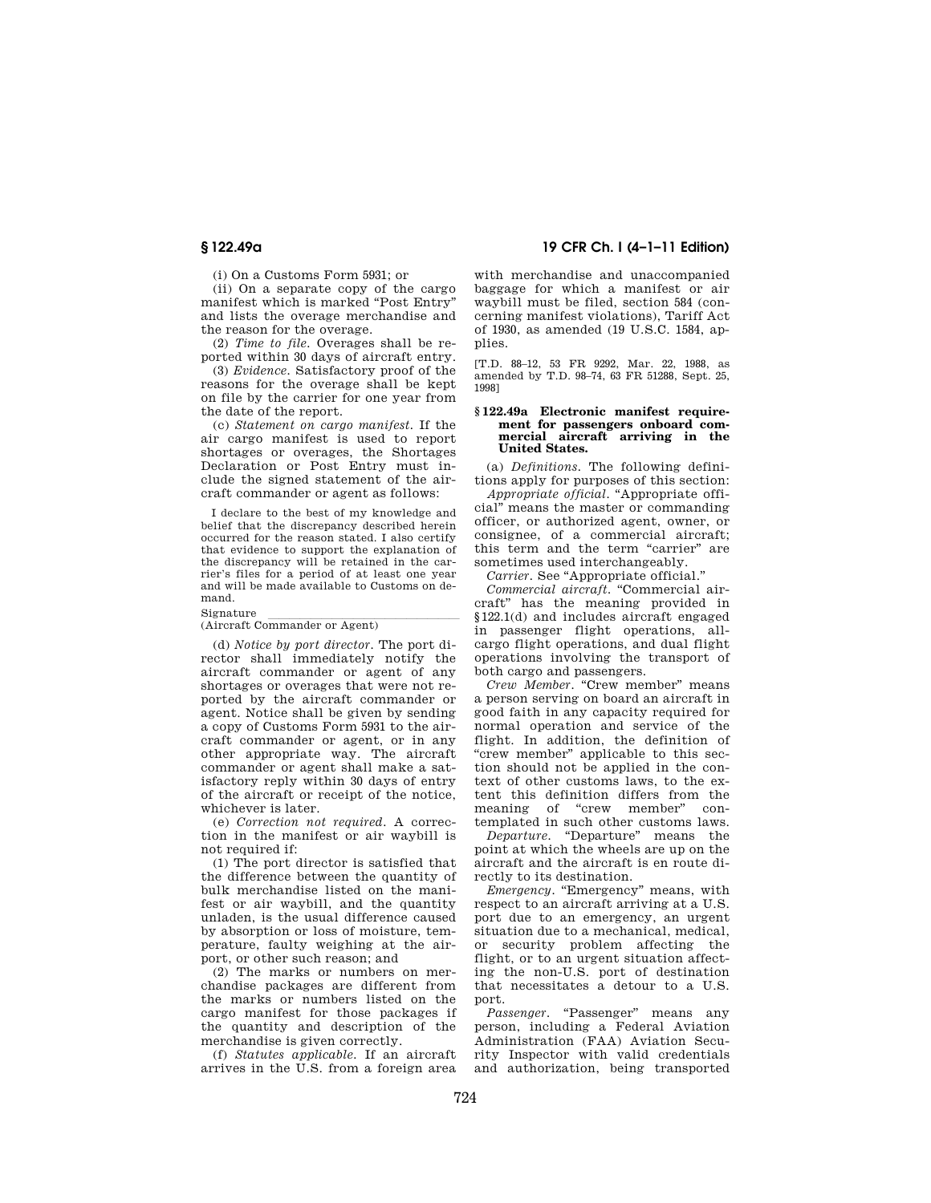(i) On a Customs Form 5931; or

(ii) On a separate copy of the cargo manifest which is marked "Post Entry" and lists the overage merchandise and the reason for the overage.

(2) *Time to file.* Overages shall be reported within 30 days of aircraft entry.

(3) *Evidence.* Satisfactory proof of the reasons for the overage shall be kept on file by the carrier for one year from the date of the report.

(c) *Statement on cargo manifest.* If the air cargo manifest is used to report shortages or overages, the Shortages Declaration or Post Entry must include the signed statement of the aircraft commander or agent as follows:

I declare to the best of my knowledge and belief that the discrepancy described herein occurred for the reason stated. I also certify that evidence to support the explanation of the discrepancy will be retained in the carrier's files for a period of at least one year and will be made available to Customs on demand.

# Signature<br>(Aircraft Commander or Agent)

(d) *Notice by port director.* The port director shall immediately notify the aircraft commander or agent of any shortages or overages that were not reported by the aircraft commander or agent. Notice shall be given by sending a copy of Customs Form 5931 to the aircraft commander or agent, or in any other appropriate way. The aircraft commander or agent shall make a satisfactory reply within 30 days of entry of the aircraft or receipt of the notice, whichever is later.

(e) *Correction not required.* A correction in the manifest or air waybill is not required if:

(1) The port director is satisfied that the difference between the quantity of bulk merchandise listed on the manifest or air waybill, and the quantity unladen, is the usual difference caused by absorption or loss of moisture, temperature, faulty weighing at the airport, or other such reason; and

(2) The marks or numbers on merchandise packages are different from the marks or numbers listed on the cargo manifest for those packages if the quantity and description of the merchandise is given correctly.

(f) *Statutes applicable.* If an aircraft arrives in the U.S. from a foreign area

## **§ 122.49a 19 CFR Ch. I (4–1–11 Edition)**

with merchandise and unaccompanied baggage for which a manifest or air waybill must be filed, section 584 (concerning manifest violations), Tariff Act of 1930, as amended (19 U.S.C. 1584, applies.

[T.D. 88–12, 53 FR 9292, Mar. 22, 1988, as amended by T.D. 98–74, 63 FR 51288, Sept. 25, 1998]

#### **§ 122.49a Electronic manifest requirement for passengers onboard commercial aircraft arriving in the United States.**

(a) *Definitions.* The following definitions apply for purposes of this section:

*Appropriate official.* "Appropriate official'' means the master or commanding officer, or authorized agent, owner, or consignee, of a commercial aircraft; this term and the term "carrier" are sometimes used interchangeably.

*Carrier.* See ''Appropriate official.''

Commercial aircraft. "Commercial aircraft'' has the meaning provided in §122.1(d) and includes aircraft engaged in passenger flight operations, allcargo flight operations, and dual flight operations involving the transport of both cargo and passengers.

*Crew Member.* "Crew member" means a person serving on board an aircraft in good faith in any capacity required for normal operation and service of the flight. In addition, the definition of "crew member" applicable to this section should not be applied in the context of other customs laws, to the extent this definition differs from the meaning of "crew member" contemplated in such other customs laws.

*Departure.* "Departure" means the point at which the wheels are up on the aircraft and the aircraft is en route directly to its destination.

*Emergency.* "Emergency" means, with respect to an aircraft arriving at a U.S. port due to an emergency, an urgent situation due to a mechanical, medical, or security problem affecting the flight, or to an urgent situation affecting the non-U.S. port of destination that necessitates a detour to a U.S. port.

*Passenger.* "Passenger" means any person, including a Federal Aviation Administration (FAA) Aviation Security Inspector with valid credentials and authorization, being transported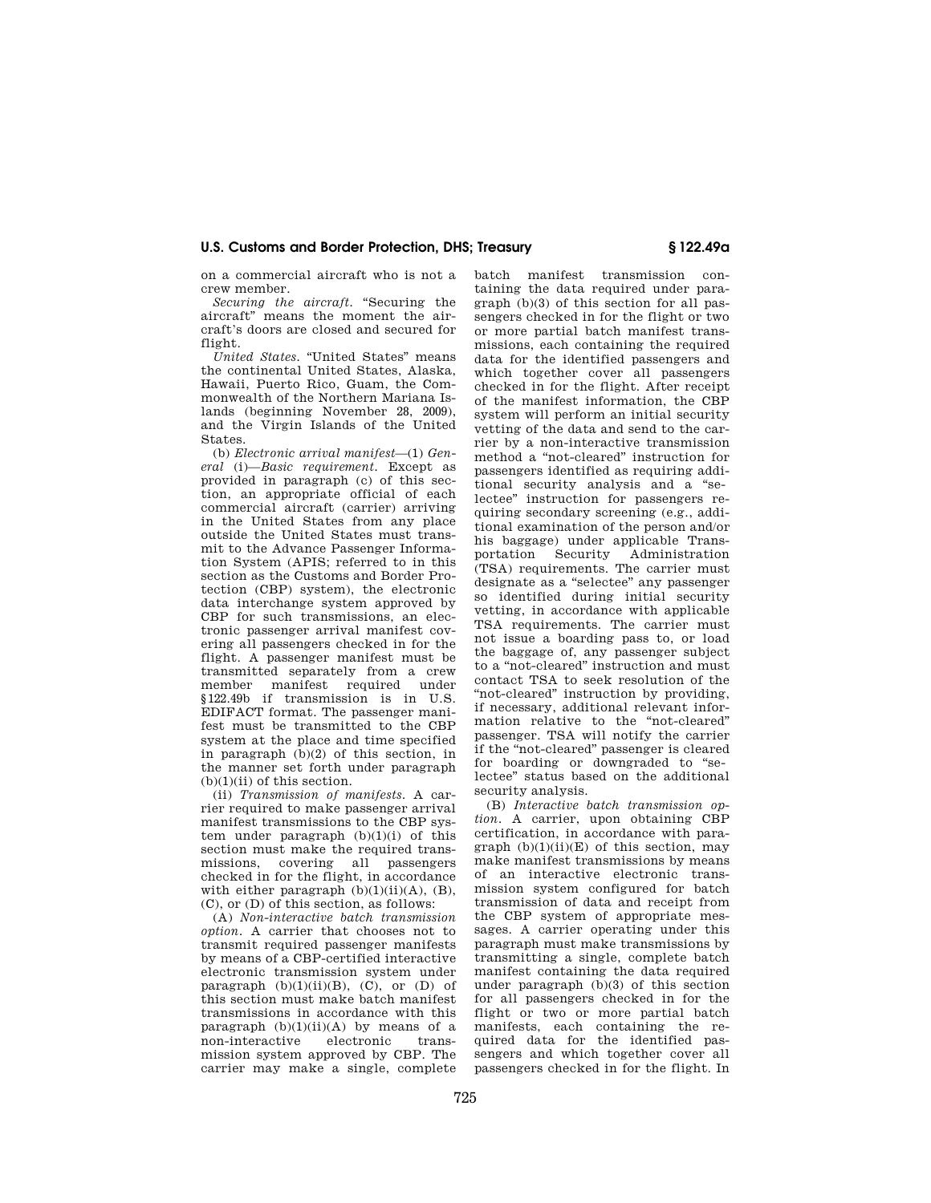on a commercial aircraft who is not a crew member.

*Securing the aircraft.* "Securing the aircraft'' means the moment the aircraft's doors are closed and secured for flight.

*United States.* "United States" means the continental United States, Alaska, Hawaii, Puerto Rico, Guam, the Commonwealth of the Northern Mariana Islands (beginning November 28, 2009), and the Virgin Islands of the United States.

(b) *Electronic arrival manifest*—(1) *General* (i)—*Basic requirement.* Except as provided in paragraph (c) of this section, an appropriate official of each commercial aircraft (carrier) arriving in the United States from any place outside the United States must transmit to the Advance Passenger Information System (APIS; referred to in this section as the Customs and Border Protection (CBP) system), the electronic data interchange system approved by CBP for such transmissions, an electronic passenger arrival manifest covering all passengers checked in for the flight. A passenger manifest must be transmitted separately from a crew member manifest required under §122.49b if transmission is in U.S. EDIFACT format. The passenger manifest must be transmitted to the CBP system at the place and time specified in paragraph (b)(2) of this section, in the manner set forth under paragraph (b)(1)(ii) of this section.

(ii) *Transmission of manifests.* A carrier required to make passenger arrival manifest transmissions to the CBP system under paragraph  $(b)(1)(i)$  of this section must make the required transmissions, covering all passengers checked in for the flight, in accordance with either paragraph  $(b)(1)(ii)(A)$ ,  $(B)$ ,  $(C)$ , or  $(D)$  of this section, as follows:

(A) *Non-interactive batch transmission option.* A carrier that chooses not to transmit required passenger manifests by means of a CBP-certified interactive electronic transmission system under paragraph  $(b)(1)(ii)(B)$ ,  $(C)$ , or  $(D)$  of this section must make batch manifest transmissions in accordance with this paragraph  $(b)(1)(ii)(A)$  by means of a non-interactive electronic transmission system approved by CBP. The carrier may make a single, complete

batch manifest transmission containing the data required under paragraph (b)(3) of this section for all passengers checked in for the flight or two or more partial batch manifest transmissions, each containing the required data for the identified passengers and which together cover all passengers checked in for the flight. After receipt of the manifest information, the CBP system will perform an initial security vetting of the data and send to the carrier by a non-interactive transmission method a ''not-cleared'' instruction for passengers identified as requiring additional security analysis and a ''selectee'' instruction for passengers requiring secondary screening (e.g., additional examination of the person and/or his baggage) under applicable Trans-<br>portation Security Administration portation Security Administration (TSA) requirements. The carrier must designate as a ''selectee'' any passenger so identified during initial security vetting, in accordance with applicable TSA requirements. The carrier must not issue a boarding pass to, or load the baggage of, any passenger subject to a "not-cleared" instruction and must contact TSA to seek resolution of the "not-cleared" instruction by providing, if necessary, additional relevant information relative to the ''not-cleared'' passenger. TSA will notify the carrier if the "not-cleared" passenger is cleared for boarding or downgraded to ''selectee'' status based on the additional security analysis.

(B) *Interactive batch transmission option.* A carrier, upon obtaining CBP certification, in accordance with paragraph  $(b)(1)(ii)(E)$  of this section, may make manifest transmissions by means of an interactive electronic transmission system configured for batch transmission of data and receipt from the CBP system of appropriate messages. A carrier operating under this paragraph must make transmissions by transmitting a single, complete batch manifest containing the data required under paragraph (b)(3) of this section for all passengers checked in for the flight or two or more partial batch manifests, each containing the required data for the identified passengers and which together cover all passengers checked in for the flight. In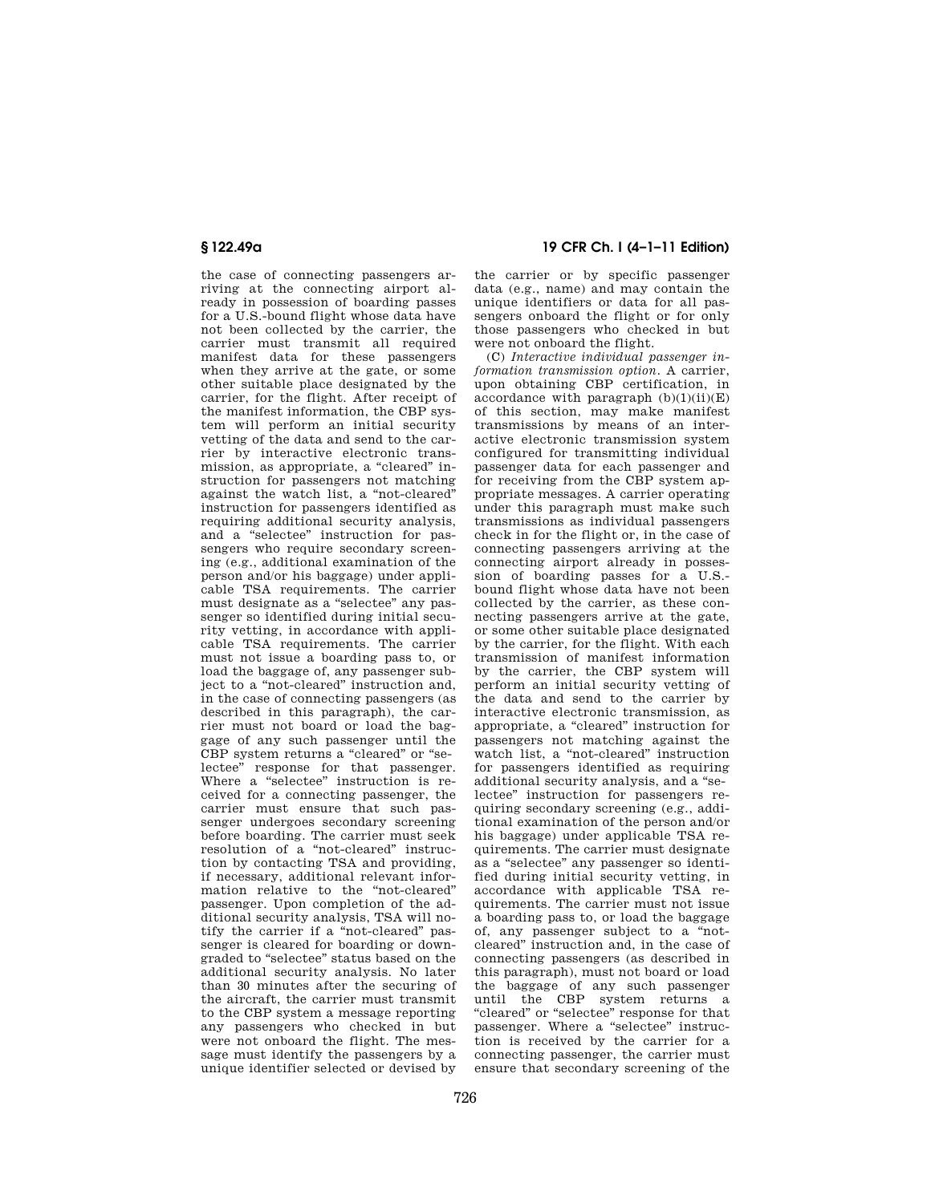the case of connecting passengers arriving at the connecting airport already in possession of boarding passes for a U.S.-bound flight whose data have not been collected by the carrier, the carrier must transmit all required manifest data for these passengers when they arrive at the gate, or some other suitable place designated by the carrier, for the flight. After receipt of the manifest information, the CBP system will perform an initial security vetting of the data and send to the carrier by interactive electronic transmission, as appropriate, a "cleared" instruction for passengers not matching against the watch list, a ''not-cleared'' instruction for passengers identified as requiring additional security analysis, and a "selectee" instruction for passengers who require secondary screening (e.g., additional examination of the person and/or his baggage) under applicable TSA requirements. The carrier must designate as a ''selectee'' any passenger so identified during initial security vetting, in accordance with applicable TSA requirements. The carrier must not issue a boarding pass to, or load the baggage of, any passenger subject to a "not-cleared" instruction and, in the case of connecting passengers (as described in this paragraph), the carrier must not board or load the baggage of any such passenger until the CBP system returns a "cleared" or "selectee'' response for that passenger. Where a "selectee" instruction is received for a connecting passenger, the carrier must ensure that such passenger undergoes secondary screening before boarding. The carrier must seek resolution of a "not-cleared" instruction by contacting TSA and providing, if necessary, additional relevant information relative to the ''not-cleared'' passenger. Upon completion of the additional security analysis, TSA will notify the carrier if a "not-cleared" passenger is cleared for boarding or downgraded to ''selectee'' status based on the additional security analysis. No later than 30 minutes after the securing of the aircraft, the carrier must transmit to the CBP system a message reporting any passengers who checked in but were not onboard the flight. The message must identify the passengers by a unique identifier selected or devised by

## **§ 122.49a 19 CFR Ch. I (4–1–11 Edition)**

the carrier or by specific passenger data (e.g., name) and may contain the unique identifiers or data for all passengers onboard the flight or for only those passengers who checked in but were not onboard the flight.

(C) *Interactive individual passenger information transmission option.* A carrier, upon obtaining CBP certification, in accordance with paragraph  $(b)(1)(ii)(E)$ of this section, may make manifest transmissions by means of an interactive electronic transmission system configured for transmitting individual passenger data for each passenger and for receiving from the CBP system appropriate messages. A carrier operating under this paragraph must make such transmissions as individual passengers check in for the flight or, in the case of connecting passengers arriving at the connecting airport already in possession of boarding passes for a U.S. bound flight whose data have not been collected by the carrier, as these connecting passengers arrive at the gate, or some other suitable place designated by the carrier, for the flight. With each transmission of manifest information by the carrier, the CBP system will perform an initial security vetting of the data and send to the carrier by interactive electronic transmission, as appropriate, a ''cleared'' instruction for passengers not matching against the watch list, a ''not-cleared'' instruction for passengers identified as requiring additional security analysis, and a ''selectee'' instruction for passengers requiring secondary screening (e.g., additional examination of the person and/or his baggage) under applicable TSA requirements. The carrier must designate as a ''selectee'' any passenger so identified during initial security vetting, in accordance with applicable TSA requirements. The carrier must not issue a boarding pass to, or load the baggage of, any passenger subject to a ''notcleared'' instruction and, in the case of connecting passengers (as described in this paragraph), must not board or load the baggage of any such passenger until the CBP system returns a ''cleared'' or ''selectee'' response for that passenger. Where a "selectee" instruction is received by the carrier for a connecting passenger, the carrier must ensure that secondary screening of the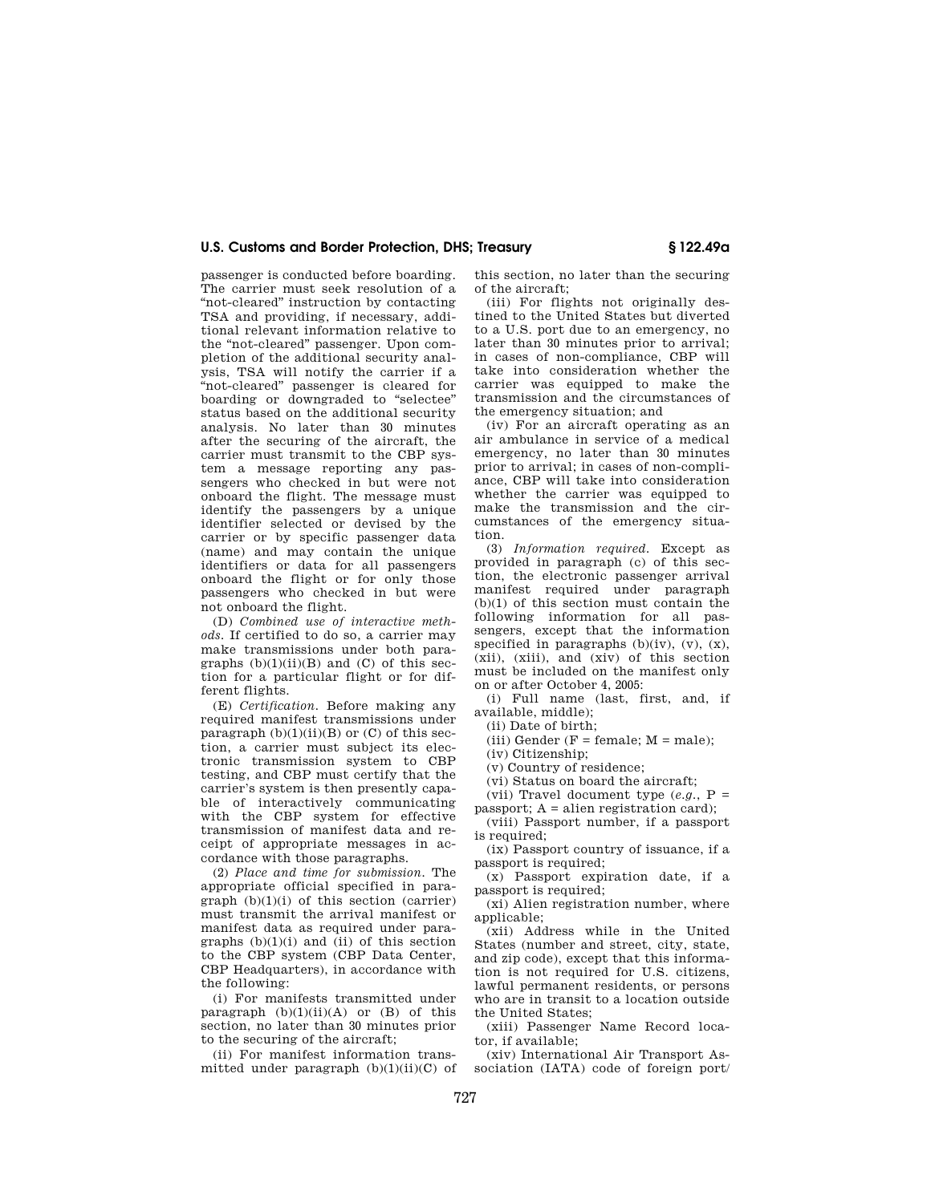passenger is conducted before boarding. The carrier must seek resolution of a "not-cleared" instruction by contacting TSA and providing, if necessary, additional relevant information relative to the "not-cleared" passenger. Upon completion of the additional security analysis, TSA will notify the carrier if a 'not-cleared" passenger is cleared for boarding or downgraded to ''selectee'' status based on the additional security analysis. No later than 30 minutes after the securing of the aircraft, the carrier must transmit to the CBP system a message reporting any passengers who checked in but were not onboard the flight. The message must identify the passengers by a unique identifier selected or devised by the carrier or by specific passenger data (name) and may contain the unique identifiers or data for all passengers onboard the flight or for only those passengers who checked in but were not onboard the flight.

(D) *Combined use of interactive methods.* If certified to do so, a carrier may make transmissions under both paragraphs  $(b)(1)(ii)(B)$  and  $(C)$  of this section for a particular flight or for different flights

(E) *Certification.* Before making any required manifest transmissions under paragraph  $(b)(1)(ii)(B)$  or  $(C)$  of this section, a carrier must subject its electronic transmission system to CBP testing, and CBP must certify that the carrier's system is then presently capable of interactively communicating with the CBP system for effective transmission of manifest data and receipt of appropriate messages in accordance with those paragraphs.

(2) *Place and time for submission.* The appropriate official specified in para $graph (b)(1)(i)$  of this section (carrier) must transmit the arrival manifest or manifest data as required under paragraphs  $(b)(1)(i)$  and  $(ii)$  of this section to the CBP system (CBP Data Center, CBP Headquarters), in accordance with the following:

(i) For manifests transmitted under paragraph  $(b)(1)(ii)(A)$  or  $(B)$  of this section, no later than 30 minutes prior to the securing of the aircraft;

(ii) For manifest information transmitted under paragraph  $(b)(1)(ii)(C)$  of this section, no later than the securing of the aircraft;

(iii) For flights not originally destined to the United States but diverted to a U.S. port due to an emergency, no later than 30 minutes prior to arrival; in cases of non-compliance, CBP will take into consideration whether the carrier was equipped to make the transmission and the circumstances of the emergency situation; and

(iv) For an aircraft operating as an air ambulance in service of a medical emergency, no later than 30 minutes prior to arrival; in cases of non-compliance, CBP will take into consideration whether the carrier was equipped to make the transmission and the circumstances of the emergency situation.

(3) *Information required.* Except as provided in paragraph (c) of this section, the electronic passenger arrival manifest required under paragraph (b)(1) of this section must contain the following information for all passengers, except that the information specified in paragraphs  $(b)(iv)$ ,  $(v)$ ,  $(x)$ , (xii), (xiii), and (xiv) of this section must be included on the manifest only on or after October 4, 2005:

(i) Full name (last, first, and, if available, middle);

(ii) Date of birth;

(iii) Gender ( $F = \text{female}$ ;  $M = \text{male}$ );

(iv) Citizenship;

(v) Country of residence;

(vi) Status on board the aircraft;

(vii) Travel document type  $(e.g., P =$ passport:  $A =$ alien registration card);

(viii) Passport number, if a passport is required;

(ix) Passport country of issuance, if a passport is required;

(x) Passport expiration date, if a passport is required;

(xi) Alien registration number, where applicable;

(xii) Address while in the United States (number and street, city, state, and zip code), except that this information is not required for U.S. citizens, lawful permanent residents, or persons who are in transit to a location outside the United States;

(xiii) Passenger Name Record locator, if available;

(xiv) International Air Transport Association (IATA) code of foreign port/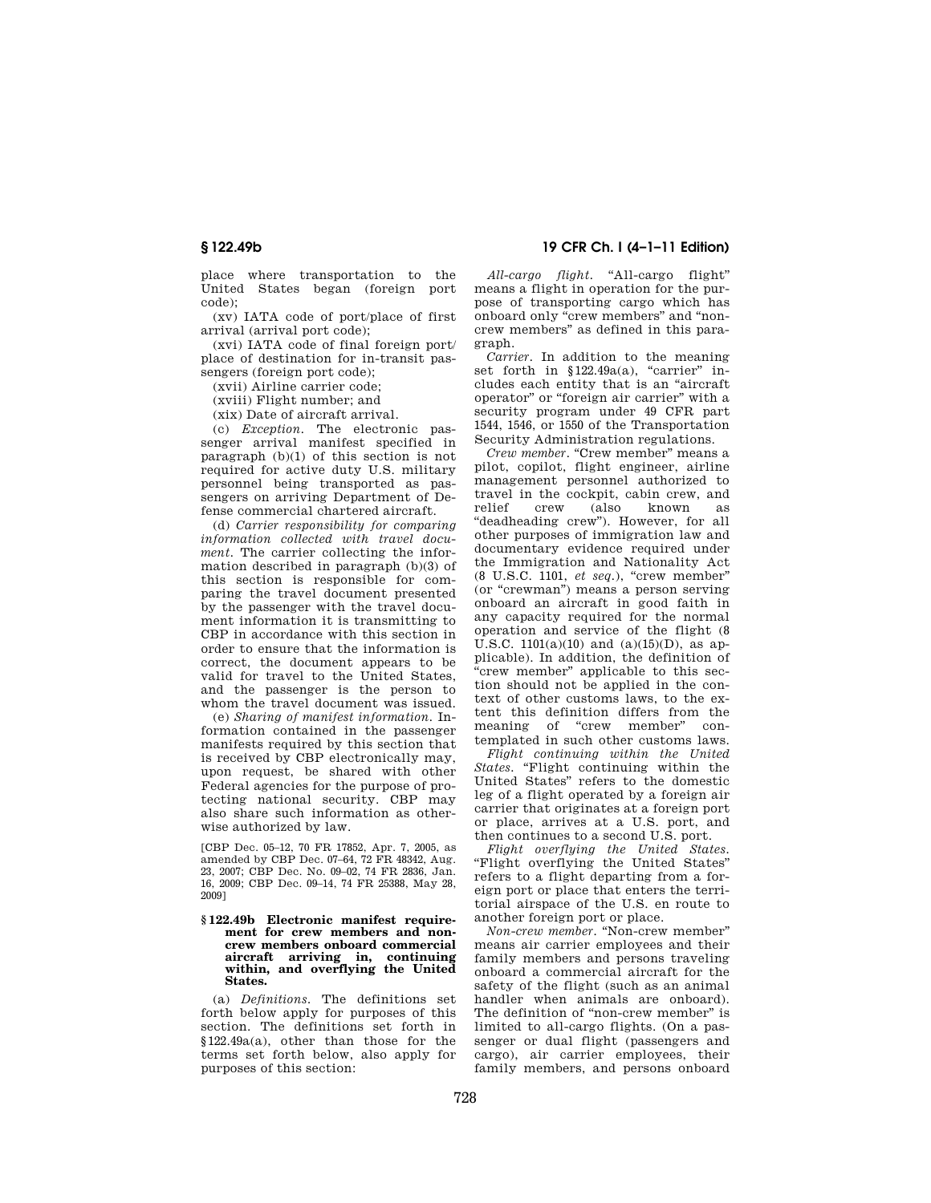place where transportation to the United States began (foreign port code);

(xv) IATA code of port/place of first arrival (arrival port code);

(xvi) IATA code of final foreign port/ place of destination for in-transit passengers (foreign port code);

(xvii) Airline carrier code;

(xviii) Flight number; and

(xix) Date of aircraft arrival.

(c) *Exception.* The electronic passenger arrival manifest specified in paragraph (b)(1) of this section is not required for active duty U.S. military personnel being transported as passengers on arriving Department of Defense commercial chartered aircraft.

(d) *Carrier responsibility for comparing information collected with travel document.* The carrier collecting the information described in paragraph (b)(3) of this section is responsible for comparing the travel document presented by the passenger with the travel document information it is transmitting to CBP in accordance with this section in order to ensure that the information is correct, the document appears to be valid for travel to the United States, and the passenger is the person to whom the travel document was issued.

(e) *Sharing of manifest information.* Information contained in the passenger manifests required by this section that is received by CBP electronically may, upon request, be shared with other Federal agencies for the purpose of protecting national security. CBP may also share such information as otherwise authorized by law.

[CBP Dec. 05–12, 70 FR 17852, Apr. 7, 2005, as amended by CBP Dec. 07–64, 72 FR 48342, Aug. 23, 2007; CBP Dec. No. 09–02, 74 FR 2836, Jan. 16, 2009; CBP Dec. 09–14, 74 FR 25388, May 28, 2009]

#### **§ 122.49b Electronic manifest require**ment for crew members and non**crew members onboard commercial aircraft arriving in, continuing within, and overflying the United States.**

(a) *Definitions.* The definitions set forth below apply for purposes of this section. The definitions set forth in §122.49a(a), other than those for the terms set forth below, also apply for purposes of this section:

## **§ 122.49b 19 CFR Ch. I (4–1–11 Edition)**

*All-cargo flight.* ''All-cargo flight'' means a flight in operation for the purpose of transporting cargo which has onboard only ''crew members'' and ''noncrew members'' as defined in this paragraph.

*Carrier.* In addition to the meaning set forth in  $$122.49a(a)$ , "carrier" includes each entity that is an ''aircraft operator'' or ''foreign air carrier'' with a security program under 49 CFR part 1544, 1546, or 1550 of the Transportation Security Administration regulations.

*Crew member.* "Crew member" means a pilot, copilot, flight engineer, airline management personnel authorized to travel in the cockpit, cabin crew, and<br>relief crew (also known as (also known as "deadheading crew"). However, for all other purposes of immigration law and documentary evidence required under the Immigration and Nationality Act (8 U.S.C. 1101, *et seq.*), ''crew member'' (or ''crewman'') means a person serving onboard an aircraft in good faith in any capacity required for the normal operation and service of the flight (8 U.S.C.  $1101(a)(10)$  and  $(a)(15)(D)$ , as applicable). In addition, the definition of 'crew member" applicable to this section should not be applied in the context of other customs laws, to the extent this definition differs from the meaning of "crew member" contemplated in such other customs laws.

*Flight continuing within the United States.* "Flight continuing within the United States'' refers to the domestic leg of a flight operated by a foreign air carrier that originates at a foreign port or place, arrives at a U.S. port, and then continues to a second U.S. port.

*Flight overflying the United States.*  ''Flight overflying the United States'' refers to a flight departing from a foreign port or place that enters the territorial airspace of the U.S. en route to another foreign port or place.

*Non-crew member.* ''Non-crew member'' means air carrier employees and their family members and persons traveling onboard a commercial aircraft for the safety of the flight (such as an animal handler when animals are onboard). The definition of "non-crew member" is limited to all-cargo flights. (On a passenger or dual flight (passengers and cargo), air carrier employees, their family members, and persons onboard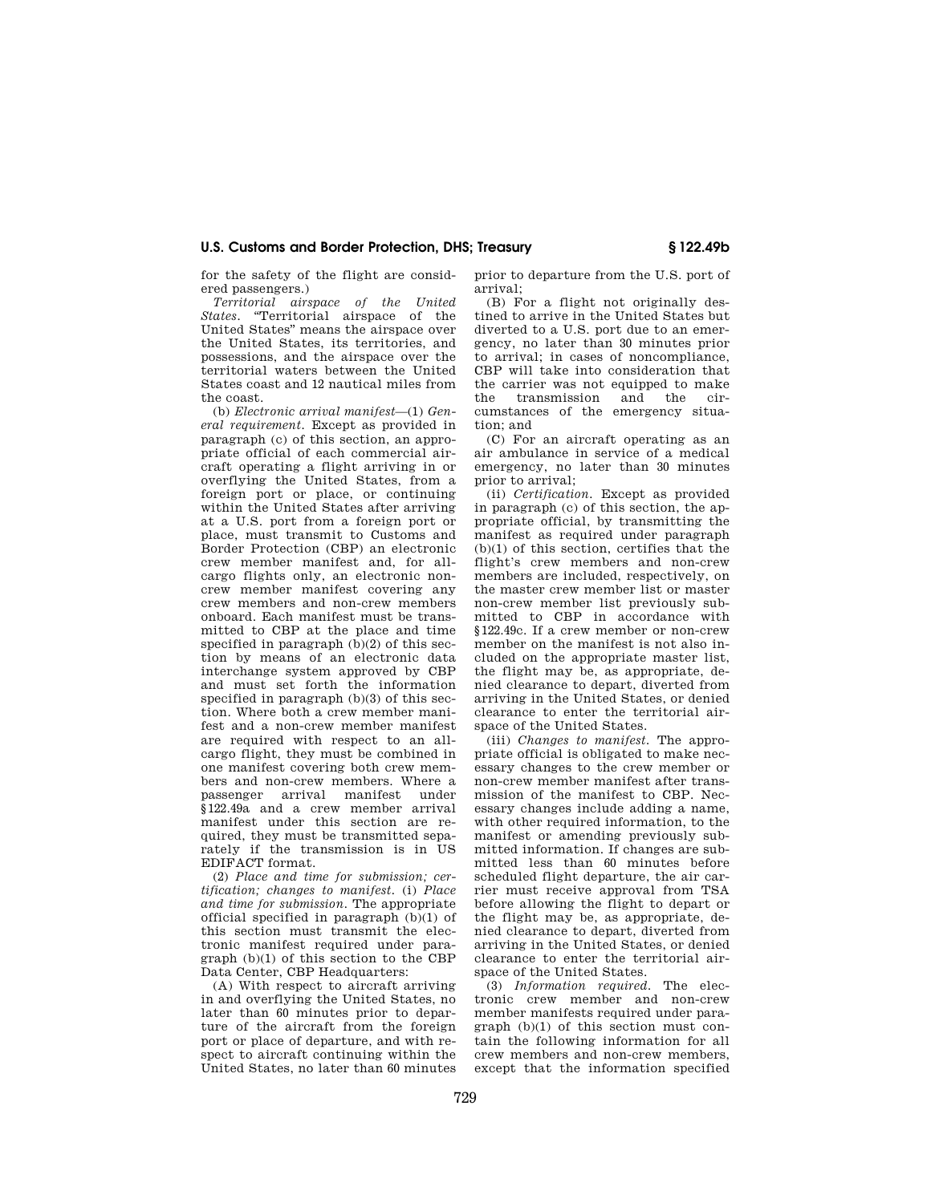for the safety of the flight are considered passengers.)

*Territorial airspace of the United*  States. "Territorial airspace of the United States'' means the airspace over the United States, its territories, and possessions, and the airspace over the territorial waters between the United States coast and 12 nautical miles from the coast.

(b) *Electronic arrival manifest*—(1) *General requirement.* Except as provided in paragraph (c) of this section, an appropriate official of each commercial aircraft operating a flight arriving in or overflying the United States, from a foreign port or place, or continuing within the United States after arriving at a U.S. port from a foreign port or place, must transmit to Customs and Border Protection (CBP) an electronic crew member manifest and, for allcargo flights only, an electronic noncrew member manifest covering any crew members and non-crew members onboard. Each manifest must be transmitted to CBP at the place and time specified in paragraph (b)(2) of this section by means of an electronic data interchange system approved by CBP and must set forth the information specified in paragraph (b)(3) of this section. Where both a crew member manifest and a non-crew member manifest are required with respect to an allcargo flight, they must be combined in one manifest covering both crew members and non-crew members. Where a passenger arrival §122.49a and a crew member arrival manifest under this section are required, they must be transmitted separately if the transmission is in US EDIFACT format.

(2) *Place and time for submission; certification; changes to manifest.* (i) *Place and time for submission.* The appropriate official specified in paragraph (b)(1) of this section must transmit the electronic manifest required under paragraph (b)(1) of this section to the CBP Data Center, CBP Headquarters:

(A) With respect to aircraft arriving in and overflying the United States, no later than 60 minutes prior to departure of the aircraft from the foreign port or place of departure, and with respect to aircraft continuing within the United States, no later than 60 minutes prior to departure from the U.S. port of arrival;

(B) For a flight not originally destined to arrive in the United States but diverted to a U.S. port due to an emergency, no later than 30 minutes prior to arrival; in cases of noncompliance, CBP will take into consideration that the carrier was not equipped to make<br>the transmission and the cirtransmission and the cumstances of the emergency situation; and

(C) For an aircraft operating as an air ambulance in service of a medical emergency, no later than 30 minutes prior to arrival;

(ii) *Certification.* Except as provided in paragraph (c) of this section, the appropriate official, by transmitting the manifest as required under paragraph (b)(1) of this section, certifies that the flight's crew members and non-crew members are included, respectively, on the master crew member list or master non-crew member list previously submitted to CBP in accordance with §122.49c. If a crew member or non-crew member on the manifest is not also included on the appropriate master list, the flight may be, as appropriate, denied clearance to depart, diverted from arriving in the United States, or denied clearance to enter the territorial airspace of the United States.

(iii) *Changes to manifest.* The appropriate official is obligated to make necessary changes to the crew member or non-crew member manifest after transmission of the manifest to CBP. Necessary changes include adding a name, with other required information, to the manifest or amending previously submitted information. If changes are submitted less than 60 minutes before scheduled flight departure, the air carrier must receive approval from TSA before allowing the flight to depart or the flight may be, as appropriate, denied clearance to depart, diverted from arriving in the United States, or denied clearance to enter the territorial airspace of the United States.

(3) *Information required.* The electronic crew member and non-crew member manifests required under paragraph  $(b)(1)$  of this section must contain the following information for all crew members and non-crew members, except that the information specified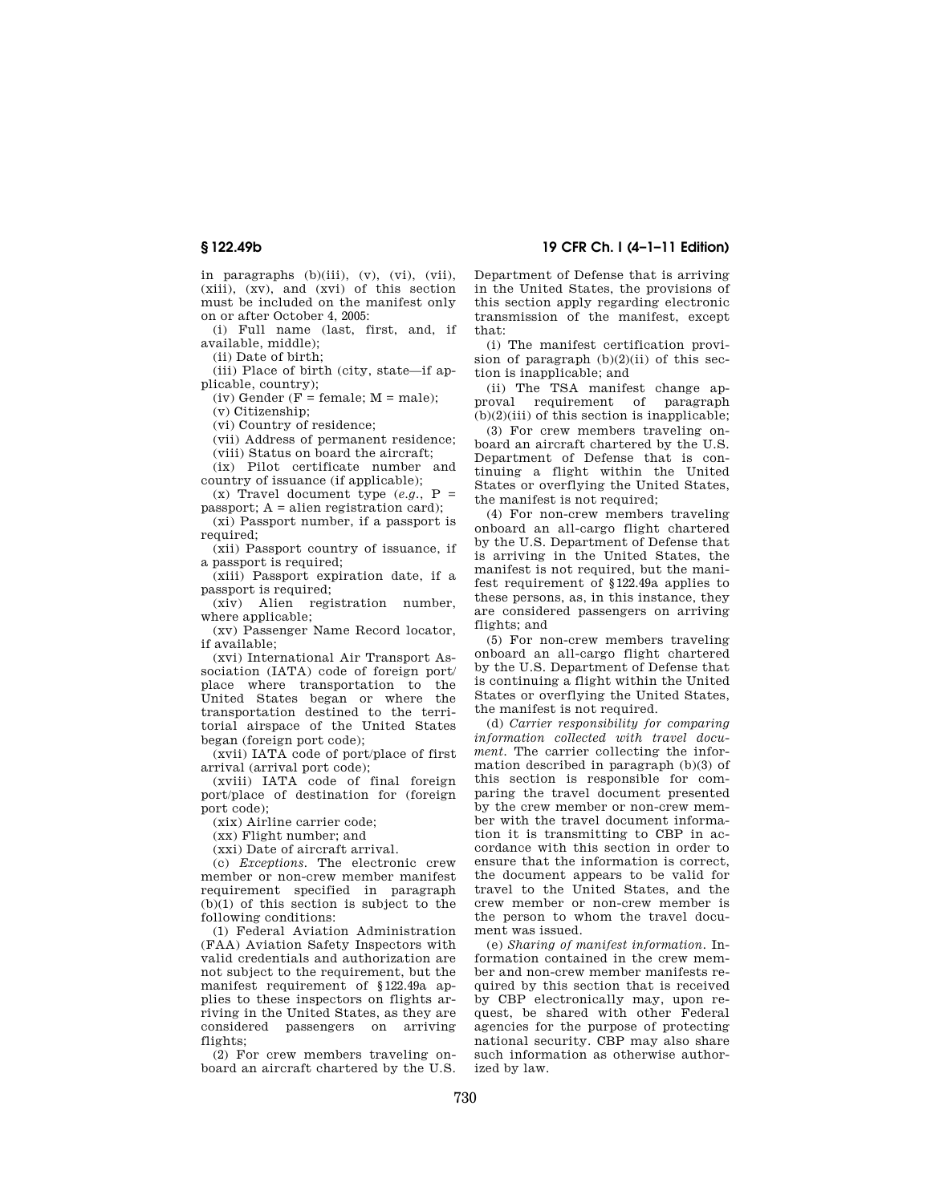in paragraphs (b)(iii), (v), (vi), (vii), (xiii), (xv), and (xvi) of this section must be included on the manifest only on or after October 4, 2005:

(i) Full name (last, first, and, if available, middle);

(ii) Date of birth;

(iii) Place of birth (city, state—if applicable, country);

(iv) Gender ( $F = \text{female}$ ;  $M = \text{male}$ );

(v) Citizenship;

(vi) Country of residence;

(vii) Address of permanent residence;

(viii) Status on board the aircraft; (ix) Pilot certificate number and

country of issuance (if applicable);

(x) Travel document type  $(e.g., P =$  $passport$ ;  $A = alien registration card$ ;

(xi) Passport number, if a passport is required:

(xii) Passport country of issuance, if a passport is required;

(xiii) Passport expiration date, if a passport is required;

(xiv) Alien registration number, where applicable;

(xv) Passenger Name Record locator, if available;

(xvi) International Air Transport Association (IATA) code of foreign port/ place where transportation to the United States began or where the transportation destined to the territorial airspace of the United States began (foreign port code);

(xvii) IATA code of port/place of first arrival (arrival port code);

(xviii) IATA code of final foreign port/place of destination for (foreign port code);

(xix) Airline carrier code;

(xx) Flight number; and

(xxi) Date of aircraft arrival.

(c) *Exceptions.* The electronic crew member or non-crew member manifest requirement specified in paragraph (b)(1) of this section is subject to the following conditions:

(1) Federal Aviation Administration (FAA) Aviation Safety Inspectors with valid credentials and authorization are not subject to the requirement, but the manifest requirement of §122.49a applies to these inspectors on flights arriving in the United States, as they are considered passengers on arriving flights;

(2) For crew members traveling onboard an aircraft chartered by the U.S.

## **§ 122.49b 19 CFR Ch. I (4–1–11 Edition)**

Department of Defense that is arriving in the United States, the provisions of this section apply regarding electronic transmission of the manifest, except that:

(i) The manifest certification provision of paragraph  $(b)(2)(ii)$  of this section is inapplicable; and

(ii) The TSA manifest change approval requirement of paragraph  $(b)(2)(iii)$  of this section is inapplicable;

(3) For crew members traveling onboard an aircraft chartered by the U.S. Department of Defense that is continuing a flight within the United States or overflying the United States, the manifest is not required;

(4) For non-crew members traveling onboard an all-cargo flight chartered by the U.S. Department of Defense that is arriving in the United States, the manifest is not required, but the manifest requirement of §122.49a applies to these persons, as, in this instance, they are considered passengers on arriving flights; and

(5) For non-crew members traveling onboard an all-cargo flight chartered by the U.S. Department of Defense that is continuing a flight within the United States or overflying the United States, the manifest is not required.

(d) *Carrier responsibility for comparing information collected with travel document.* The carrier collecting the information described in paragraph (b)(3) of this section is responsible for comparing the travel document presented by the crew member or non-crew member with the travel document information it is transmitting to CBP in accordance with this section in order to ensure that the information is correct, the document appears to be valid for travel to the United States, and the crew member or non-crew member is the person to whom the travel document was issued.

(e) *Sharing of manifest information.* Information contained in the crew member and non-crew member manifests required by this section that is received by CBP electronically may, upon request, be shared with other Federal agencies for the purpose of protecting national security. CBP may also share such information as otherwise authorized by law.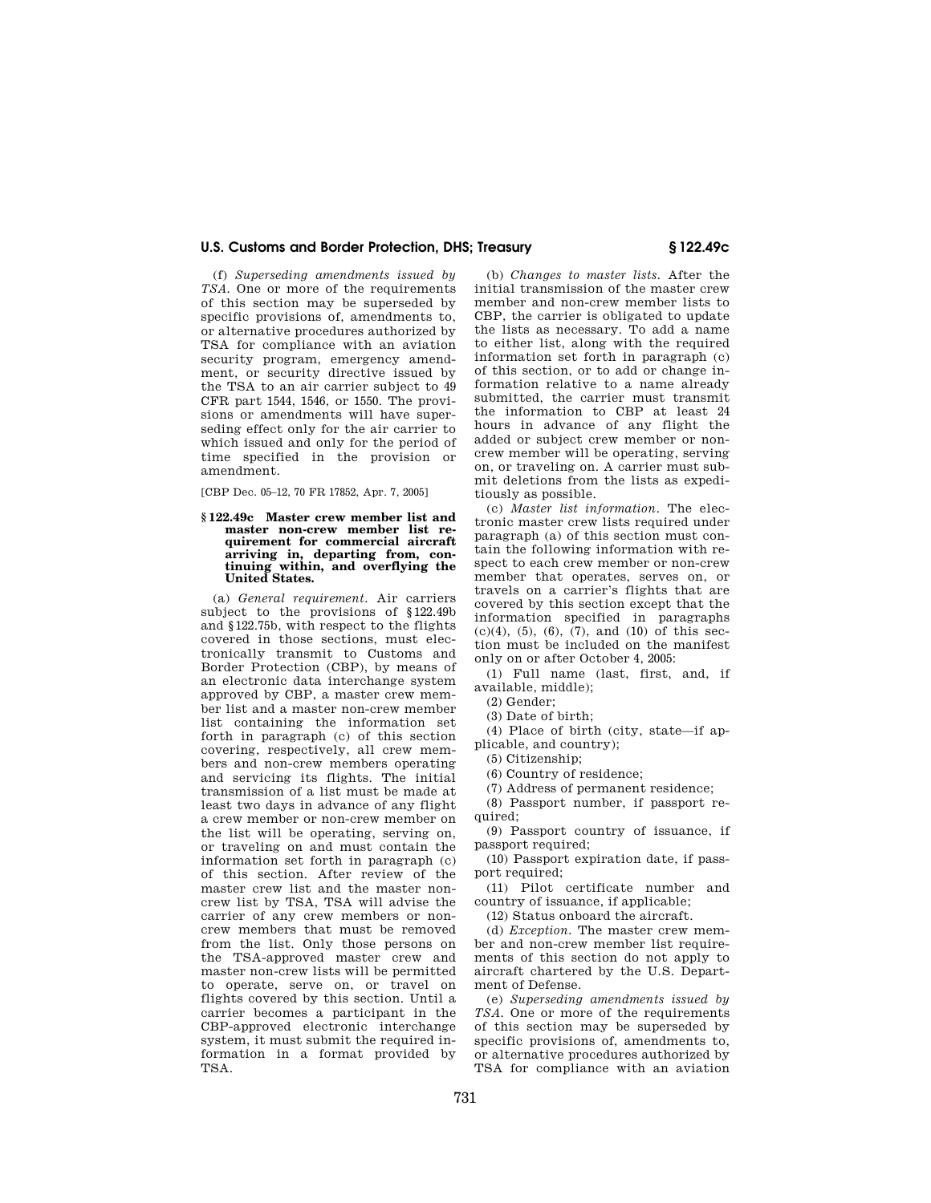(f) *Superseding amendments issued by TSA.* One or more of the requirements of this section may be superseded by specific provisions of, amendments to, or alternative procedures authorized by TSA for compliance with an aviation security program, emergency amendment, or security directive issued by the TSA to an air carrier subject to 49 CFR part 1544, 1546, or 1550. The provisions or amendments will have superseding effect only for the air carrier to which issued and only for the period of time specified in the provision or amendment.

[CBP Dec. 05–12, 70 FR 17852, Apr. 7, 2005]

#### **§ 122.49c Master crew member list and master non-crew member list requirement for commercial aircraft arriving in, departing from, continuing within, and overflying the United States.**

(a) *General requirement.* Air carriers subject to the provisions of §122.49b and §122.75b, with respect to the flights covered in those sections, must electronically transmit to Customs and Border Protection (CBP), by means of an electronic data interchange system approved by CBP, a master crew member list and a master non-crew member list containing the information set forth in paragraph (c) of this section covering, respectively, all crew members and non-crew members operating and servicing its flights. The initial transmission of a list must be made at least two days in advance of any flight a crew member or non-crew member on the list will be operating, serving on, or traveling on and must contain the information set forth in paragraph (c) of this section. After review of the master crew list and the master noncrew list by TSA, TSA will advise the carrier of any crew members or noncrew members that must be removed from the list. Only those persons on the TSA-approved master crew and master non-crew lists will be permitted to operate, serve on, or travel on flights covered by this section. Until a carrier becomes a participant in the CBP-approved electronic interchange system, it must submit the required information in a format provided by TSA.

(b) *Changes to master lists.* After the initial transmission of the master crew member and non-crew member lists to CBP, the carrier is obligated to update the lists as necessary. To add a name to either list, along with the required information set forth in paragraph (c) of this section, or to add or change information relative to a name already submitted, the carrier must transmit the information to CBP at least 24 hours in advance of any flight the added or subject crew member or noncrew member will be operating, serving on, or traveling on. A carrier must submit deletions from the lists as expeditiously as possible.

(c) *Master list information.* The electronic master crew lists required under paragraph (a) of this section must contain the following information with respect to each crew member or non-crew member that operates, serves on, or travels on a carrier's flights that are covered by this section except that the information specified in paragraphs (c)(4), (5), (6), (7), and (10) of this section must be included on the manifest only on or after October 4, 2005:

(1) Full name (last, first, and, if available, middle);

(2) Gender;

(3) Date of birth;

(4) Place of birth (city, state—if applicable, and country);

(5) Citizenship;

(6) Country of residence;

(7) Address of permanent residence;

(8) Passport number, if passport required;

(9) Passport country of issuance, if passport required;

(10) Passport expiration date, if passport required;

(11) Pilot certificate number and country of issuance, if applicable;

(12) Status onboard the aircraft.

(d) *Exception.* The master crew member and non-crew member list requirements of this section do not apply to aircraft chartered by the U.S. Department of Defense.

(e) *Superseding amendments issued by TSA.* One or more of the requirements of this section may be superseded by specific provisions of, amendments to, or alternative procedures authorized by TSA for compliance with an aviation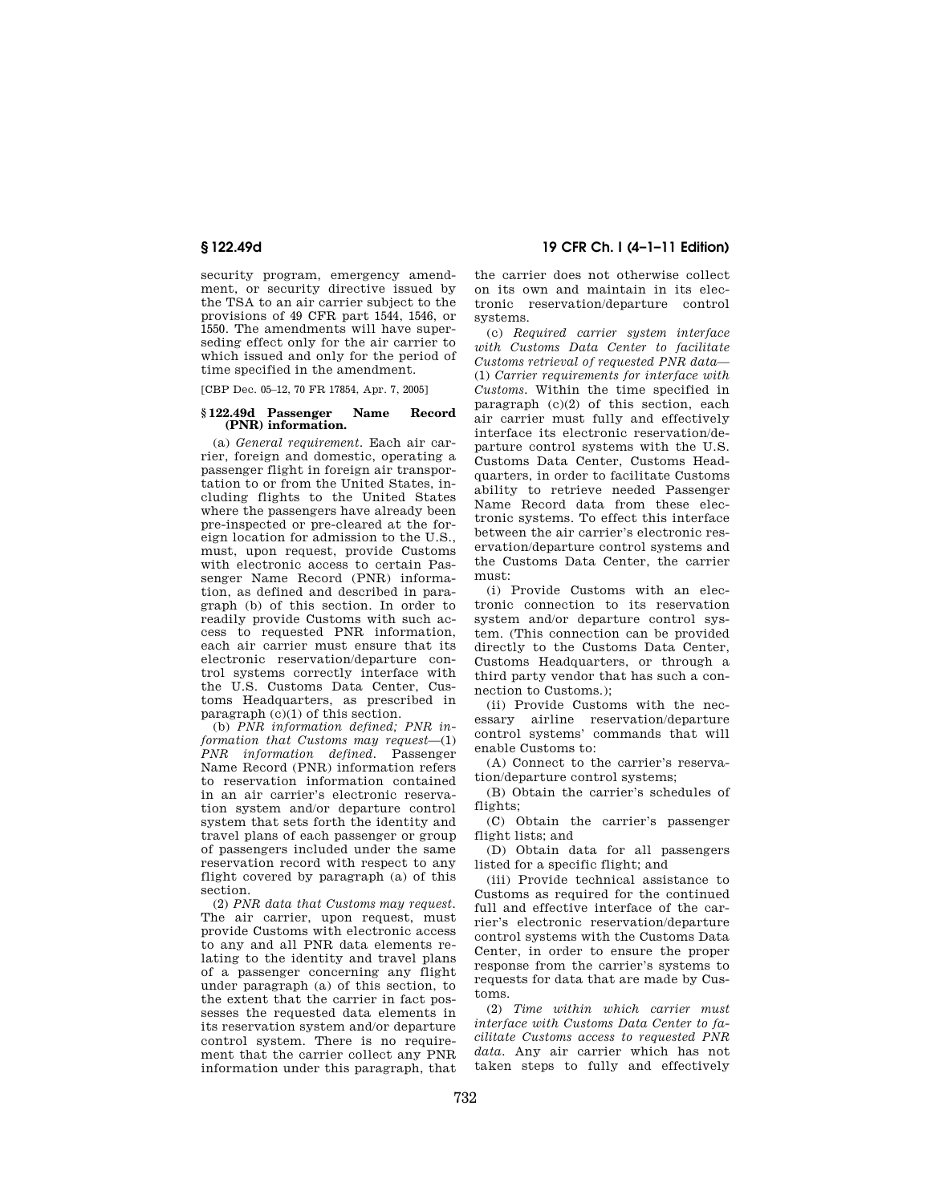security program, emergency amendment, or security directive issued by the TSA to an air carrier subject to the provisions of 49 CFR part 1544, 1546, or 1550. The amendments will have superseding effect only for the air carrier to which issued and only for the period of time specified in the amendment.

[CBP Dec. 05–12, 70 FR 17854, Apr. 7, 2005]

#### **§ 122.49d Passenger Name Record (PNR) information.**

(a) *General requirement.* Each air carrier, foreign and domestic, operating a passenger flight in foreign air transportation to or from the United States, including flights to the United States where the passengers have already been pre-inspected or pre-cleared at the foreign location for admission to the U.S., must, upon request, provide Customs with electronic access to certain Passenger Name Record (PNR) information, as defined and described in paragraph (b) of this section. In order to readily provide Customs with such access to requested PNR information, each air carrier must ensure that its electronic reservation/departure control systems correctly interface with the U.S. Customs Data Center, Customs Headquarters, as prescribed in paragraph (c)(1) of this section.

(b) *PNR information defined; PNR information that Customs may request*—(1) *PNR information defined.* Passenger Name Record (PNR) information refers to reservation information contained in an air carrier's electronic reservation system and/or departure control system that sets forth the identity and travel plans of each passenger or group of passengers included under the same reservation record with respect to any flight covered by paragraph (a) of this section.

(2) *PNR data that Customs may request.*  The air carrier, upon request, must provide Customs with electronic access to any and all PNR data elements relating to the identity and travel plans of a passenger concerning any flight under paragraph (a) of this section, to the extent that the carrier in fact possesses the requested data elements in its reservation system and/or departure control system. There is no requirement that the carrier collect any PNR information under this paragraph, that

**§ 122.49d 19 CFR Ch. I (4–1–11 Edition)** 

the carrier does not otherwise collect on its own and maintain in its electronic reservation/departure control systems.

(c) *Required carrier system interface with Customs Data Center to facilitate Customs retrieval of requested PNR data*— (1) *Carrier requirements for interface with Customs.* Within the time specified in paragraph (c)(2) of this section, each air carrier must fully and effectively interface its electronic reservation/departure control systems with the U.S. Customs Data Center, Customs Headquarters, in order to facilitate Customs ability to retrieve needed Passenger Name Record data from these electronic systems. To effect this interface between the air carrier's electronic reservation/departure control systems and the Customs Data Center, the carrier must:

(i) Provide Customs with an electronic connection to its reservation system and/or departure control system. (This connection can be provided directly to the Customs Data Center, Customs Headquarters, or through a third party vendor that has such a connection to Customs.);

(ii) Provide Customs with the necessary airline reservation/departure control systems' commands that will enable Customs to:

(A) Connect to the carrier's reservation/departure control systems;

(B) Obtain the carrier's schedules of flights;

(C) Obtain the carrier's passenger flight lists; and

(D) Obtain data for all passengers listed for a specific flight; and

(iii) Provide technical assistance to Customs as required for the continued full and effective interface of the carrier's electronic reservation/departure control systems with the Customs Data Center, in order to ensure the proper response from the carrier's systems to requests for data that are made by Customs.

(2) *Time within which carrier must interface with Customs Data Center to facilitate Customs access to requested PNR data.* Any air carrier which has not taken steps to fully and effectively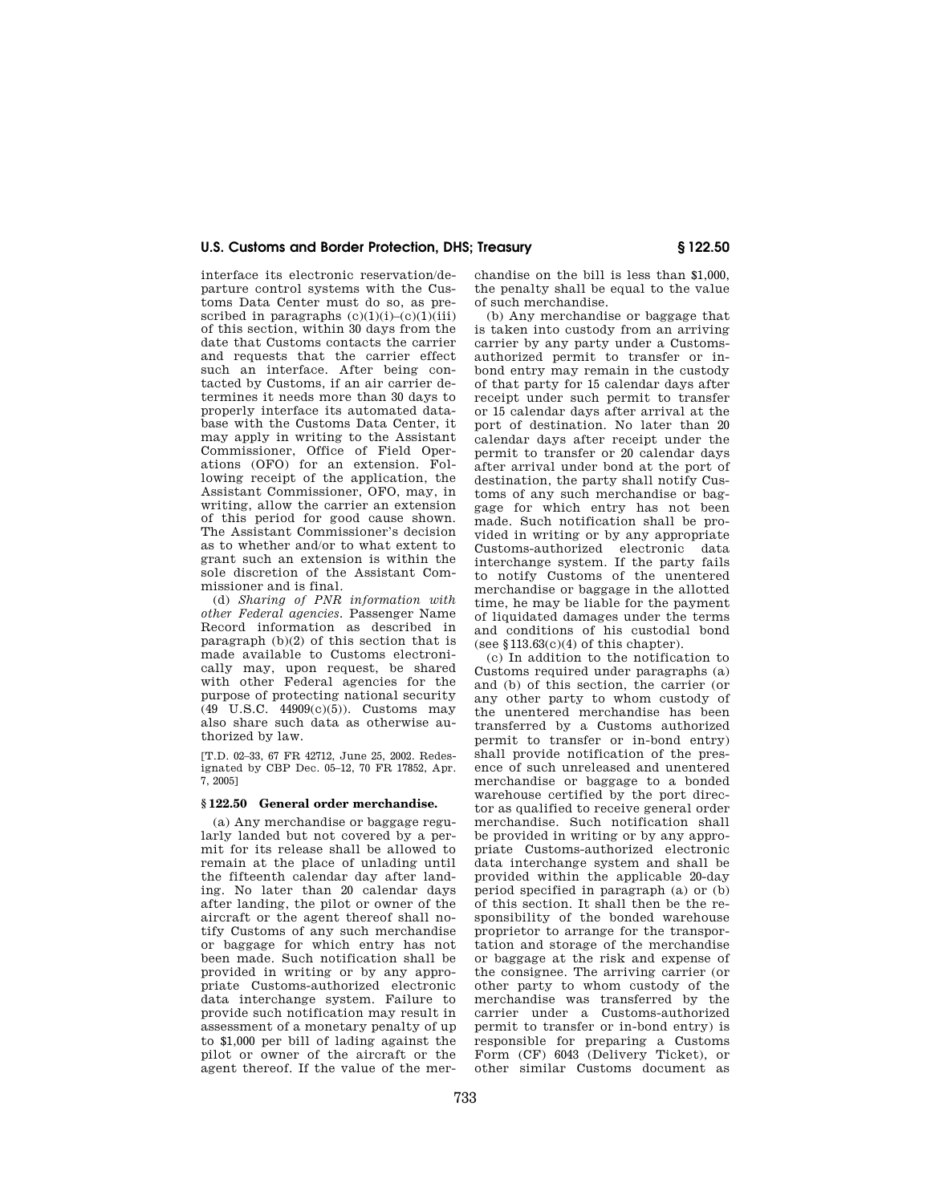interface its electronic reservation/departure control systems with the Customs Data Center must do so, as prescribed in paragraphs  $(c)(1)(i)-(c)(1)(iii)$ of this section, within 30 days from the date that Customs contacts the carrier and requests that the carrier effect such an interface. After being contacted by Customs, if an air carrier determines it needs more than 30 days to properly interface its automated database with the Customs Data Center, it may apply in writing to the Assistant Commissioner, Office of Field Operations (OFO) for an extension. Following receipt of the application, the Assistant Commissioner, OFO, may, in writing, allow the carrier an extension of this period for good cause shown. The Assistant Commissioner's decision as to whether and/or to what extent to grant such an extension is within the sole discretion of the Assistant Commissioner and is final.

(d) *Sharing of PNR information with other Federal agencies.* Passenger Name Record information as described in paragraph (b)(2) of this section that is made available to Customs electronically may, upon request, be shared with other Federal agencies for the purpose of protecting national security (49 U.S.C. 44909(c)(5)). Customs may also share such data as otherwise authorized by law.

[T.D. 02–33, 67 FR 42712, June 25, 2002. Redesignated by CBP Dec. 05–12, 70 FR 17852, Apr. 7, 2005]

#### **§ 122.50 General order merchandise.**

(a) Any merchandise or baggage regularly landed but not covered by a permit for its release shall be allowed to remain at the place of unlading until the fifteenth calendar day after landing. No later than 20 calendar days after landing, the pilot or owner of the aircraft or the agent thereof shall notify Customs of any such merchandise or baggage for which entry has not been made. Such notification shall be provided in writing or by any appropriate Customs-authorized electronic data interchange system. Failure to provide such notification may result in assessment of a monetary penalty of up to \$1,000 per bill of lading against the pilot or owner of the aircraft or the agent thereof. If the value of the mer-

chandise on the bill is less than \$1,000, the penalty shall be equal to the value of such merchandise.

(b) Any merchandise or baggage that is taken into custody from an arriving carrier by any party under a Customsauthorized permit to transfer or inbond entry may remain in the custody of that party for 15 calendar days after receipt under such permit to transfer or 15 calendar days after arrival at the port of destination. No later than 20 calendar days after receipt under the permit to transfer or 20 calendar days after arrival under bond at the port of destination, the party shall notify Customs of any such merchandise or baggage for which entry has not been made. Such notification shall be provided in writing or by any appropriate Customs-authorized electronic data interchange system. If the party fails to notify Customs of the unentered merchandise or baggage in the allotted time, he may be liable for the payment of liquidated damages under the terms and conditions of his custodial bond (see  $$113.63(c)(4)$  of this chapter).

(c) In addition to the notification to Customs required under paragraphs (a) and (b) of this section, the carrier (or any other party to whom custody of the unentered merchandise has been transferred by a Customs authorized permit to transfer or in-bond entry) shall provide notification of the presence of such unreleased and unentered merchandise or baggage to a bonded warehouse certified by the port director as qualified to receive general order merchandise. Such notification shall be provided in writing or by any appropriate Customs-authorized electronic data interchange system and shall be provided within the applicable 20-day period specified in paragraph (a) or (b) of this section. It shall then be the responsibility of the bonded warehouse proprietor to arrange for the transportation and storage of the merchandise or baggage at the risk and expense of the consignee. The arriving carrier (or other party to whom custody of the merchandise was transferred by the carrier under a Customs-authorized permit to transfer or in-bond entry) is responsible for preparing a Customs Form (CF) 6043 (Delivery Ticket), or other similar Customs document as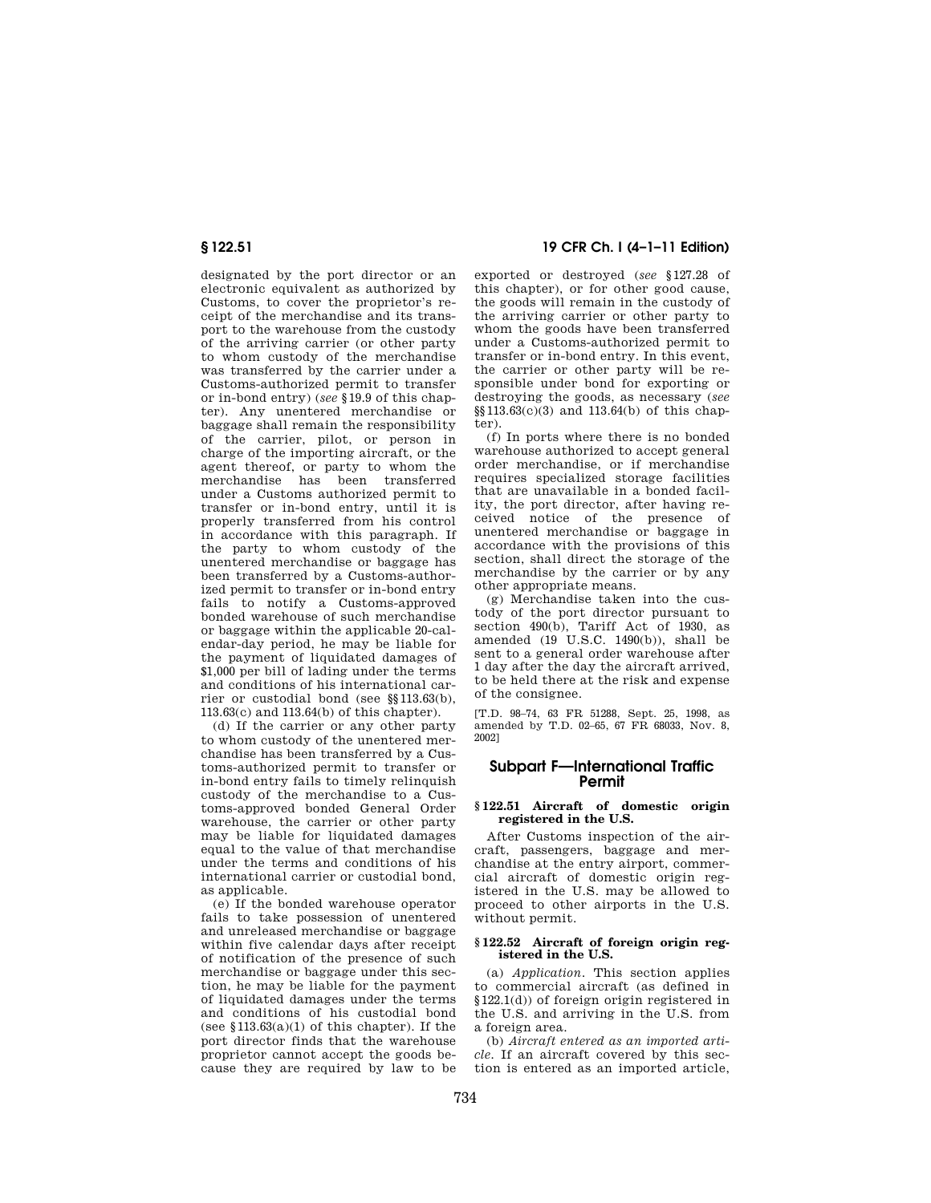designated by the port director or an electronic equivalent as authorized by Customs, to cover the proprietor's receipt of the merchandise and its transport to the warehouse from the custody of the arriving carrier (or other party to whom custody of the merchandise was transferred by the carrier under a Customs-authorized permit to transfer or in-bond entry) (*see* §19.9 of this chapter). Any unentered merchandise or baggage shall remain the responsibility of the carrier, pilot, or person in charge of the importing aircraft, or the agent thereof, or party to whom the merchandise has been transferred under a Customs authorized permit to transfer or in-bond entry, until it is properly transferred from his control in accordance with this paragraph. If the party to whom custody of the unentered merchandise or baggage has been transferred by a Customs-authorized permit to transfer or in-bond entry fails to notify a Customs-approved bonded warehouse of such merchandise or baggage within the applicable 20-calendar-day period, he may be liable for the payment of liquidated damages of \$1,000 per bill of lading under the terms and conditions of his international carrier or custodial bond (see §§113.63(b), 113.63(c) and 113.64(b) of this chapter).

(d) If the carrier or any other party to whom custody of the unentered merchandise has been transferred by a Customs-authorized permit to transfer or in-bond entry fails to timely relinquish custody of the merchandise to a Customs-approved bonded General Order warehouse, the carrier or other party may be liable for liquidated damages equal to the value of that merchandise under the terms and conditions of his international carrier or custodial bond, as applicable.

(e) If the bonded warehouse operator fails to take possession of unentered and unreleased merchandise or baggage within five calendar days after receipt of notification of the presence of such merchandise or baggage under this section, he may be liable for the payment of liquidated damages under the terms and conditions of his custodial bond (see  $$113.63(a)(1)$  of this chapter). If the port director finds that the warehouse proprietor cannot accept the goods because they are required by law to be

## **§ 122.51 19 CFR Ch. I (4–1–11 Edition)**

exported or destroyed (*see* §127.28 of this chapter), or for other good cause, the goods will remain in the custody of the arriving carrier or other party to whom the goods have been transferred under a Customs-authorized permit to transfer or in-bond entry. In this event, the carrier or other party will be responsible under bond for exporting or destroying the goods, as necessary (*see*  §§113.63(c)(3) and 113.64(b) of this chapter).

(f) In ports where there is no bonded warehouse authorized to accept general order merchandise, or if merchandise requires specialized storage facilities that are unavailable in a bonded facility, the port director, after having received notice of the presence of unentered merchandise or baggage in accordance with the provisions of this section, shall direct the storage of the merchandise by the carrier or by any other appropriate means.

(g) Merchandise taken into the custody of the port director pursuant to section 490(b), Tariff Act of 1930, as amended (19 U.S.C. 1490(b)), shall be sent to a general order warehouse after 1 day after the day the aircraft arrived, to be held there at the risk and expense of the consignee.

[T.D. 98–74, 63 FR 51288, Sept. 25, 1998, as amended by T.D. 02–65, 67 FR 68033, Nov. 8, 2002]

## **Subpart F—International Traffic Permit**

#### **§ 122.51 Aircraft of domestic origin registered in the U.S.**

After Customs inspection of the aircraft, passengers, baggage and merchandise at the entry airport, commercial aircraft of domestic origin registered in the U.S. may be allowed to proceed to other airports in the U.S. without permit.

#### **§ 122.52 Aircraft of foreign origin registered in the U.S.**

(a) *Application.* This section applies to commercial aircraft (as defined in §122.1(d)) of foreign origin registered in the U.S. and arriving in the U.S. from a foreign area.

(b) *Aircraft entered as an imported article.* If an aircraft covered by this section is entered as an imported article,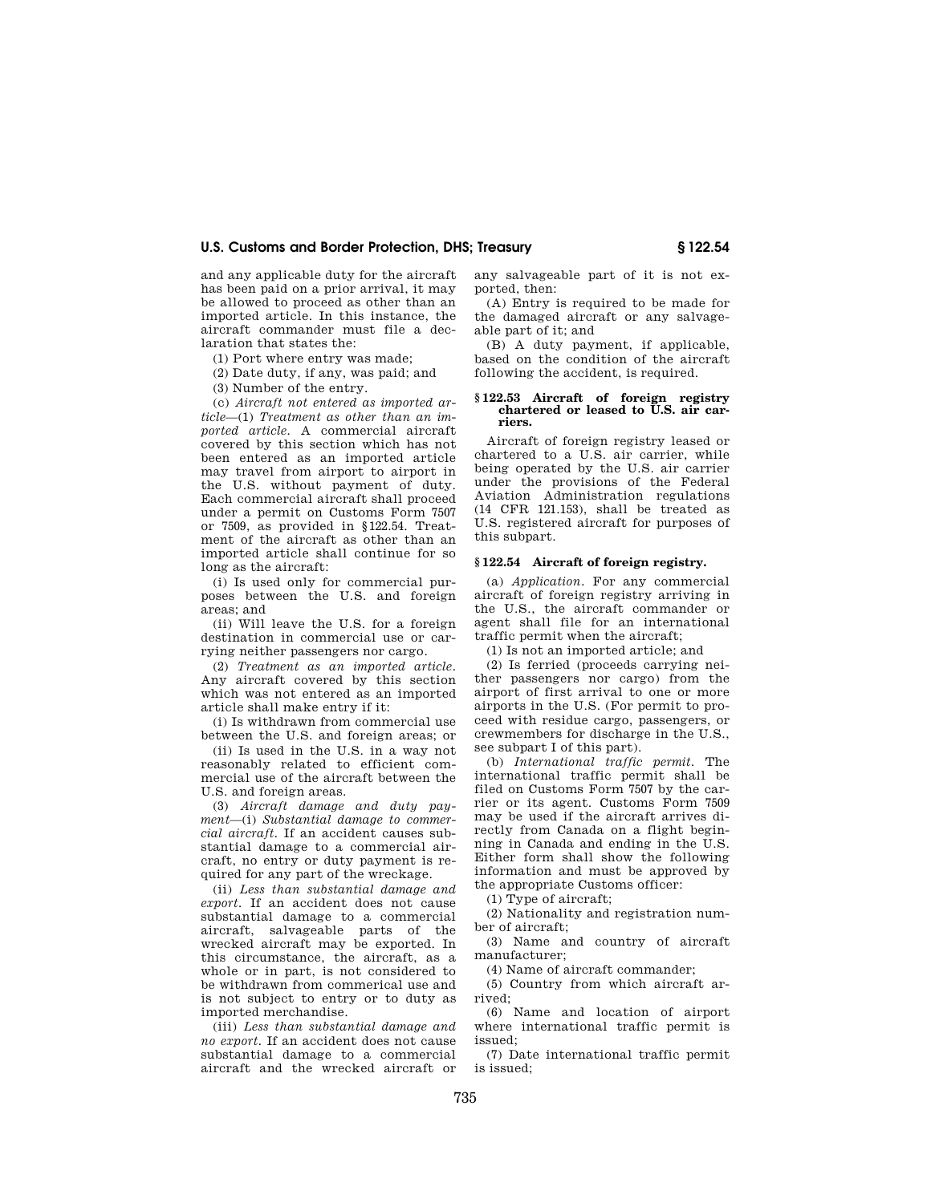and any applicable duty for the aircraft has been paid on a prior arrival, it may be allowed to proceed as other than an imported article. In this instance, the aircraft commander must file a declaration that states the:

(1) Port where entry was made;

(2) Date duty, if any, was paid; and

(3) Number of the entry.

(c) *Aircraft not entered as imported article*—(1) *Treatment as other than an imported article.* A commercial aircraft covered by this section which has not been entered as an imported article may travel from airport to airport in the U.S. without payment of duty. Each commercial aircraft shall proceed under a permit on Customs Form 7507 or 7509, as provided in §122.54. Treatment of the aircraft as other than an imported article shall continue for so long as the aircraft:

(i) Is used only for commercial purposes between the U.S. and foreign areas; and

(ii) Will leave the U.S. for a foreign destination in commercial use or carrying neither passengers nor cargo.

(2) *Treatment as an imported article.*  Any aircraft covered by this section which was not entered as an imported article shall make entry if it:

(i) Is withdrawn from commercial use between the U.S. and foreign areas; or

(ii) Is used in the U.S. in a way not reasonably related to efficient commercial use of the aircraft between the U.S. and foreign areas.

(3) *Aircraft damage and duty payment*—(i) *Substantial damage to commercial aircraft.* If an accident causes substantial damage to a commercial aircraft, no entry or duty payment is required for any part of the wreckage.

(ii) *Less than substantial damage and export.* If an accident does not cause substantial damage to a commercial aircraft, salvageable parts of the wrecked aircraft may be exported. In this circumstance, the aircraft, as a whole or in part, is not considered to be withdrawn from commerical use and is not subject to entry or to duty as imported merchandise.

(iii) *Less than substantial damage and no export.* If an accident does not cause substantial damage to a commercial aircraft and the wrecked aircraft or any salvageable part of it is not exported, then:

(A) Entry is required to be made for the damaged aircraft or any salvageable part of it; and

(B) A duty payment, if applicable, based on the condition of the aircraft following the accident, is required.

#### **§ 122.53 Aircraft of foreign registry chartered or leased to U.S. air carriers.**

Aircraft of foreign registry leased or chartered to a U.S. air carrier, while being operated by the U.S. air carrier under the provisions of the Federal Aviation Administration regulations (14 CFR 121.153), shall be treated as U.S. registered aircraft for purposes of this subpart.

#### **§ 122.54 Aircraft of foreign registry.**

(a) *Application.* For any commercial aircraft of foreign registry arriving in the U.S., the aircraft commander or agent shall file for an international traffic permit when the aircraft;

(1) Is not an imported article; and

(2) Is ferried (proceeds carrying neither passengers nor cargo) from the airport of first arrival to one or more airports in the U.S. (For permit to proceed with residue cargo, passengers, or crewmembers for discharge in the U.S., see subpart I of this part).

(b) *International traffic permit.* The international traffic permit shall be filed on Customs Form 7507 by the carrier or its agent. Customs Form 7509 may be used if the aircraft arrives directly from Canada on a flight beginning in Canada and ending in the U.S. Either form shall show the following information and must be approved by the appropriate Customs officer:

(1) Type of aircraft;

(2) Nationality and registration num-

ber of aircraft; (3) Name and country of aircraft

manufacturer; (4) Name of aircraft commander;

(5) Country from which aircraft arrived;

(6) Name and location of airport where international traffic permit is issued;

(7) Date international traffic permit is issued;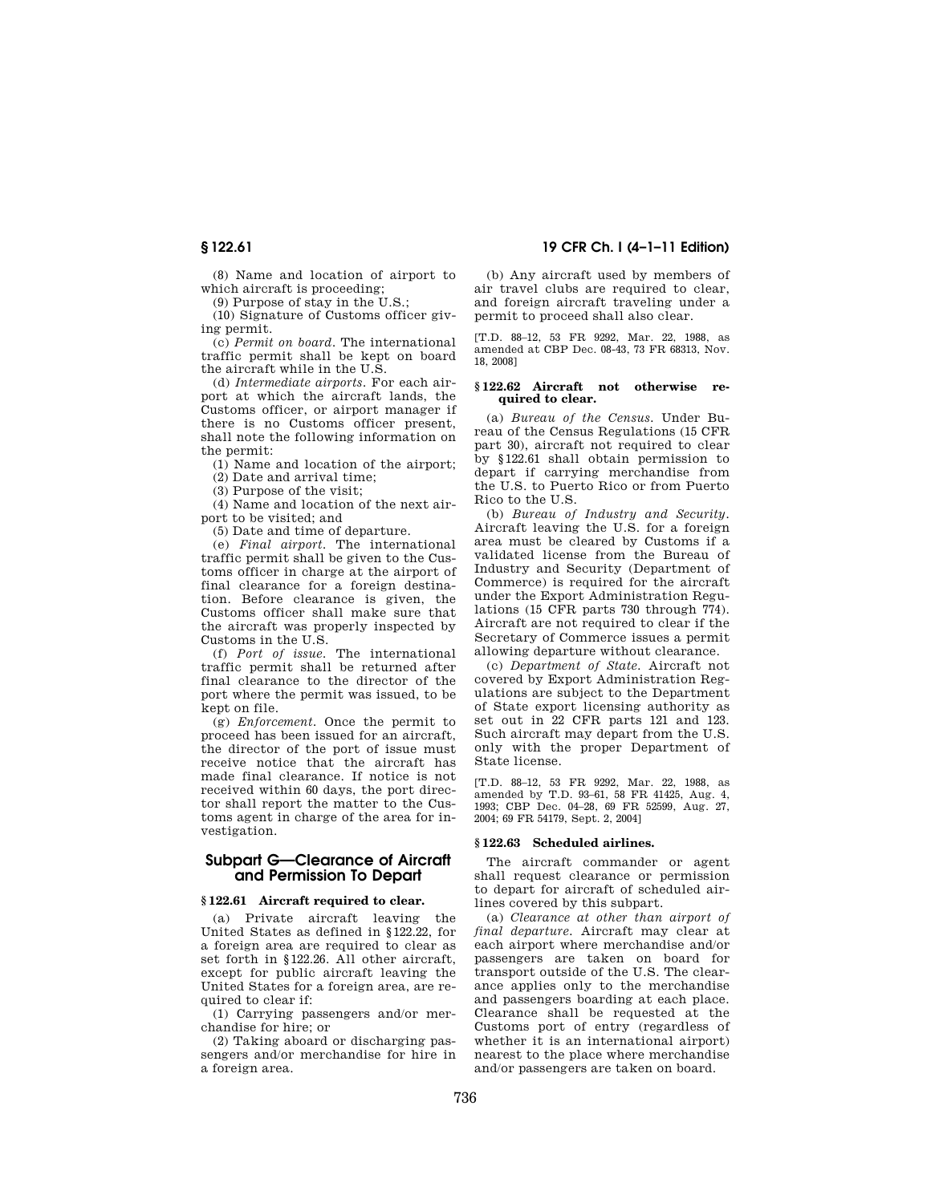(8) Name and location of airport to which aircraft is proceeding;

(9) Purpose of stay in the U.S.;

(10) Signature of Customs officer giving permit.

(c) *Permit on board.* The international traffic permit shall be kept on board the aircraft while in the U.S.

(d) *Intermediate airports.* For each airport at which the aircraft lands, the Customs officer, or airport manager if there is no Customs officer present, shall note the following information on the permit:

(1) Name and location of the airport;

(2) Date and arrival time;

(3) Purpose of the visit;

(4) Name and location of the next airport to be visited; and

(5) Date and time of departure.

(e) *Final airport.* The international traffic permit shall be given to the Customs officer in charge at the airport of final clearance for a foreign destination. Before clearance is given, the Customs officer shall make sure that the aircraft was properly inspected by Customs in the U.S.

(f) *Port of issue.* The international traffic permit shall be returned after final clearance to the director of the port where the permit was issued, to be kept on file.

(g) *Enforcement.* Once the permit to proceed has been issued for an aircraft, the director of the port of issue must receive notice that the aircraft has made final clearance. If notice is not received within 60 days, the port director shall report the matter to the Customs agent in charge of the area for investigation.

## **Subpart G—Clearance of Aircraft and Permission To Depart**

#### **§ 122.61 Aircraft required to clear.**

(a) Private aircraft leaving the United States as defined in §122.22, for a foreign area are required to clear as set forth in §122.26. All other aircraft, except for public aircraft leaving the United States for a foreign area, are required to clear if:

(1) Carrying passengers and/or merchandise for hire; or

(2) Taking aboard or discharging passengers and/or merchandise for hire in a foreign area.

(b) Any aircraft used by members of air travel clubs are required to clear, and foreign aircraft traveling under a permit to proceed shall also clear.

[T.D. 88–12, 53 FR 9292, Mar. 22, 1988, as amended at CBP Dec. 08-43, 73 FR 68313, Nov. 18, 2008]

#### **§ 122.62 Aircraft not otherwise required to clear.**

(a) *Bureau of the Census.* Under Bureau of the Census Regulations (15 CFR part 30), aircraft not required to clear by §122.61 shall obtain permission to depart if carrying merchandise from the U.S. to Puerto Rico or from Puerto Rico to the U.S.

(b) *Bureau of Industry and Security.*  Aircraft leaving the U.S. for a foreign area must be cleared by Customs if a validated license from the Bureau of Industry and Security (Department of Commerce) is required for the aircraft under the Export Administration Regulations (15 CFR parts 730 through 774). Aircraft are not required to clear if the Secretary of Commerce issues a permit allowing departure without clearance.

(c) *Department of State.* Aircraft not covered by Export Administration Regulations are subject to the Department of State export licensing authority as set out in 22 CFR parts 121 and 123. Such aircraft may depart from the U.S. only with the proper Department of State license.

[T.D. 88–12, 53 FR 9292, Mar. 22, 1988, as amended by T.D. 93–61, 58 FR 41425, Aug. 4, 1993; CBP Dec. 04–28, 69 FR 52599, Aug. 27, 2004; 69 FR 54179, Sept. 2, 2004]

### **§ 122.63 Scheduled airlines.**

The aircraft commander or agent shall request clearance or permission to depart for aircraft of scheduled airlines covered by this subpart.

(a) *Clearance at other than airport of final departure.* Aircraft may clear at each airport where merchandise and/or passengers are taken on board for transport outside of the U.S. The clearance applies only to the merchandise and passengers boarding at each place. Clearance shall be requested at the Customs port of entry (regardless of whether it is an international airport) nearest to the place where merchandise and/or passengers are taken on board.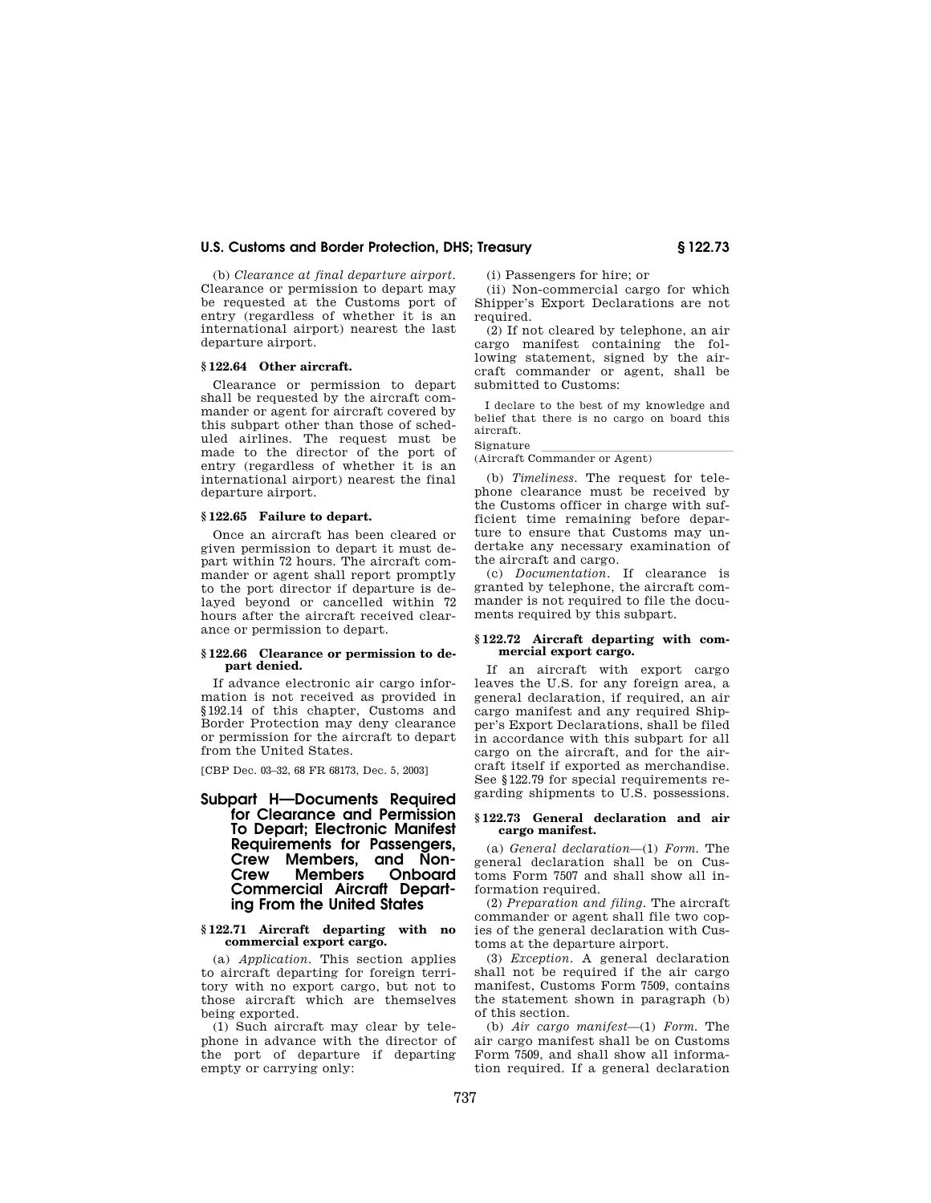(b) *Clearance at final departure airport.*  Clearance or permission to depart may be requested at the Customs port of entry (regardless of whether it is an international airport) nearest the last departure airport.

## **§ 122.64 Other aircraft.**

Clearance or permission to depart shall be requested by the aircraft commander or agent for aircraft covered by this subpart other than those of scheduled airlines. The request must be made to the director of the port of entry (regardless of whether it is an international airport) nearest the final departure airport.

#### **§ 122.65 Failure to depart.**

Once an aircraft has been cleared or given permission to depart it must depart within 72 hours. The aircraft commander or agent shall report promptly to the port director if departure is delayed beyond or cancelled within 72 hours after the aircraft received clearance or permission to depart.

#### **§ 122.66 Clearance or permission to depart denied.**

If advance electronic air cargo information is not received as provided in §192.14 of this chapter, Customs and Border Protection may deny clearance or permission for the aircraft to depart from the United States.

[CBP Dec. 03–32, 68 FR 68173, Dec. 5, 2003]

## **Subpart H—Documents Required for Clearance and Permission To Depart; Electronic Manifest Requirements for Passengers, Crew Members, and Non-Members Commercial Aircraft Departing From the United States**

#### **§ 122.71 Aircraft departing with no commercial export cargo.**

(a) *Application.* This section applies to aircraft departing for foreign territory with no export cargo, but not to those aircraft which are themselves being exported.

(1) Such aircraft may clear by telephone in advance with the director of the port of departure if departing empty or carrying only:

(i) Passengers for hire; or

(ii) Non-commercial cargo for which Shipper's Export Declarations are not required.

(2) If not cleared by telephone, an air cargo manifest containing the following statement, signed by the aircraft commander or agent, shall be submitted to Customs:

I declare to the best of my knowledge and belief that there is no cargo on board this aircraft.

Signature<br>(Aircraft Commander or Agent)

(b) *Timeliness.* The request for telephone clearance must be received by the Customs officer in charge with sufficient time remaining before departure to ensure that Customs may undertake any necessary examination of the aircraft and cargo.

(c) *Documentation.* If clearance is granted by telephone, the aircraft commander is not required to file the documents required by this subpart.

#### **§ 122.72 Aircraft departing with commercial export cargo.**

If an aircraft with export cargo leaves the U.S. for any foreign area, a general declaration, if required, an air cargo manifest and any required Shipper's Export Declarations, shall be filed in accordance with this subpart for all cargo on the aircraft, and for the aircraft itself if exported as merchandise. See §122.79 for special requirements regarding shipments to U.S. possessions.

#### **§ 122.73 General declaration and air cargo manifest.**

(a) *General declaration*—(1) *Form.* The general declaration shall be on Customs Form 7507 and shall show all information required.

(2) *Preparation and filing.* The aircraft commander or agent shall file two copies of the general declaration with Customs at the departure airport.

(3) *Exception.* A general declaration shall not be required if the air cargo manifest, Customs Form 7509, contains the statement shown in paragraph (b) of this section.

(b) *Air cargo manifest*—(1) *Form.* The air cargo manifest shall be on Customs Form 7509, and shall show all information required. If a general declaration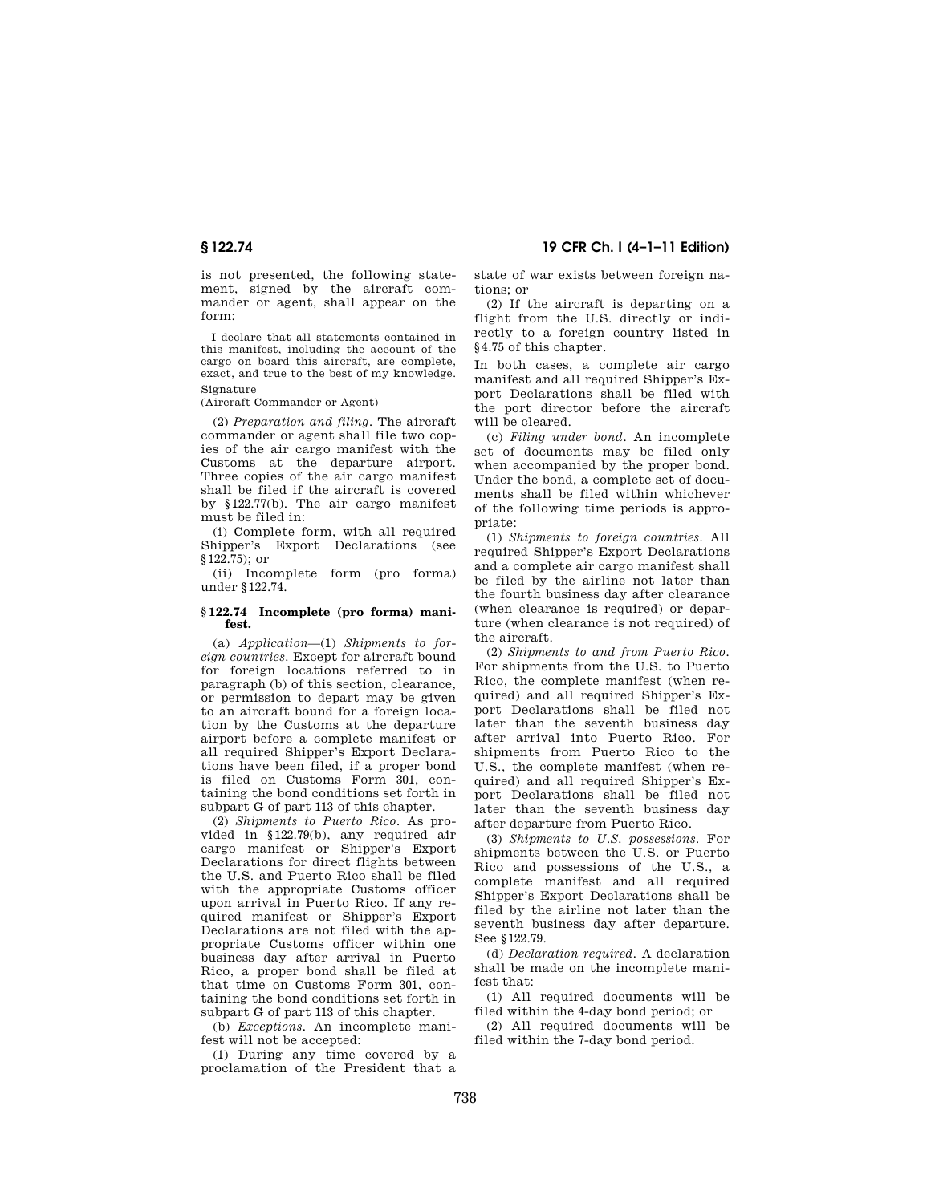is not presented, the following statement, signed by the aircraft commander or agent, shall appear on the form:

I declare that all statements contained in this manifest, including the account of the cargo on board this aircraft, are complete, exact, and true to the best of my knowledge.

Signature<br>(Aircraft Commander or Agent)

(2) *Preparation and filing.* The aircraft commander or agent shall file two copies of the air cargo manifest with the Customs at the departure airport. Three copies of the air cargo manifest shall be filed if the aircraft is covered by §122.77(b). The air cargo manifest must be filed in:

(i) Complete form, with all required Shipper's Export Declarations (see §122.75); or

(ii) Incomplete form (pro forma) under §122.74.

#### **§ 122.74 Incomplete (pro forma) manifest.**

(a) *Application*—(1) *Shipments to foreign countries.* Except for aircraft bound for foreign locations referred to in paragraph (b) of this section, clearance, or permission to depart may be given to an aircraft bound for a foreign location by the Customs at the departure airport before a complete manifest or all required Shipper's Export Declarations have been filed, if a proper bond is filed on Customs Form 301, containing the bond conditions set forth in subpart G of part 113 of this chapter.

(2) *Shipments to Puerto Rico.* As provided in §122.79(b), any required air cargo manifest or Shipper's Export Declarations for direct flights between the U.S. and Puerto Rico shall be filed with the appropriate Customs officer upon arrival in Puerto Rico. If any required manifest or Shipper's Export Declarations are not filed with the appropriate Customs officer within one business day after arrival in Puerto Rico, a proper bond shall be filed at that time on Customs Form 301, containing the bond conditions set forth in subpart G of part 113 of this chapter.

(b) *Exceptions.* An incomplete manifest will not be accepted:

(1) During any time covered by a proclamation of the President that a

**§ 122.74 19 CFR Ch. I (4–1–11 Edition)** 

state of war exists between foreign nations; or

(2) If the aircraft is departing on a flight from the U.S. directly or indirectly to a foreign country listed in §4.75 of this chapter.

In both cases, a complete air cargo manifest and all required Shipper's Export Declarations shall be filed with the port director before the aircraft will be cleared.

(c) *Filing under bond.* An incomplete set of documents may be filed only when accompanied by the proper bond. Under the bond, a complete set of documents shall be filed within whichever of the following time periods is appropriate:

(1) *Shipments to foreign countries.* All required Shipper's Export Declarations and a complete air cargo manifest shall be filed by the airline not later than the fourth business day after clearance (when clearance is required) or departure (when clearance is not required) of the aircraft.

(2) *Shipments to and from Puerto Rico.*  For shipments from the U.S. to Puerto Rico, the complete manifest (when required) and all required Shipper's Export Declarations shall be filed not later than the seventh business day after arrival into Puerto Rico. For shipments from Puerto Rico to the U.S., the complete manifest (when required) and all required Shipper's Export Declarations shall be filed not later than the seventh business day after departure from Puerto Rico.

(3) *Shipments to U.S. possessions.* For shipments between the U.S. or Puerto Rico and possessions of the U.S., a complete manifest and all required Shipper's Export Declarations shall be filed by the airline not later than the seventh business day after departure. See §122.79.

(d) *Declaration required.* A declaration shall be made on the incomplete manifest that:

(1) All required documents will be filed within the 4-day bond period; or

(2) All required documents will be filed within the 7-day bond period.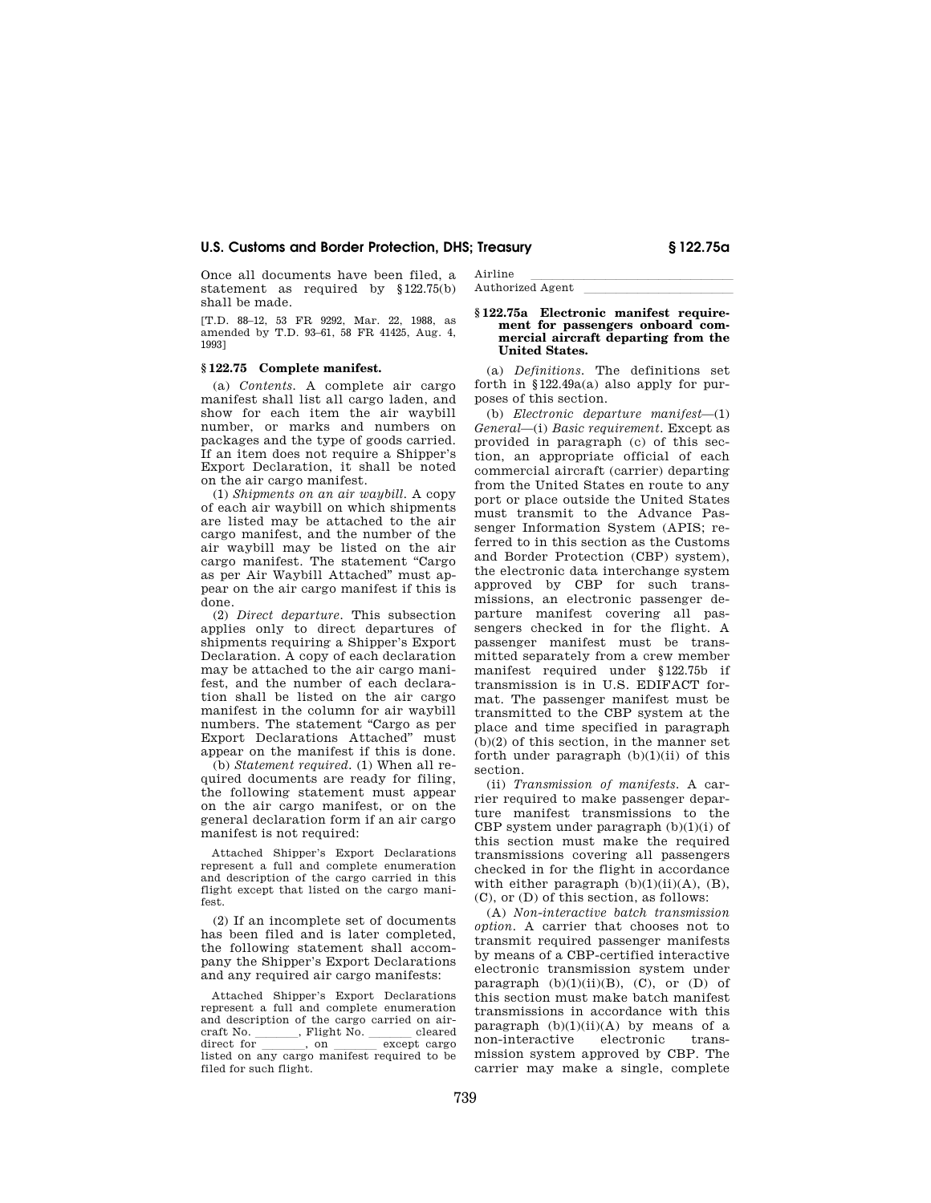Once all documents have been filed, a statement as required by §122.75(b) shall be made.

[T.D. 88–12, 53 FR 9292, Mar. 22, 1988, as amended by T.D. 93–61, 58 FR 41425, Aug. 4, 1993]

### **§ 122.75 Complete manifest.**

(a) *Contents.* A complete air cargo manifest shall list all cargo laden, and show for each item the air waybill number, or marks and numbers on packages and the type of goods carried. If an item does not require a Shipper's Export Declaration, it shall be noted on the air cargo manifest.

(1) *Shipments on an air waybill.* A copy of each air waybill on which shipments are listed may be attached to the air cargo manifest, and the number of the air waybill may be listed on the air cargo manifest. The statement "Cargo as per Air Waybill Attached'' must appear on the air cargo manifest if this is done.

(2) *Direct departure.* This subsection applies only to direct departures of shipments requiring a Shipper's Export Declaration. A copy of each declaration may be attached to the air cargo manifest, and the number of each declaration shall be listed on the air cargo manifest in the column for air waybill numbers. The statement ''Cargo as per Export Declarations Attached'' must appear on the manifest if this is done.

(b) *Statement required.* (1) When all required documents are ready for filing, the following statement must appear on the air cargo manifest, or on the general declaration form if an air cargo manifest is not required:

Attached Shipper's Export Declarations represent a full and complete enumeration and description of the cargo carried in this flight except that listed on the cargo manifest.

(2) If an incomplete set of documents has been filed and is later completed, the following statement shall accompany the Shipper's Export Declarations and any required air cargo manifests:

Attached Shipper's Export Declarations represent a full and complete enumeration and description of the cargo carried on air-<br>craft No.  $\qquad \qquad$  Flight No.  $\qquad$  cleared craft No. \_\_\_\_\_\_\_, Flight No. \_\_\_\_\_\_ cleared<br>direct for \_\_\_\_\_\_\_, on \_\_\_\_\_\_\_ except cargo direct for \_\_\_\_\_, on \_\_\_\_\_\_except cargo<br>listed on any cargo manifest required to be filed for such flight.

Airline<br>Authorized Agent Authorized Agent

### **§ 122.75a Electronic manifest requirement for passengers onboard commercial aircraft departing from the United States.**

(a) *Definitions.* The definitions set forth in §122.49a(a) also apply for purposes of this section.

(b) *Electronic departure manifest*—(1) *General*—(i) *Basic requirement.* Except as provided in paragraph (c) of this section, an appropriate official of each commercial aircraft (carrier) departing from the United States en route to any port or place outside the United States must transmit to the Advance Passenger Information System (APIS; referred to in this section as the Customs and Border Protection (CBP) system), the electronic data interchange system approved by CBP for such transmissions, an electronic passenger departure manifest covering all passengers checked in for the flight. A passenger manifest must be transmitted separately from a crew member manifest required under §122.75b if transmission is in U.S. EDIFACT format. The passenger manifest must be transmitted to the CBP system at the place and time specified in paragraph (b)(2) of this section, in the manner set forth under paragraph  $(b)(1)(ii)$  of this section.

(ii) *Transmission of manifests.* A carrier required to make passenger departure manifest transmissions to the CBP system under paragraph  $(b)(1)(i)$  of this section must make the required transmissions covering all passengers checked in for the flight in accordance with either paragraph  $(b)(1)(ii)(A)$ ,  $(B)$ , (C), or (D) of this section, as follows:

(A) *Non-interactive batch transmission option.* A carrier that chooses not to transmit required passenger manifests by means of a CBP-certified interactive electronic transmission system under paragraph  $(b)(1)(ii)(B)$ ,  $(C)$ , or  $(D)$  of this section must make batch manifest transmissions in accordance with this paragraph  $(b)(1)(ii)(A)$  by means of a non-interactive electronic transmission system approved by CBP. The carrier may make a single, complete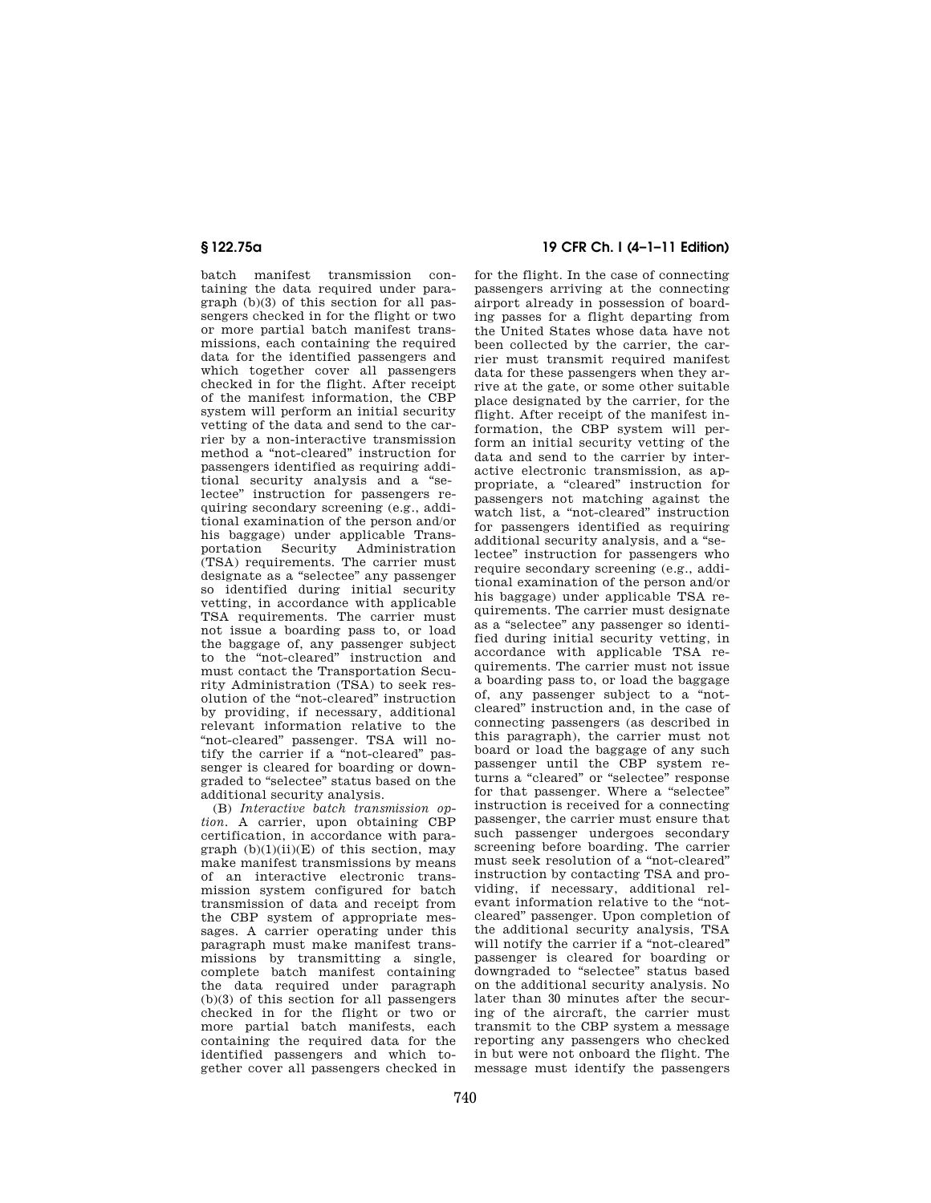batch manifest transmission containing the data required under para- $\sigma$  and (b)(3) of this section for all passengers checked in for the flight or two or more partial batch manifest transmissions, each containing the required data for the identified passengers and which together cover all passengers checked in for the flight. After receipt of the manifest information, the CBP system will perform an initial security vetting of the data and send to the carrier by a non-interactive transmission method a ''not-cleared'' instruction for passengers identified as requiring additional security analysis and a ''selectee'' instruction for passengers requiring secondary screening (e.g., additional examination of the person and/or his baggage) under applicable Transportation Security Administration (TSA) requirements. The carrier must designate as a ''selectee'' any passenger so identified during initial security vetting, in accordance with applicable TSA requirements. The carrier must not issue a boarding pass to, or load the baggage of, any passenger subject to the ''not-cleared'' instruction and must contact the Transportation Security Administration (TSA) to seek resolution of the ''not-cleared'' instruction by providing, if necessary, additional relevant information relative to the "not-cleared" passenger. TSA will notify the carrier if a ''not-cleared'' passenger is cleared for boarding or downgraded to ''selectee'' status based on the additional security analysis.

(B) *Interactive batch transmission option.* A carrier, upon obtaining CBP certification, in accordance with paragraph  $(b)(1)(ii)(E)$  of this section, may make manifest transmissions by means of an interactive electronic transmission system configured for batch transmission of data and receipt from the CBP system of appropriate messages. A carrier operating under this paragraph must make manifest transmissions by transmitting a single, complete batch manifest containing the data required under paragraph  $(b)(3)$  of this section for all passengers checked in for the flight or two or more partial batch manifests, each containing the required data for the identified passengers and which together cover all passengers checked in

## **§ 122.75a 19 CFR Ch. I (4–1–11 Edition)**

for the flight. In the case of connecting passengers arriving at the connecting airport already in possession of boarding passes for a flight departing from the United States whose data have not been collected by the carrier, the carrier must transmit required manifest data for these passengers when they arrive at the gate, or some other suitable place designated by the carrier, for the flight. After receipt of the manifest information, the CBP system will perform an initial security vetting of the data and send to the carrier by interactive electronic transmission, as appropriate, a ''cleared'' instruction for passengers not matching against the watch list, a ''not-cleared'' instruction for passengers identified as requiring additional security analysis, and a ''selectee'' instruction for passengers who require secondary screening (e.g., additional examination of the person and/or his baggage) under applicable TSA requirements. The carrier must designate as a ''selectee'' any passenger so identified during initial security vetting, in accordance with applicable TSA requirements. The carrier must not issue a boarding pass to, or load the baggage of, any passenger subject to a ''notcleared'' instruction and, in the case of connecting passengers (as described in this paragraph), the carrier must not board or load the baggage of any such passenger until the CBP system returns a "cleared" or "selectee" response for that passenger. Where a "selectee" instruction is received for a connecting passenger, the carrier must ensure that such passenger undergoes secondary screening before boarding. The carrier must seek resolution of a ''not-cleared'' instruction by contacting TSA and providing, if necessary, additional relevant information relative to the "notcleared'' passenger. Upon completion of the additional security analysis, TSA will notify the carrier if a "not-cleared" passenger is cleared for boarding or downgraded to ''selectee'' status based on the additional security analysis. No later than 30 minutes after the securing of the aircraft, the carrier must transmit to the CBP system a message reporting any passengers who checked in but were not onboard the flight. The message must identify the passengers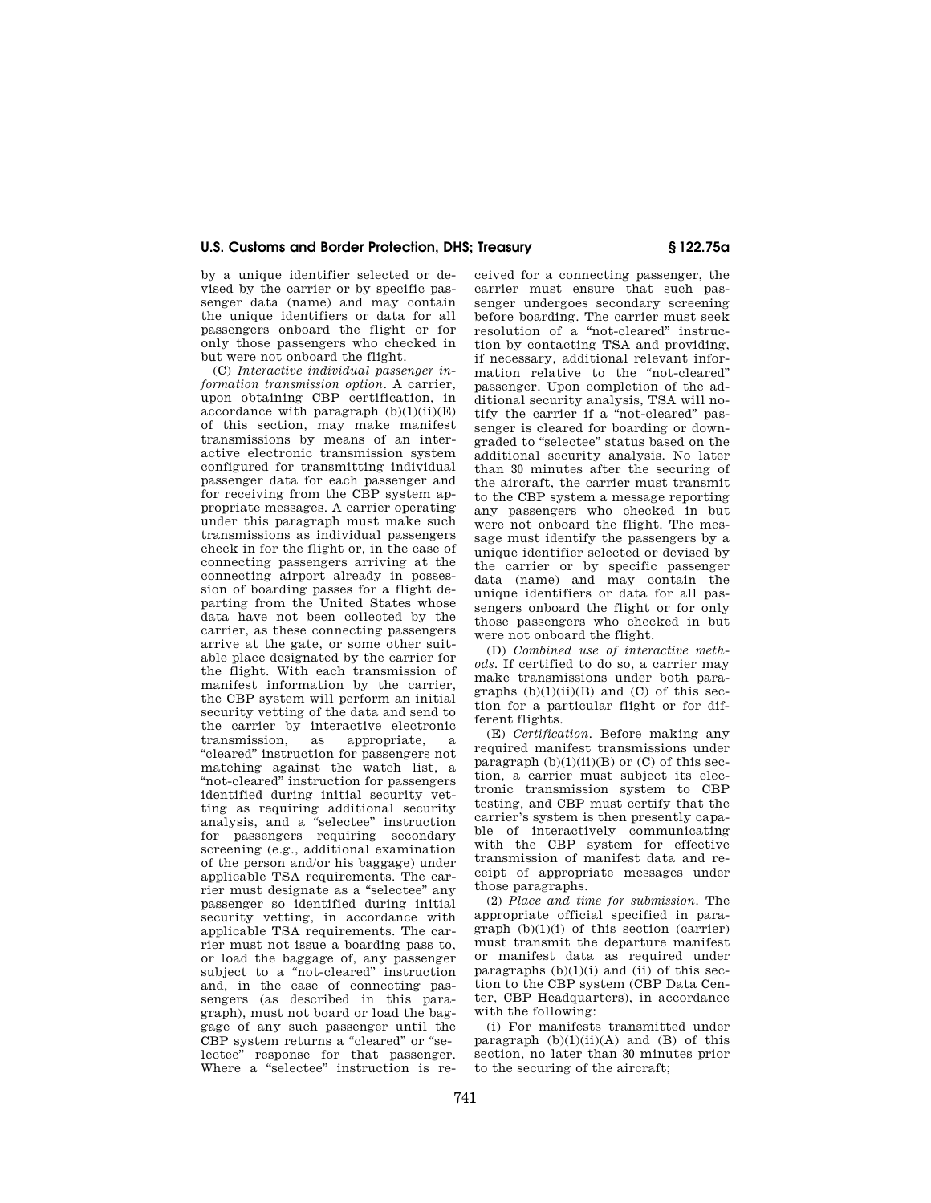by a unique identifier selected or devised by the carrier or by specific passenger data (name) and may contain the unique identifiers or data for all passengers onboard the flight or for only those passengers who checked in but were not onboard the flight.

(C) *Interactive individual passenger information transmission option.* A carrier, upon obtaining CBP certification, in accordance with paragraph  $(b)(1)(ii)(E)$ of this section, may make manifest transmissions by means of an interactive electronic transmission system configured for transmitting individual passenger data for each passenger and for receiving from the CBP system appropriate messages. A carrier operating under this paragraph must make such transmissions as individual passengers check in for the flight or, in the case of connecting passengers arriving at the connecting airport already in possession of boarding passes for a flight departing from the United States whose data have not been collected by the carrier, as these connecting passengers arrive at the gate, or some other suitable place designated by the carrier for the flight. With each transmission of manifest information by the carrier, the CBP system will perform an initial security vetting of the data and send to the carrier by interactive electronic<br>transmission, as appropriate, a as appropriate, a ''cleared'' instruction for passengers not matching against the watch list, a ''not-cleared'' instruction for passengers identified during initial security vetting as requiring additional security analysis, and a ''selectee'' instruction for passengers requiring secondary screening (e.g., additional examination of the person and/or his baggage) under applicable TSA requirements. The carrier must designate as a ''selectee'' any passenger so identified during initial security vetting, in accordance with applicable TSA requirements. The carrier must not issue a boarding pass to, or load the baggage of, any passenger subject to a "not-cleared" instruction and, in the case of connecting passengers (as described in this paragraph), must not board or load the baggage of any such passenger until the CBP system returns a "cleared" or "selectee'' response for that passenger. Where a "selectee" instruction is received for a connecting passenger, the carrier must ensure that such passenger undergoes secondary screening before boarding. The carrier must seek resolution of a "not-cleared" instruction by contacting TSA and providing, if necessary, additional relevant information relative to the ''not-cleared'' passenger. Upon completion of the additional security analysis, TSA will notify the carrier if a "not-cleared" passenger is cleared for boarding or downgraded to ''selectee'' status based on the additional security analysis. No later than 30 minutes after the securing of the aircraft, the carrier must transmit to the CBP system a message reporting any passengers who checked in but were not onboard the flight. The message must identify the passengers by a unique identifier selected or devised by the carrier or by specific passenger data (name) and may contain the unique identifiers or data for all passengers onboard the flight or for only those passengers who checked in but were not onboard the flight.

(D) *Combined use of interactive methods.* If certified to do so, a carrier may make transmissions under both paragraphs  $(b)(1)(ii)(B)$  and  $(C)$  of this section for a particular flight or for different flights.

(E) *Certification.* Before making any required manifest transmissions under paragraph  $(b)(1)(ii)(B)$  or  $(C)$  of this section, a carrier must subject its electronic transmission system to CBP testing, and CBP must certify that the carrier's system is then presently capable of interactively communicating with the CBP system for effective transmission of manifest data and receipt of appropriate messages under those paragraphs.

(2) *Place and time for submission.* The appropriate official specified in para $graph (b)(1)(i)$  of this section (carrier) must transmit the departure manifest or manifest data as required under paragraphs  $(b)(1)(i)$  and  $(ii)$  of this section to the CBP system (CBP Data Center, CBP Headquarters), in accordance with the following:

(i) For manifests transmitted under paragraph  $(b)(1)(ii)(A)$  and  $(B)$  of this section, no later than 30 minutes prior to the securing of the aircraft;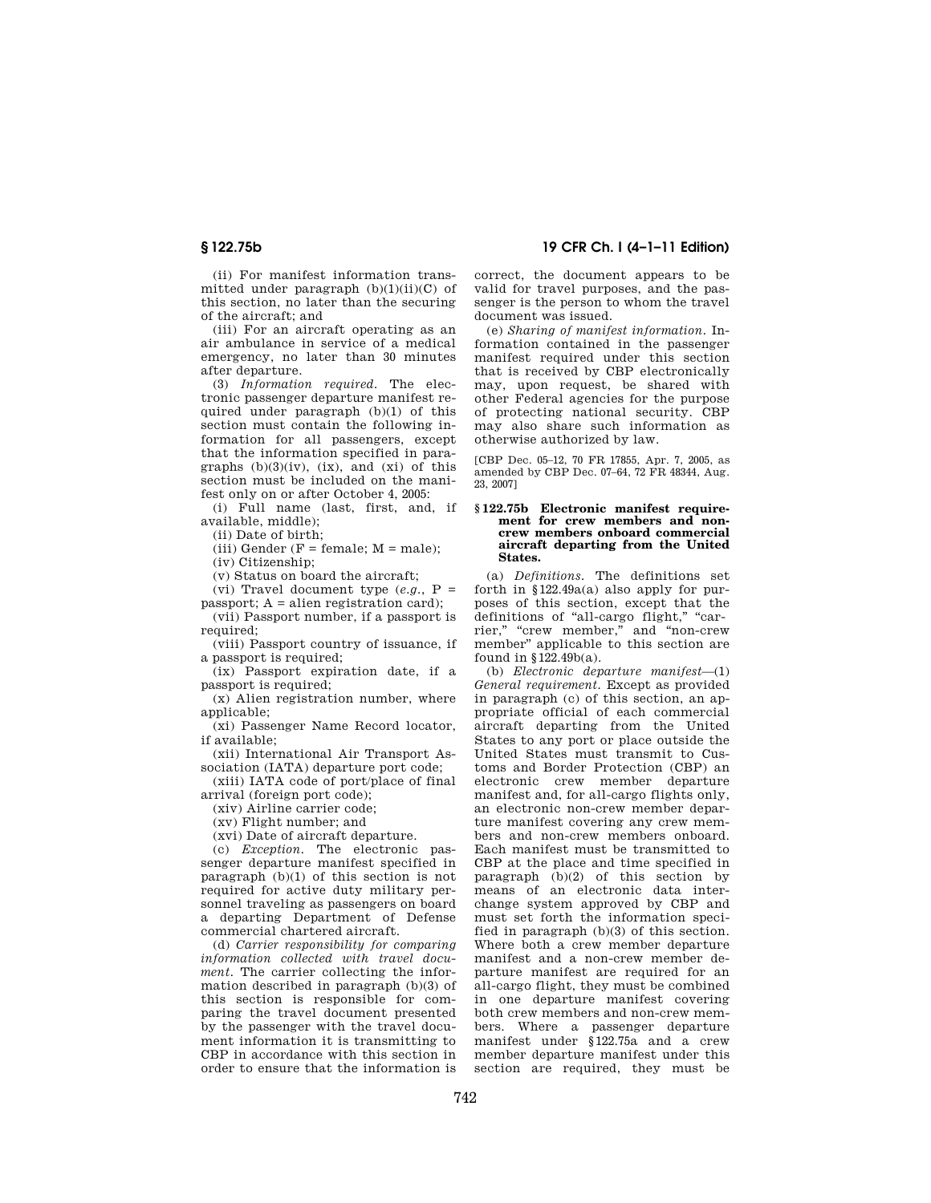(ii) For manifest information transmitted under paragraph  $(b)(1)(ii)(C)$  of this section, no later than the securing of the aircraft; and

(iii) For an aircraft operating as an air ambulance in service of a medical emergency, no later than 30 minutes after departure.

(3) *Information required.* The electronic passenger departure manifest required under paragraph (b)(1) of this section must contain the following information for all passengers, except that the information specified in paragraphs  $(b)(3)(iv)$ ,  $(ix)$ , and  $(xi)$  of this section must be included on the manifest only on or after October 4, 2005:

(i) Full name (last, first, and, if available, middle);

(ii) Date of birth;

(iii) Gender ( $F = female$ ;  $M = male$ );

(iv) Citizenship;

(v) Status on board the aircraft;

(vi) Travel document type (*e.g.*, P =

 $passport$ ;  $A = alien registration card$ ; (vii) Passport number, if a passport is

required; (viii) Passport country of issuance, if

a passport is required;

(ix) Passport expiration date, if a passport is required;

(x) Alien registration number, where applicable:

(xi) Passenger Name Record locator, if available;

(xii) International Air Transport Association (IATA) departure port code;

(xiii) IATA code of port/place of final arrival (foreign port code);

(xiv) Airline carrier code;

(xv) Flight number; and

(xvi) Date of aircraft departure.

(c) *Exception.* The electronic passenger departure manifest specified in paragraph (b)(1) of this section is not required for active duty military personnel traveling as passengers on board a departing Department of Defense commercial chartered aircraft.

(d) *Carrier responsibility for comparing information collected with travel document.* The carrier collecting the information described in paragraph (b)(3) of this section is responsible for comparing the travel document presented by the passenger with the travel document information it is transmitting to CBP in accordance with this section in order to ensure that the information is

**§ 122.75b 19 CFR Ch. I (4–1–11 Edition)** 

correct, the document appears to be valid for travel purposes, and the passenger is the person to whom the travel document was issued.

(e) *Sharing of manifest information.* Information contained in the passenger manifest required under this section that is received by CBP electronically may, upon request, be shared with other Federal agencies for the purpose of protecting national security. CBP may also share such information as otherwise authorized by law.

[CBP Dec. 05–12, 70 FR 17855, Apr. 7, 2005, as amended by CBP Dec. 07–64, 72 FR 48344, Aug. 23, 2007]

#### **§ 122.75b Electronic manifest requirement for crew members and noncrew members onboard commercial aircraft departing from the United States.**

(a) *Definitions.* The definitions set forth in  $$122.49a(a)$  also apply for purposes of this section, except that the definitions of "all-cargo flight," "carrier," "crew member," and "non-crew member'' applicable to this section are found in §122.49b(a).

(b) *Electronic departure manifest*—(1) *General requirement.* Except as provided in paragraph (c) of this section, an appropriate official of each commercial aircraft departing from the United States to any port or place outside the United States must transmit to Customs and Border Protection (CBP) an electronic crew member departure manifest and, for all-cargo flights only, an electronic non-crew member departure manifest covering any crew members and non-crew members onboard. Each manifest must be transmitted to CBP at the place and time specified in paragraph (b)(2) of this section by means of an electronic data interchange system approved by CBP and must set forth the information specified in paragraph (b)(3) of this section. Where both a crew member departure manifest and a non-crew member departure manifest are required for an all-cargo flight, they must be combined in one departure manifest covering both crew members and non-crew members. Where a passenger departure manifest under §122.75a and a crew member departure manifest under this section are required, they must be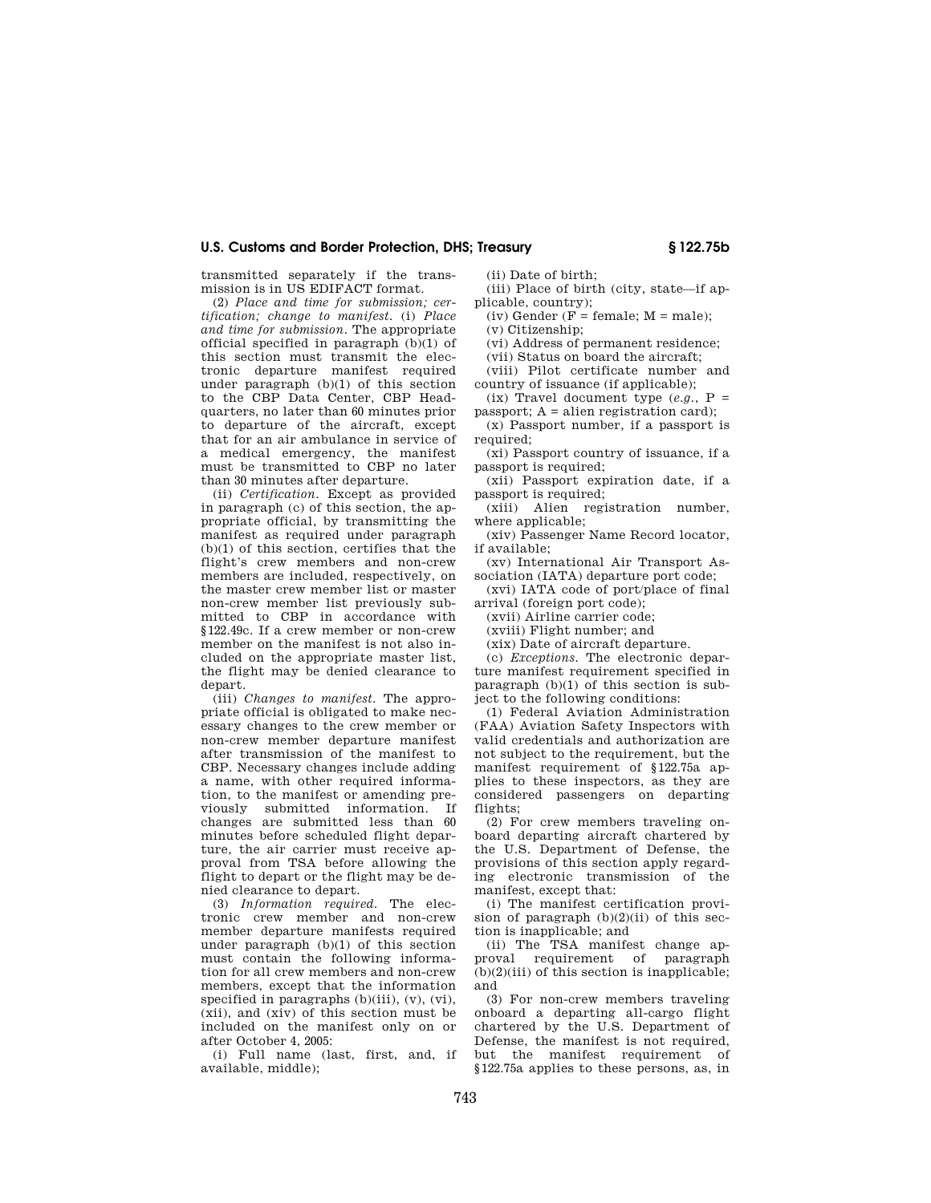transmitted separately if the transmission is in US EDIFACT format.

(2) *Place and time for submission; certification; change to manifest.* (i) *Place and time for submission.* The appropriate official specified in paragraph (b)(1) of this section must transmit the electronic departure manifest required under paragraph (b)(1) of this section to the CBP Data Center, CBP Headquarters, no later than 60 minutes prior to departure of the aircraft, except that for an air ambulance in service of a medical emergency, the manifest must be transmitted to CBP no later than 30 minutes after departure.

(ii) *Certification.* Except as provided in paragraph (c) of this section, the appropriate official, by transmitting the manifest as required under paragraph (b)(1) of this section, certifies that the flight's crew members and non-crew members are included, respectively, on the master crew member list or master non-crew member list previously submitted to CBP in accordance with §122.49c. If a crew member or non-crew member on the manifest is not also included on the appropriate master list, the flight may be denied clearance to depart.

(iii) *Changes to manifest.* The appropriate official is obligated to make necessary changes to the crew member or non-crew member departure manifest after transmission of the manifest to CBP. Necessary changes include adding a name, with other required information, to the manifest or amending previously submitted information. If changes are submitted less than 60 minutes before scheduled flight departure, the air carrier must receive approval from TSA before allowing the flight to depart or the flight may be denied clearance to depart.

(3) *Information required.* The electronic crew member and non-crew member departure manifests required under paragraph (b)(1) of this section must contain the following information for all crew members and non-crew members, except that the information specified in paragraphs  $(b)(iii)$ ,  $(v)$ ,  $(vi)$ (xii), and (xiv) of this section must be included on the manifest only on or after October 4, 2005:

(i) Full name (last, first, and, if available, middle);

(ii) Date of birth;

(iii) Place of birth (city, state—if applicable, country);

(iv) Gender ( $F = \text{female}$ ;  $M = \text{male}$ );

(v) Citizenship;

(vi) Address of permanent residence; (vii) Status on board the aircraft;

(viii) Pilot certificate number and

country of issuance (if applicable); (ix) Travel document type  $(e.g., P =$ 

passport; A = alien registration card);

(x) Passport number, if a passport is required;

(xi) Passport country of issuance, if a passport is required;

(xii) Passport expiration date, if a passport is required;

(xiii) Alien registration number, where applicable;

(xiv) Passenger Name Record locator, if available;

(xv) International Air Transport Association (IATA) departure port code;

(xvi) IATA code of port/place of final arrival (foreign port code);

(xvii) Airline carrier code;

(xviii) Flight number; and

(xix) Date of aircraft departure.

(c) *Exceptions.* The electronic departure manifest requirement specified in paragraph (b)(1) of this section is subject to the following conditions:

(1) Federal Aviation Administration (FAA) Aviation Safety Inspectors with valid credentials and authorization are not subject to the requirement, but the manifest requirement of §122.75a applies to these inspectors, as they are considered passengers on departing flights;

(2) For crew members traveling onboard departing aircraft chartered by the U.S. Department of Defense, the provisions of this section apply regarding electronic transmission of the manifest, except that:

(i) The manifest certification provision of paragraph  $(b)(2)(ii)$  of this section is inapplicable; and

(ii) The TSA manifest change approval requirement of paragraph  $(b)(2)(iii)$  of this section is inapplicable; and

(3) For non-crew members traveling onboard a departing all-cargo flight chartered by the U.S. Department of Defense, the manifest is not required, but the manifest requirement of §122.75a applies to these persons, as, in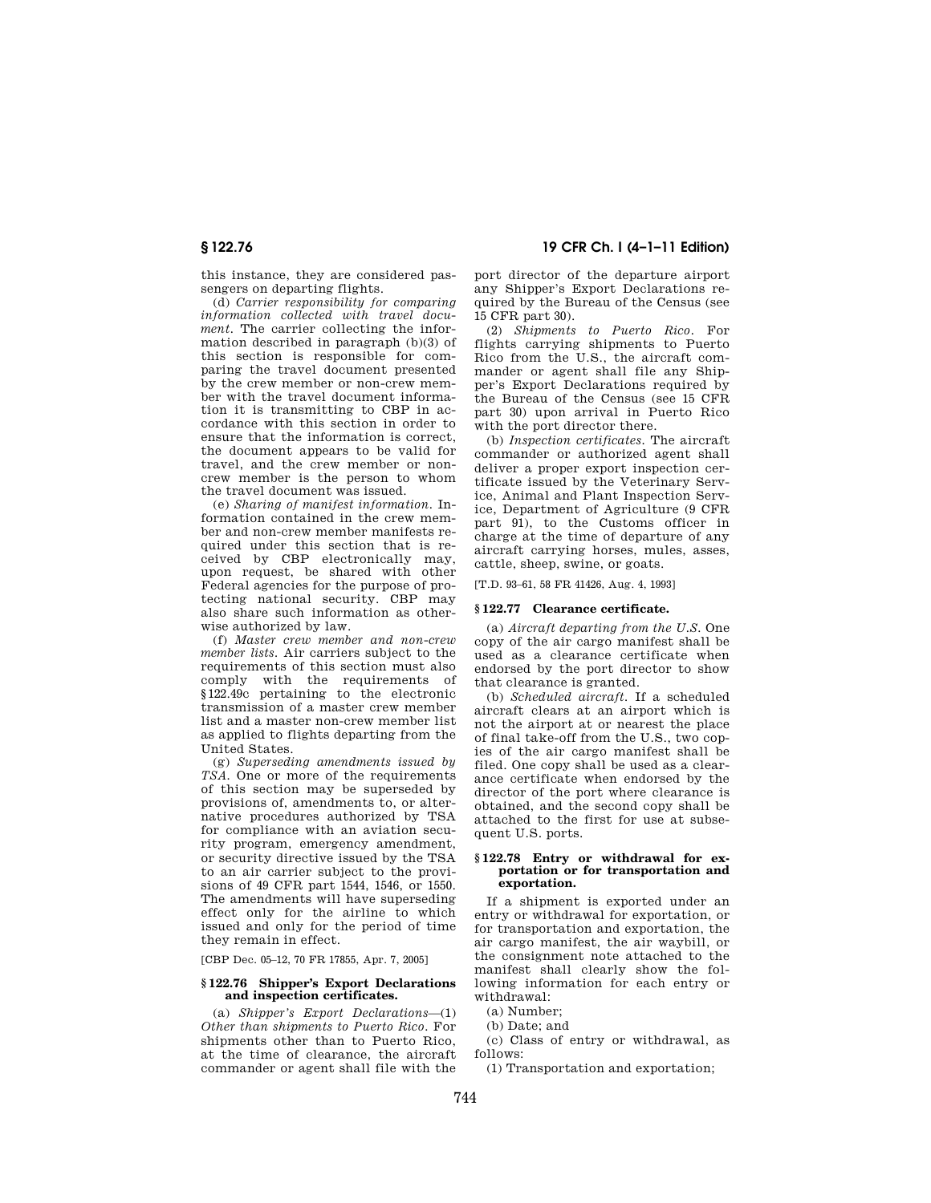this instance, they are considered passengers on departing flights.

(d) *Carrier responsibility for comparing information collected with travel document.* The carrier collecting the information described in paragraph (b)(3) of this section is responsible for comparing the travel document presented by the crew member or non-crew member with the travel document information it is transmitting to CBP in accordance with this section in order to ensure that the information is correct, the document appears to be valid for travel, and the crew member or noncrew member is the person to whom the travel document was issued.

(e) *Sharing of manifest information.* Information contained in the crew member and non-crew member manifests required under this section that is received by CBP electronically may, upon request, be shared with other Federal agencies for the purpose of protecting national security. CBP may also share such information as otherwise authorized by law.

(f) *Master crew member and non-crew member lists.* Air carriers subject to the requirements of this section must also comply with the requirements of §122.49c pertaining to the electronic transmission of a master crew member list and a master non-crew member list as applied to flights departing from the United States.

(g) *Superseding amendments issued by TSA.* One or more of the requirements of this section may be superseded by provisions of, amendments to, or alternative procedures authorized by TSA for compliance with an aviation security program, emergency amendment, or security directive issued by the TSA to an air carrier subject to the provisions of 49 CFR part 1544, 1546, or 1550. The amendments will have superseding effect only for the airline to which issued and only for the period of time they remain in effect.

[CBP Dec. 05–12, 70 FR 17855, Apr. 7, 2005]

#### **§ 122.76 Shipper's Export Declarations and inspection certificates.**

(a) *Shipper's Export Declarations*—(1) *Other than shipments to Puerto Rico.* For shipments other than to Puerto Rico, at the time of clearance, the aircraft commander or agent shall file with the

## **§ 122.76 19 CFR Ch. I (4–1–11 Edition)**

port director of the departure airport any Shipper's Export Declarations required by the Bureau of the Census (see 15 CFR part 30).

(2) *Shipments to Puerto Rico.* For flights carrying shipments to Puerto Rico from the U.S., the aircraft commander or agent shall file any Shipper's Export Declarations required by the Bureau of the Census (see 15 CFR part 30) upon arrival in Puerto Rico with the port director there.

(b) *Inspection certificates.* The aircraft commander or authorized agent shall deliver a proper export inspection certificate issued by the Veterinary Service, Animal and Plant Inspection Service, Department of Agriculture (9 CFR part 91), to the Customs officer in charge at the time of departure of any aircraft carrying horses, mules, asses, cattle, sheep, swine, or goats.

[T.D. 93–61, 58 FR 41426, Aug. 4, 1993]

#### **§ 122.77 Clearance certificate.**

(a) *Aircraft departing from the U.S.* One copy of the air cargo manifest shall be used as a clearance certificate when endorsed by the port director to show that clearance is granted.

(b) *Scheduled aircraft.* If a scheduled aircraft clears at an airport which is not the airport at or nearest the place of final take-off from the U.S., two copies of the air cargo manifest shall be filed. One copy shall be used as a clearance certificate when endorsed by the director of the port where clearance is obtained, and the second copy shall be attached to the first for use at subsequent U.S. ports.

#### **§ 122.78 Entry or withdrawal for exportation or for transportation and exportation.**

If a shipment is exported under an entry or withdrawal for exportation, or for transportation and exportation, the air cargo manifest, the air waybill, or the consignment note attached to the manifest shall clearly show the following information for each entry or withdrawal:

- (a) Number;
- (b) Date; and
- (c) Class of entry or withdrawal, as follows:
- (1) Transportation and exportation;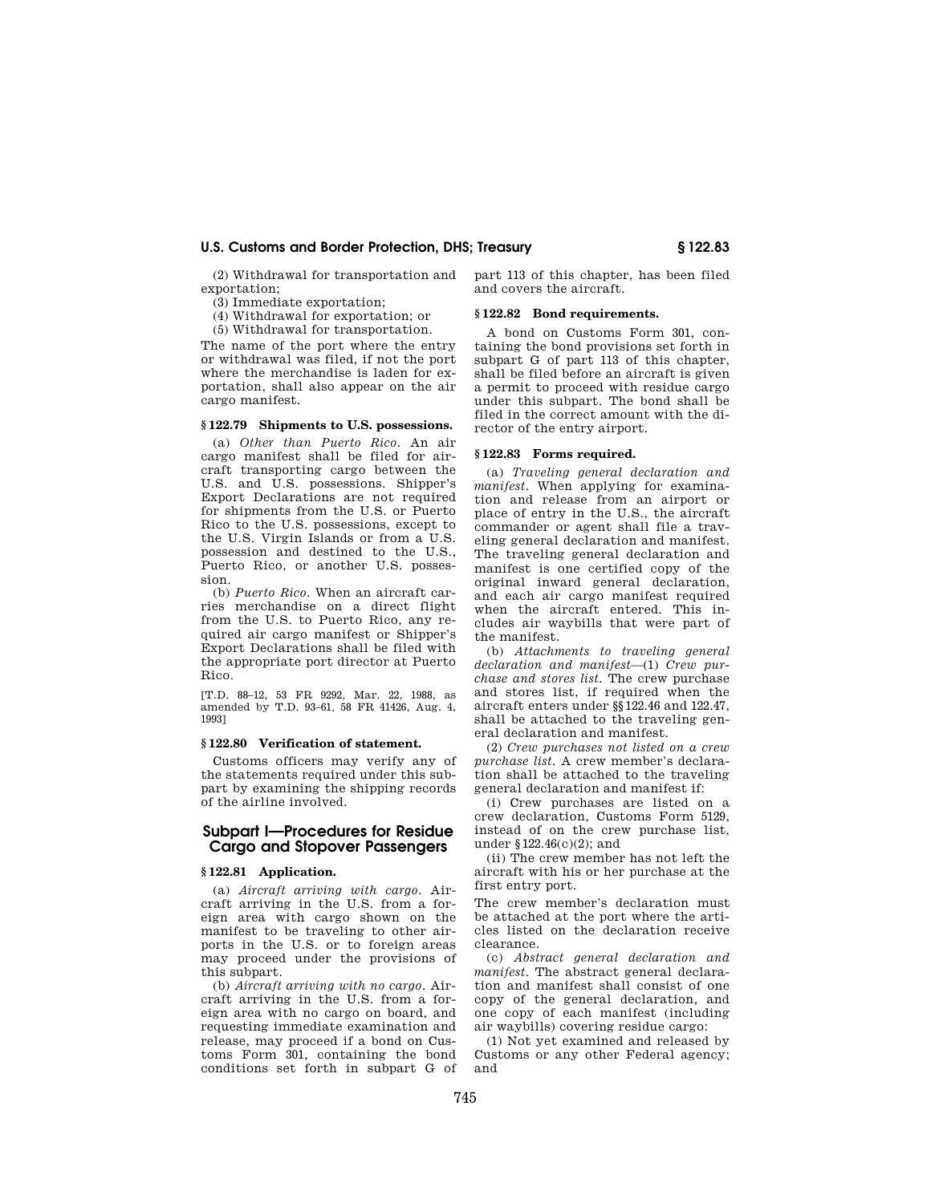(2) Withdrawal for transportation and exportation;

(3) Immediate exportation;

(4) Withdrawal for exportation; or

(5) Withdrawal for transportation.

The name of the port where the entry or withdrawal was filed, if not the port where the merchandise is laden for exportation, shall also appear on the air cargo manifest.

#### **§ 122.79 Shipments to U.S. possessions.**

(a) *Other than Puerto Rico.* An air cargo manifest shall be filed for aircraft transporting cargo between the U.S. and U.S. possessions. Shipper's Export Declarations are not required for shipments from the U.S. or Puerto Rico to the U.S. possessions, except to the U.S. Virgin Islands or from a U.S. possession and destined to the U.S., Puerto Rico, or another U.S. possession.

(b) *Puerto Rico.* When an aircraft carries merchandise on a direct flight from the U.S. to Puerto Rico, any required air cargo manifest or Shipper's Export Declarations shall be filed with the appropriate port director at Puerto Rico.

[T.D. 88–12, 53 FR 9292, Mar. 22, 1988, as amended by T.D. 93–61, 58 FR 41426, Aug. 4, 1993]

## **§ 122.80 Verification of statement.**

Customs officers may verify any of the statements required under this subpart by examining the shipping records of the airline involved.

## **Subpart I—Procedures for Residue Cargo and Stopover Passengers**

#### **§ 122.81 Application.**

(a) *Aircraft arriving with cargo.* Aircraft arriving in the U.S. from a foreign area with cargo shown on the manifest to be traveling to other airports in the U.S. or to foreign areas may proceed under the provisions of this subpart.

(b) *Aircraft arriving with no cargo.* Aircraft arriving in the U.S. from a foreign area with no cargo on board, and requesting immediate examination and release, may proceed if a bond on Customs Form 301, containing the bond conditions set forth in subpart G of part 113 of this chapter, has been filed and covers the aircraft.

#### **§ 122.82 Bond requirements.**

A bond on Customs Form 301, containing the bond provisions set forth in subpart G of part 113 of this chapter, shall be filed before an aircraft is given a permit to proceed with residue cargo under this subpart. The bond shall be filed in the correct amount with the director of the entry airport.

#### **§ 122.83 Forms required.**

(a) *Traveling general declaration and manifest.* When applying for examination and release from an airport or place of entry in the U.S., the aircraft commander or agent shall file a traveling general declaration and manifest. The traveling general declaration and manifest is one certified copy of the original inward general declaration, and each air cargo manifest required when the aircraft entered. This includes air waybills that were part of the manifest.

(b) *Attachments to traveling general declaration and manifest*—(1) *Crew purchase and stores list.* The crew purchase and stores list, if required when the aircraft enters under §§122.46 and 122.47, shall be attached to the traveling general declaration and manifest.

(2) *Crew purchases not listed on a crew purchase list.* A crew member's declaration shall be attached to the traveling general declaration and manifest if:

(i) Crew purchases are listed on a crew declaration, Customs Form 5129, instead of on the crew purchase list, under §122.46(c)(2); and

(ii) The crew member has not left the aircraft with his or her purchase at the first entry port.

The crew member's declaration must be attached at the port where the articles listed on the declaration receive clearance.

(c) *Abstract general declaration and manifest.* The abstract general declaration and manifest shall consist of one copy of the general declaration, and one copy of each manifest (including air waybills) covering residue cargo:

(1) Not yet examined and released by Customs or any other Federal agency; and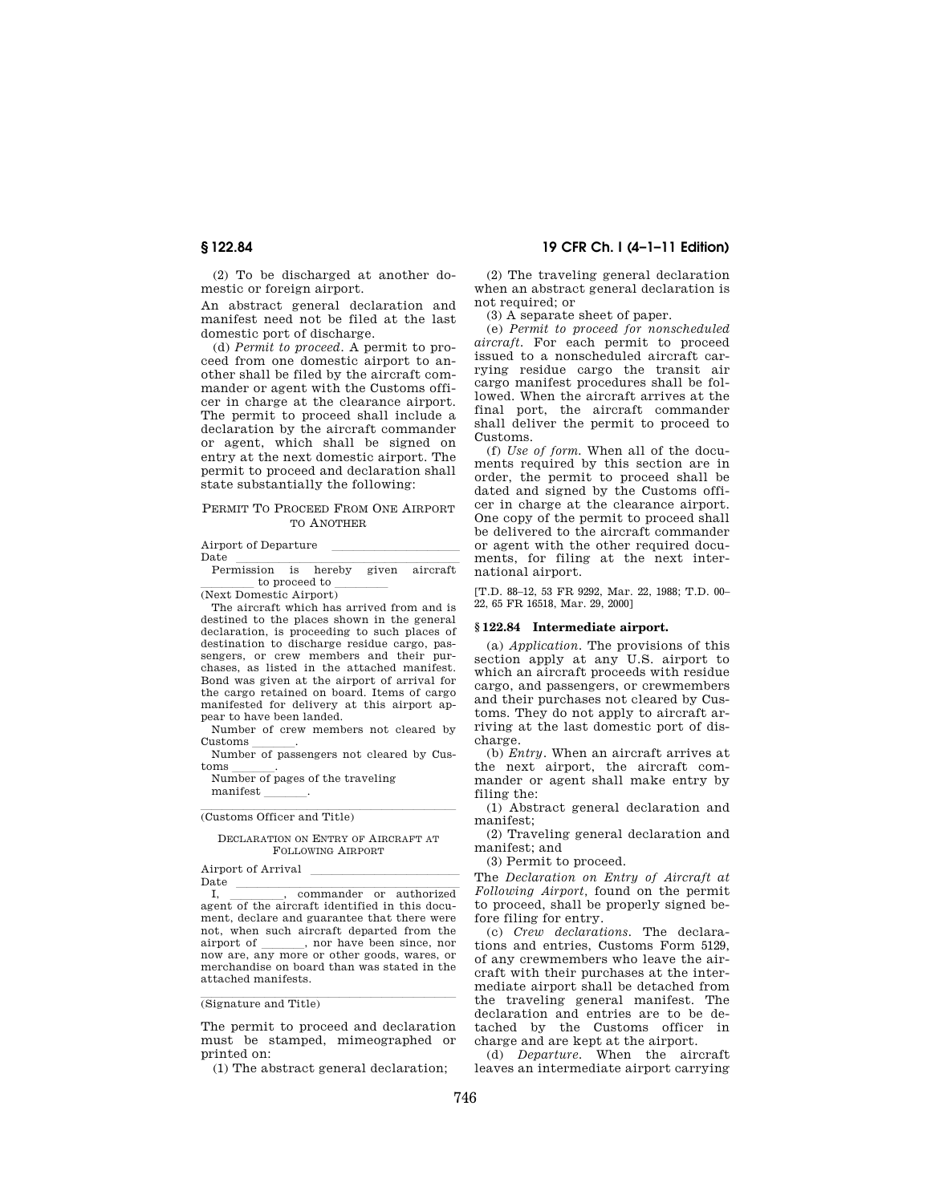(2) To be discharged at another domestic or foreign airport.

An abstract general declaration and manifest need not be filed at the last domestic port of discharge.

(d) *Permit to proceed.* A permit to proceed from one domestic airport to another shall be filed by the aircraft commander or agent with the Customs officer in charge at the clearance airport. The permit to proceed shall include a declaration by the aircraft commander or agent, which shall be signed on entry at the next domestic airport. The permit to proceed and declaration shall state substantially the following:

#### PERMIT TO PROCEED FROM ONE AIRPORT TO ANOTHER

# Airport of Departure<br>Date

Date<br>Permission is hereby given aircraft  $\frac{1}{\text{(Next Domestic Airport)}}$ 

The aircraft which has arrived from and is destined to the places shown in the general declaration, is proceeding to such places of destination to discharge residue cargo, passengers, or crew members and their purchases, as listed in the attached manifest. Bond was given at the airport of arrival for the cargo retained on board. Items of cargo manifested for delivery at this airport appear to have been landed.

Number of crew members not cleared by Customs llll. Number of passengers not cleared by Cus-

toms \_\_\_\_\_\_\_.<br>Number of pages of the traveling

manifest

(Customs Officer and Title)

DECLARATION ON ENTRY OF AIRCRAFT AT FOLLOWING AIRPORT

Airport of Arrival<br>Date

I. commander or authorized I, commander or authorized agent of the aircraft identified in this document, declare and guarantee that there were not, when such aircraft departed from the airport of \_\_\_\_\_\_\_, nor have been since, nor airport of \_\_\_\_\_\_, nor have been since, nor<br>now are, any more or other goods, wares, or merchandise on board than was stated in the attached manifests.

## (Signature and Title)

The permit to proceed and declaration must be stamped, mimeographed or printed on:

(1) The abstract general declaration;

## **§ 122.84 19 CFR Ch. I (4–1–11 Edition)**

(2) The traveling general declaration when an abstract general declaration is not required; or

(3) A separate sheet of paper.

(e) *Permit to proceed for nonscheduled aircraft.* For each permit to proceed issued to a nonscheduled aircraft carrying residue cargo the transit air cargo manifest procedures shall be followed. When the aircraft arrives at the final port, the aircraft commander shall deliver the permit to proceed to Customs.

(f) *Use of form.* When all of the documents required by this section are in order, the permit to proceed shall be dated and signed by the Customs officer in charge at the clearance airport. One copy of the permit to proceed shall be delivered to the aircraft commander or agent with the other required documents, for filing at the next international airport.

[T.D. 88–12, 53 FR 9292, Mar. 22, 1988; T.D. 00– 22, 65 FR 16518, Mar. 29, 2000]

#### **§ 122.84 Intermediate airport.**

(a) *Application.* The provisions of this section apply at any U.S. airport to which an aircraft proceeds with residue cargo, and passengers, or crewmembers and their purchases not cleared by Customs. They do not apply to aircraft arriving at the last domestic port of discharge.

(b) *Entry.* When an aircraft arrives at the next airport, the aircraft commander or agent shall make entry by filing the:

(1) Abstract general declaration and manifest;

(2) Traveling general declaration and manifest; and

(3) Permit to proceed.

The *Declaration on Entry of Aircraft at Following Airport,* found on the permit to proceed, shall be properly signed before filing for entry.

(c) *Crew declarations.* The declarations and entries, Customs Form 5129, of any crewmembers who leave the aircraft with their purchases at the intermediate airport shall be detached from the traveling general manifest. The declaration and entries are to be detached by the Customs officer in charge and are kept at the airport.

(d) *Departure.* When the aircraft leaves an intermediate airport carrying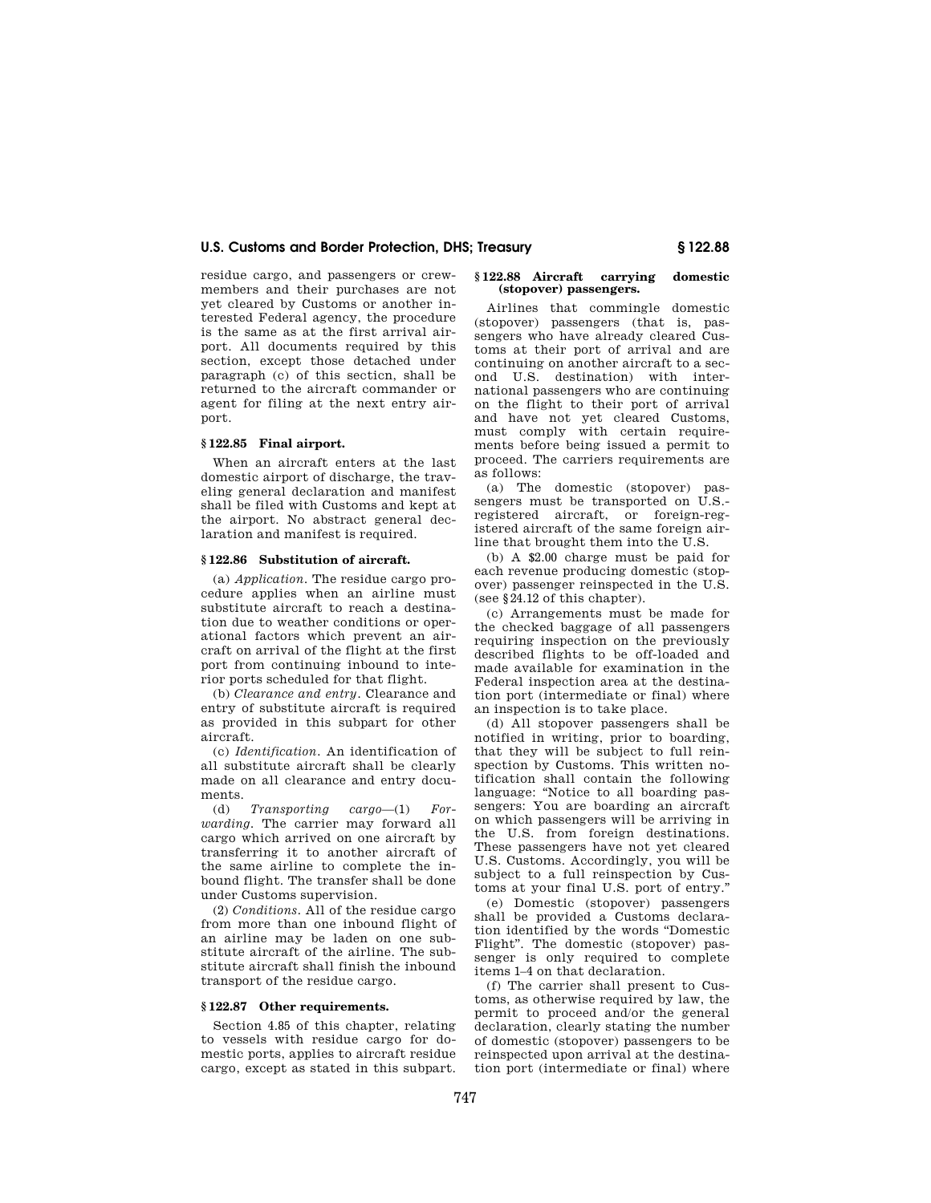residue cargo, and passengers or crewmembers and their purchases are not yet cleared by Customs or another interested Federal agency, the procedure is the same as at the first arrival airport. All documents required by this section, except those detached under paragraph (c) of this secticn, shall be returned to the aircraft commander or agent for filing at the next entry airport.

## **§ 122.85 Final airport.**

When an aircraft enters at the last domestic airport of discharge, the traveling general declaration and manifest shall be filed with Customs and kept at the airport. No abstract general declaration and manifest is required.

#### **§ 122.86 Substitution of aircraft.**

(a) *Application.* The residue cargo procedure applies when an airline must substitute aircraft to reach a destination due to weather conditions or operational factors which prevent an aircraft on arrival of the flight at the first port from continuing inbound to interior ports scheduled for that flight.

(b) *Clearance and entry.* Clearance and entry of substitute aircraft is required as provided in this subpart for other aircraft.

(c) *Identification.* An identification of all substitute aircraft shall be clearly made on all clearance and entry documents.

(d) *Transporting cargo*—(1) *Forwarding.* The carrier may forward all cargo which arrived on one aircraft by transferring it to another aircraft of the same airline to complete the inbound flight. The transfer shall be done under Customs supervision.

(2) *Conditions.* All of the residue cargo from more than one inbound flight of an airline may be laden on one substitute aircraft of the airline. The substitute aircraft shall finish the inbound transport of the residue cargo.

#### **§ 122.87 Other requirements.**

Section 4.85 of this chapter, relating to vessels with residue cargo for domestic ports, applies to aircraft residue cargo, except as stated in this subpart.

#### **§ 122.88 Aircraft carrying domestic (stopover) passengers.**

Airlines that commingle domestic (stopover) passengers (that is, passengers who have already cleared Customs at their port of arrival and are continuing on another aircraft to a second U.S. destination) with international passengers who are continuing on the flight to their port of arrival and have not yet cleared Customs, must comply with certain requirements before being issued a permit to proceed. The carriers requirements are as follows:

(a) The domestic (stopover) passengers must be transported on U.S. registered aircraft, or foreign-registered aircraft of the same foreign airline that brought them into the U.S.

(b) A \$2.00 charge must be paid for each revenue producing domestic (stopover) passenger reinspected in the U.S. (see §24.12 of this chapter).

(c) Arrangements must be made for the checked baggage of all passengers requiring inspection on the previously described flights to be off-loaded and made available for examination in the Federal inspection area at the destination port (intermediate or final) where an inspection is to take place.

(d) All stopover passengers shall be notified in writing, prior to boarding, that they will be subject to full reinspection by Customs. This written notification shall contain the following language: "Notice to all boarding passengers: You are boarding an aircraft on which passengers will be arriving in the U.S. from foreign destinations. These passengers have not yet cleared U.S. Customs. Accordingly, you will be subject to a full reinspection by Customs at your final U.S. port of entry.''

(e) Domestic (stopover) passengers shall be provided a Customs declaration identified by the words ''Domestic Flight''. The domestic (stopover) passenger is only required to complete items 1–4 on that declaration.

(f) The carrier shall present to Customs, as otherwise required by law, the permit to proceed and/or the general declaration, clearly stating the number of domestic (stopover) passengers to be reinspected upon arrival at the destination port (intermediate or final) where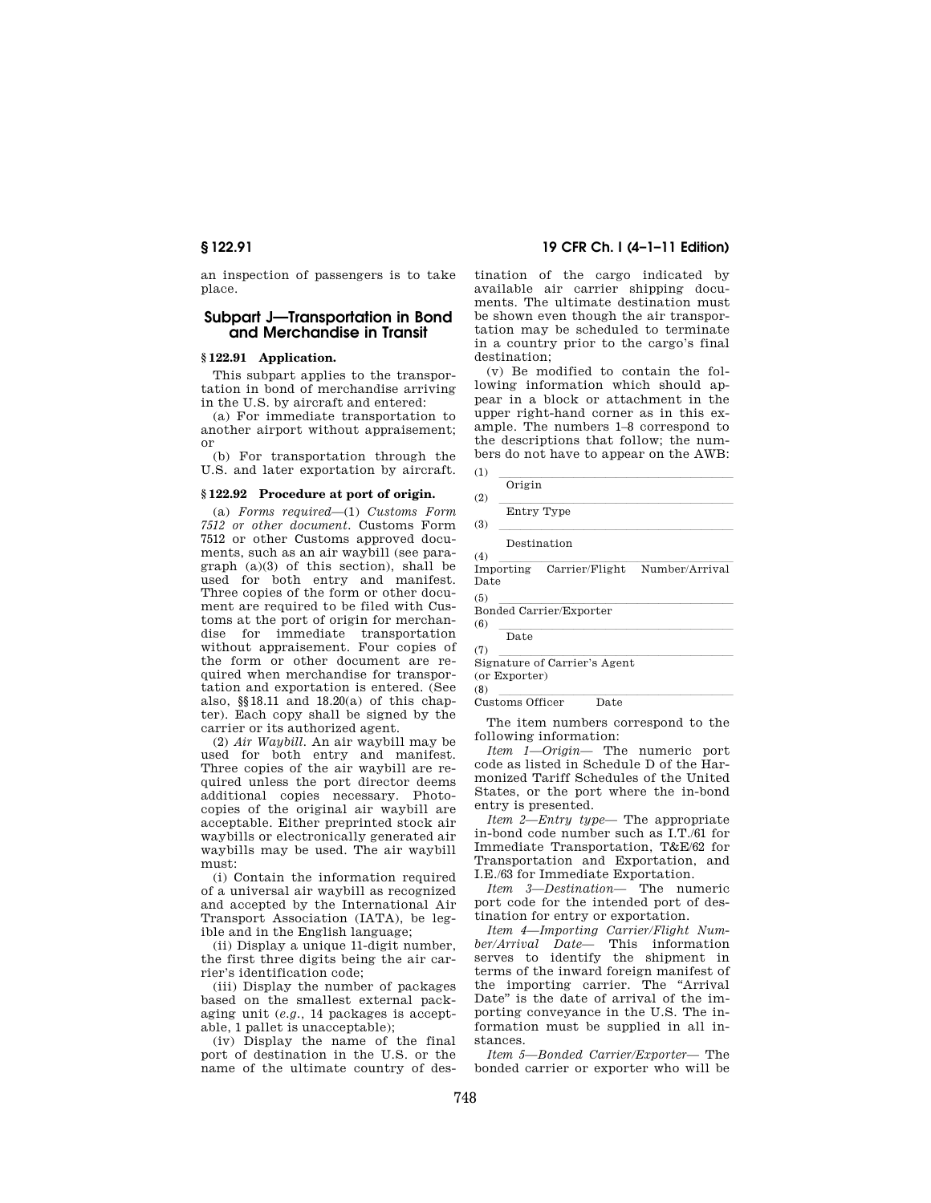an inspection of passengers is to take place.

## **Subpart J—Transportation in Bond and Merchandise in Transit**

### **§ 122.91 Application.**

This subpart applies to the transportation in bond of merchandise arriving in the U.S. by aircraft and entered:

(a) For immediate transportation to another airport without appraisement; or

(b) For transportation through the U.S. and later exportation by aircraft.

## **§ 122.92 Procedure at port of origin.**

(a) *Forms required*—(1) *Customs Form 7512 or other document.* Customs Form 7512 or other Customs approved documents, such as an air waybill (see paragraph (a)(3) of this section), shall be used for both entry and manifest. Three copies of the form or other document are required to be filed with Customs at the port of origin for merchandise for immediate transportation without appraisement. Four copies of the form or other document are required when merchandise for transportation and exportation is entered. (See also, §§18.11 and 18.20(a) of this chapter). Each copy shall be signed by the carrier or its authorized agent.

(2) *Air Waybill.* An air waybill may be used for both entry and manifest. Three copies of the air waybill are required unless the port director deems additional copies necessary. Photocopies of the original air waybill are acceptable. Either preprinted stock air waybills or electronically generated air waybills may be used. The air waybill must:

(i) Contain the information required of a universal air waybill as recognized and accepted by the International Air Transport Association (IATA), be legible and in the English language;

(ii) Display a unique 11-digit number, the first three digits being the air carrier's identification code;

(iii) Display the number of packages based on the smallest external packaging unit (*e.g.,* 14 packages is acceptable, 1 pallet is unacceptable);

(iv) Display the name of the final port of destination in the U.S. or the name of the ultimate country of des-

## **§ 122.91 19 CFR Ch. I (4–1–11 Edition)**

tination of the cargo indicated by available air carrier shipping documents. The ultimate destination must be shown even though the air transportation may be scheduled to terminate in a country prior to the cargo's final destination;

(v) Be modified to contain the following information which should appear in a block or attachment in the upper right-hand corner as in this example. The numbers 1–8 correspond to the descriptions that follow; the numbers do not have to appear on the AWB:

| Ē |                |  |  |  |  |
|---|----------------|--|--|--|--|
|   | Origin<br>0.15 |  |  |  |  |

(3) llllllllllllllllllllll

Destination

(4)<br>Importing Carrier/Flight Number/Arrival Date

(5) llllllllllllllllllllll Bonded Carrier/Exporter

 $\frac{1}{\sqrt{\frac{0.16}{2}}}$ Date

(7)<br>Signature of Carrier's Agent

(or Exporter)

(8) llllllllllllllllllllll Customs Officer Date

The item numbers correspond to the following information:

*Item 1—Origin—* The numeric port code as listed in Schedule D of the Harmonized Tariff Schedules of the United States, or the port where the in-bond entry is presented.

*Item 2—Entry type—* The appropriate in-bond code number such as I.T./61 for Immediate Transportation, T&E/62 for Transportation and Exportation, and I.E./63 for Immediate Exportation.

*Item 3—Destination—* The numeric port code for the intended port of destination for entry or exportation.

*Item 4—Importing Carrier/Flight Number/Arrival Date—* This information serves to identify the shipment in terms of the inward foreign manifest of the importing carrier. The "Arrival Date'' is the date of arrival of the importing conveyance in the U.S. The information must be supplied in all instances.

*Item 5—Bonded Carrier/Exporter—* The bonded carrier or exporter who will be

<sup>(2)</sup>  $\frac{1}{\text{Entry Type}}$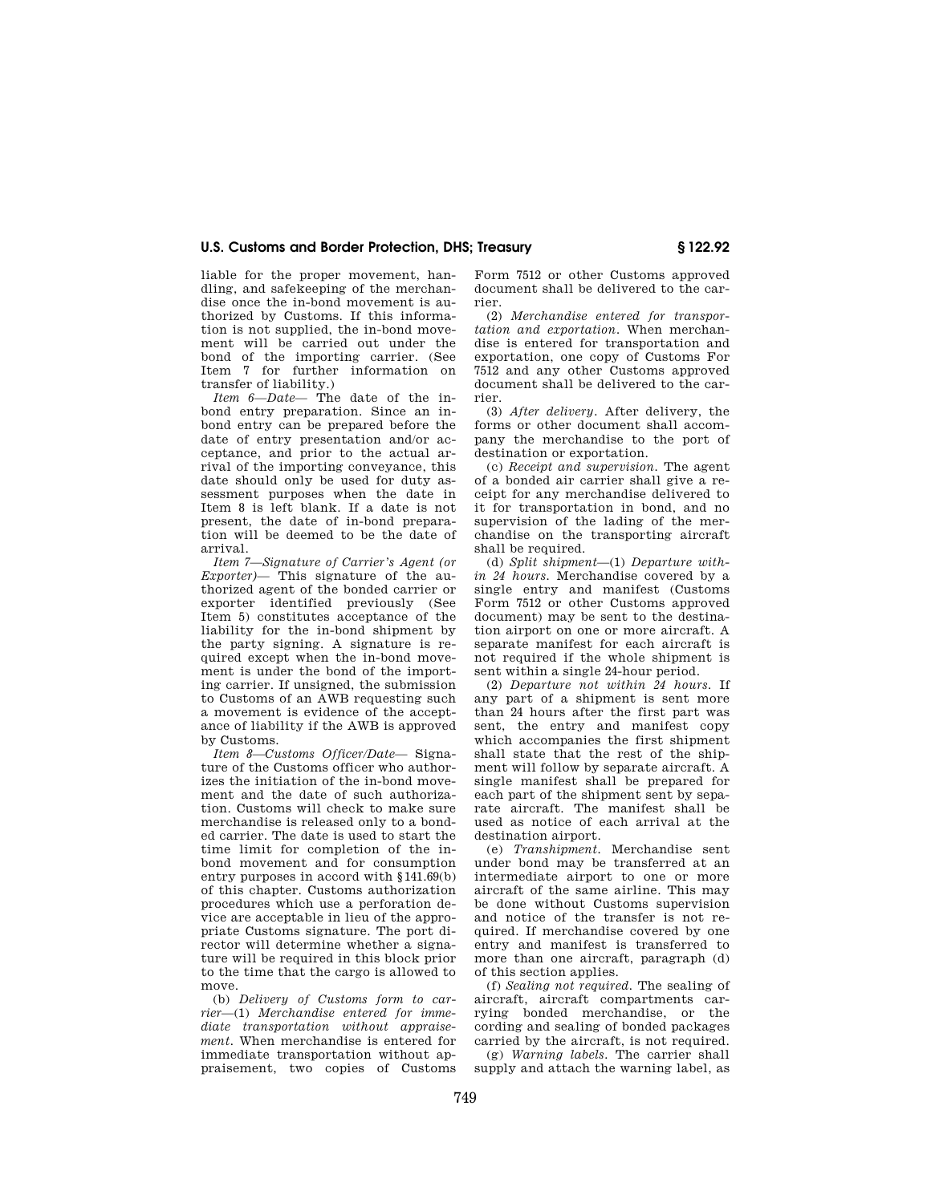liable for the proper movement, handling, and safekeeping of the merchandise once the in-bond movement is authorized by Customs. If this information is not supplied, the in-bond movement will be carried out under the bond of the importing carrier. (See Item 7 for further information on transfer of liability.)

*Item 6—Date—* The date of the inbond entry preparation. Since an inbond entry can be prepared before the date of entry presentation and/or acceptance, and prior to the actual arrival of the importing conveyance, this date should only be used for duty assessment purposes when the date in Item 8 is left blank. If a date is not present, the date of in-bond preparation will be deemed to be the date of arrival.

*Item 7—Signature of Carrier's Agent (or Exporter)—* This signature of the authorized agent of the bonded carrier or exporter identified previously (See Item 5) constitutes acceptance of the liability for the in-bond shipment by the party signing. A signature is required except when the in-bond movement is under the bond of the importing carrier. If unsigned, the submission to Customs of an AWB requesting such a movement is evidence of the acceptance of liability if the AWB is approved by Customs.

*Item 8—Customs Officer/Date—* Signature of the Customs officer who authorizes the initiation of the in-bond movement and the date of such authorization. Customs will check to make sure merchandise is released only to a bonded carrier. The date is used to start the time limit for completion of the inbond movement and for consumption entry purposes in accord with §141.69(b) of this chapter. Customs authorization procedures which use a perforation device are acceptable in lieu of the appropriate Customs signature. The port director will determine whether a signature will be required in this block prior to the time that the cargo is allowed to move.

(b) *Delivery of Customs form to carrier*—(1) *Merchandise entered for immediate transportation without appraisement.* When merchandise is entered for immediate transportation without appraisement, two copies of Customs Form 7512 or other Customs approved document shall be delivered to the carrier.

(2) *Merchandise entered for transportation and exportation.* When merchandise is entered for transportation and exportation, one copy of Customs For 7512 and any other Customs approved document shall be delivered to the carrier.

(3) *After delivery.* After delivery, the forms or other document shall accompany the merchandise to the port of destination or exportation.

(c) *Receipt and supervision.* The agent of a bonded air carrier shall give a receipt for any merchandise delivered to it for transportation in bond, and no supervision of the lading of the merchandise on the transporting aircraft shall be required.

(d) *Split shipment*—(1) *Departure within 24 hours.* Merchandise covered by a single entry and manifest (Customs Form 7512 or other Customs approved document) may be sent to the destination airport on one or more aircraft. A separate manifest for each aircraft is not required if the whole shipment is sent within a single 24-hour period.

(2) *Departure not within 24 hours.* If any part of a shipment is sent more than 24 hours after the first part was sent, the entry and manifest copy which accompanies the first shipment shall state that the rest of the shipment will follow by separate aircraft. A single manifest shall be prepared for each part of the shipment sent by separate aircraft. The manifest shall be used as notice of each arrival at the destination airport.

(e) *Transhipment.* Merchandise sent under bond may be transferred at an intermediate airport to one or more aircraft of the same airline. This may be done without Customs supervision and notice of the transfer is not required. If merchandise covered by one entry and manifest is transferred to more than one aircraft, paragraph (d) of this section applies.

(f) *Sealing not required.* The sealing of aircraft, aircraft compartments carrying bonded merchandise, or the cording and sealing of bonded packages carried by the aircraft, is not required.

(g) *Warning labels.* The carrier shall supply and attach the warning label, as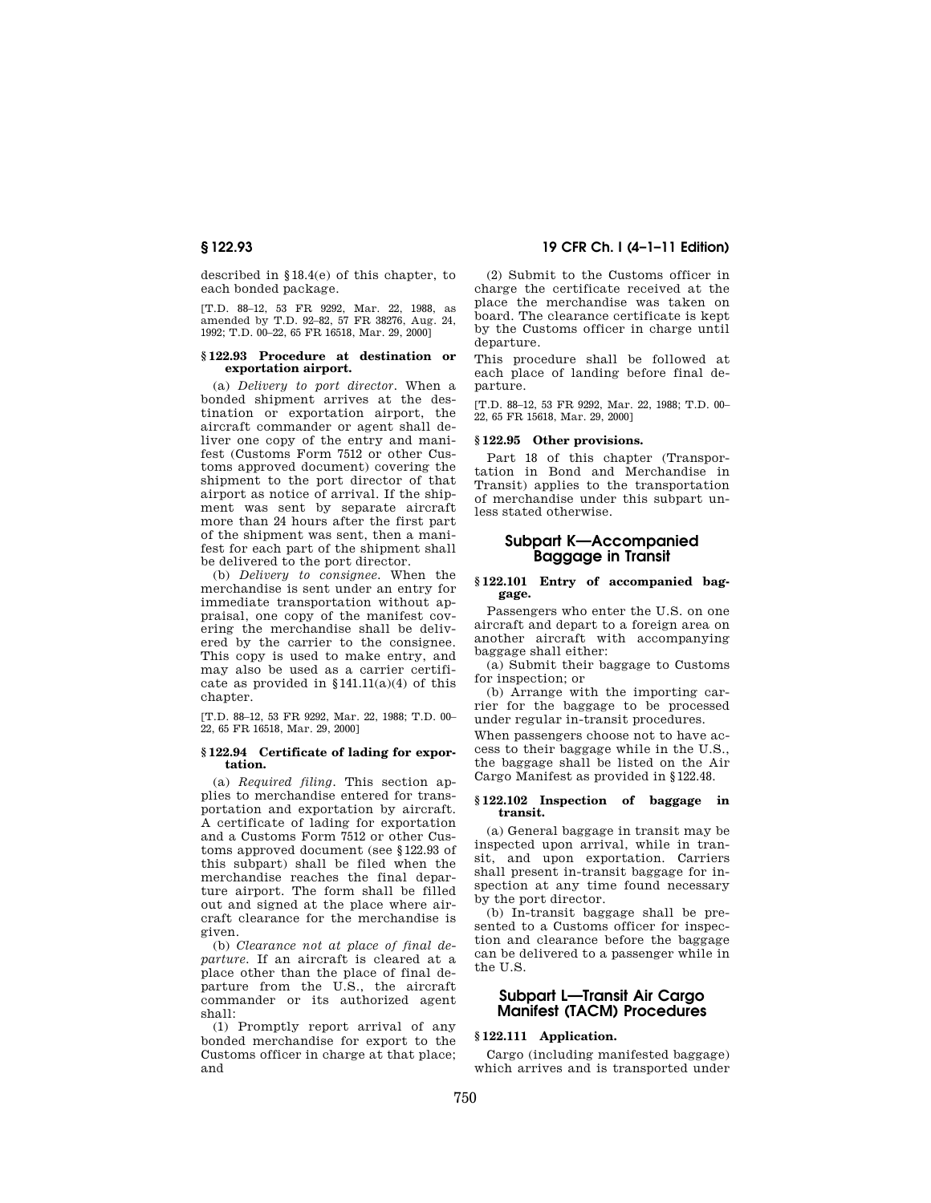described in §18.4(e) of this chapter, to each bonded package.

[T.D. 88–12, 53 FR 9292, Mar. 22, 1988, as amended by T.D. 92–82, 57 FR 38276, Aug. 24, 1992; T.D. 00–22, 65 FR 16518, Mar. 29, 2000]

#### **§ 122.93 Procedure at destination or exportation airport.**

(a) *Delivery to port director.* When a bonded shipment arrives at the destination or exportation airport, the aircraft commander or agent shall deliver one copy of the entry and manifest (Customs Form 7512 or other Customs approved document) covering the shipment to the port director of that airport as notice of arrival. If the shipment was sent by separate aircraft more than 24 hours after the first part of the shipment was sent, then a manifest for each part of the shipment shall be delivered to the port director.

(b) *Delivery to consignee.* When the merchandise is sent under an entry for immediate transportation without appraisal, one copy of the manifest covering the merchandise shall be delivered by the carrier to the consignee. This copy is used to make entry, and may also be used as a carrier certificate as provided in  $$141.11(a)(4)$  of this chapter.

[T.D. 88–12, 53 FR 9292, Mar. 22, 1988; T.D. 00– 22, 65 FR 16518, Mar. 29, 2000]

#### **§ 122.94 Certificate of lading for exportation.**

(a) *Required filing.* This section applies to merchandise entered for transportation and exportation by aircraft. A certificate of lading for exportation and a Customs Form 7512 or other Customs approved document (see §122.93 of this subpart) shall be filed when the merchandise reaches the final departure airport. The form shall be filled out and signed at the place where aircraft clearance for the merchandise is given.

(b) *Clearance not at place of final departure.* If an aircraft is cleared at a place other than the place of final departure from the U.S., the aircraft commander or its authorized agent shall:

(1) Promptly report arrival of any bonded merchandise for export to the Customs officer in charge at that place; and

## **§ 122.93 19 CFR Ch. I (4–1–11 Edition)**

(2) Submit to the Customs officer in charge the certificate received at the place the merchandise was taken on board. The clearance certificate is kept by the Customs officer in charge until departure.

This procedure shall be followed at each place of landing before final departure.

[T.D. 88–12, 53 FR 9292, Mar. 22, 1988; T.D. 00– 22, 65 FR 15618, Mar. 29, 2000]

### **§ 122.95 Other provisions.**

Part 18 of this chapter (Transportation in Bond and Merchandise in Transit) applies to the transportation of merchandise under this subpart unless stated otherwise.

## **Subpart K—Accompanied Baggage in Transit**

#### **§ 122.101 Entry of accompanied baggage.**

Passengers who enter the U.S. on one aircraft and depart to a foreign area on another aircraft with accompanying baggage shall either:

(a) Submit their baggage to Customs for inspection; or

(b) Arrange with the importing carrier for the baggage to be processed under regular in-transit procedures.

When passengers choose not to have access to their baggage while in the U.S., the baggage shall be listed on the Air Cargo Manifest as provided in §122.48.

#### **§ 122.102 Inspection of baggage in transit.**

(a) General baggage in transit may be inspected upon arrival, while in transit, and upon exportation. Carriers shall present in-transit baggage for inspection at any time found necessary by the port director.

(b) In-transit baggage shall be presented to a Customs officer for inspection and clearance before the baggage can be delivered to a passenger while in the U.S.

## **Subpart L—Transit Air Cargo Manifest (TACM) Procedures**

## **§ 122.111 Application.**

Cargo (including manifested baggage) which arrives and is transported under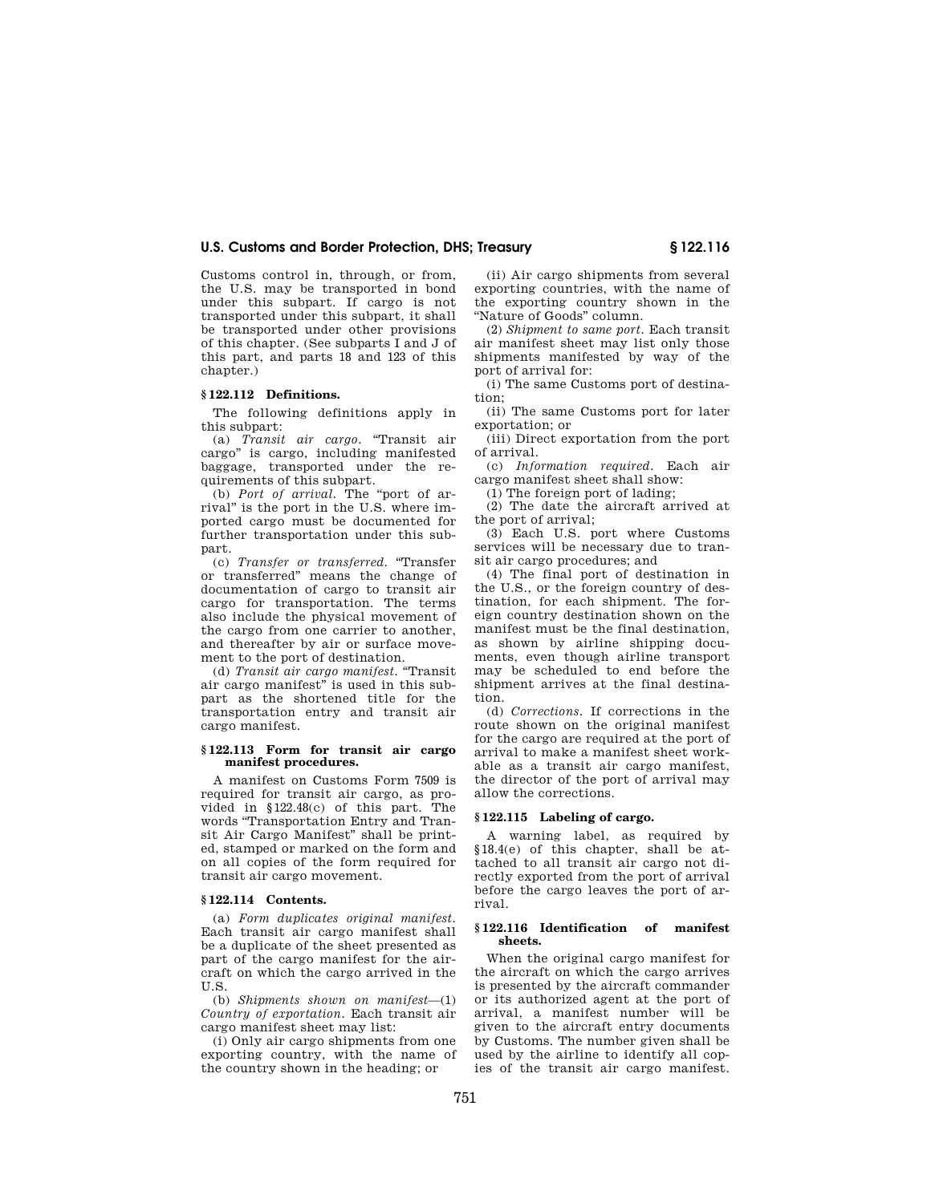Customs control in, through, or from, the U.S. may be transported in bond under this subpart. If cargo is not transported under this subpart, it shall be transported under other provisions of this chapter. (See subparts I and J of this part, and parts 18 and 123 of this chapter.)

#### **§ 122.112 Definitions.**

The following definitions apply in this subpart:

(a) *Transit air cargo.* ''Transit air cargo'' is cargo, including manifested baggage, transported under the requirements of this subpart.

(b) *Port of arrival.* The ''port of arrival'' is the port in the U.S. where imported cargo must be documented for further transportation under this subpart.

(c) *Transfer or transferred.* ''Transfer or transferred'' means the change of documentation of cargo to transit air cargo for transportation. The terms also include the physical movement of the cargo from one carrier to another, and thereafter by air or surface movement to the port of destination.

(d) *Transit air cargo manifest.* ''Transit air cargo manifest'' is used in this subpart as the shortened title for the transportation entry and transit air cargo manifest.

#### **§ 122.113 Form for transit air cargo manifest procedures.**

A manifest on Customs Form 7509 is required for transit air cargo, as provided in §122.48(c) of this part. The words ''Transportation Entry and Transit Air Cargo Manifest'' shall be printed, stamped or marked on the form and on all copies of the form required for transit air cargo movement.

### **§ 122.114 Contents.**

(a) *Form duplicates original manifest.*  Each transit air cargo manifest shall be a duplicate of the sheet presented as part of the cargo manifest for the aircraft on which the cargo arrived in the U.S.

(b) *Shipments shown on manifest*—(1) *Country of exportation.* Each transit air cargo manifest sheet may list:

(i) Only air cargo shipments from one exporting country, with the name of the country shown in the heading; or

(ii) Air cargo shipments from several exporting countries, with the name of the exporting country shown in the ''Nature of Goods'' column.

(2) *Shipment to same port.* Each transit air manifest sheet may list only those shipments manifested by way of the port of arrival for:

(i) The same Customs port of destination;

(ii) The same Customs port for later exportation; or

(iii) Direct exportation from the port of arrival.

(c) *Information required.* Each air cargo manifest sheet shall show:

(1) The foreign port of lading;

(2) The date the aircraft arrived at the port of arrival;

(3) Each U.S. port where Customs services will be necessary due to transit air cargo procedures; and

(4) The final port of destination in the U.S., or the foreign country of destination, for each shipment. The foreign country destination shown on the manifest must be the final destination, as shown by airline shipping documents, even though airline transport may be scheduled to end before the shipment arrives at the final destination.

(d) *Corrections.* If corrections in the route shown on the original manifest for the cargo are required at the port of arrival to make a manifest sheet workable as a transit air cargo manifest, the director of the port of arrival may allow the corrections.

#### **§ 122.115 Labeling of cargo.**

A warning label, as required by §18.4(e) of this chapter, shall be attached to all transit air cargo not directly exported from the port of arrival before the cargo leaves the port of arrival.

#### **§ 122.116 Identification of manifest sheets.**

When the original cargo manifest for the aircraft on which the cargo arrives is presented by the aircraft commander or its authorized agent at the port of arrival, a manifest number will be given to the aircraft entry documents by Customs. The number given shall be used by the airline to identify all copies of the transit air cargo manifest.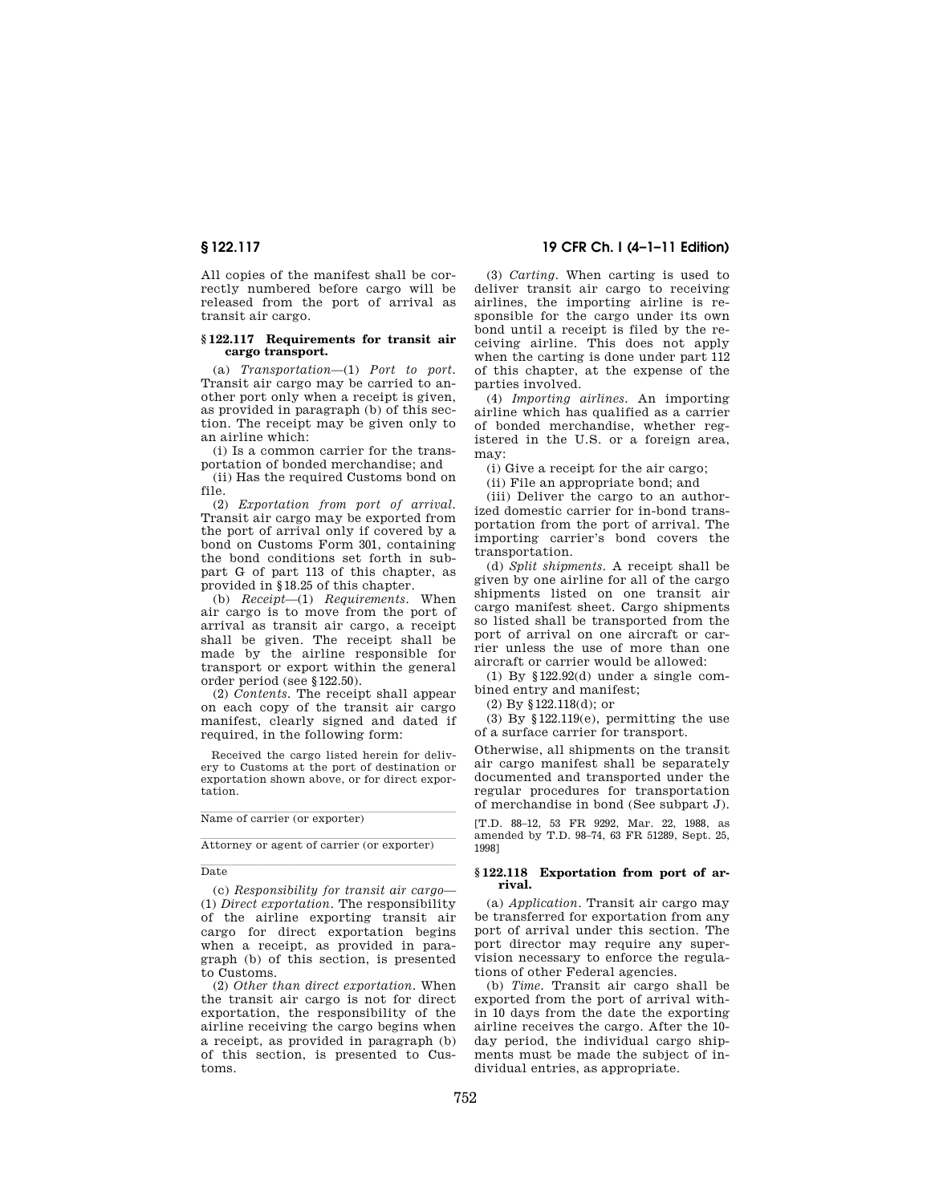All copies of the manifest shall be correctly numbered before cargo will be released from the port of arrival as transit air cargo.

#### **§ 122.117 Requirements for transit air cargo transport.**

(a) *Transportation*—(1) *Port to port.*  Transit air cargo may be carried to another port only when a receipt is given, as provided in paragraph (b) of this section. The receipt may be given only to an airline which:

(i) Is a common carrier for the transportation of bonded merchandise; and

(ii) Has the required Customs bond on file.

(2) *Exportation from port of arrival.*  Transit air cargo may be exported from the port of arrival only if covered by a bond on Customs Form 301, containing the bond conditions set forth in subpart G of part 113 of this chapter, as provided in §18.25 of this chapter.

(b) *Receipt*—(1) *Requirements.* When air cargo is to move from the port of arrival as transit air cargo, a receipt shall be given. The receipt shall be made by the airline responsible for transport or export within the general order period (see §122.50).

(2) *Contents.* The receipt shall appear on each copy of the transit air cargo manifest, clearly signed and dated if required, in the following form:

Received the cargo listed herein for delivery to Customs at the port of destination or exportation shown above, or for direct exportation.

Name of carrier (or exporter)

Attorney or agent of carrier (or exporter)

**Date** Date

(c) *Responsibility for transit air cargo*— (1) *Direct exportation.* The responsibility of the airline exporting transit air cargo for direct exportation begins when a receipt, as provided in paragraph (b) of this section, is presented to Customs.

(2) *Other than direct exportation.* When the transit air cargo is not for direct exportation, the responsibility of the airline receiving the cargo begins when a receipt, as provided in paragraph (b) of this section, is presented to Customs.

## **§ 122.117 19 CFR Ch. I (4–1–11 Edition)**

(3) *Carting.* When carting is used to deliver transit air cargo to receiving airlines, the importing airline is responsible for the cargo under its own bond until a receipt is filed by the receiving airline. This does not apply when the carting is done under part 112 of this chapter, at the expense of the parties involved.

(4) *Importing airlines.* An importing airline which has qualified as a carrier of bonded merchandise, whether registered in the U.S. or a foreign area, may:

(i) Give a receipt for the air cargo;

(ii) File an appropriate bond; and

(iii) Deliver the cargo to an authorized domestic carrier for in-bond transportation from the port of arrival. The importing carrier's bond covers the transportation.

(d) *Split shipments.* A receipt shall be given by one airline for all of the cargo shipments listed on one transit air cargo manifest sheet. Cargo shipments so listed shall be transported from the port of arrival on one aircraft or carrier unless the use of more than one aircraft or carrier would be allowed:

(1) By §122.92(d) under a single combined entry and manifest;

(2) By §122.118(d); or

(3) By  $$122.119(e)$ , permitting the use of a surface carrier for transport.

Otherwise, all shipments on the transit air cargo manifest shall be separately documented and transported under the regular procedures for transportation of merchandise in bond (See subpart J).

[T.D. 88–12, 53 FR 9292, Mar. 22, 1988, as amended by T.D. 98–74, 63 FR 51289, Sept. 25, 1998]

#### **§ 122.118 Exportation from port of arrival.**

(a) *Application.* Transit air cargo may be transferred for exportation from any port of arrival under this section. The port director may require any supervision necessary to enforce the regulations of other Federal agencies.

(b) *Time.* Transit air cargo shall be exported from the port of arrival within 10 days from the date the exporting airline receives the cargo. After the 10 day period, the individual cargo shipments must be made the subject of individual entries, as appropriate.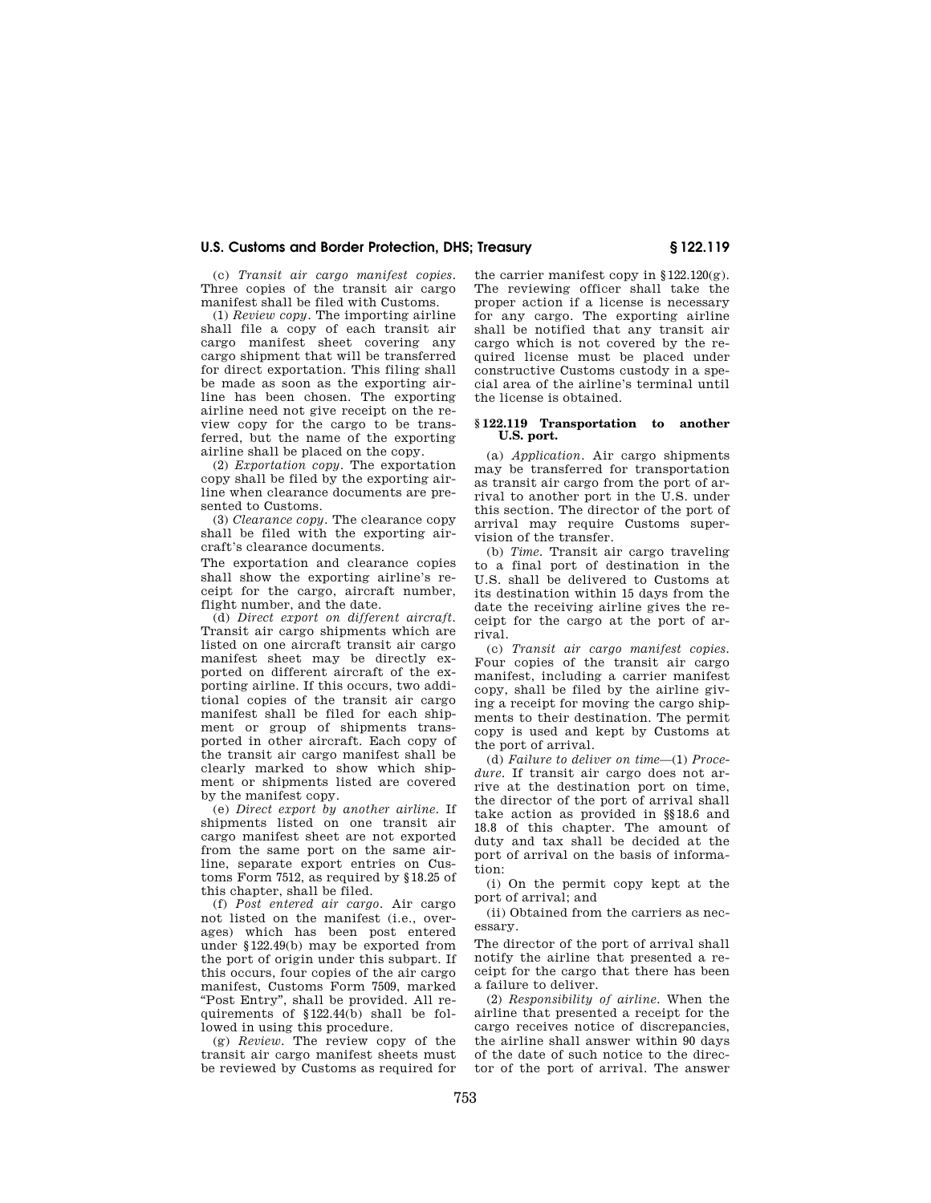(c) *Transit air cargo manifest copies.*  Three copies of the transit air cargo manifest shall be filed with Customs.

(1) *Review copy.* The importing airline shall file a copy of each transit air cargo manifest sheet covering any cargo shipment that will be transferred for direct exportation. This filing shall be made as soon as the exporting airline has been chosen. The exporting airline need not give receipt on the review copy for the cargo to be transferred, but the name of the exporting airline shall be placed on the copy.

(2) *Exportation copy.* The exportation copy shall be filed by the exporting airline when clearance documents are presented to Customs.

(3) *Clearance copy.* The clearance copy shall be filed with the exporting aircraft's clearance documents.

The exportation and clearance copies shall show the exporting airline's receipt for the cargo, aircraft number, flight number, and the date.

(d) *Direct export on different aircraft.*  Transit air cargo shipments which are listed on one aircraft transit air cargo manifest sheet may be directly exported on different aircraft of the exporting airline. If this occurs, two additional copies of the transit air cargo manifest shall be filed for each shipment or group of shipments transported in other aircraft. Each copy of the transit air cargo manifest shall be clearly marked to show which shipment or shipments listed are covered by the manifest copy.

(e) *Direct export by another airline.* If shipments listed on one transit air cargo manifest sheet are not exported from the same port on the same airline, separate export entries on Customs Form 7512, as required by §18.25 of this chapter, shall be filed.

(f) *Post entered air cargo.* Air cargo not listed on the manifest (i.e., overages) which has been post entered under §122.49(b) may be exported from the port of origin under this subpart. If this occurs, four copies of the air cargo manifest, Customs Form 7509, marked ''Post Entry'', shall be provided. All requirements of §122.44(b) shall be followed in using this procedure.

(g) *Review.* The review copy of the transit air cargo manifest sheets must be reviewed by Customs as required for

the carrier manifest copy in §122.120(g). The reviewing officer shall take the proper action if a license is necessary for any cargo. The exporting airline shall be notified that any transit air cargo which is not covered by the required license must be placed under constructive Customs custody in a special area of the airline's terminal until the license is obtained.

#### **§ 122.119 Transportation to another U.S. port.**

(a) *Application.* Air cargo shipments may be transferred for transportation as transit air cargo from the port of arrival to another port in the U.S. under this section. The director of the port of arrival may require Customs supervision of the transfer.

(b) *Time.* Transit air cargo traveling to a final port of destination in the U.S. shall be delivered to Customs at its destination within 15 days from the date the receiving airline gives the receipt for the cargo at the port of arrival.

(c) *Transit air cargo manifest copies.*  Four copies of the transit air cargo manifest, including a carrier manifest copy, shall be filed by the airline giving a receipt for moving the cargo shipments to their destination. The permit copy is used and kept by Customs at the port of arrival.

(d) *Failure to deliver on time*—(1) *Procedure.* If transit air cargo does not arrive at the destination port on time, the director of the port of arrival shall take action as provided in §§18.6 and 18.8 of this chapter. The amount of duty and tax shall be decided at the port of arrival on the basis of information:

(i) On the permit copy kept at the port of arrival; and

(ii) Obtained from the carriers as necessary.

The director of the port of arrival shall notify the airline that presented a receipt for the cargo that there has been a failure to deliver.

(2) *Responsibility of airline.* When the airline that presented a receipt for the cargo receives notice of discrepancies, the airline shall answer within 90 days of the date of such notice to the director of the port of arrival. The answer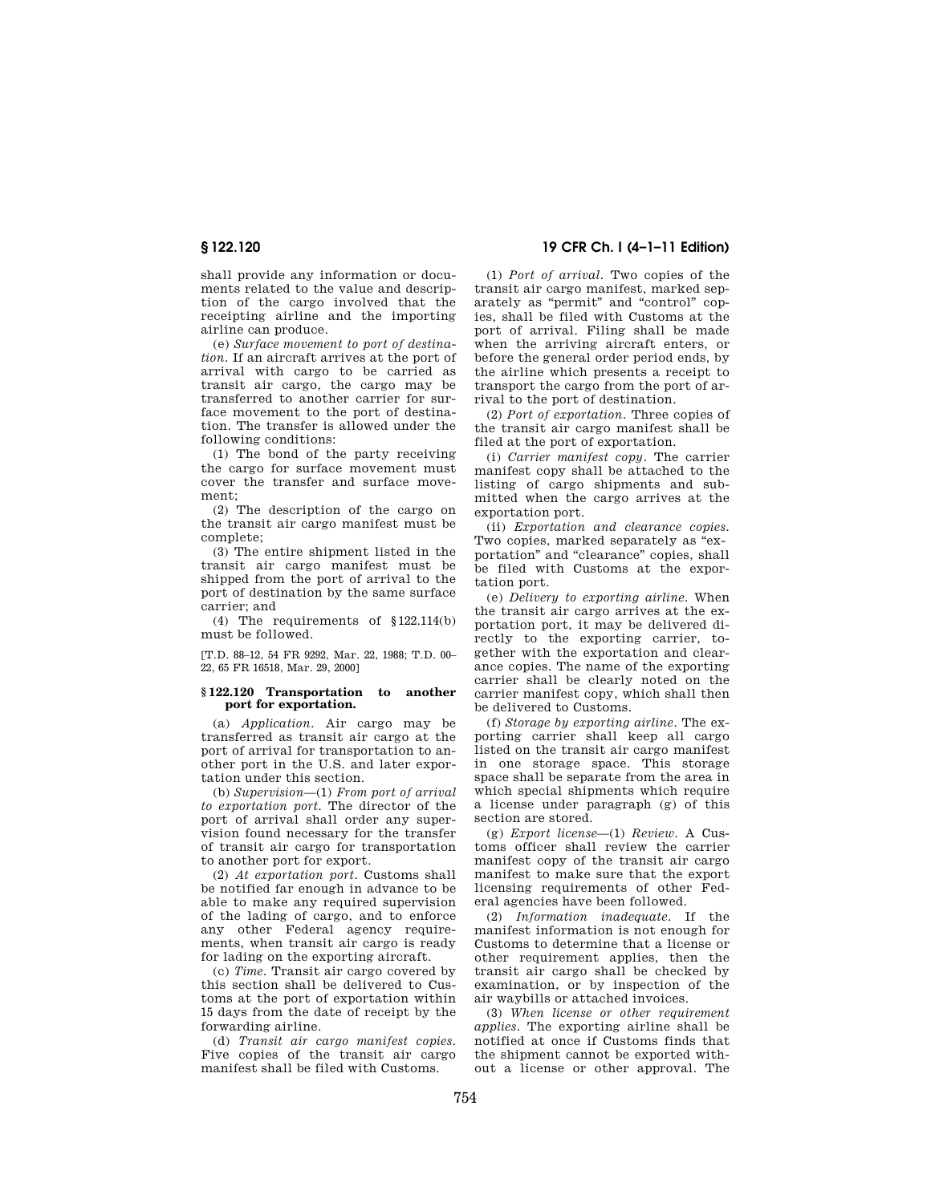shall provide any information or documents related to the value and description of the cargo involved that the receipting airline and the importing airline can produce.

(e) *Surface movement to port of destination.* If an aircraft arrives at the port of arrival with cargo to be carried as transit air cargo, the cargo may be transferred to another carrier for surface movement to the port of destination. The transfer is allowed under the following conditions:

(1) The bond of the party receiving the cargo for surface movement must cover the transfer and surface movement;

(2) The description of the cargo on the transit air cargo manifest must be complete;

(3) The entire shipment listed in the transit air cargo manifest must be shipped from the port of arrival to the port of destination by the same surface carrier; and

(4) The requirements of §122.114(b) must be followed.

[T.D. 88–12, 54 FR 9292, Mar. 22, 1988; T.D. 00– 22, 65 FR 16518, Mar. 29, 2000]

## **§ 122.120 Transportation to another port for exportation.**

(a) *Application.* Air cargo may be transferred as transit air cargo at the port of arrival for transportation to another port in the U.S. and later exportation under this section.

(b) *Supervision*—(1) *From port of arrival to exportation port.* The director of the port of arrival shall order any supervision found necessary for the transfer of transit air cargo for transportation to another port for export.

(2) *At exportation port.* Customs shall be notified far enough in advance to be able to make any required supervision of the lading of cargo, and to enforce any other Federal agency requirements, when transit air cargo is ready for lading on the exporting aircraft.

(c) *Time.* Transit air cargo covered by this section shall be delivered to Customs at the port of exportation within 15 days from the date of receipt by the forwarding airline.

(d) *Transit air cargo manifest copies.*  Five copies of the transit air cargo manifest shall be filed with Customs.

## **§ 122.120 19 CFR Ch. I (4–1–11 Edition)**

(1) *Port of arrival.* Two copies of the transit air cargo manifest, marked separately as "permit" and "control" copies, shall be filed with Customs at the port of arrival. Filing shall be made when the arriving aircraft enters, or before the general order period ends, by the airline which presents a receipt to transport the cargo from the port of arrival to the port of destination.

(2) *Port of exportation.* Three copies of the transit air cargo manifest shall be filed at the port of exportation.

(i) *Carrier manifest copy.* The carrier manifest copy shall be attached to the listing of cargo shipments and submitted when the cargo arrives at the exportation port.

(ii) *Exportation and clearance copies.*  Two copies, marked separately as "exportation'' and ''clearance'' copies, shall be filed with Customs at the exportation port.

(e) *Delivery to exporting airline.* When the transit air cargo arrives at the exportation port, it may be delivered directly to the exporting carrier, together with the exportation and clearance copies. The name of the exporting carrier shall be clearly noted on the carrier manifest copy, which shall then be delivered to Customs.

(f) *Storage by exporting airline.* The exporting carrier shall keep all cargo listed on the transit air cargo manifest in one storage space. This storage space shall be separate from the area in which special shipments which require a license under paragraph (g) of this section are stored.

(g) *Export license*—(1) *Review.* A Customs officer shall review the carrier manifest copy of the transit air cargo manifest to make sure that the export licensing requirements of other Federal agencies have been followed.

(2) *Information inadequate.* If the manifest information is not enough for Customs to determine that a license or other requirement applies, then the transit air cargo shall be checked by examination, or by inspection of the air waybills or attached invoices.

(3) *When license or other requirement applies.* The exporting airline shall be notified at once if Customs finds that the shipment cannot be exported without a license or other approval. The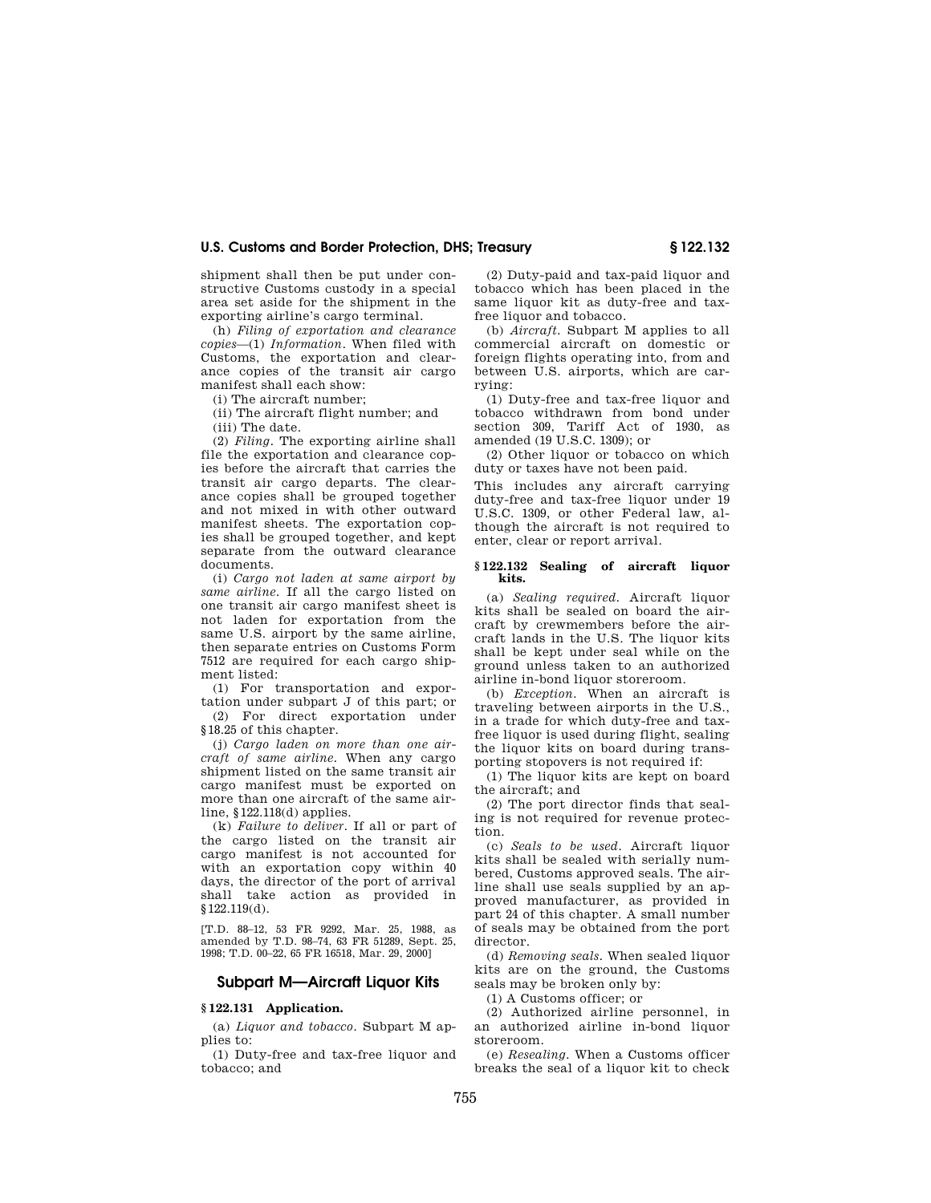shipment shall then be put under constructive Customs custody in a special area set aside for the shipment in the exporting airline's cargo terminal.

(h) *Filing of exportation and clearance copies*—(1) *Information.* When filed with Customs, the exportation and clearance copies of the transit air cargo manifest shall each show:

(i) The aircraft number;

(ii) The aircraft flight number; and (iii) The date.

(2) *Filing.* The exporting airline shall file the exportation and clearance copies before the aircraft that carries the transit air cargo departs. The clearance copies shall be grouped together and not mixed in with other outward

manifest sheets. The exportation copies shall be grouped together, and kept separate from the outward clearance documents. (i) *Cargo not laden at same airport by same airline.* If all the cargo listed on one transit air cargo manifest sheet is

not laden for exportation from the same U.S. airport by the same airline, then separate entries on Customs Form 7512 are required for each cargo shipment listed:

(1) For transportation and exportation under subpart J of this part; or

(2) For direct exportation under §18.25 of this chapter.

(j) *Cargo laden on more than one aircraft of same airline.* When any cargo shipment listed on the same transit air cargo manifest must be exported on more than one aircraft of the same airline, §122.118(d) applies.

(k) *Failure to deliver.* If all or part of the cargo listed on the transit air cargo manifest is not accounted for with an exportation copy within 40 days, the director of the port of arrival shall take action as provided in §122.119(d).

[T.D. 88–12, 53 FR 9292, Mar. 25, 1988, as amended by T.D. 98–74, 63 FR 51289, Sept. 25, 1998; T.D. 00–22, 65 FR 16518, Mar. 29, 2000]

## **Subpart M—Aircraft Liquor Kits**

## **§ 122.131 Application.**

(a) *Liquor and tobacco.* Subpart M applies to:

(1) Duty-free and tax-free liquor and tobacco; and

(2) Duty-paid and tax-paid liquor and tobacco which has been placed in the same liquor kit as duty-free and taxfree liquor and tobacco.

(b) *Aircraft.* Subpart M applies to all commercial aircraft on domestic or foreign flights operating into, from and between U.S. airports, which are carrying:

(1) Duty-free and tax-free liquor and tobacco withdrawn from bond under section 309, Tariff Act of 1930, as amended (19 U.S.C. 1309); or

(2) Other liquor or tobacco on which duty or taxes have not been paid.

This includes any aircraft carrying duty-free and tax-free liquor under 19 U.S.C. 1309, or other Federal law, although the aircraft is not required to enter, clear or report arrival.

#### **§ 122.132 Sealing of aircraft liquor kits.**

(a) *Sealing required.* Aircraft liquor kits shall be sealed on board the aircraft by crewmembers before the aircraft lands in the U.S. The liquor kits shall be kept under seal while on the ground unless taken to an authorized airline in-bond liquor storeroom.

(b) *Exception.* When an aircraft is traveling between airports in the U.S., in a trade for which duty-free and taxfree liquor is used during flight, sealing the liquor kits on board during transporting stopovers is not required if:

(1) The liquor kits are kept on board the aircraft; and

(2) The port director finds that sealing is not required for revenue protection.

(c) *Seals to be used.* Aircraft liquor kits shall be sealed with serially numbered, Customs approved seals. The airline shall use seals supplied by an approved manufacturer, as provided in part 24 of this chapter. A small number of seals may be obtained from the port director.

(d) *Removing seals.* When sealed liquor kits are on the ground, the Customs seals may be broken only by:

(1) A Customs officer; or

(2) Authorized airline personnel, in an authorized airline in-bond liquor storeroom.

(e) *Resealing.* When a Customs officer breaks the seal of a liquor kit to check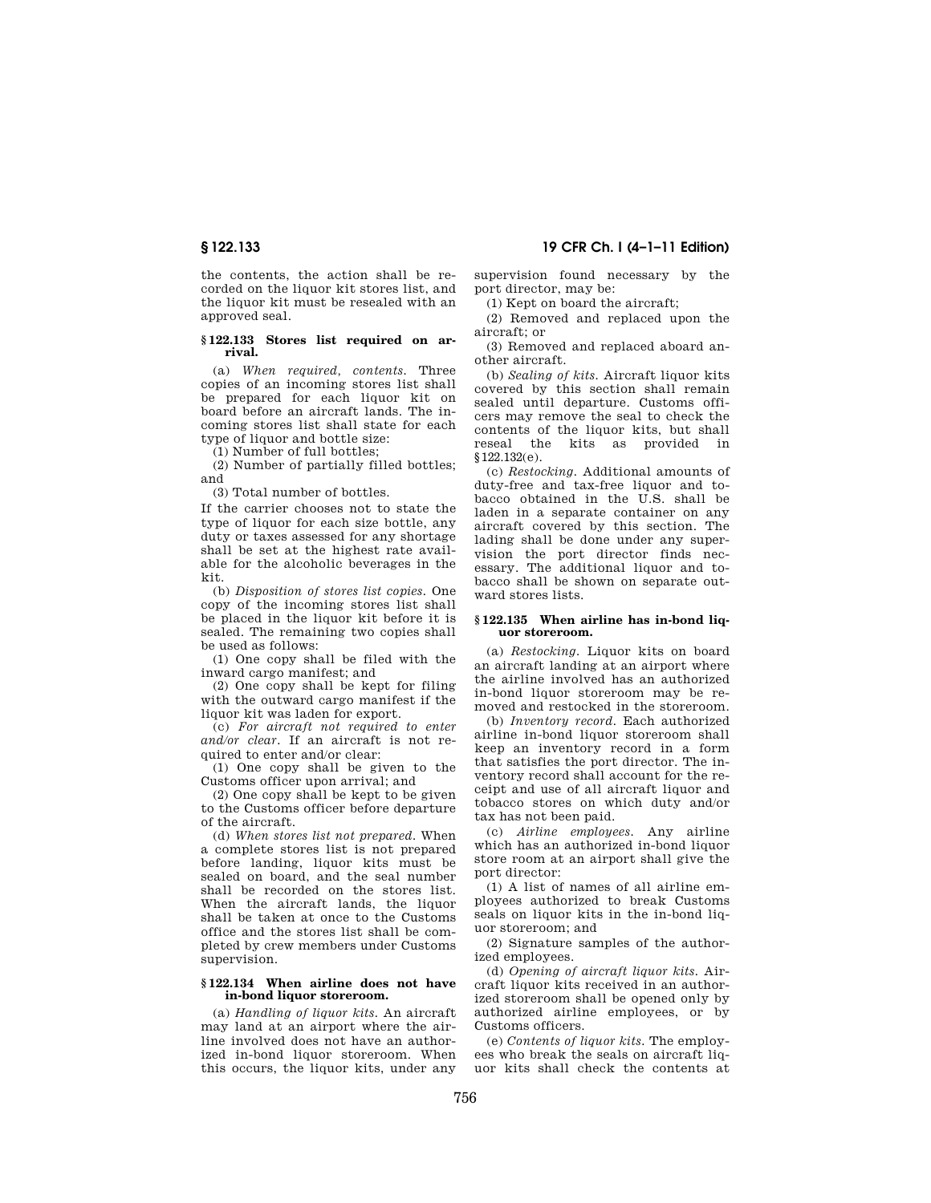the contents, the action shall be recorded on the liquor kit stores list, and the liquor kit must be resealed with an approved seal.

#### **§ 122.133 Stores list required on arrival.**

(a) *When required, contents.* Three copies of an incoming stores list shall be prepared for each liquor kit on board before an aircraft lands. The incoming stores list shall state for each type of liquor and bottle size:

(1) Number of full bottles;

(2) Number of partially filled bottles; and

(3) Total number of bottles.

If the carrier chooses not to state the type of liquor for each size bottle, any duty or taxes assessed for any shortage shall be set at the highest rate available for the alcoholic beverages in the kit.

(b) *Disposition of stores list copies.* One copy of the incoming stores list shall be placed in the liquor kit before it is sealed. The remaining two copies shall be used as follows:

(1) One copy shall be filed with the inward cargo manifest; and

(2) One copy shall be kept for filing with the outward cargo manifest if the liquor kit was laden for export.

(c) *For aircraft not required to enter and/or clear.* If an aircraft is not required to enter and/or clear:

(1) One copy shall be given to the Customs officer upon arrival; and

(2) One copy shall be kept to be given to the Customs officer before departure of the aircraft.

(d) *When stores list not prepared.* When a complete stores list is not prepared before landing, liquor kits must be sealed on board, and the seal number shall be recorded on the stores list. When the aircraft lands, the liquor shall be taken at once to the Customs office and the stores list shall be completed by crew members under Customs supervision.

#### **§ 122.134 When airline does not have in-bond liquor storeroom.**

(a) *Handling of liquor kits.* An aircraft may land at an airport where the airline involved does not have an authorized in-bond liquor storeroom. When this occurs, the liquor kits, under any

**§ 122.133 19 CFR Ch. I (4–1–11 Edition)** 

supervision found necessary by the port director, may be:

(1) Kept on board the aircraft;

(2) Removed and replaced upon the aircraft; or

(3) Removed and replaced aboard another aircraft.

(b) *Sealing of kits.* Aircraft liquor kits covered by this section shall remain sealed until departure. Customs officers may remove the seal to check the contents of the liquor kits, but shall reseal the kits as provided in §122.132(e).

(c) *Restocking.* Additional amounts of duty-free and tax-free liquor and tobacco obtained in the U.S. shall be laden in a separate container on any aircraft covered by this section. The lading shall be done under any supervision the port director finds necessary. The additional liquor and tobacco shall be shown on separate outward stores lists.

#### **§ 122.135 When airline has in-bond liquor storeroom.**

(a) *Restocking.* Liquor kits on board an aircraft landing at an airport where the airline involved has an authorized in-bond liquor storeroom may be removed and restocked in the storeroom.

(b) *Inventory record.* Each authorized airline in-bond liquor storeroom shall keep an inventory record in a form that satisfies the port director. The inventory record shall account for the receipt and use of all aircraft liquor and tobacco stores on which duty and/or tax has not been paid.

(c) *Airline employees.* Any airline which has an authorized in-bond liquor store room at an airport shall give the port director:

(1) A list of names of all airline employees authorized to break Customs seals on liquor kits in the in-bond liquor storeroom; and

(2) Signature samples of the authorized employees.

(d) *Opening of aircraft liquor kits.* Aircraft liquor kits received in an authorized storeroom shall be opened only by authorized airline employees, or by Customs officers.

(e) *Contents of liquor kits.* The employees who break the seals on aircraft liquor kits shall check the contents at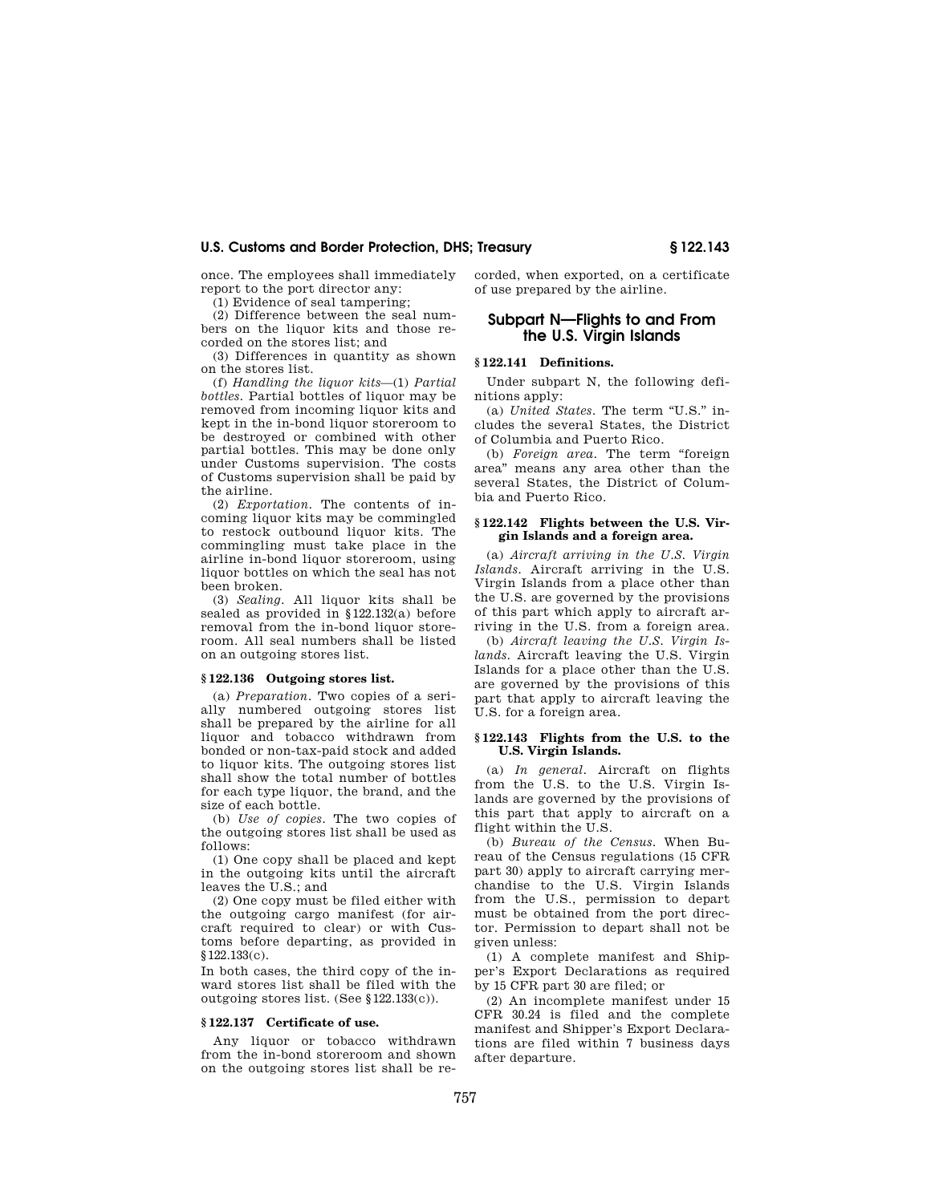once. The employees shall immediately report to the port director any:

(1) Evidence of seal tampering;

(2) Difference between the seal numbers on the liquor kits and those recorded on the stores list; and

(3) Differences in quantity as shown on the stores list.

(f) *Handling the liquor kits*—(1) *Partial bottles.* Partial bottles of liquor may be removed from incoming liquor kits and kept in the in-bond liquor storeroom to be destroyed or combined with other partial bottles. This may be done only under Customs supervision. The costs of Customs supervision shall be paid by the airline.

(2) *Exportation.* The contents of incoming liquor kits may be commingled to restock outbound liquor kits. The commingling must take place in the airline in-bond liquor storeroom, using liquor bottles on which the seal has not been broken.

(3) *Sealing.* All liquor kits shall be sealed as provided in §122.132(a) before removal from the in-bond liquor storeroom. All seal numbers shall be listed on an outgoing stores list.

### **§ 122.136 Outgoing stores list.**

(a) *Preparation.* Two copies of a serially numbered outgoing stores list shall be prepared by the airline for all liquor and tobacco withdrawn from bonded or non-tax-paid stock and added to liquor kits. The outgoing stores list shall show the total number of bottles for each type liquor, the brand, and the size of each bottle.

(b) *Use of copies.* The two copies of the outgoing stores list shall be used as follows:

(1) One copy shall be placed and kept in the outgoing kits until the aircraft leaves the U.S.; and

(2) One copy must be filed either with the outgoing cargo manifest (for aircraft required to clear) or with Customs before departing, as provided in §122.133(c).

In both cases, the third copy of the inward stores list shall be filed with the outgoing stores list. (See §122.133(c)).

#### **§ 122.137 Certificate of use.**

Any liquor or tobacco withdrawn from the in-bond storeroom and shown on the outgoing stores list shall be recorded, when exported, on a certificate of use prepared by the airline.

## **Subpart N—Flights to and From the U.S. Virgin Islands**

#### **§ 122.141 Definitions.**

Under subpart N, the following definitions apply:

(a) *United States.* The term ''U.S.'' includes the several States, the District of Columbia and Puerto Rico.

(b) *Foreign area.* The term ''foreign area'' means any area other than the several States, the District of Columbia and Puerto Rico.

#### **§ 122.142 Flights between the U.S. Virgin Islands and a foreign area.**

(a) *Aircraft arriving in the U.S. Virgin Islands.* Aircraft arriving in the U.S. Virgin Islands from a place other than the U.S. are governed by the provisions of this part which apply to aircraft arriving in the U.S. from a foreign area.

(b) *Aircraft leaving the U.S. Virgin Islands.* Aircraft leaving the U.S. Virgin Islands for a place other than the U.S. are governed by the provisions of this part that apply to aircraft leaving the U.S. for a foreign area.

#### **§ 122.143 Flights from the U.S. to the U.S. Virgin Islands.**

(a) *In general.* Aircraft on flights from the U.S. to the U.S. Virgin Islands are governed by the provisions of this part that apply to aircraft on a flight within the U.S.

(b) *Bureau of the Census.* When Bureau of the Census regulations (15 CFR part 30) apply to aircraft carrying merchandise to the U.S. Virgin Islands from the U.S., permission to depart must be obtained from the port director. Permission to depart shall not be given unless:

(1) A complete manifest and Shipper's Export Declarations as required by 15 CFR part 30 are filed; or

(2) An incomplete manifest under 15 CFR 30.24 is filed and the complete manifest and Shipper's Export Declarations are filed within 7 business days after departure.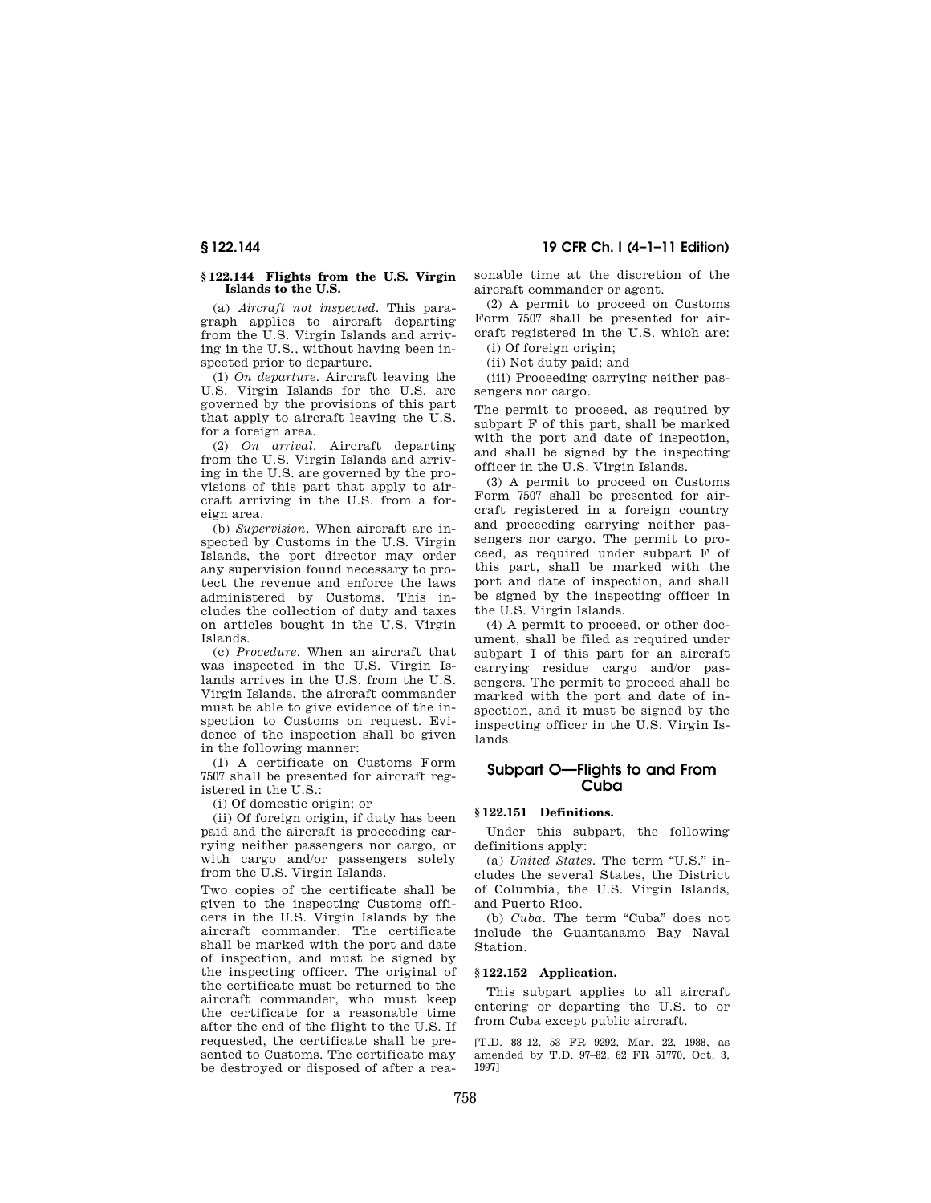#### **§ 122.144 Flights from the U.S. Virgin Islands to the U.S.**

(a) *Aircraft not inspected.* This paragraph applies to aircraft departing from the U.S. Virgin Islands and arriving in the U.S., without having been inspected prior to departure.

(1) *On departure.* Aircraft leaving the U.S. Virgin Islands for the U.S. are governed by the provisions of this part that apply to aircraft leaving the U.S. for a foreign area.

(2) *On arrival.* Aircraft departing from the U.S. Virgin Islands and arriving in the U.S. are governed by the provisions of this part that apply to aircraft arriving in the U.S. from a foreign area.

(b) *Supervision.* When aircraft are inspected by Customs in the U.S. Virgin Islands, the port director may order any supervision found necessary to protect the revenue and enforce the laws administered by Customs. This includes the collection of duty and taxes on articles bought in the U.S. Virgin Islands.

(c) *Procedure.* When an aircraft that was inspected in the U.S. Virgin Islands arrives in the U.S. from the U.S. Virgin Islands, the aircraft commander must be able to give evidence of the inspection to Customs on request. Evidence of the inspection shall be given in the following manner:

(1) A certificate on Customs Form 7507 shall be presented for aircraft registered in the U.S.:

(i) Of domestic origin; or

(ii) Of foreign origin, if duty has been paid and the aircraft is proceeding carrying neither passengers nor cargo, or with cargo and/or passengers solely from the U.S. Virgin Islands.

Two copies of the certificate shall be given to the inspecting Customs officers in the U.S. Virgin Islands by the aircraft commander. The certificate shall be marked with the port and date of inspection, and must be signed by the inspecting officer. The original of the certificate must be returned to the aircraft commander, who must keep the certificate for a reasonable time after the end of the flight to the U.S. If requested, the certificate shall be presented to Customs. The certificate may be destroyed or disposed of after a rea-

**§ 122.144 19 CFR Ch. I (4–1–11 Edition)** 

sonable time at the discretion of the aircraft commander or agent.

(2) A permit to proceed on Customs Form 7507 shall be presented for aircraft registered in the U.S. which are:

(i) Of foreign origin; (ii) Not duty paid; and

(iii) Proceeding carrying neither passengers nor cargo.

The permit to proceed, as required by subpart F of this part, shall be marked with the port and date of inspection, and shall be signed by the inspecting officer in the U.S. Virgin Islands.

(3) A permit to proceed on Customs Form 7507 shall be presented for aircraft registered in a foreign country and proceeding carrying neither passengers nor cargo. The permit to proceed, as required under subpart F of this part, shall be marked with the port and date of inspection, and shall be signed by the inspecting officer in the U.S. Virgin Islands.

(4) A permit to proceed, or other document, shall be filed as required under subpart I of this part for an aircraft carrying residue cargo and/or passengers. The permit to proceed shall be marked with the port and date of inspection, and it must be signed by the inspecting officer in the U.S. Virgin Islands.

## **Subpart O—Flights to and From Cuba**

#### **§ 122.151 Definitions.**

Under this subpart, the following definitions apply:

(a) *United States.* The term ''U.S.'' includes the several States, the District of Columbia, the U.S. Virgin Islands, and Puerto Rico.

(b) *Cuba*. The term "Cuba" does not include the Guantanamo Bay Naval Station.

#### **§ 122.152 Application.**

This subpart applies to all aircraft entering or departing the U.S. to or from Cuba except public aircraft.

[T.D. 88–12, 53 FR 9292, Mar. 22, 1988, as amended by T.D. 97–82, 62 FR 51770, Oct. 3, 1997]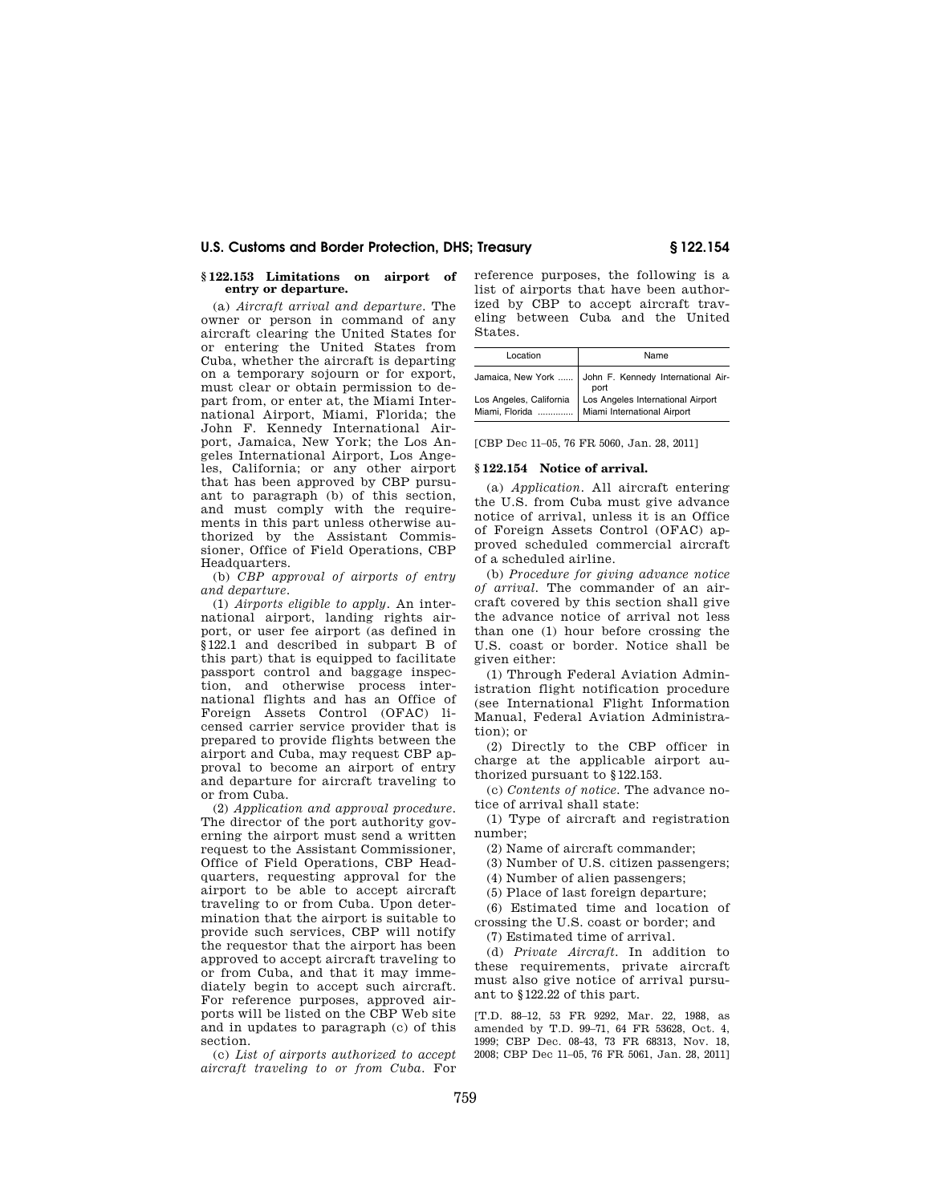#### **§ 122.153 Limitations on airport of entry or departure.**

(a) *Aircraft arrival and departure.* The owner or person in command of any aircraft clearing the United States for or entering the United States from Cuba, whether the aircraft is departing on a temporary sojourn or for export, must clear or obtain permission to depart from, or enter at, the Miami International Airport, Miami, Florida; the John F. Kennedy International Airport, Jamaica, New York; the Los Angeles International Airport, Los Angeles, California; or any other airport that has been approved by CBP pursuant to paragraph (b) of this section, and must comply with the requirements in this part unless otherwise authorized by the Assistant Commissioner, Office of Field Operations, CBP Headquarters.

(b) *CBP approval of airports of entry and departure.* 

(1) *Airports eligible to apply.* An international airport, landing rights airport, or user fee airport (as defined in §122.1 and described in subpart B of this part) that is equipped to facilitate passport control and baggage inspection, and otherwise process international flights and has an Office of Foreign Assets Control (OFAC) licensed carrier service provider that is prepared to provide flights between the airport and Cuba, may request CBP approval to become an airport of entry and departure for aircraft traveling to or from Cuba.

(2) *Application and approval procedure.*  The director of the port authority governing the airport must send a written request to the Assistant Commissioner, Office of Field Operations, CBP Headquarters, requesting approval for the airport to be able to accept aircraft traveling to or from Cuba. Upon determination that the airport is suitable to provide such services, CBP will notify the requestor that the airport has been approved to accept aircraft traveling to or from Cuba, and that it may immediately begin to accept such aircraft. For reference purposes, approved airports will be listed on the CBP Web site and in updates to paragraph (c) of this section.

(c) *List of airports authorized to accept aircraft traveling to or from Cuba.* For reference purposes, the following is a list of airports that have been authorized by CBP to accept aircraft traveling between Cuba and the United States.

| Location | Name                                                                                                                         |
|----------|------------------------------------------------------------------------------------------------------------------------------|
|          | Jamaica, New York  John F. Kennedy International Air-                                                                        |
|          | Los Angeles, California   port<br>Los Angeles, California   Los Angeles International Airport<br>Miami International Airport |

[CBP Dec 11–05, 76 FR 5060, Jan. 28, 2011]

## **§ 122.154 Notice of arrival.**

(a) *Application.* All aircraft entering the U.S. from Cuba must give advance notice of arrival, unless it is an Office of Foreign Assets Control (OFAC) approved scheduled commercial aircraft of a scheduled airline.

(b) *Procedure for giving advance notice of arrival.* The commander of an aircraft covered by this section shall give the advance notice of arrival not less than one (1) hour before crossing the U.S. coast or border. Notice shall be given either:

(1) Through Federal Aviation Administration flight notification procedure (see International Flight Information Manual, Federal Aviation Administration); or

(2) Directly to the CBP officer in charge at the applicable airport authorized pursuant to §122.153.

(c) *Contents of notice.* The advance notice of arrival shall state:

(1) Type of aircraft and registration number;

(2) Name of aircraft commander;

(3) Number of U.S. citizen passengers;

(4) Number of alien passengers;

(5) Place of last foreign departure;

(6) Estimated time and location of crossing the U.S. coast or border; and

(7) Estimated time of arrival.

(d) *Private Aircraft.* In addition to these requirements, private aircraft must also give notice of arrival pursuant to §122.22 of this part.

[T.D. 88–12, 53 FR 9292, Mar. 22, 1988, as amended by T.D. 99–71, 64 FR 53628, Oct. 4, 1999; CBP Dec. 08-43, 73 FR 68313, Nov. 18, 2008; CBP Dec 11–05, 76 FR 5061, Jan. 28, 2011]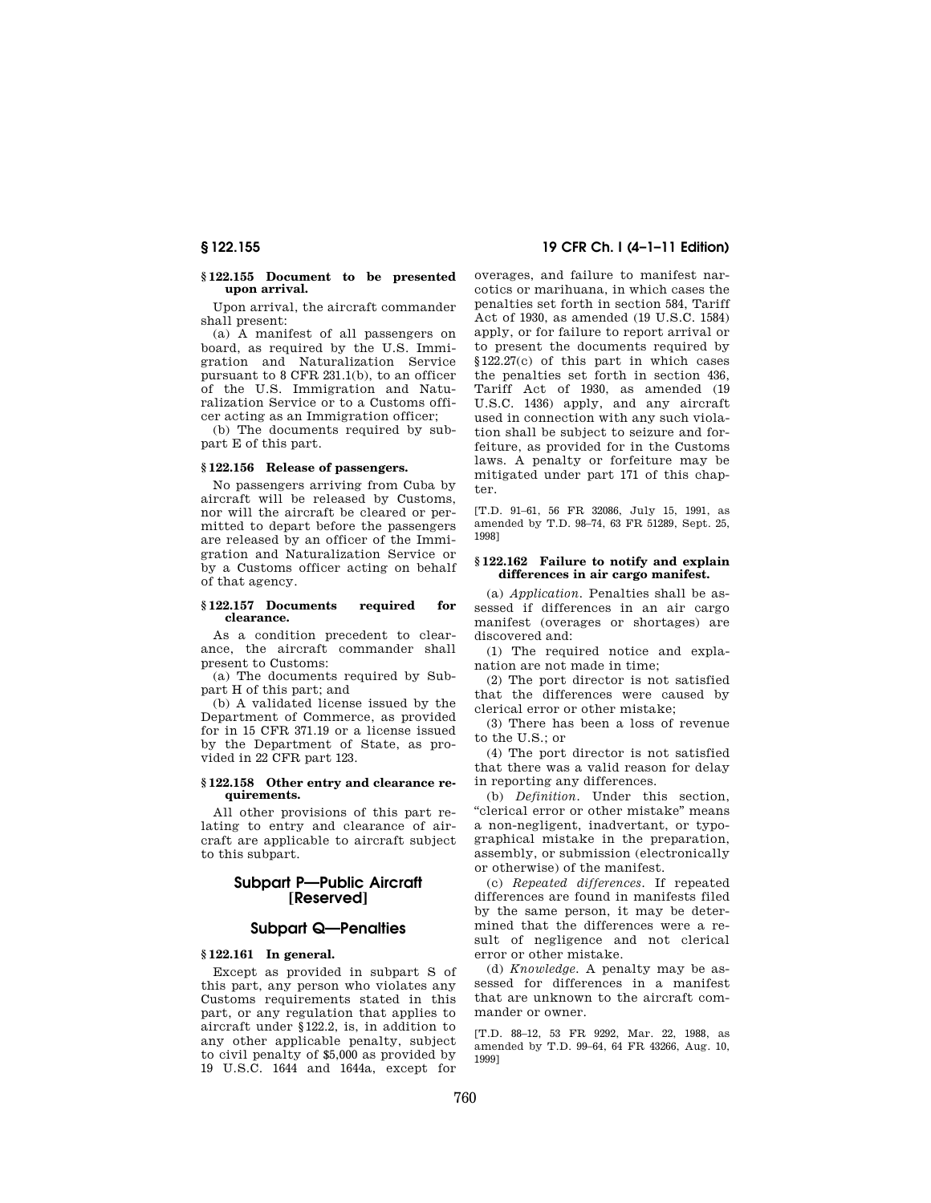#### **§ 122.155 Document to be presented upon arrival.**

Upon arrival, the aircraft commander shall present:

(a) A manifest of all passengers on board, as required by the U.S. Immigration and Naturalization Service pursuant to 8 CFR 231.1(b), to an officer of the U.S. Immigration and Naturalization Service or to a Customs officer acting as an Immigration officer;

(b) The documents required by subpart E of this part.

#### **§ 122.156 Release of passengers.**

No passengers arriving from Cuba by aircraft will be released by Customs, nor will the aircraft be cleared or permitted to depart before the passengers are released by an officer of the Immigration and Naturalization Service or by a Customs officer acting on behalf of that agency.

#### **§ 122.157 Documents required for clearance.**

As a condition precedent to clearance, the aircraft commander shall present to Customs:

(a) The documents required by Subpart H of this part; and

(b) A validated license issued by the Department of Commerce, as provided for in 15 CFR 371.19 or a license issued by the Department of State, as provided in 22 CFR part 123.

#### **§ 122.158 Other entry and clearance requirements.**

All other provisions of this part relating to entry and clearance of aircraft are applicable to aircraft subject to this subpart.

## **Subpart P—Public Aircraft [Reserved]**

## **Subpart Q—Penalties**

## **§ 122.161 In general.**

Except as provided in subpart S of this part, any person who violates any Customs requirements stated in this part, or any regulation that applies to aircraft under §122.2, is, in addition to any other applicable penalty, subject to civil penalty of \$5,000 as provided by 19 U.S.C. 1644 and 1644a, except for

**§ 122.155 19 CFR Ch. I (4–1–11 Edition)** 

overages, and failure to manifest narcotics or marihuana, in which cases the penalties set forth in section 584, Tariff Act of 1930, as amended (19 U.S.C. 1584) apply, or for failure to report arrival or to present the documents required by §122.27(c) of this part in which cases the penalties set forth in section 436, Tariff Act of 1930, as amended (19 U.S.C. 1436) apply, and any aircraft used in connection with any such violation shall be subject to seizure and forfeiture, as provided for in the Customs laws. A penalty or forfeiture may be mitigated under part 171 of this chapter.

[T.D. 91–61, 56 FR 32086, July 15, 1991, as amended by T.D. 98–74, 63 FR 51289, Sept. 25, 1998]

#### **§ 122.162 Failure to notify and explain differences in air cargo manifest.**

(a) *Application.* Penalties shall be assessed if differences in an air cargo manifest (overages or shortages) are discovered and:

(1) The required notice and explanation are not made in time;

(2) The port director is not satisfied that the differences were caused by clerical error or other mistake;

(3) There has been a loss of revenue to the U.S.; or

(4) The port director is not satisfied that there was a valid reason for delay in reporting any differences.

(b) *Definition.* Under this section, ''clerical error or other mistake'' means a non-negligent, inadvertant, or typographical mistake in the preparation, assembly, or submission (electronically or otherwise) of the manifest.

(c) *Repeated differences.* If repeated differences are found in manifests filed by the same person, it may be determined that the differences were a result of negligence and not clerical error or other mistake.

(d) *Knowledge.* A penalty may be assessed for differences in a manifest that are unknown to the aircraft commander or owner.

[T.D. 88–12, 53 FR 9292, Mar. 22, 1988, as amended by T.D. 99–64, 64 FR 43266, Aug. 10, 1999]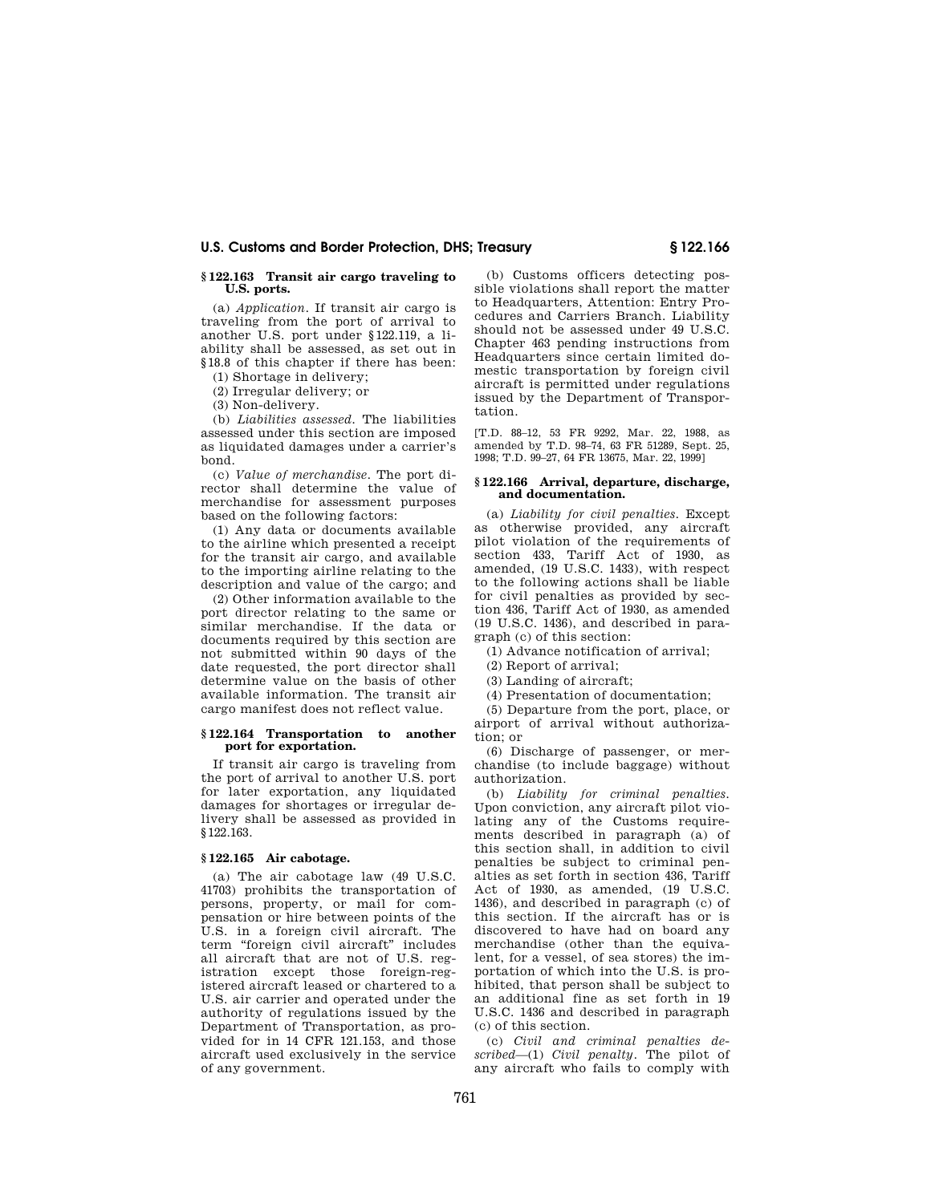#### **§ 122.163 Transit air cargo traveling to U.S. ports.**

(a) *Application.* If transit air cargo is traveling from the port of arrival to another U.S. port under §122.119, a liability shall be assessed, as set out in §18.8 of this chapter if there has been:

(1) Shortage in delivery;

(2) Irregular delivery; or

(3) Non-delivery.

(b) *Liabilities assessed.* The liabilities assessed under this section are imposed as liquidated damages under a carrier's bond.

(c) *Value of merchandise.* The port director shall determine the value of merchandise for assessment purposes based on the following factors:

(1) Any data or documents available to the airline which presented a receipt for the transit air cargo, and available to the importing airline relating to the description and value of the cargo; and

(2) Other information available to the port director relating to the same or similar merchandise. If the data or documents required by this section are not submitted within 90 days of the date requested, the port director shall determine value on the basis of other available information. The transit air cargo manifest does not reflect value.

#### **§ 122.164 Transportation to another port for exportation.**

If transit air cargo is traveling from the port of arrival to another U.S. port for later exportation, any liquidated damages for shortages or irregular delivery shall be assessed as provided in §122.163.

#### **§ 122.165 Air cabotage.**

(a) The air cabotage law (49 U.S.C. 41703) prohibits the transportation of persons, property, or mail for compensation or hire between points of the U.S. in a foreign civil aircraft. The term "foreign civil aircraft" includes all aircraft that are not of U.S. registration except those foreign-registered aircraft leased or chartered to a U.S. air carrier and operated under the authority of regulations issued by the Department of Transportation, as provided for in 14 CFR 121.153, and those aircraft used exclusively in the service of any government.

(b) Customs officers detecting possible violations shall report the matter to Headquarters, Attention: Entry Procedures and Carriers Branch. Liability should not be assessed under 49 U.S.C. Chapter 463 pending instructions from Headquarters since certain limited domestic transportation by foreign civil aircraft is permitted under regulations issued by the Department of Transportation.

[T.D. 88–12, 53 FR 9292, Mar. 22, 1988, as amended by T.D. 98–74, 63 FR 51289, Sept. 25, 1998; T.D. 99–27, 64 FR 13675, Mar. 22, 1999]

#### **§ 122.166 Arrival, departure, discharge, and documentation.**

(a) *Liability for civil penalties.* Except as otherwise provided, any aircraft pilot violation of the requirements of section 433, Tariff Act of 1930, as amended, (19 U.S.C. 1433), with respect to the following actions shall be liable for civil penalties as provided by section 436, Tariff Act of 1930, as amended (19 U.S.C. 1436), and described in paragraph (c) of this section:

(1) Advance notification of arrival;

(2) Report of arrival;

(3) Landing of aircraft;

(4) Presentation of documentation;

(5) Departure from the port, place, or airport of arrival without authorization; or

(6) Discharge of passenger, or merchandise (to include baggage) without authorization.

(b) *Liability for criminal penalties.*  Upon conviction, any aircraft pilot violating any of the Customs requirements described in paragraph (a) of this section shall, in addition to civil penalties be subject to criminal penalties as set forth in section 436, Tariff Act of 1930, as amended, (19 U.S.C. 1436), and described in paragraph (c) of this section. If the aircraft has or is discovered to have had on board any merchandise (other than the equivalent, for a vessel, of sea stores) the importation of which into the U.S. is prohibited, that person shall be subject to an additional fine as set forth in 19 U.S.C. 1436 and described in paragraph (c) of this section.

(c) *Civil and criminal penalties described*—(1) *Civil penalty.* The pilot of any aircraft who fails to comply with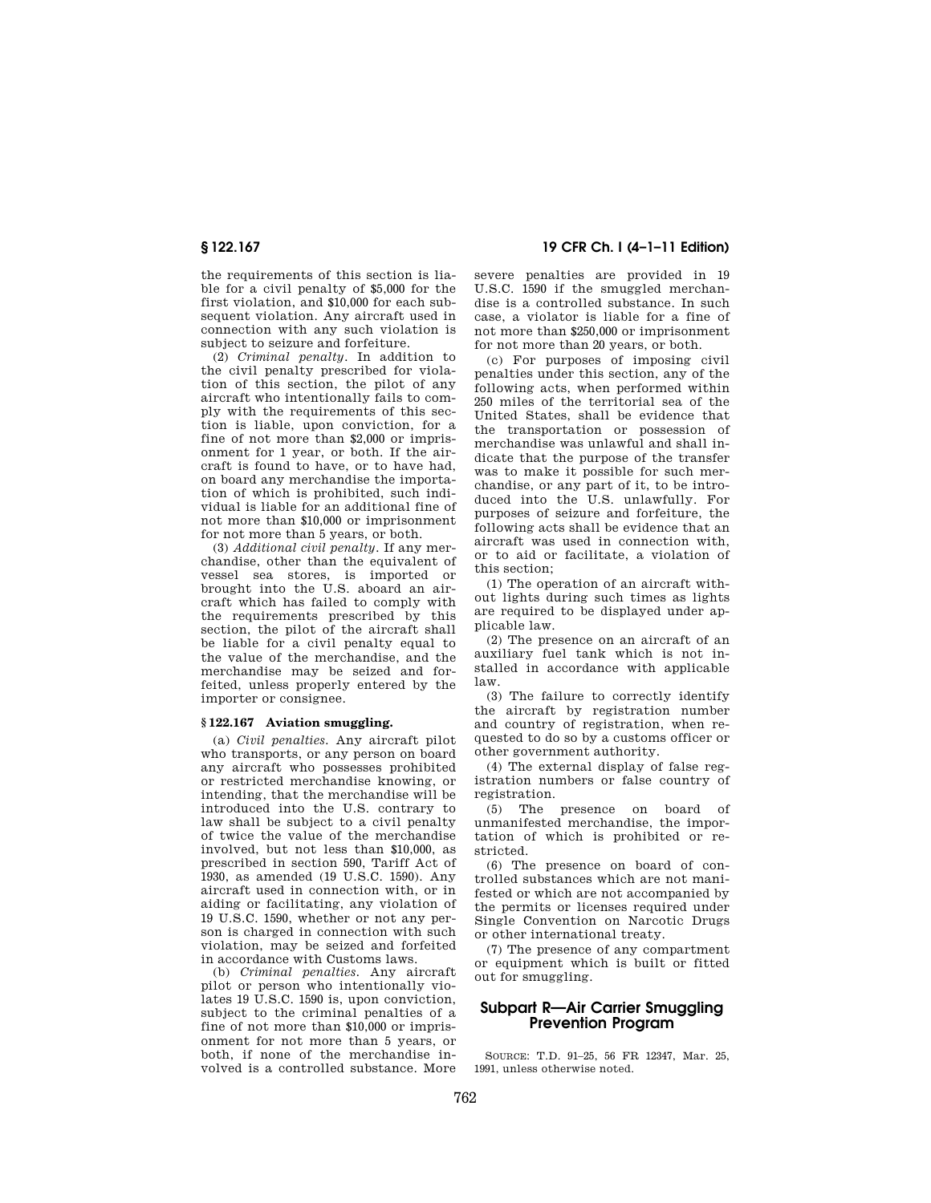the requirements of this section is liable for a civil penalty of \$5,000 for the first violation, and \$10,000 for each subsequent violation. Any aircraft used in connection with any such violation is subject to seizure and forfeiture.

(2) *Criminal penalty.* In addition to the civil penalty prescribed for violation of this section, the pilot of any aircraft who intentionally fails to comply with the requirements of this section is liable, upon conviction, for a fine of not more than \$2,000 or imprisonment for 1 year, or both. If the aircraft is found to have, or to have had, on board any merchandise the importation of which is prohibited, such individual is liable for an additional fine of not more than \$10,000 or imprisonment for not more than 5 years, or both.

(3) *Additional civil penalty.* If any merchandise, other than the equivalent of vessel sea stores, is imported or brought into the U.S. aboard an aircraft which has failed to comply with the requirements prescribed by this section, the pilot of the aircraft shall be liable for a civil penalty equal to the value of the merchandise, and the merchandise may be seized and forfeited, unless properly entered by the importer or consignee.

#### **§ 122.167 Aviation smuggling.**

(a) *Civil penalties.* Any aircraft pilot who transports, or any person on board any aircraft who possesses prohibited or restricted merchandise knowing, or intending, that the merchandise will be introduced into the U.S. contrary to law shall be subject to a civil penalty of twice the value of the merchandise involved, but not less than \$10,000, as prescribed in section 590, Tariff Act of 1930, as amended (19 U.S.C. 1590). Any aircraft used in connection with, or in aiding or facilitating, any violation of 19 U.S.C. 1590, whether or not any person is charged in connection with such violation, may be seized and forfeited in accordance with Customs laws.

(b) *Criminal penalties.* Any aircraft pilot or person who intentionally violates 19 U.S.C. 1590 is, upon conviction, subject to the criminal penalties of a fine of not more than \$10,000 or imprisonment for not more than 5 years, or both, if none of the merchandise involved is a controlled substance. More

**§ 122.167 19 CFR Ch. I (4–1–11 Edition)** 

severe penalties are provided in 19 U.S.C. 1590 if the smuggled merchandise is a controlled substance. In such case, a violator is liable for a fine of not more than \$250,000 or imprisonment for not more than 20 years, or both.

(c) For purposes of imposing civil penalties under this section, any of the following acts, when performed within 250 miles of the territorial sea of the United States, shall be evidence that the transportation or possession of merchandise was unlawful and shall indicate that the purpose of the transfer was to make it possible for such merchandise, or any part of it, to be introduced into the U.S. unlawfully. For purposes of seizure and forfeiture, the following acts shall be evidence that an aircraft was used in connection with, or to aid or facilitate, a violation of this section;

(1) The operation of an aircraft without lights during such times as lights are required to be displayed under applicable law.

(2) The presence on an aircraft of an auxiliary fuel tank which is not installed in accordance with applicable law.

(3) The failure to correctly identify the aircraft by registration number and country of registration, when requested to do so by a customs officer or other government authority.

(4) The external display of false registration numbers or false country of registration.

(5) The presence on board of unmanifested merchandise, the importation of which is prohibited or restricted.

(6) The presence on board of controlled substances which are not manifested or which are not accompanied by the permits or licenses required under Single Convention on Narcotic Drugs or other international treaty.

(7) The presence of any compartment or equipment which is built or fitted out for smuggling.

## **Subpart R—Air Carrier Smuggling Prevention Program**

SOURCE: T.D. 91–25, 56 FR 12347, Mar. 25, 1991, unless otherwise noted.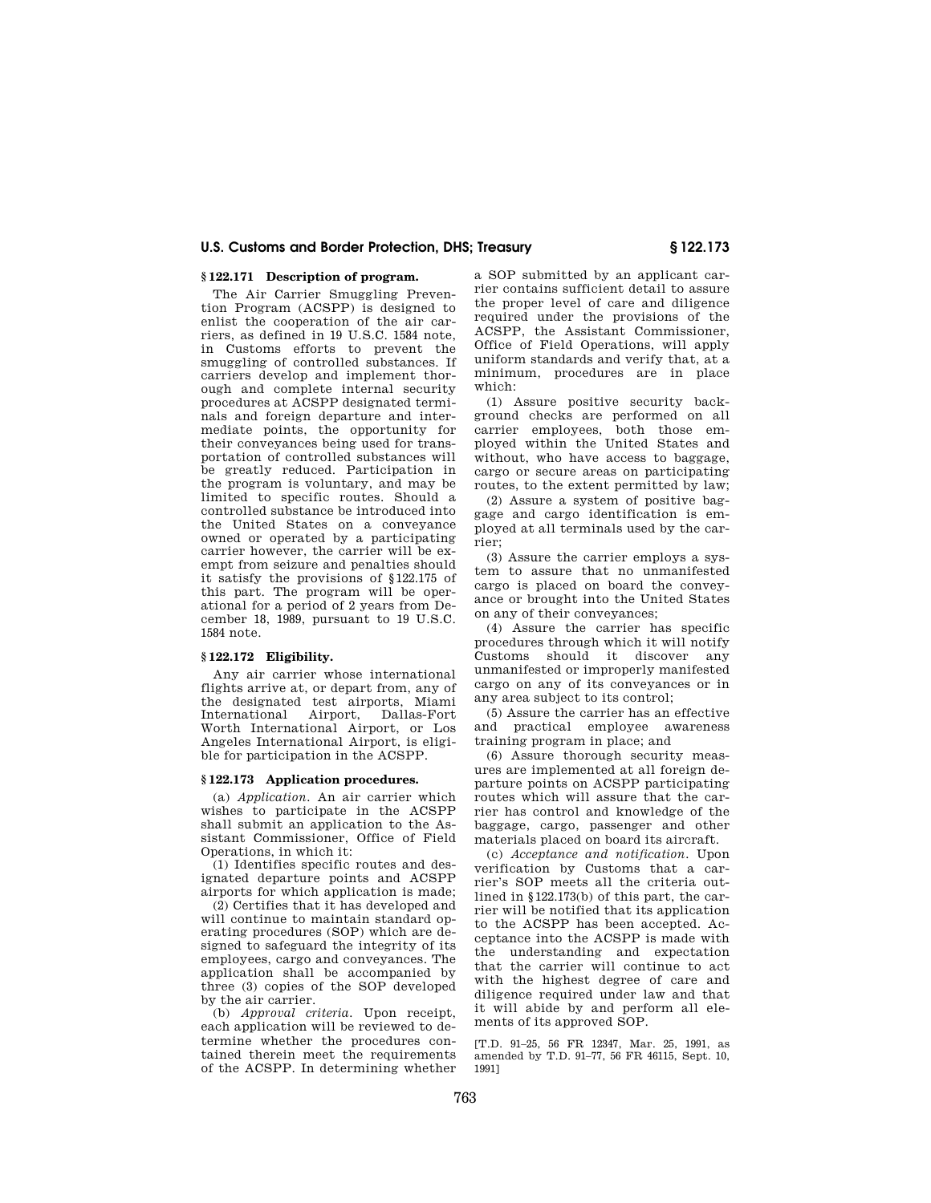## **§ 122.171 Description of program.**

The Air Carrier Smuggling Prevention Program (ACSPP) is designed to enlist the cooperation of the air carriers, as defined in 19 U.S.C. 1584 note, in Customs efforts to prevent the smuggling of controlled substances. If carriers develop and implement thorough and complete internal security procedures at ACSPP designated terminals and foreign departure and intermediate points, the opportunity for their conveyances being used for transportation of controlled substances will be greatly reduced. Participation in the program is voluntary, and may be limited to specific routes. Should a controlled substance be introduced into the United States on a conveyance owned or operated by a participating carrier however, the carrier will be exempt from seizure and penalties should it satisfy the provisions of §122.175 of this part. The program will be operational for a period of 2 years from December 18, 1989, pursuant to 19 U.S.C. 1584 note.

### **§ 122.172 Eligibility.**

Any air carrier whose international flights arrive at, or depart from, any of the designated test airports, Miami International Worth International Airport, or Los Angeles International Airport, is eligible for participation in the ACSPP.

#### **§ 122.173 Application procedures.**

(a) *Application.* An air carrier which wishes to participate in the ACSPP shall submit an application to the Assistant Commissioner, Office of Field Operations, in which it:

(1) Identifies specific routes and designated departure points and ACSPP airports for which application is made;

(2) Certifies that it has developed and will continue to maintain standard operating procedures (SOP) which are designed to safeguard the integrity of its employees, cargo and conveyances. The application shall be accompanied by three (3) copies of the SOP developed by the air carrier.

(b) *Approval criteria.* Upon receipt, each application will be reviewed to determine whether the procedures contained therein meet the requirements of the ACSPP. In determining whether a SOP submitted by an applicant carrier contains sufficient detail to assure the proper level of care and diligence required under the provisions of the ACSPP, the Assistant Commissioner, Office of Field Operations, will apply uniform standards and verify that, at a minimum, procedures are in place which:

(1) Assure positive security background checks are performed on all carrier employees, both those employed within the United States and without, who have access to baggage, cargo or secure areas on participating routes, to the extent permitted by law;

(2) Assure a system of positive baggage and cargo identification is employed at all terminals used by the carrier;

(3) Assure the carrier employs a system to assure that no unmanifested cargo is placed on board the conveyance or brought into the United States on any of their conveyances;

(4) Assure the carrier has specific procedures through which it will notify Customs should it discover any unmanifested or improperly manifested cargo on any of its conveyances or in any area subject to its control;

(5) Assure the carrier has an effective and practical employee awareness training program in place; and

(6) Assure thorough security measures are implemented at all foreign departure points on ACSPP participating routes which will assure that the carrier has control and knowledge of the baggage, cargo, passenger and other materials placed on board its aircraft.

(c) *Acceptance and notification.* Upon verification by Customs that a carrier's SOP meets all the criteria outlined in §122.173(b) of this part, the carrier will be notified that its application to the ACSPP has been accepted. Acceptance into the ACSPP is made with the understanding and expectation that the carrier will continue to act with the highest degree of care and diligence required under law and that it will abide by and perform all elements of its approved SOP.

[T.D. 91–25, 56 FR 12347, Mar. 25, 1991, as amended by T.D. 91–77, 56 FR 46115, Sept. 10, 1991]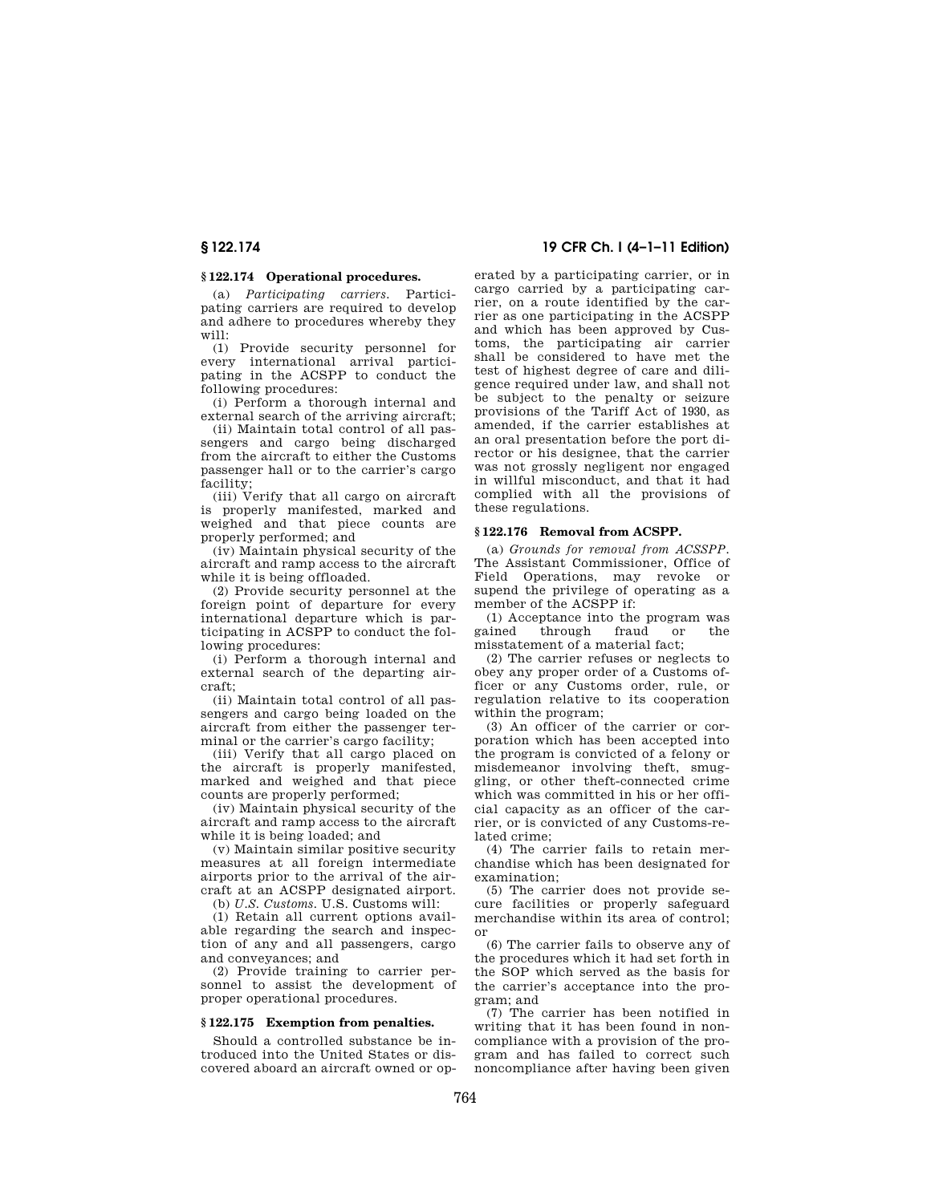## **§ 122.174 Operational procedures.**

(a) *Participating carriers.* Participating carriers are required to develop and adhere to procedures whereby they will:

(1) Provide security personnel for every international arrival participating in the ACSPP to conduct the following procedures:

(i) Perform a thorough internal and external search of the arriving aircraft;

(ii) Maintain total control of all passengers and cargo being discharged from the aircraft to either the Customs passenger hall or to the carrier's cargo facility;

(iii) Verify that all cargo on aircraft is properly manifested, marked and weighed and that piece counts are properly performed; and

(iv) Maintain physical security of the aircraft and ramp access to the aircraft while it is being offloaded.

(2) Provide security personnel at the foreign point of departure for every international departure which is participating in ACSPP to conduct the following procedures:

(i) Perform a thorough internal and external search of the departing aircraft;

(ii) Maintain total control of all passengers and cargo being loaded on the aircraft from either the passenger terminal or the carrier's cargo facility;

(iii) Verify that all cargo placed on the aircraft is properly manifested, marked and weighed and that piece counts are properly performed;

(iv) Maintain physical security of the aircraft and ramp access to the aircraft while it is being loaded; and

(v) Maintain similar positive security measures at all foreign intermediate airports prior to the arrival of the aircraft at an ACSPP designated airport.

(b) *U.S. Customs.* U.S. Customs will:

(1) Retain all current options available regarding the search and inspection of any and all passengers, cargo and conveyances; and

(2) Provide training to carrier personnel to assist the development of proper operational procedures.

#### **§ 122.175 Exemption from penalties.**

Should a controlled substance be introduced into the United States or discovered aboard an aircraft owned or op-

**§ 122.174 19 CFR Ch. I (4–1–11 Edition)** 

erated by a participating carrier, or in cargo carried by a participating carrier, on a route identified by the carrier as one participating in the ACSPP and which has been approved by Customs, the participating air carrier shall be considered to have met the test of highest degree of care and diligence required under law, and shall not be subject to the penalty or seizure provisions of the Tariff Act of 1930, as amended, if the carrier establishes at an oral presentation before the port director or his designee, that the carrier was not grossly negligent nor engaged in willful misconduct, and that it had complied with all the provisions of these regulations.

#### **§ 122.176 Removal from ACSPP.**

(a) *Grounds for removal from ACSSPP.*  The Assistant Commissioner, Office of Field Operations, may revoke or supend the privilege of operating as a member of the ACSPP if:

(1) Acceptance into the program was<br>gained through fraud or the through fraud or the misstatement of a material fact;

(2) The carrier refuses or neglects to obey any proper order of a Customs officer or any Customs order, rule, or regulation relative to its cooperation within the program;

(3) An officer of the carrier or corporation which has been accepted into the program is convicted of a felony or misdemeanor involving theft, smuggling, or other theft-connected crime which was committed in his or her official capacity as an officer of the carrier, or is convicted of any Customs-related crime;

(4) The carrier fails to retain merchandise which has been designated for examination;

(5) The carrier does not provide secure facilities or properly safeguard merchandise within its area of control; or

(6) The carrier fails to observe any of the procedures which it had set forth in the SOP which served as the basis for the carrier's acceptance into the program; and

(7) The carrier has been notified in writing that it has been found in noncompliance with a provision of the program and has failed to correct such noncompliance after having been given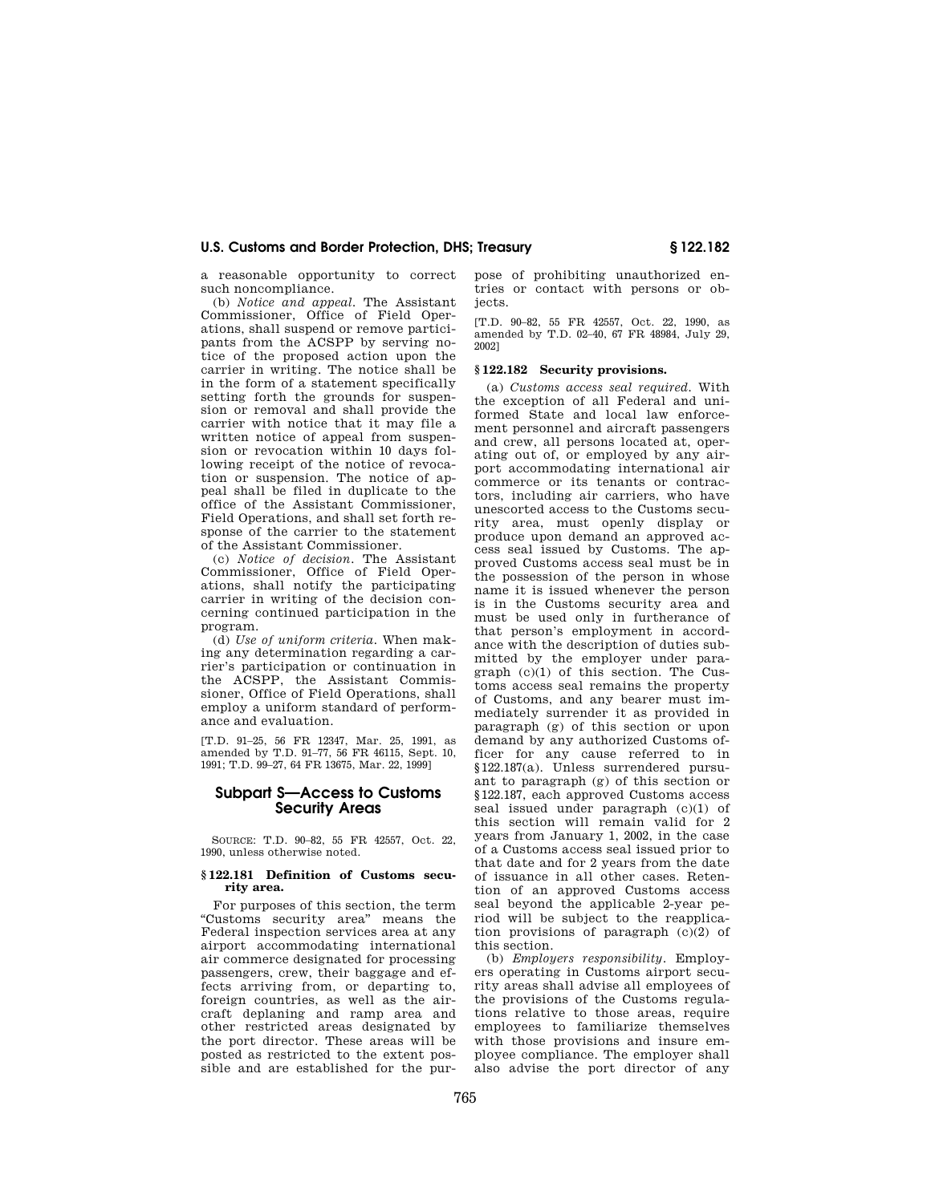a reasonable opportunity to correct such noncompliance.

(b) *Notice and appeal.* The Assistant Commissioner, Office of Field Operations, shall suspend or remove participants from the ACSPP by serving notice of the proposed action upon the carrier in writing. The notice shall be in the form of a statement specifically setting forth the grounds for suspension or removal and shall provide the carrier with notice that it may file a written notice of appeal from suspension or revocation within 10 days following receipt of the notice of revocation or suspension. The notice of appeal shall be filed in duplicate to the office of the Assistant Commissioner, Field Operations, and shall set forth response of the carrier to the statement of the Assistant Commissioner.

(c) *Notice of decision.* The Assistant Commissioner, Office of Field Operations, shall notify the participating carrier in writing of the decision concerning continued participation in the program.

(d) *Use of uniform criteria.* When making any determination regarding a carrier's participation or continuation in the ACSPP, the Assistant Commissioner, Office of Field Operations, shall employ a uniform standard of performance and evaluation.

[T.D. 91–25, 56 FR 12347, Mar. 25, 1991, as amended by T.D. 91–77, 56 FR 46115, Sept. 10, 1991; T.D. 99–27, 64 FR 13675, Mar. 22, 1999]

## **Subpart S—Access to Customs Security Areas**

SOURCE: T.D. 90–82, 55 FR 42557, Oct. 22, 1990, unless otherwise noted.

### **§ 122.181 Definition of Customs security area.**

For purposes of this section, the term ''Customs security area'' means the Federal inspection services area at any airport accommodating international air commerce designated for processing passengers, crew, their baggage and effects arriving from, or departing to, foreign countries, as well as the aircraft deplaning and ramp area and other restricted areas designated by the port director. These areas will be posted as restricted to the extent possible and are established for the purpose of prohibiting unauthorized entries or contact with persons or objects.

[T.D. 90–82, 55 FR 42557, Oct. 22, 1990, as amended by T.D. 02–40, 67 FR 48984, July 29, 2002]

#### **§ 122.182 Security provisions.**

(a) *Customs access seal required.* With the exception of all Federal and uniformed State and local law enforcement personnel and aircraft passengers and crew, all persons located at, operating out of, or employed by any airport accommodating international air commerce or its tenants or contractors, including air carriers, who have unescorted access to the Customs security area, must openly display or produce upon demand an approved access seal issued by Customs. The approved Customs access seal must be in the possession of the person in whose name it is issued whenever the person is in the Customs security area and must be used only in furtherance of that person's employment in accordance with the description of duties submitted by the employer under paragraph (c)(1) of this section. The Customs access seal remains the property of Customs, and any bearer must immediately surrender it as provided in paragraph (g) of this section or upon demand by any authorized Customs officer for any cause referred to in §122.187(a). Unless surrendered pursuant to paragraph (g) of this section or §122.187, each approved Customs access seal issued under paragraph (c)(1) of this section will remain valid for 2 years from January 1, 2002, in the case of a Customs access seal issued prior to that date and for 2 years from the date of issuance in all other cases. Retention of an approved Customs access seal beyond the applicable 2-year period will be subject to the reapplication provisions of paragraph (c)(2) of this section.

(b) *Employers responsibility.* Employers operating in Customs airport security areas shall advise all employees of the provisions of the Customs regulations relative to those areas, require employees to familiarize themselves with those provisions and insure employee compliance. The employer shall also advise the port director of any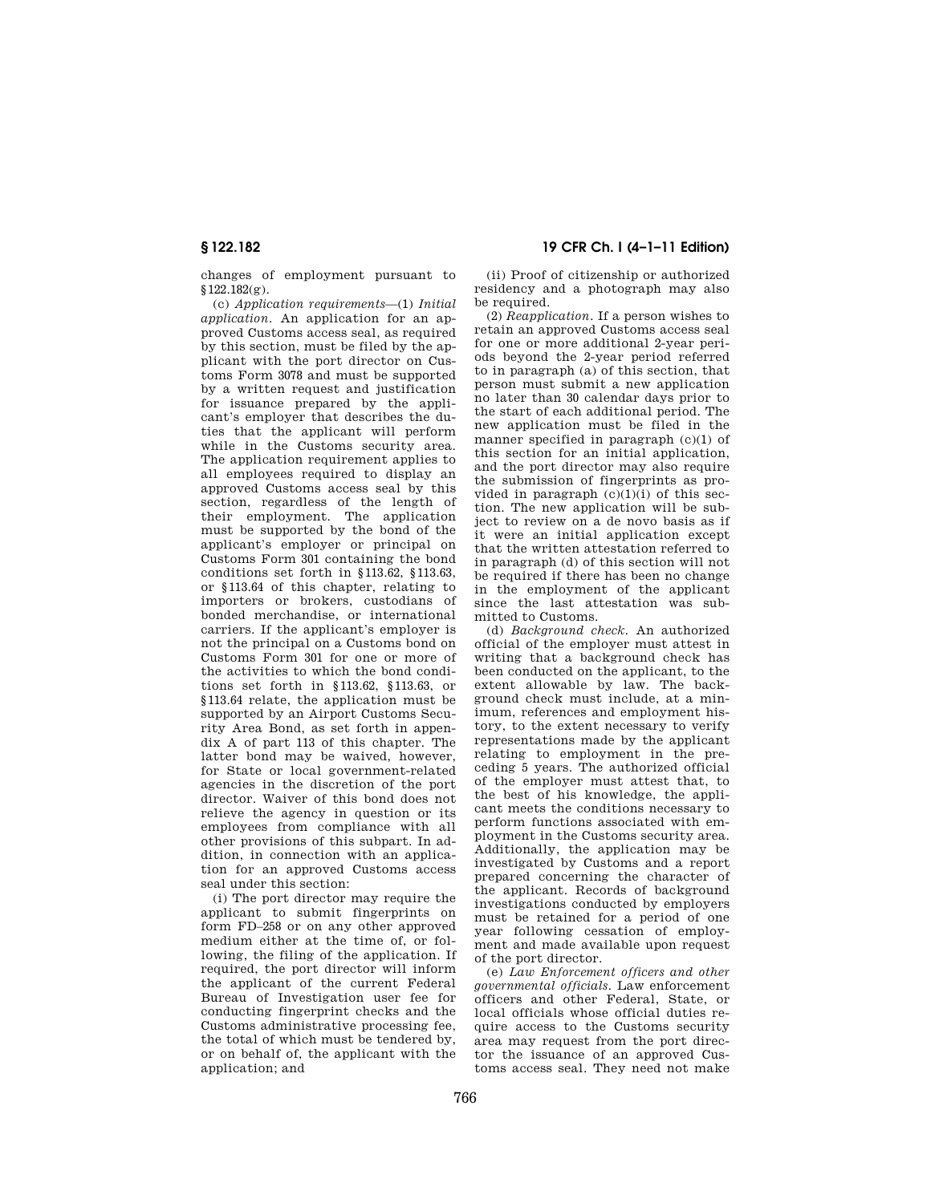changes of employment pursuant to §122.182(g).

(c) *Application requirements*—(1) *Initial application.* An application for an approved Customs access seal, as required by this section, must be filed by the applicant with the port director on Customs Form 3078 and must be supported by a written request and justification for issuance prepared by the applicant's employer that describes the duties that the applicant will perform while in the Customs security area. The application requirement applies to all employees required to display an approved Customs access seal by this section, regardless of the length of their employment. The application must be supported by the bond of the applicant's employer or principal on Customs Form 301 containing the bond conditions set forth in §113.62, §113.63, or §113.64 of this chapter, relating to importers or brokers, custodians of bonded merchandise, or international carriers. If the applicant's employer is not the principal on a Customs bond on Customs Form 301 for one or more of the activities to which the bond conditions set forth in §113.62, §113.63, or §113.64 relate, the application must be supported by an Airport Customs Security Area Bond, as set forth in appendix A of part 113 of this chapter. The latter bond may be waived, however, for State or local government-related agencies in the discretion of the port director. Waiver of this bond does not relieve the agency in question or its employees from compliance with all other provisions of this subpart. In addition, in connection with an application for an approved Customs access seal under this section:

(i) The port director may require the applicant to submit fingerprints on form FD–258 or on any other approved medium either at the time of, or following, the filing of the application. If required, the port director will inform the applicant of the current Federal Bureau of Investigation user fee for conducting fingerprint checks and the Customs administrative processing fee, the total of which must be tendered by, or on behalf of, the applicant with the application; and

## **§ 122.182 19 CFR Ch. I (4–1–11 Edition)**

(ii) Proof of citizenship or authorized residency and a photograph may also be required.

(2) *Reapplication.* If a person wishes to retain an approved Customs access seal for one or more additional 2-year periods beyond the 2-year period referred to in paragraph (a) of this section, that person must submit a new application no later than 30 calendar days prior to the start of each additional period. The new application must be filed in the manner specified in paragraph (c)(1) of this section for an initial application, and the port director may also require the submission of fingerprints as provided in paragraph  $(c)(1)(i)$  of this section. The new application will be subject to review on a de novo basis as if it were an initial application except that the written attestation referred to in paragraph (d) of this section will not be required if there has been no change in the employment of the applicant since the last attestation was submitted to Customs.

(d) *Background check.* An authorized official of the employer must attest in writing that a background check has been conducted on the applicant, to the extent allowable by law. The background check must include, at a minimum, references and employment history, to the extent necessary to verify representations made by the applicant relating to employment in the preceding 5 years. The authorized official of the employer must attest that, to the best of his knowledge, the applicant meets the conditions necessary to perform functions associated with employment in the Customs security area. Additionally, the application may be investigated by Customs and a report prepared concerning the character of the applicant. Records of background investigations conducted by employers must be retained for a period of one year following cessation of employment and made available upon request of the port director.

(e) *Law Enforcement officers and other governmental officials.* Law enforcement officers and other Federal, State, or local officials whose official duties require access to the Customs security area may request from the port director the issuance of an approved Customs access seal. They need not make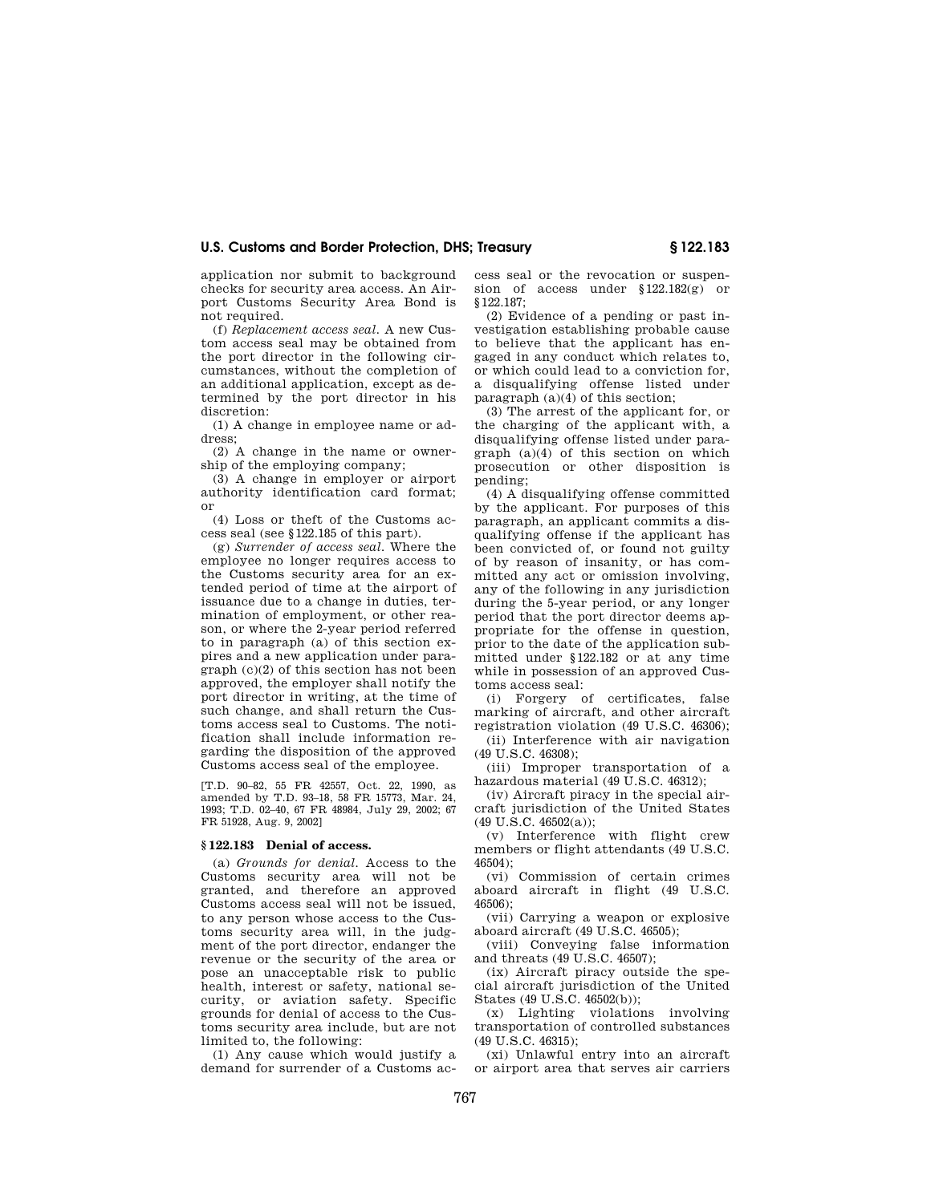application nor submit to background checks for security area access. An Airport Customs Security Area Bond is not required.

(f) *Replacement access seal.* A new Custom access seal may be obtained from the port director in the following circumstances, without the completion of an additional application, except as determined by the port director in his discretion:

(1) A change in employee name or address;

(2) A change in the name or ownership of the employing company;

(3) A change in employer or airport authority identification card format; or

(4) Loss or theft of the Customs access seal (see §122.185 of this part).

(g) *Surrender of access seal.* Where the employee no longer requires access to the Customs security area for an extended period of time at the airport of issuance due to a change in duties, termination of employment, or other reason, or where the 2-year period referred to in paragraph (a) of this section expires and a new application under paragraph (c)(2) of this section has not been approved, the employer shall notify the port director in writing, at the time of such change, and shall return the Customs access seal to Customs. The notification shall include information regarding the disposition of the approved Customs access seal of the employee.

[T.D. 90–82, 55 FR 42557, Oct. 22, 1990, as amended by T.D. 93–18, 58 FR 15773, Mar. 24, 1993; T.D. 02–40, 67 FR 48984, July 29, 2002; 67 FR 51928, Aug. 9, 2002]

#### **§ 122.183 Denial of access.**

(a) *Grounds for denial.* Access to the Customs security area will not be granted, and therefore an approved Customs access seal will not be issued, to any person whose access to the Customs security area will, in the judgment of the port director, endanger the revenue or the security of the area or pose an unacceptable risk to public health, interest or safety, national security, or aviation safety. Specific grounds for denial of access to the Customs security area include, but are not limited to, the following:

(1) Any cause which would justify a demand for surrender of a Customs access seal or the revocation or suspension of access under §122.182(g) or §122.187;

(2) Evidence of a pending or past investigation establishing probable cause to believe that the applicant has engaged in any conduct which relates to, or which could lead to a conviction for, a disqualifying offense listed under paragraph  $(a)(4)$  of this section:

(3) The arrest of the applicant for, or the charging of the applicant with, a disqualifying offense listed under paragraph (a)(4) of this section on which prosecution or other disposition is pending;

(4) A disqualifying offense committed by the applicant. For purposes of this paragraph, an applicant commits a disqualifying offense if the applicant has been convicted of, or found not guilty of by reason of insanity, or has committed any act or omission involving, any of the following in any jurisdiction during the 5-year period, or any longer period that the port director deems appropriate for the offense in question, prior to the date of the application submitted under §122.182 or at any time while in possession of an approved Customs access seal:

(i) Forgery of certificates, false marking of aircraft, and other aircraft registration violation (49 U.S.C. 46306);

(ii) Interference with air navigation (49 U.S.C. 46308);

(iii) Improper transportation of a hazardous material (49 U.S.C. 46312);

(iv) Aircraft piracy in the special aircraft jurisdiction of the United States (49 U.S.C. 46502(a));

(v) Interference with flight crew members or flight attendants (49 U.S.C. 46504);

(vi) Commission of certain crimes aboard aircraft in flight (49 U.S.C. 46506);

(vii) Carrying a weapon or explosive aboard aircraft (49 U.S.C. 46505);

(viii) Conveying false information and threats (49 U.S.C. 46507);

(ix) Aircraft piracy outside the special aircraft jurisdiction of the United States (49 U.S.C. 46502(b));

(x) Lighting violations involving transportation of controlled substances (49 U.S.C. 46315);

(xi) Unlawful entry into an aircraft or airport area that serves air carriers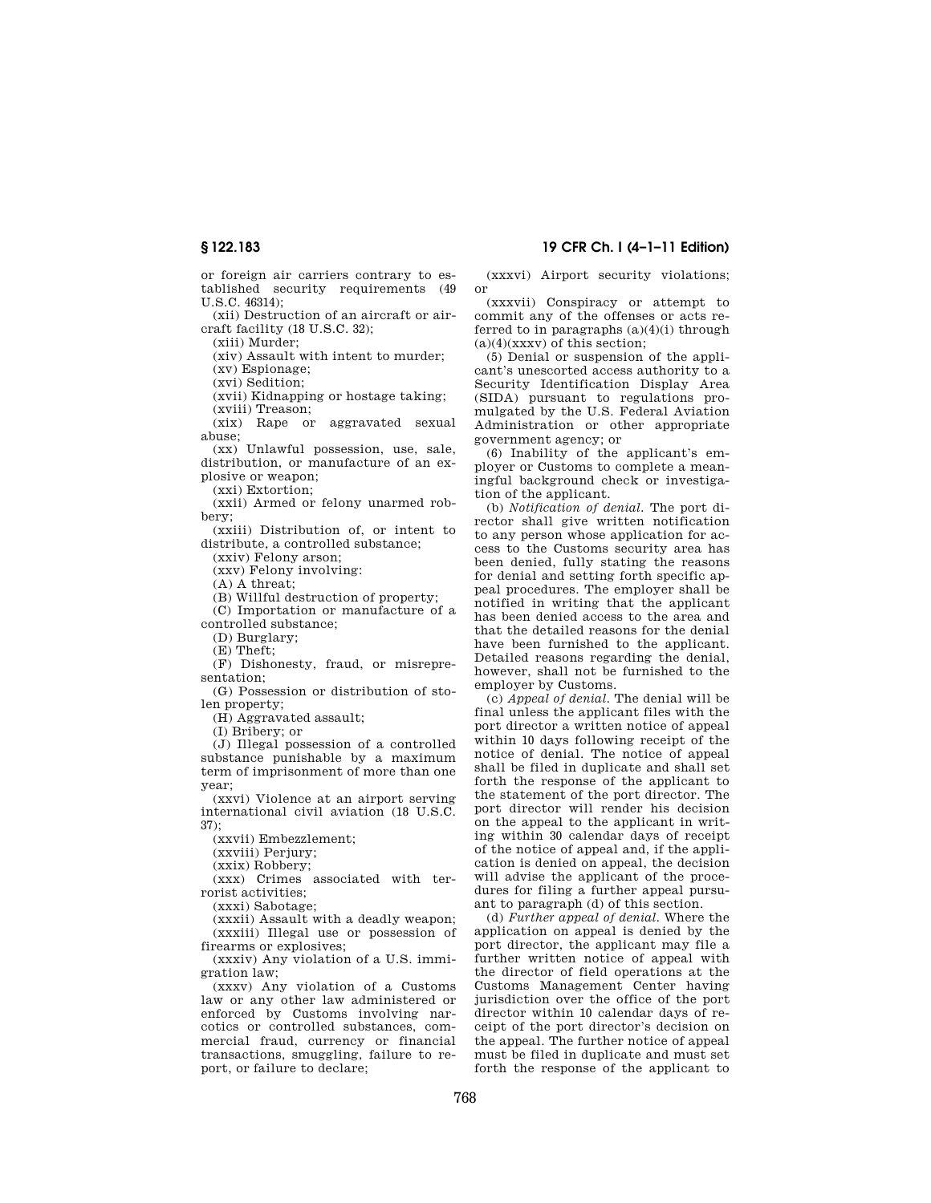or foreign air carriers contrary to established security requirements (49 U.S.C. 46314);

(xii) Destruction of an aircraft or aircraft facility (18 U.S.C. 32);

(xiii) Murder;

(xiv) Assault with intent to murder;

(xv) Espionage;

(xvi) Sedition;

(xvii) Kidnapping or hostage taking;

(xviii) Treason;

(xix) Rape or aggravated sexual abuse;

(xx) Unlawful possession, use, sale, distribution, or manufacture of an explosive or weapon;

(xxi) Extortion;

(xxii) Armed or felony unarmed robbery;

(xxiii) Distribution of, or intent to distribute, a controlled substance;

(xxiv) Felony arson;

(xxv) Felony involving:

(A) A threat;

(B) Willful destruction of property;

(C) Importation or manufacture of a controlled substance;

(D) Burglary;

(E) Theft;

(F) Dishonesty, fraud, or misrepresentation;

(G) Possession or distribution of stolen property;

(H) Aggravated assault;

(I) Bribery; or

(J) Illegal possession of a controlled substance punishable by a maximum term of imprisonment of more than one year;

(xxvi) Violence at an airport serving international civil aviation (18 U.S.C. 37);

(xxvii) Embezzlement;

(xxviii) Perjury;

(xxix) Robbery;

(xxx) Crimes associated with terrorist activities;

(xxxi) Sabotage;

(xxxii) Assault with a deadly weapon; (xxxiii) Illegal use or possession of firearms or explosives;

(xxxiv) Any violation of a U.S. immigration law;

(xxxv) Any violation of a Customs law or any other law administered or enforced by Customs involving narcotics or controlled substances, commercial fraud, currency or financial transactions, smuggling, failure to report, or failure to declare;

## **§ 122.183 19 CFR Ch. I (4–1–11 Edition)**

(xxxvi) Airport security violations; or

(xxxvii) Conspiracy or attempt to commit any of the offenses or acts referred to in paragraphs (a)(4)(i) through  $(a)(4)(xxxx)$  of this section;

(5) Denial or suspension of the applicant's unescorted access authority to a Security Identification Display Area (SIDA) pursuant to regulations promulgated by the U.S. Federal Aviation Administration or other appropriate government agency; or

(6) Inability of the applicant's employer or Customs to complete a meaningful background check or investigation of the applicant.

(b) *Notification of denial.* The port director shall give written notification to any person whose application for access to the Customs security area has been denied, fully stating the reasons for denial and setting forth specific appeal procedures. The employer shall be notified in writing that the applicant has been denied access to the area and that the detailed reasons for the denial have been furnished to the applicant. Detailed reasons regarding the denial, however, shall not be furnished to the employer by Customs.

(c) *Appeal of denial.* The denial will be final unless the applicant files with the port director a written notice of appeal within 10 days following receipt of the notice of denial. The notice of appeal shall be filed in duplicate and shall set forth the response of the applicant to the statement of the port director. The port director will render his decision on the appeal to the applicant in writing within 30 calendar days of receipt of the notice of appeal and, if the application is denied on appeal, the decision will advise the applicant of the procedures for filing a further appeal pursuant to paragraph (d) of this section.

(d) *Further appeal of denial.* Where the application on appeal is denied by the port director, the applicant may file a further written notice of appeal with the director of field operations at the Customs Management Center having jurisdiction over the office of the port director within 10 calendar days of receipt of the port director's decision on the appeal. The further notice of appeal must be filed in duplicate and must set forth the response of the applicant to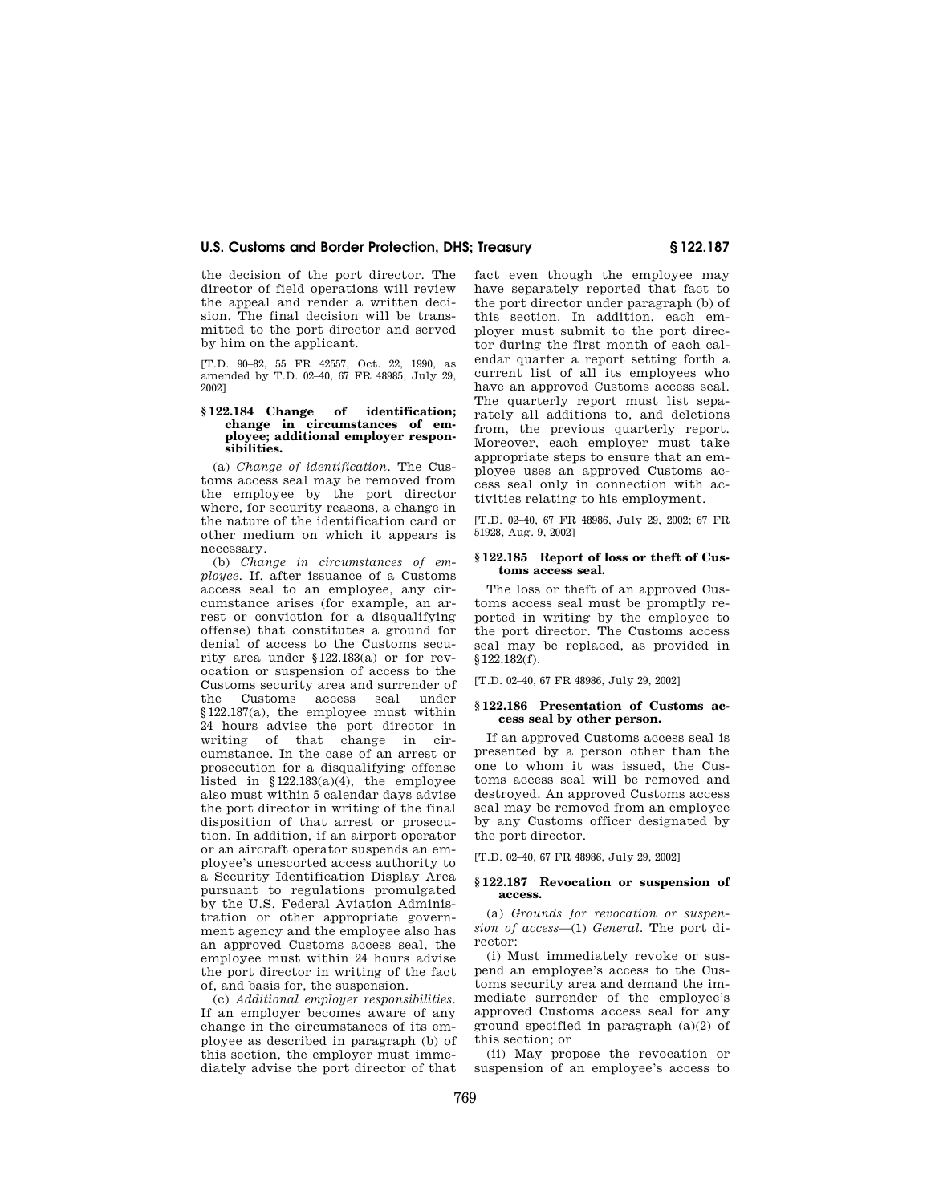the decision of the port director. The director of field operations will review the appeal and render a written decision. The final decision will be transmitted to the port director and served by him on the applicant.

[T.D. 90–82, 55 FR 42557, Oct. 22, 1990, as amended by T.D. 02–40, 67 FR 48985, July 29, 2002]

#### **§ 122.184 Change of identification; change in circumstances of employee; additional employer responsibilities.**

(a) *Change of identification.* The Customs access seal may be removed from the employee by the port director where, for security reasons, a change in the nature of the identification card or other medium on which it appears is necessary.

(b) *Change in circumstances of employee.* If, after issuance of a Customs access seal to an employee, any circumstance arises (for example, an arrest or conviction for a disqualifying offense) that constitutes a ground for denial of access to the Customs security area under §122.183(a) or for revocation or suspension of access to the Customs security area and surrender of<br>the Customs access seal under Customs access seal under §122.187(a), the employee must within 24 hours advise the port director in writing of that change in circumstance. In the case of an arrest or prosecution for a disqualifying offense listed in  $$122.183(a)(4)$ , the employee also must within 5 calendar days advise the port director in writing of the final disposition of that arrest or prosecution. In addition, if an airport operator or an aircraft operator suspends an employee's unescorted access authority to a Security Identification Display Area pursuant to regulations promulgated by the U.S. Federal Aviation Administration or other appropriate government agency and the employee also has an approved Customs access seal, the employee must within 24 hours advise the port director in writing of the fact of, and basis for, the suspension.

(c) *Additional employer responsibilities.*  If an employer becomes aware of any change in the circumstances of its employee as described in paragraph (b) of this section, the employer must immediately advise the port director of that fact even though the employee may have separately reported that fact to the port director under paragraph (b) of this section. In addition, each employer must submit to the port director during the first month of each calendar quarter a report setting forth a current list of all its employees who have an approved Customs access seal. The quarterly report must list separately all additions to, and deletions from, the previous quarterly report. Moreover, each employer must take appropriate steps to ensure that an employee uses an approved Customs access seal only in connection with activities relating to his employment.

[T.D. 02–40, 67 FR 48986, July 29, 2002; 67 FR 51928, Aug. 9, 2002]

#### **§ 122.185 Report of loss or theft of Customs access seal.**

The loss or theft of an approved Customs access seal must be promptly reported in writing by the employee to the port director. The Customs access seal may be replaced, as provided in §122.182(f).

[T.D. 02–40, 67 FR 48986, July 29, 2002]

#### **§ 122.186 Presentation of Customs access seal by other person.**

If an approved Customs access seal is presented by a person other than the one to whom it was issued, the Customs access seal will be removed and destroyed. An approved Customs access seal may be removed from an employee by any Customs officer designated by the port director.

[T.D. 02–40, 67 FR 48986, July 29, 2002]

#### **§ 122.187 Revocation or suspension of access.**

(a) *Grounds for revocation or suspension of access*—(1) *General.* The port director:

(i) Must immediately revoke or suspend an employee's access to the Customs security area and demand the immediate surrender of the employee's approved Customs access seal for any ground specified in paragraph (a)(2) of this section; or

(ii) May propose the revocation or suspension of an employee's access to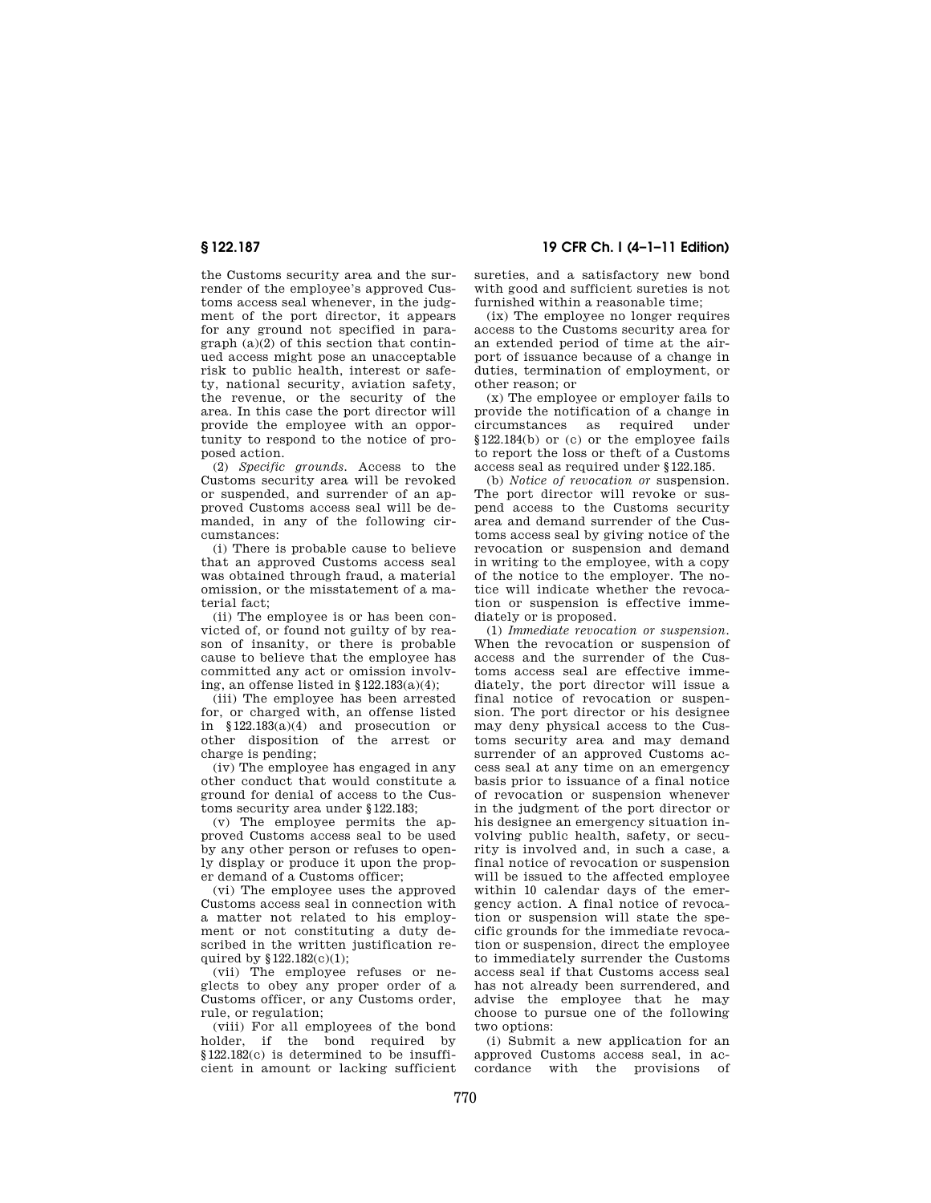the Customs security area and the surrender of the employee's approved Customs access seal whenever, in the judgment of the port director, it appears for any ground not specified in paragraph (a)(2) of this section that continued access might pose an unacceptable risk to public health, interest or safety, national security, aviation safety, the revenue, or the security of the area. In this case the port director will provide the employee with an opportunity to respond to the notice of proposed action.

(2) *Specific grounds.* Access to the Customs security area will be revoked or suspended, and surrender of an approved Customs access seal will be demanded, in any of the following circumstances:

(i) There is probable cause to believe that an approved Customs access seal was obtained through fraud, a material omission, or the misstatement of a material fact;

(ii) The employee is or has been convicted of, or found not guilty of by reason of insanity, or there is probable cause to believe that the employee has committed any act or omission involving, an offense listed in §122.183(a)(4);

(iii) The employee has been arrested for, or charged with, an offense listed in §122.183(a)(4) and prosecution or other disposition of the arrest or charge is pending;

(iv) The employee has engaged in any other conduct that would constitute a ground for denial of access to the Customs security area under §122.183;

(v) The employee permits the approved Customs access seal to be used by any other person or refuses to openly display or produce it upon the proper demand of a Customs officer;

(vi) The employee uses the approved Customs access seal in connection with a matter not related to his employment or not constituting a duty described in the written justification required by §122.182(c)(1);

(vii) The employee refuses or neglects to obey any proper order of a Customs officer, or any Customs order, rule, or regulation;

(viii) For all employees of the bond holder, if the bond required by §122.182(c) is determined to be insufficient in amount or lacking sufficient

**§ 122.187 19 CFR Ch. I (4–1–11 Edition)** 

sureties, and a satisfactory new bond with good and sufficient sureties is not furnished within a reasonable time;

(ix) The employee no longer requires access to the Customs security area for an extended period of time at the airport of issuance because of a change in duties, termination of employment, or other reason; or

(x) The employee or employer fails to provide the notification of a change in circumstances as required under §122.184(b) or (c) or the employee fails to report the loss or theft of a Customs access seal as required under §122.185.

(b) *Notice of revocation or* suspension. The port director will revoke or suspend access to the Customs security area and demand surrender of the Customs access seal by giving notice of the revocation or suspension and demand in writing to the employee, with a copy of the notice to the employer. The notice will indicate whether the revocation or suspension is effective immediately or is proposed.

(1) *Immediate revocation or suspension.*  When the revocation or suspension of access and the surrender of the Customs access seal are effective immediately, the port director will issue a final notice of revocation or suspension. The port director or his designee may deny physical access to the Customs security area and may demand surrender of an approved Customs access seal at any time on an emergency basis prior to issuance of a final notice of revocation or suspension whenever in the judgment of the port director or his designee an emergency situation involving public health, safety, or security is involved and, in such a case, a final notice of revocation or suspension will be issued to the affected employee within 10 calendar days of the emergency action. A final notice of revocation or suspension will state the specific grounds for the immediate revocation or suspension, direct the employee to immediately surrender the Customs access seal if that Customs access seal has not already been surrendered, and advise the employee that he may choose to pursue one of the following two options:

(i) Submit a new application for an approved Customs access seal, in accordance with the provisions of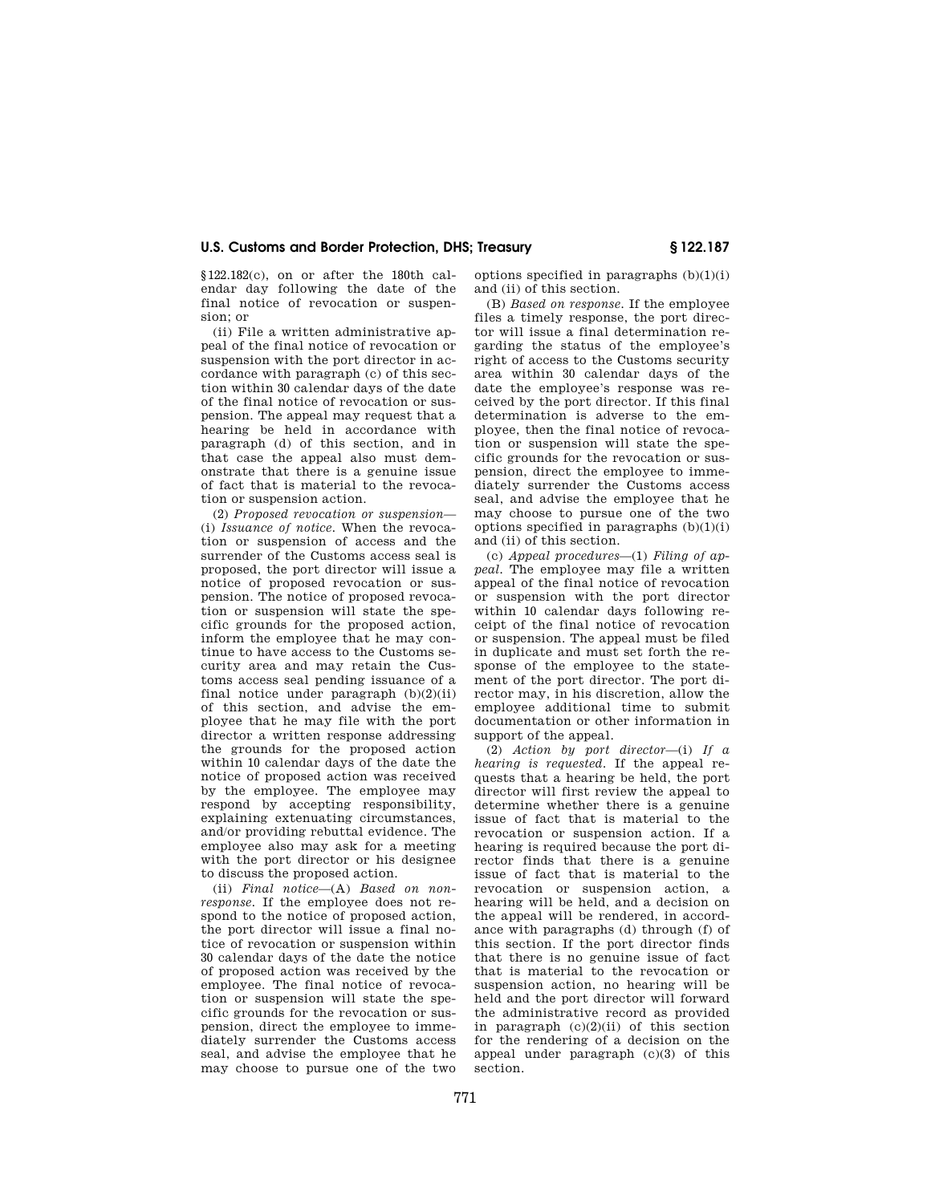# **U.S. Customs and Border Protection, DHS; Treasury § 122.187**

§122.182(c), on or after the 180th calendar day following the date of the final notice of revocation or suspension; or

(ii) File a written administrative appeal of the final notice of revocation or suspension with the port director in accordance with paragraph (c) of this section within 30 calendar days of the date of the final notice of revocation or suspension. The appeal may request that a hearing be held in accordance with paragraph (d) of this section, and in that case the appeal also must demonstrate that there is a genuine issue of fact that is material to the revocation or suspension action.

(2) *Proposed revocation or suspension*— (i) *Issuance of notice.* When the revocation or suspension of access and the surrender of the Customs access seal is proposed, the port director will issue a notice of proposed revocation or suspension. The notice of proposed revocation or suspension will state the specific grounds for the proposed action, inform the employee that he may continue to have access to the Customs security area and may retain the Customs access seal pending issuance of a final notice under paragraph  $(b)(2)(ii)$ of this section, and advise the employee that he may file with the port director a written response addressing the grounds for the proposed action within 10 calendar days of the date the notice of proposed action was received by the employee. The employee may respond by accepting responsibility, explaining extenuating circumstances, and/or providing rebuttal evidence. The employee also may ask for a meeting with the port director or his designee to discuss the proposed action.

(ii) *Final notice*—(A) *Based on nonresponse.* If the employee does not respond to the notice of proposed action, the port director will issue a final notice of revocation or suspension within 30 calendar days of the date the notice of proposed action was received by the employee. The final notice of revocation or suspension will state the specific grounds for the revocation or suspension, direct the employee to immediately surrender the Customs access seal, and advise the employee that he may choose to pursue one of the two

options specified in paragraphs  $(b)(1)(i)$ and (ii) of this section.

(B) *Based on response.* If the employee files a timely response, the port director will issue a final determination regarding the status of the employee's right of access to the Customs security area within 30 calendar days of the date the employee's response was received by the port director. If this final determination is adverse to the employee, then the final notice of revocation or suspension will state the specific grounds for the revocation or suspension, direct the employee to immediately surrender the Customs access seal, and advise the employee that he may choose to pursue one of the two options specified in paragraphs  $(b)(1)(i)$ and (ii) of this section.

(c) *Appeal procedures*—(1) *Filing of appeal.* The employee may file a written appeal of the final notice of revocation or suspension with the port director within 10 calendar days following receipt of the final notice of revocation or suspension. The appeal must be filed in duplicate and must set forth the response of the employee to the statement of the port director. The port director may, in his discretion, allow the employee additional time to submit documentation or other information in support of the appeal.

(2) *Action by port director*—(i) *If a hearing is requested.* If the appeal requests that a hearing be held, the port director will first review the appeal to determine whether there is a genuine issue of fact that is material to the revocation or suspension action. If a hearing is required because the port director finds that there is a genuine issue of fact that is material to the revocation or suspension action, a hearing will be held, and a decision on the appeal will be rendered, in accordance with paragraphs (d) through (f) of this section. If the port director finds that there is no genuine issue of fact that is material to the revocation or suspension action, no hearing will be held and the port director will forward the administrative record as provided in paragraph  $(c)(2)(ii)$  of this section for the rendering of a decision on the appeal under paragraph (c)(3) of this section.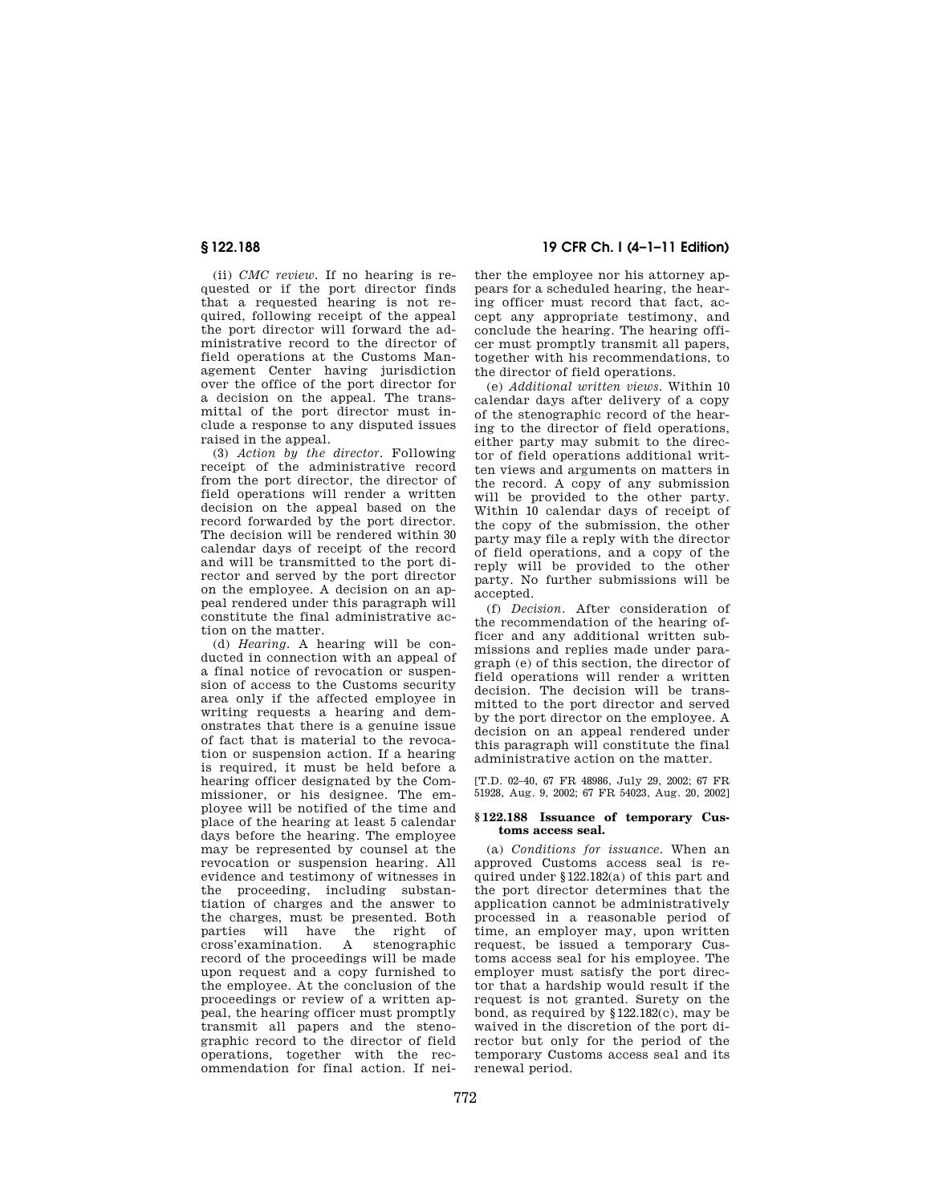(ii) *CMC review.* If no hearing is requested or if the port director finds that a requested hearing is not required, following receipt of the appeal the port director will forward the administrative record to the director of field operations at the Customs Management Center having jurisdiction over the office of the port director for a decision on the appeal. The transmittal of the port director must include a response to any disputed issues raised in the appeal.

(3) *Action by the director.* Following receipt of the administrative record from the port director, the director of field operations will render a written decision on the appeal based on the record forwarded by the port director. The decision will be rendered within 30 calendar days of receipt of the record and will be transmitted to the port director and served by the port director on the employee. A decision on an appeal rendered under this paragraph will constitute the final administrative action on the matter.

(d) *Hearing.* A hearing will be conducted in connection with an appeal of a final notice of revocation or suspension of access to the Customs security area only if the affected employee in writing requests a hearing and demonstrates that there is a genuine issue of fact that is material to the revocation or suspension action. If a hearing is required, it must be held before a hearing officer designated by the Commissioner, or his designee. The employee will be notified of the time and place of the hearing at least 5 calendar days before the hearing. The employee may be represented by counsel at the revocation or suspension hearing. All evidence and testimony of witnesses in the proceeding, including substantiation of charges and the answer to the charges, must be presented. Both parties will have the right of cross'examination. A stenographic record of the proceedings will be made upon request and a copy furnished to the employee. At the conclusion of the proceedings or review of a written appeal, the hearing officer must promptly transmit all papers and the stenographic record to the director of field operations, together with the recommendation for final action. If nei-

**§ 122.188 19 CFR Ch. I (4–1–11 Edition)** 

ther the employee nor his attorney appears for a scheduled hearing, the hearing officer must record that fact, accept any appropriate testimony, and conclude the hearing. The hearing officer must promptly transmit all papers, together with his recommendations, to the director of field operations.

(e) *Additional written views.* Within 10 calendar days after delivery of a copy of the stenographic record of the hearing to the director of field operations, either party may submit to the director of field operations additional written views and arguments on matters in the record. A copy of any submission will be provided to the other party. Within 10 calendar days of receipt of the copy of the submission, the other party may file a reply with the director of field operations, and a copy of the reply will be provided to the other party. No further submissions will be accepted.

(f) *Decision.* After consideration of the recommendation of the hearing officer and any additional written submissions and replies made under paragraph (e) of this section, the director of field operations will render a written decision. The decision will be transmitted to the port director and served by the port director on the employee. A decision on an appeal rendered under this paragraph will constitute the final administrative action on the matter.

[T.D. 02–40, 67 FR 48986, July 29, 2002; 67 FR 51928, Aug. 9, 2002; 67 FR 54023, Aug. 20, 2002]

#### **§ 122.188 Issuance of temporary Customs access seal.**

(a) *Conditions for issuance.* When an approved Customs access seal is required under §122.182(a) of this part and the port director determines that the application cannot be administratively processed in a reasonable period of time, an employer may, upon written request, be issued a temporary Customs access seal for his employee. The employer must satisfy the port director that a hardship would result if the request is not granted. Surety on the bond, as required by §122.182(c), may be waived in the discretion of the port director but only for the period of the temporary Customs access seal and its renewal period.